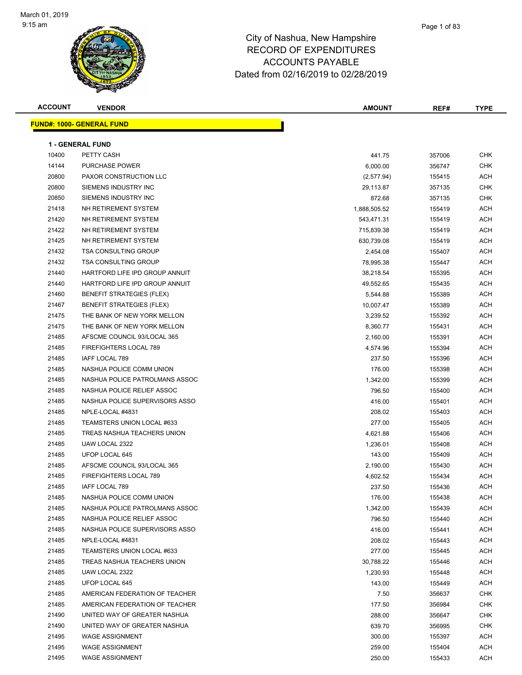

| <b>ACCOUNT</b> | <b>VENDOR</b>                     | <b>AMOUNT</b> | REF#   | <b>TYPE</b> |
|----------------|-----------------------------------|---------------|--------|-------------|
|                | <u> FUND#: 1000- GENERAL FUND</u> |               |        |             |
|                |                                   |               |        |             |
|                | <b>1 - GENERAL FUND</b>           |               |        |             |
| 10400          | PETTY CASH                        | 441.75        | 357006 | <b>CHK</b>  |
| 14144          | PURCHASE POWER                    | 6,000.00      | 356747 | <b>CHK</b>  |
| 20800          | PAXOR CONSTRUCTION LLC            | (2,577.94)    | 155415 | ACH         |
| 20800          | SIEMENS INDUSTRY INC              | 29,113.87     | 357135 | <b>CHK</b>  |
| 20850          | SIEMENS INDUSTRY INC              | 872.68        | 357135 | CHK         |
| 21418          | NH RETIREMENT SYSTEM              | 1,888,505.52  | 155419 | ACH         |
| 21420          | NH RETIREMENT SYSTEM              | 543,471.31    | 155419 | ACH         |
| 21422          | NH RETIREMENT SYSTEM              | 715,839.38    | 155419 | ACH         |
| 21425          | NH RETIREMENT SYSTEM              | 630,739.08    | 155419 | ACH         |
| 21432          | <b>TSA CONSULTING GROUP</b>       | 2,454.08      | 155407 | ACH         |
| 21432          | <b>TSA CONSULTING GROUP</b>       | 78,995.38     | 155447 | ACH         |
| 21440          | HARTFORD LIFE IPD GROUP ANNUIT    | 38,218.54     | 155395 | ACH         |
| 21440          | HARTFORD LIFE IPD GROUP ANNUIT    | 49,552.65     | 155435 | ACH         |
| 21460          | <b>BENEFIT STRATEGIES (FLEX)</b>  | 5,544.88      | 155389 | ACH         |
| 21467          | <b>BENEFIT STRATEGIES (FLEX)</b>  | 10,007.47     | 155389 | ACH         |
| 21475          | THE BANK OF NEW YORK MELLON       | 3,239.52      | 155392 | ACH         |
| 21475          | THE BANK OF NEW YORK MELLON       | 8,360.77      | 155431 | ACH         |
| 21485          | AFSCME COUNCIL 93/LOCAL 365       | 2,160.00      | 155391 | ACH         |
| 21485          | FIREFIGHTERS LOCAL 789            | 4,574.96      | 155394 | ACH         |
| 21485          | IAFF LOCAL 789                    | 237.50        | 155396 | ACH         |
| 21485          | NASHUA POLICE COMM UNION          | 176.00        | 155398 | ACH         |
| 21485          | NASHUA POLICE PATROLMANS ASSOC    | 1,342.00      | 155399 | ACH         |
| 21485          | NASHUA POLICE RELIEF ASSOC        | 796.50        | 155400 | ACH         |
| 21485          | NASHUA POLICE SUPERVISORS ASSO    | 416.00        | 155401 | ACH         |
| 21485          | NPLE-LOCAL #4831                  | 208.02        | 155403 | ACH         |
| 21485          | TEAMSTERS UNION LOCAL #633        | 277.00        | 155405 | ACH         |
| 21485          | TREAS NASHUA TEACHERS UNION       | 4,621.88      | 155406 | ACH         |
| 21485          | UAW LOCAL 2322                    | 1,236.01      | 155408 | ACH         |
| 21485          | UFOP LOCAL 645                    | 143.00        | 155409 | ACH         |
| 21485          | AFSCME COUNCIL 93/LOCAL 365       | 2,190.00      | 155430 | ACH         |
| 21485          | <b>FIREFIGHTERS LOCAL 789</b>     | 4,602.52      | 155434 | ACH         |
| 21485          | IAFF LOCAL 789                    | 237.50        | 155436 | ACH         |
| 21485          | NASHUA POLICE COMM UNION          | 176.00        | 155438 | ACH         |
| 21485          | NASHUA POLICE PATROLMANS ASSOC    | 1,342.00      | 155439 | ACH         |
| 21485          | NASHUA POLICE RELIEF ASSOC        | 796.50        | 155440 | ACH         |
| 21485          | NASHUA POLICE SUPERVISORS ASSO    | 416.00        | 155441 | ACH         |
| 21485          | NPLE-LOCAL #4831                  | 208.02        | 155443 | <b>ACH</b>  |
| 21485          | TEAMSTERS UNION LOCAL #633        | 277.00        | 155445 | ACH         |
| 21485          | TREAS NASHUA TEACHERS UNION       | 30,788.22     | 155446 | ACH         |
| 21485          | UAW LOCAL 2322                    | 1,230.93      | 155448 | ACH         |
| 21485          | UFOP LOCAL 645                    | 143.00        | 155449 | ACH         |
| 21485          | AMERICAN FEDERATION OF TEACHER    | 7.50          | 356637 | CHK         |
| 21485          | AMERICAN FEDERATION OF TEACHER    | 177.50        | 356984 | CHK         |
| 21490          | UNITED WAY OF GREATER NASHUA      | 288.00        | 356647 | <b>CHK</b>  |
| 21490          | UNITED WAY OF GREATER NASHUA      | 639.70        | 356995 | <b>CHK</b>  |
| 21495          | <b>WAGE ASSIGNMENT</b>            | 300.00        | 155397 | ACH         |
| 21495          | <b>WAGE ASSIGNMENT</b>            | 259.00        | 155404 | ACH         |
| 21495          | <b>WAGE ASSIGNMENT</b>            | 250.00        | 155433 | ACH         |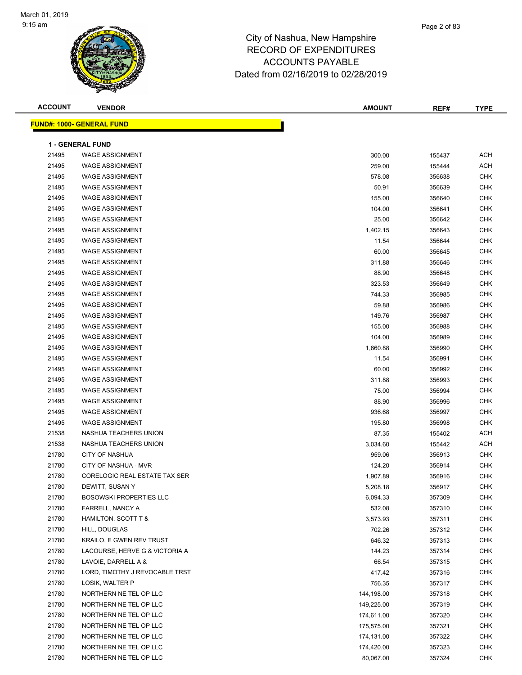**ACCOUNT VENDOR AMOUNT REF# TYPE FUND#: 1000- GENERAL FUND 1 - GENERAL FUND** WAGE ASSIGNMENT 300.00 155437 ACH WAGE ASSIGNMENT 259.00 155444 ACH WAGE ASSIGNMENT 578.08 356638 CHK WAGE ASSIGNMENT 50.91 356639 CHK WAGE ASSIGNMENT 155.00 356640 CHK WAGE ASSIGNMENT 104.00 356641 CHK WAGE ASSIGNMENT 25.00 356642 CHK 21495 WAGE ASSIGNMENT NAMEL AND RESERVE THE SERVER OF THE SERVER OF THE SERVER OF THE SERVER OF THE SERVER OF T 21495 WAGE ASSIGNMENT NAMEL AND RESERVE THE SERVER OF THE SERVER OF THE SERVER OF THE SERVER OF THE SERVER OF THE SERVER OF THE SERVER OF THE SERVER OF THE SERVER OF THE SERVER OF THE SERVER OF THE SERVER OF THE SERVER OF WAGE ASSIGNMENT 60.00 356645 CHK WAGE ASSIGNMENT 311.88 356646 CHK 21495 WAGE ASSIGNMENT NAMEL AND RESERVE THE SECOND STATE SECOND ASSESSED ASSIGNMENT AND RESERVE THE SECOND STATE SECOND STATE SECOND STATE SECOND STATE SECOND STATE SECOND STATE SECOND STATE SECOND STATE SECOND STATE SECON WAGE ASSIGNMENT 323.53 356649 CHK 21495 WAGE ASSIGNMENT NAMEL AND RESERVE TO A SERIES AND RESERVE TO A 244.33 356985 CHK WAGE ASSIGNMENT 59.88 356986 CHK 21495 WAGE ASSIGNMENT NAMEL AND RESERVE THE SERVER OF THE SERVER OF THE STATE OF THE STATE OF THE STATE OF THE WAGE ASSIGNMENT 155.00 356988 CHK WAGE ASSIGNMENT 104.00 356989 CHK WAGE ASSIGNMENT 1,660.88 356990 CHK WAGE ASSIGNMENT 11.54 356991 CHK WAGE ASSIGNMENT 60.00 356992 CHK WAGE ASSIGNMENT 311.88 356993 CHK 21495 WAGE ASSIGNMENT NAMEL AND RESERVE THE SERVE OF STREET AND RESERVE THE STREET OF STREET AND RESERVE THE STREET OF STREET AND RESERVE THE STREET OF STREET AND RESERVE THE STREET OF STREET AND RESERVE THE STREET OF STRE WAGE ASSIGNMENT 88.90 356996 CHK WAGE ASSIGNMENT 936.68 356997 CHK WAGE ASSIGNMENT 195.80 356998 CHK 21538 NASHUA TEACHERS UNION 87.35 21536 155402 ACH NASHUA TEACHERS UNION 3,034.60 155442 ACH CITY OF NASHUA 959.06 356913 CHK CITY OF NASHUA - MVR 124.20 356914 CHK 21780 CORELOGIC REAL ESTATE TAX SER 1,907.89 356916 CHK DEWITT, SUSAN Y 5,208.18 356917 CHK 21780 BOSOWSKI PROPERTIES LLC **CHING AND A SET A SET A SET A SET A SET A SET A SET A SET A SET A SET A SET A SET A**  FARRELL, NANCY A 532.08 357310 CHK 21780 HAMILTON, SCOTT T & 3573.93 357311 CHK HILL, DOUGLAS 702.26 357312 CHK 21780 KRAILO, E GWEN REV TRUST NEW SALE AND SALE AND SALE AND STRING AND STRING ASSESSED AND RESERVE AT A STRING 21780 LACOURSE, HERVE G & VICTORIA A 145 CHK 129 CHK 124.23 257314 CHK LAVOIE, DARRELL A & 66.54 357315 CHK 21780 LORD, TIMOTHY J REVOCABLE TRST And the state of the state of the state of the state of the state of the chi LOSIK, WALTER P 756.35 357317 CHK 21780 NORTHERN NE TEL OP LLC NORTHALL AND RESERVE THE STATE RELATION OF THE STATE OF A STATE OF THE STATE OF T NORTHERN NE TEL OP LLC 149,225.00 357319 CHK NORTHERN NE TEL OP LLC 174,611.00 357320 CHK NORTHERN NE TEL OP LLC 175,575.00 357321 CHK NORTHERN NE TEL OP LLC 174,131.00 357322 CHK

 21780 NORTHERN NE TEL OP LLC 174,420.00 357323 CHK 21780 NORTHERN NE TEL OP LLC 80,067.00 357324 CHK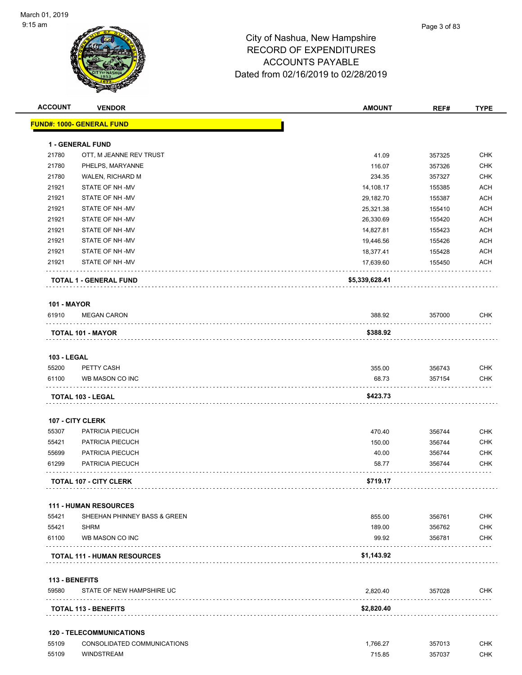

| <b>ACCOUNT</b>          | <b>VENDOR</b>                                                  | <b>AMOUNT</b>      | REF#                   | <b>TYPE</b> |
|-------------------------|----------------------------------------------------------------|--------------------|------------------------|-------------|
|                         | <b>FUND#: 1000- GENERAL FUND</b>                               |                    |                        |             |
|                         | <b>1 - GENERAL FUND</b>                                        |                    |                        |             |
| 21780                   | OTT, M JEANNE REV TRUST                                        | 41.09              | 357325                 | <b>CHK</b>  |
| 21780                   | PHELPS, MARYANNE                                               | 116.07             | 357326                 | <b>CHK</b>  |
| 21780                   | WALEN, RICHARD M                                               | 234.35             | 357327                 | <b>CHK</b>  |
| 21921                   | STATE OF NH-MV                                                 | 14,108.17          | 155385                 | <b>ACH</b>  |
| 21921                   | STATE OF NH-MV                                                 | 29,182.70          | 155387                 | <b>ACH</b>  |
| 21921                   | STATE OF NH-MV                                                 | 25,321.38          | 155410                 | <b>ACH</b>  |
| 21921                   | STATE OF NH-MV                                                 | 26,330.69          | 155420                 | <b>ACH</b>  |
| 21921                   | STATE OF NH-MV                                                 | 14,827.81          | 155423                 | <b>ACH</b>  |
| 21921                   | STATE OF NH-MV                                                 | 19,446.56          | 155426                 | <b>ACH</b>  |
| 21921                   | STATE OF NH-MV                                                 | 18,377.41          | 155428                 | <b>ACH</b>  |
| 21921                   | STATE OF NH -MV                                                | 17,639.60          | 155450                 | <b>ACH</b>  |
|                         | <b>TOTAL 1 - GENERAL FUND</b>                                  | \$5,339,628.41     |                        |             |
| <b>101 - MAYOR</b>      |                                                                |                    |                        |             |
| 61910                   | <b>MEGAN CARON</b>                                             | 388.92             | 357000                 | <b>CHK</b>  |
|                         | TOTAL 101 - MAYOR                                              | \$388.92           |                        |             |
| <b>103 - LEGAL</b>      |                                                                |                    |                        |             |
| 55200                   | PETTY CASH                                                     | 355.00             | 356743                 | <b>CHK</b>  |
| 61100                   | WB MASON CO INC                                                | 68.73              | 357154                 | CHK         |
|                         | TOTAL 103 - LEGAL                                              | \$423.73           |                        |             |
|                         | 107 - CITY CLERK                                               |                    |                        |             |
| 55307                   | PATRICIA PIECUCH                                               | 470.40             | 356744                 | <b>CHK</b>  |
| 55421                   | PATRICIA PIECUCH                                               | 150.00             | 356744                 | CHK         |
| 55699                   | PATRICIA PIECUCH                                               | 40.00              | 356744                 | CHK         |
| 61299                   | PATRICIA PIECUCH                                               | 58.77              | 356744                 | <b>CHK</b>  |
|                         | <b>TOTAL 107 - CITY CLERK</b>                                  | \$719.17           |                        |             |
|                         |                                                                |                    |                        |             |
|                         | <b>111 - HUMAN RESOURCES</b>                                   |                    |                        |             |
| 55421<br>55421          | SHEEHAN PHINNEY BASS & GREEN<br><b>SHRM</b>                    | 855.00<br>189.00   | 356761                 | CHK<br>CHK  |
| 61100                   | WB MASON CO INC                                                | 99.92              | 356762<br>356781       | <b>CHK</b>  |
|                         | <b>TOTAL 111 - HUMAN RESOURCES</b>                             | \$1,143.92         | in a construction<br>. |             |
|                         |                                                                |                    |                        |             |
| 113 - BENEFITS<br>59580 | STATE OF NEW HAMPSHIRE UC                                      | 2,820.40           | 357028                 | <b>CHK</b>  |
|                         | <b>TOTAL 113 - BENEFITS</b>                                    | \$2,820.40         |                        |             |
|                         |                                                                |                    |                        |             |
| 55109                   | <b>120 - TELECOMMUNICATIONS</b><br>CONSOLIDATED COMMUNICATIONS |                    |                        | <b>CHK</b>  |
| 55109                   | <b>WINDSTREAM</b>                                              | 1,766.27<br>715.85 | 357013<br>357037       | <b>CHK</b>  |
|                         |                                                                |                    |                        |             |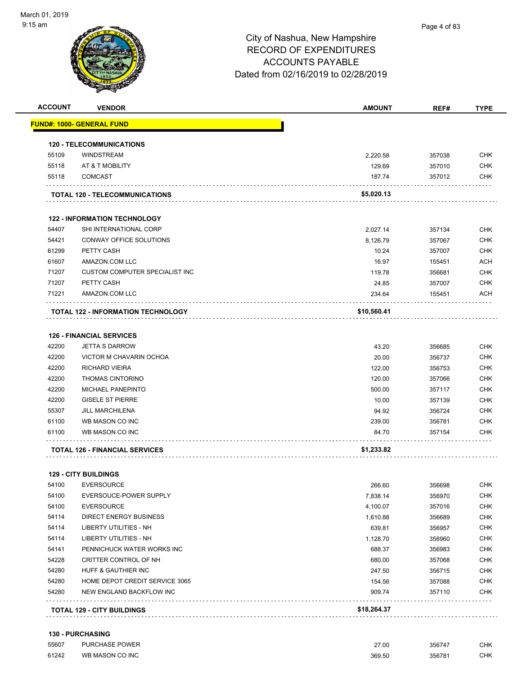#### Page 4 of 83

| <b>ACCOUNT</b> | <b>VENDOR</b>                         | <b>AMOUNT</b> | REF#   | <b>TYPE</b> |
|----------------|---------------------------------------|---------------|--------|-------------|
|                | <u> FUND#: 1000- GENERAL FUND</u>     |               |        |             |
|                | <b>120 - TELECOMMUNICATIONS</b>       |               |        |             |
| 55109          | <b>WINDSTREAM</b>                     | 2,220.58      | 357038 | <b>CHK</b>  |
| 55118          | AT & T MOBILITY                       | 129.69        | 357010 | <b>CHK</b>  |
| 55118          | <b>COMCAST</b>                        | 187.74        | 357012 | <b>CHK</b>  |
|                | TOTAL 120 - TELECOMMUNICATIONS        | \$5,020.13    |        |             |
|                | <b>122 - INFORMATION TECHNOLOGY</b>   |               |        |             |
| 54407          | SHI INTERNATIONAL CORP                | 2,027.14      | 357134 | <b>CHK</b>  |
| 54421          | CONWAY OFFICE SOLUTIONS               | 8,126.79      | 357067 | <b>CHK</b>  |
| 61299          | PETTY CASH                            | 10.24         | 357007 | <b>CHK</b>  |
| 61607          | AMAZON.COM LLC                        | 16.97         | 155451 | <b>ACH</b>  |
| 71207          | CUSTOM COMPUTER SPECIALIST INC        | 119.78        | 356681 | <b>CHK</b>  |
| 71207          | PETTY CASH                            | 24.85         | 357007 | <b>CHK</b>  |
| 71221          | AMAZON.COM LLC                        | 234.64        | 155451 | ACH         |
|                | TOTAL 122 - INFORMATION TECHNOLOGY    | \$10,560.41   |        |             |
|                | <b>126 - FINANCIAL SERVICES</b>       |               |        |             |
| 42200          | <b>JETTA S DARROW</b>                 | 43.20         | 356685 | <b>CHK</b>  |
| 42200          | VICTOR M CHAVARIN OCHOA               | 20.00         | 356737 | <b>CHK</b>  |
| 42200          | <b>RICHARD VIEIRA</b>                 | 122.00        | 356753 | <b>CHK</b>  |
| 42200          | <b>THOMAS CINTORINO</b>               | 120.00        | 357066 | <b>CHK</b>  |
| 42200          | <b>MICHAEL PANEPINTO</b>              | 500.00        | 357117 | <b>CHK</b>  |
| 42200          | <b>GISELE ST PIERRE</b>               | 10.00         | 357139 | <b>CHK</b>  |
| 55307          | <b>JILL MARCHILENA</b>                | 94.92         | 356724 | <b>CHK</b>  |
| 61100          | WB MASON CO INC                       | 239.00        | 356781 | <b>CHK</b>  |
| 61100          | WB MASON CO INC                       | 84.70         | 357154 | <b>CHK</b>  |
|                | <b>TOTAL 126 - FINANCIAL SERVICES</b> | \$1,233.82    |        |             |
|                | <b>129 - CITY BUILDINGS</b>           |               |        |             |
| 54100          | <b>EVERSOURCE</b>                     | 266.60        | 356698 | <b>CHK</b>  |
| 54100          | EVERSOUCE-POWER SUPPLY                | 7,838.14      | 356970 | <b>CHK</b>  |
| 54100          | <b>EVERSOURCE</b>                     | 4,100.07      | 357016 | CHK         |
| 54114          | <b>DIRECT ENERGY BUSINESS</b>         | 1,610.88      | 356689 | <b>CHK</b>  |
| 54114          | LIBERTY UTILITIES - NH                | 639.81        | 356957 | <b>CHK</b>  |
| 54114          | <b>LIBERTY UTILITIES - NH</b>         | 1,128.70      | 356960 | <b>CHK</b>  |
| 54141          | PENNICHUCK WATER WORKS INC            | 688.37        | 356983 | <b>CHK</b>  |
| 54228          | CRITTER CONTROL OF NH                 | 680.00        | 357068 | <b>CHK</b>  |
| 54280          | HUFF & GAUTHIER INC                   | 247.50        | 356715 | <b>CHK</b>  |
| 54280          | HOME DEPOT CREDIT SERVICE 3065        | 154.56        | 357088 | <b>CHK</b>  |
| 54280          | NEW ENGLAND BACKFLOW INC              | 909.74        | 357110 | <b>CHK</b>  |
|                | <b>TOTAL 129 - CITY BUILDINGS</b>     | \$18,264.37   |        |             |
|                |                                       |               |        |             |

| 55607 | <b>PURCHASE POWER</b> | 27.00  | 356747 | <b>CHK</b> |
|-------|-----------------------|--------|--------|------------|
| 61242 | WB MASON CO INC       | 369.50 | 356781 | <b>CHK</b> |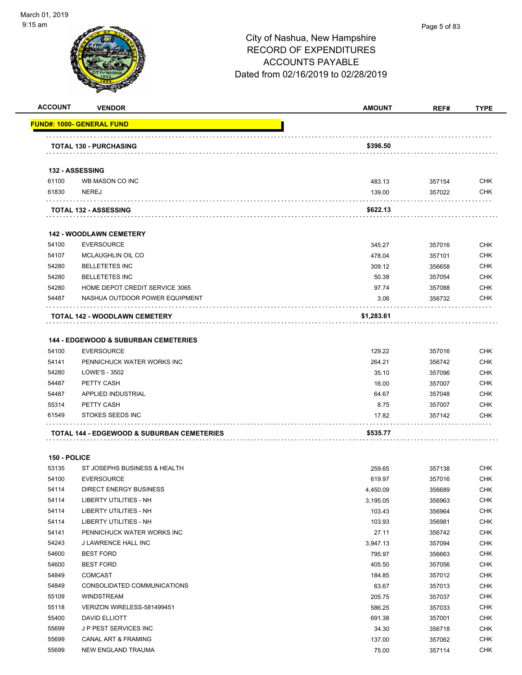

#### Page 5 of 83

| <b>ACCOUNT</b> | <b>VENDOR</b>                                   | <b>AMOUNT</b> | REF#             | TYPE                     |
|----------------|-------------------------------------------------|---------------|------------------|--------------------------|
|                | <u> FUND#: 1000- GENERAL FUND</u>               |               |                  |                          |
|                | <b>TOTAL 130 - PURCHASING</b>                   | \$396.50      |                  |                          |
|                |                                                 |               |                  |                          |
|                | 132 - ASSESSING                                 |               |                  |                          |
| 61100          | WB MASON CO INC                                 | 483.13        | 357154           | <b>CHK</b>               |
| 61830          | <b>NEREJ</b>                                    | 139.00        | 357022           | <b>CHK</b>               |
|                | <b>TOTAL 132 - ASSESSING</b>                    | \$622.13      |                  |                          |
|                | <b>142 - WOODLAWN CEMETERY</b>                  |               |                  |                          |
| 54100          | <b>EVERSOURCE</b>                               | 345.27        | 357016           | <b>CHK</b>               |
| 54107          | MCLAUGHLIN OIL CO                               | 478.04        | 357101           | <b>CHK</b>               |
| 54280          | <b>BELLETETES INC</b>                           | 309.12        | 356658           | <b>CHK</b>               |
| 54280          | <b>BELLETETES INC</b>                           | 50.38         | 357054           | <b>CHK</b>               |
| 54280          | HOME DEPOT CREDIT SERVICE 3065                  | 97.74         | 357088           | <b>CHK</b>               |
| 54487          | NASHUA OUTDOOR POWER EQUIPMENT                  | 3.06          | 356732           | <b>CHK</b>               |
|                | TOTAL 142 - WOODLAWN CEMETERY                   | \$1,283.61    |                  |                          |
|                |                                                 |               |                  |                          |
|                | <b>144 - EDGEWOOD &amp; SUBURBAN CEMETERIES</b> |               |                  |                          |
| 54100          | <b>EVERSOURCE</b>                               | 129.22        | 357016           | <b>CHK</b>               |
| 54141          | PENNICHUCK WATER WORKS INC                      | 264.21        | 356742           | <b>CHK</b>               |
| 54280          | LOWE'S - 3502                                   | 35.10         | 357096           | <b>CHK</b>               |
| 54487          | PETTY CASH                                      | 16.00         | 357007           | <b>CHK</b>               |
| 54487          | APPLIED INDUSTRIAL                              | 64.67         | 357048           | <b>CHK</b>               |
| 55314<br>61549 | PETTY CASH<br>STOKES SEEDS INC                  | 8.75<br>17.82 | 357007<br>357142 | <b>CHK</b><br><b>CHK</b> |
|                |                                                 |               |                  |                          |
|                | TOTAL 144 - EDGEWOOD & SUBURBAN CEMETERIES      | \$535.77      |                  |                          |
| 150 - POLICE   |                                                 |               |                  |                          |
| 53135          | ST JOSEPHS BUSINESS & HEALTH                    | 259.65        | 357138           | <b>CHK</b>               |
| 54100          | <b>EVERSOURCE</b>                               | 619.97        | 357016           | <b>CHK</b>               |
| 54114          | DIRECT ENERGY BUSINESS                          | 4,450.09      | 356689           | <b>CHK</b>               |
| 54114          | LIBERTY UTILITIES - NH                          | 3,195.05      | 356963           | <b>CHK</b>               |
| 54114          | LIBERTY UTILITIES - NH                          | 103.43        | 356964           | <b>CHK</b>               |
| 54114          | LIBERTY UTILITIES - NH                          | 103.93        | 356981           | <b>CHK</b>               |
| 54141          | PENNICHUCK WATER WORKS INC                      | 27.11         | 356742           | <b>CHK</b>               |
| 54243          | J LAWRENCE HALL INC                             | 3,947.13      | 357094           | <b>CHK</b>               |
| 54600          | <b>BEST FORD</b>                                | 795.97        | 356663           | <b>CHK</b>               |
| 54600          | <b>BEST FORD</b>                                | 405.50        | 357056           | <b>CHK</b>               |
| 54849          | <b>COMCAST</b>                                  | 184.85        | 357012           | <b>CHK</b>               |
| 54849          | CONSOLIDATED COMMUNICATIONS                     | 63.67         | 357013           | <b>CHK</b>               |
| 55109          | WINDSTREAM                                      | 205.75        | 357037           | <b>CHK</b>               |
| 55118          | VERIZON WIRELESS-581499451                      | 586.25        | 357033           | <b>CHK</b>               |
| 55400          | DAVID ELLIOTT                                   | 691.38        | 357001           | <b>CHK</b>               |
| 55699          | JP PEST SERVICES INC                            | 34.30         | 356718           | <b>CHK</b>               |
| 55699          | CANAL ART & FRAMING                             | 137.00        | 357062           | <b>CHK</b>               |
| 55699          | NEW ENGLAND TRAUMA                              | 75.00         | 357114           | CHK                      |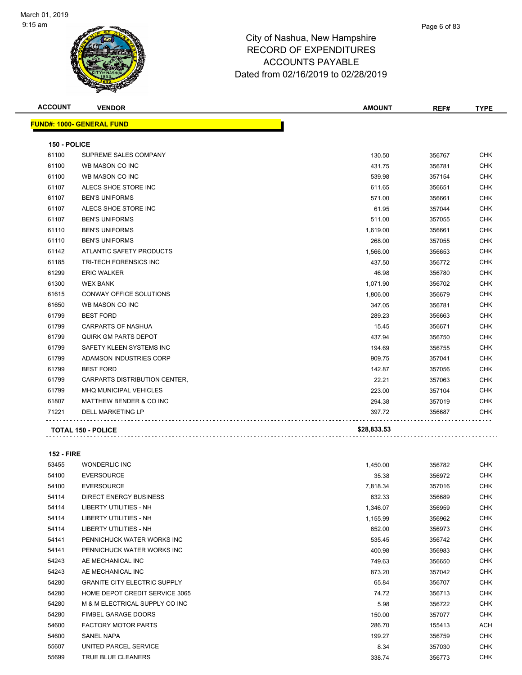

| <b>ACCOUNT</b> | <b>VENDOR</b>                    | <b>AMOUNT</b> | REF#   | <b>TYPE</b> |
|----------------|----------------------------------|---------------|--------|-------------|
|                | <b>FUND#: 1000- GENERAL FUND</b> |               |        |             |
| 150 - POLICE   |                                  |               |        |             |
| 61100          | SUPREME SALES COMPANY            | 130.50        | 356767 | CHK.        |
| 61100          | WB MASON CO INC                  | 431.75        | 356781 | <b>CHK</b>  |
| 61100          | WB MASON CO INC                  | 539.98        | 357154 | <b>CHK</b>  |
| 61107          | ALECS SHOE STORE INC             | 611.65        | 356651 | <b>CHK</b>  |
| 61107          | <b>BEN'S UNIFORMS</b>            | 571.00        | 356661 | <b>CHK</b>  |
| 61107          | ALECS SHOE STORE INC             | 61.95         | 357044 | <b>CHK</b>  |
| 61107          | <b>BEN'S UNIFORMS</b>            | 511.00        | 357055 | CHK         |
| 61110          | <b>BEN'S UNIFORMS</b>            | 1,619.00      | 356661 | <b>CHK</b>  |
| 61110          | <b>BEN'S UNIFORMS</b>            | 268.00        | 357055 | <b>CHK</b>  |
| 61142          | ATLANTIC SAFETY PRODUCTS         | 1,566.00      | 356653 | <b>CHK</b>  |
| 61185          | TRI-TECH FORENSICS INC           | 437.50        | 356772 | <b>CHK</b>  |
| 61299          | <b>ERIC WALKER</b>               | 46.98         | 356780 | <b>CHK</b>  |
| 61300          | <b>WEX BANK</b>                  | 1,071.90      | 356702 | CHK         |
| 61615          | <b>CONWAY OFFICE SOLUTIONS</b>   | 1,806.00      | 356679 | <b>CHK</b>  |
| 61650          | WB MASON CO INC                  | 347.05        | 356781 | <b>CHK</b>  |
| 61799          | <b>BEST FORD</b>                 | 289.23        | 356663 | <b>CHK</b>  |
| 61799          | <b>CARPARTS OF NASHUA</b>        | 15.45         | 356671 | <b>CHK</b>  |
| 61799          | <b>QUIRK GM PARTS DEPOT</b>      | 437.94        | 356750 | <b>CHK</b>  |
| 61799          | SAFETY KLEEN SYSTEMS INC         | 194.69        | 356755 | <b>CHK</b>  |
| 61799          | ADAMSON INDUSTRIES CORP          | 909.75        | 357041 | <b>CHK</b>  |
| 61799          | <b>BEST FORD</b>                 | 142.87        | 357056 | <b>CHK</b>  |
| 61799          | CARPARTS DISTRIBUTION CENTER,    | 22.21         | 357063 | <b>CHK</b>  |
| 61799          | <b>MHQ MUNICIPAL VEHICLES</b>    | 223.00        | 357104 | <b>CHK</b>  |
| 61807          | MATTHEW BENDER & CO INC          | 294.38        | 357019 | <b>CHK</b>  |
| 71221          | DELL MARKETING LP                | 397.72        | 356687 | CHK         |
|                | <b>TOTAL 150 - POLICE</b>        | \$28,833.53   |        |             |

**TOTAL 150 - POLICE \$28,833.53**

**152 - FIRE**

 WONDERLIC INC 1,450.00 356782 CHK EVERSOURCE 35.38 356972 CHK EVERSOURCE 7,818.34 357016 CHK DIRECT ENERGY BUSINESS 632.33 356689 CHK LIBERTY UTILITIES - NH 1,346.07 356959 CHK LIBERTY UTILITIES - NH 1,155.99 356962 CHK LIBERTY UTILITIES - NH 652.00 356973 CHK PENNICHUCK WATER WORKS INC 535.45 356742 CHK PENNICHUCK WATER WORKS INC 400.98 356983 CHK AE MECHANICAL INC 749.63 356650 CHK AE MECHANICAL INC 873.20 357042 CHK GRANITE CITY ELECTRIC SUPPLY 65.84 356707 CHK 54280 HOME DEPOT CREDIT SERVICE 3065 **74.72** 356713 CHK M & M ELECTRICAL SUPPLY CO INC 5.98 356722 CHK FIMBEL GARAGE DOORS 150.00 357077 CHK 54600 FACTORY MOTOR PARTS 286.70 286.70 155413 ACH SANEL NAPA 199.27 356759 CHK 55607 UNITED PARCEL SERVICE **8.34** 357030 CHK

TRUE BLUE CLEANERS 338.74 356773 CHK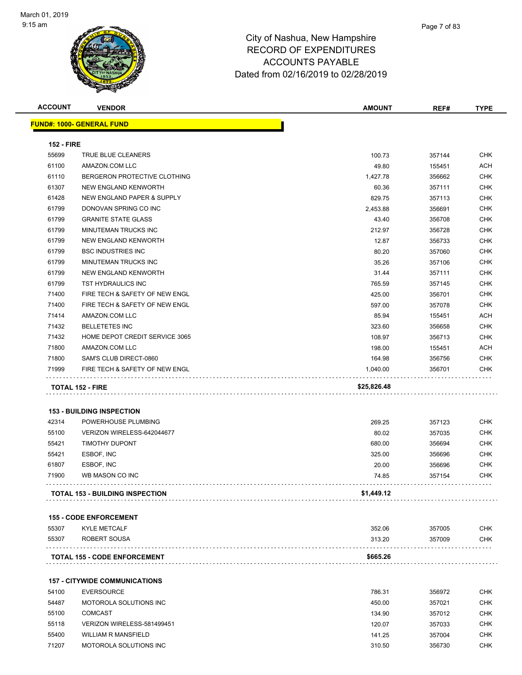

| <b>ACCOUNT</b>             | <b>VENDOR</b>                                             | <b>AMOUNT</b> | REF#   | <b>TYPE</b> |
|----------------------------|-----------------------------------------------------------|---------------|--------|-------------|
|                            | FUND#: 1000- GENERAL FUND                                 |               |        |             |
|                            |                                                           |               |        |             |
| <b>152 - FIRE</b><br>55699 |                                                           | 100.73        |        | <b>CHK</b>  |
| 61100                      | TRUE BLUE CLEANERS<br>AMAZON.COM LLC                      |               | 357144 | ACH         |
|                            |                                                           | 49.80         | 155451 |             |
| 61110                      | BERGERON PROTECTIVE CLOTHING                              | 1,427.78      | 356662 | <b>CHK</b>  |
| 61307                      | NEW ENGLAND KENWORTH                                      | 60.36         | 357111 | <b>CHK</b>  |
| 61428                      | NEW ENGLAND PAPER & SUPPLY                                | 829.75        | 357113 | <b>CHK</b>  |
| 61799                      | DONOVAN SPRING CO INC                                     | 2,453.88      | 356691 | <b>CHK</b>  |
| 61799                      | <b>GRANITE STATE GLASS</b>                                | 43.40         | 356708 | <b>CHK</b>  |
| 61799                      | MINUTEMAN TRUCKS INC                                      | 212.97        | 356728 | <b>CHK</b>  |
| 61799                      | NEW ENGLAND KENWORTH                                      | 12.87         | 356733 | <b>CHK</b>  |
| 61799                      | <b>BSC INDUSTRIES INC</b>                                 | 80.20         | 357060 | <b>CHK</b>  |
| 61799                      | MINUTEMAN TRUCKS INC                                      | 35.26         | 357106 | <b>CHK</b>  |
| 61799                      | NEW ENGLAND KENWORTH                                      | 31.44         | 357111 | CHK         |
| 61799                      | TST HYDRAULICS INC                                        | 765.59        | 357145 | <b>CHK</b>  |
| 71400                      | FIRE TECH & SAFETY OF NEW ENGL                            | 425.00        | 356701 | <b>CHK</b>  |
| 71400                      | FIRE TECH & SAFETY OF NEW ENGL                            | 597.00        | 357078 | <b>CHK</b>  |
| 71414                      | AMAZON.COM LLC                                            | 85.94         | 155451 | ACH         |
| 71432                      | <b>BELLETETES INC</b>                                     | 323.60        | 356658 | CHK         |
| 71432                      | HOME DEPOT CREDIT SERVICE 3065                            | 108.97        | 356713 | <b>CHK</b>  |
| 71800                      | AMAZON.COM LLC                                            | 198.00        | 155451 | ACH         |
| 71800                      | SAM'S CLUB DIRECT-0860                                    | 164.98        | 356756 | <b>CHK</b>  |
| 71999                      | FIRE TECH & SAFETY OF NEW ENGL                            | 1,040.00      | 356701 | CHK         |
|                            | <b>TOTAL 152 - FIRE</b>                                   | \$25,826.48   |        |             |
|                            |                                                           |               |        |             |
| 42314                      | <b>153 - BUILDING INSPECTION</b><br>POWERHOUSE PLUMBING   |               |        | CHK         |
|                            |                                                           | 269.25        | 357123 | <b>CHK</b>  |
| 55100<br>55421             | VERIZON WIRELESS-642044677<br><b>TIMOTHY DUPONT</b>       | 80.02         | 357035 |             |
|                            |                                                           | 680.00        | 356694 | <b>CHK</b>  |
| 55421                      | ESBOF, INC                                                | 325.00        | 356696 | CHK         |
| 61807                      | ESBOF, INC                                                | 20.00         | 356696 | <b>CHK</b>  |
| 71900                      | WB MASON CO INC                                           | 74.85         | 357154 | <b>CHK</b>  |
|                            | <b>TOTAL 153 - BUILDING INSPECTION</b>                    | \$1,449.12    |        |             |
|                            | <b>155 - CODE ENFORCEMENT</b>                             |               |        |             |
| 55307                      | <b>KYLE METCALF</b>                                       | 352.06        | 357005 | CHK         |
| 55307                      | ROBERT SOUSA                                              | 313.20        | 357009 | CHK         |
|                            | <b>TOTAL 155 - CODE ENFORCEMENT</b>                       | \$665.26      |        |             |
|                            |                                                           |               |        |             |
| 54100                      | <b>157 - CITYWIDE COMMUNICATIONS</b><br><b>EVERSOURCE</b> | 786.31        | 356972 | CHK         |
| 54487                      | MOTOROLA SOLUTIONS INC                                    | 450.00        | 357021 | CHK         |
|                            |                                                           |               |        |             |
| 55100                      | <b>COMCAST</b>                                            | 134.90        | 357012 | CHK         |
| 55118                      | VERIZON WIRELESS-581499451                                | 120.07        | 357033 | CHK         |
| 55400                      | <b>WILLIAM R MANSFIELD</b>                                | 141.25        | 357004 | CHK         |
| 71207                      | MOTOROLA SOLUTIONS INC                                    | 310.50        | 356730 | CHK         |
|                            |                                                           |               |        |             |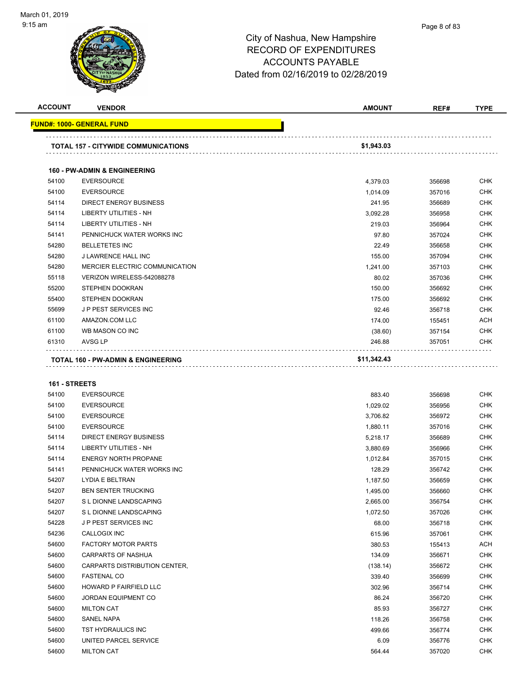

| <b>ACCOUNT</b> | <b>VENDOR</b>                                 | <b>AMOUNT</b> | REF#   | <b>TYPE</b> |
|----------------|-----------------------------------------------|---------------|--------|-------------|
|                | <b>FUND#: 1000- GENERAL FUND</b>              |               |        |             |
|                | <b>TOTAL 157 - CITYWIDE COMMUNICATIONS</b>    | \$1,943.03    |        |             |
|                | <b>160 - PW-ADMIN &amp; ENGINEERING</b>       |               |        |             |
| 54100          | <b>EVERSOURCE</b>                             | 4,379.03      | 356698 | <b>CHK</b>  |
| 54100          | <b>EVERSOURCE</b>                             | 1,014.09      | 357016 | <b>CHK</b>  |
| 54114          | <b>DIRECT ENERGY BUSINESS</b>                 | 241.95        | 356689 | <b>CHK</b>  |
| 54114          | <b>LIBERTY UTILITIES - NH</b>                 | 3,092.28      | 356958 | <b>CHK</b>  |
| 54114          | <b>LIBERTY UTILITIES - NH</b>                 | 219.03        | 356964 | <b>CHK</b>  |
| 54141          | PENNICHUCK WATER WORKS INC                    | 97.80         | 357024 | <b>CHK</b>  |
| 54280          | <b>BELLETETES INC</b>                         | 22.49         | 356658 | <b>CHK</b>  |
| 54280          | <b>J LAWRENCE HALL INC</b>                    | 155.00        | 357094 | <b>CHK</b>  |
| 54280          | MERCIER ELECTRIC COMMUNICATION                | 1,241.00      | 357103 | <b>CHK</b>  |
| 55118          | VERIZON WIRELESS-542088278                    | 80.02         | 357036 | <b>CHK</b>  |
| 55200          | <b>STEPHEN DOOKRAN</b>                        | 150.00        | 356692 | <b>CHK</b>  |
| 55400          | <b>STEPHEN DOOKRAN</b>                        | 175.00        | 356692 | <b>CHK</b>  |
| 55699          | <b>JP PEST SERVICES INC</b>                   | 92.46         | 356718 | <b>CHK</b>  |
| 61100          | AMAZON.COM LLC                                | 174.00        | 155451 | <b>ACH</b>  |
| 61100          | WB MASON CO INC                               | (38.60)       | 357154 | <b>CHK</b>  |
| 61310          | AVSG LP                                       | 246.88        | 357051 | <b>CHK</b>  |
|                | <b>TOTAL 160 - PW-ADMIN &amp; ENGINEERING</b> | \$11,342.43   |        |             |

#### **161 - STREETS**

| 54100 | <b>EVERSOURCE</b>             | 883.40   | 356698 | <b>CHK</b> |
|-------|-------------------------------|----------|--------|------------|
| 54100 | <b>EVERSOURCE</b>             | 1,029.02 | 356956 | <b>CHK</b> |
| 54100 | <b>EVERSOURCE</b>             | 3,706.82 | 356972 | <b>CHK</b> |
| 54100 | <b>EVERSOURCE</b>             | 1,880.11 | 357016 | <b>CHK</b> |
| 54114 | <b>DIRECT ENERGY BUSINESS</b> | 5,218.17 | 356689 | <b>CHK</b> |
| 54114 | <b>LIBERTY UTILITIES - NH</b> | 3,880.69 | 356966 | <b>CHK</b> |
| 54114 | <b>ENERGY NORTH PROPANE</b>   | 1,012.84 | 357015 | <b>CHK</b> |
| 54141 | PENNICHUCK WATER WORKS INC    | 128.29   | 356742 | <b>CHK</b> |
| 54207 | LYDIA E BELTRAN               | 1,187.50 | 356659 | <b>CHK</b> |
| 54207 | <b>BEN SENTER TRUCKING</b>    | 1,495.00 | 356660 | <b>CHK</b> |
| 54207 | S L DIONNE LANDSCAPING        | 2,665.00 | 356754 | <b>CHK</b> |
| 54207 | S L DIONNE LANDSCAPING        | 1,072.50 | 357026 | <b>CHK</b> |
| 54228 | JP PEST SERVICES INC          | 68.00    | 356718 | <b>CHK</b> |
| 54236 | CALLOGIX INC                  | 615.96   | 357061 | <b>CHK</b> |
| 54600 | <b>FACTORY MOTOR PARTS</b>    | 380.53   | 155413 | <b>ACH</b> |
| 54600 | <b>CARPARTS OF NASHUA</b>     | 134.09   | 356671 | <b>CHK</b> |
| 54600 | CARPARTS DISTRIBUTION CENTER, | (138.14) | 356672 | <b>CHK</b> |
| 54600 | <b>FASTENAL CO</b>            | 339.40   | 356699 | <b>CHK</b> |
| 54600 | <b>HOWARD P FAIRFIELD LLC</b> | 302.96   | 356714 | <b>CHK</b> |
| 54600 | <b>JORDAN EQUIPMENT CO</b>    | 86.24    | 356720 | <b>CHK</b> |
| 54600 | <b>MILTON CAT</b>             | 85.93    | 356727 | <b>CHK</b> |
| 54600 | <b>SANEL NAPA</b>             | 118.26   | 356758 | <b>CHK</b> |
| 54600 | TST HYDRAULICS INC            | 499.66   | 356774 | <b>CHK</b> |
| 54600 | UNITED PARCEL SERVICE         | 6.09     | 356776 | <b>CHK</b> |
| 54600 | <b>MILTON CAT</b>             | 564.44   | 357020 | <b>CHK</b> |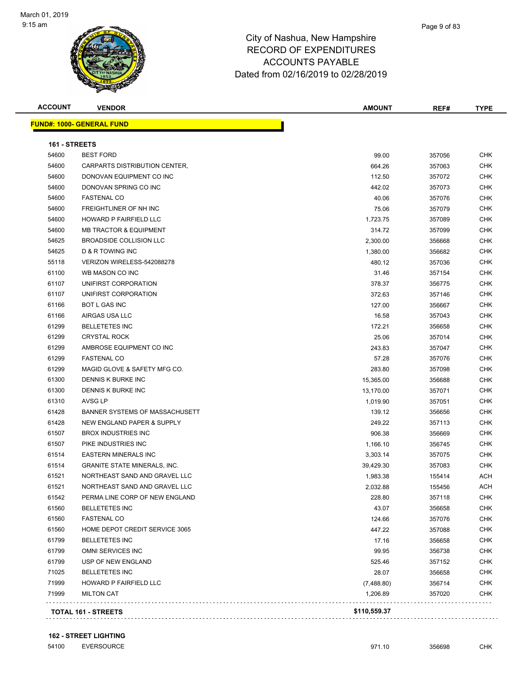

| <b>ACCOUNT</b> | <b>VENDOR</b>                       | <b>AMOUNT</b> | REF#   | <b>TYPE</b> |
|----------------|-------------------------------------|---------------|--------|-------------|
|                | <b>FUND#: 1000- GENERAL FUND</b>    |               |        |             |
| 161 - STREETS  |                                     |               |        |             |
| 54600          | <b>BEST FORD</b>                    | 99.00         | 357056 | CHK         |
| 54600          | CARPARTS DISTRIBUTION CENTER,       | 664.26        | 357063 | <b>CHK</b>  |
| 54600          | DONOVAN EQUIPMENT CO INC            | 112.50        | 357072 | <b>CHK</b>  |
| 54600          | DONOVAN SPRING CO INC               | 442.02        | 357073 | CHK         |
| 54600          | <b>FASTENAL CO</b>                  | 40.06         | 357076 | <b>CHK</b>  |
| 54600          | FREIGHTLINER OF NH INC              | 75.06         | 357079 | <b>CHK</b>  |
| 54600          | <b>HOWARD P FAIRFIELD LLC</b>       | 1,723.75      | 357089 | CHK         |
| 54600          | <b>MB TRACTOR &amp; EQUIPMENT</b>   | 314.72        | 357099 | <b>CHK</b>  |
| 54625          | BROADSIDE COLLISION LLC             | 2,300.00      | 356668 | <b>CHK</b>  |
| 54625          | D & R TOWING INC                    | 1,380.00      | 356682 | CHK         |
| 55118          | VERIZON WIRELESS-542088278          | 480.12        | 357036 | CHK         |
| 61100          | WB MASON CO INC                     | 31.46         | 357154 | CHK         |
| 61107          | UNIFIRST CORPORATION                | 378.37        | 356775 | <b>CHK</b>  |
| 61107          | UNIFIRST CORPORATION                | 372.63        | 357146 | <b>CHK</b>  |
| 61166          | <b>BOT L GAS INC</b>                | 127.00        | 356667 | CHK         |
| 61166          | AIRGAS USA LLC                      | 16.58         | 357043 | CHK         |
| 61299          | <b>BELLETETES INC</b>               | 172.21        | 356658 | <b>CHK</b>  |
| 61299          | <b>CRYSTAL ROCK</b>                 | 25.06         | 357014 | CHK         |
| 61299          | AMBROSE EQUIPMENT CO INC            | 243.83        | 357047 | <b>CHK</b>  |
| 61299          | <b>FASTENAL CO</b>                  | 57.28         | 357076 | CHK         |
| 61299          | MAGID GLOVE & SAFETY MFG CO.        | 283.80        | 357098 | CHK         |
| 61300          | DENNIS K BURKE INC                  | 15,365.00     | 356688 | CHK         |
| 61300          | DENNIS K BURKE INC                  | 13,170.00     | 357071 | <b>CHK</b>  |
| 61310          | AVSG LP                             | 1,019.90      | 357051 | CHK         |
| 61428          | BANNER SYSTEMS OF MASSACHUSETT      | 139.12        | 356656 | <b>CHK</b>  |
| 61428          | NEW ENGLAND PAPER & SUPPLY          | 249.22        | 357113 | <b>CHK</b>  |
| 61507          | <b>BROX INDUSTRIES INC</b>          | 906.38        | 356669 | <b>CHK</b>  |
| 61507          | PIKE INDUSTRIES INC                 | 1,166.10      | 356745 | <b>CHK</b>  |
| 61514          | <b>EASTERN MINERALS INC</b>         | 3,303.14      | 357075 | <b>CHK</b>  |
| 61514          | <b>GRANITE STATE MINERALS, INC.</b> | 39,429.30     | 357083 | CHK         |
| 61521          | NORTHEAST SAND AND GRAVEL LLC       | 1,983.38      | 155414 | ACH         |
| 61521          | NORTHEAST SAND AND GRAVEL LLC       | 2,032.88      | 155456 | <b>ACH</b>  |
| 61542          | PERMA LINE CORP OF NEW ENGLAND      | 228.80        | 357118 | CHK         |
| 61560          | <b>BELLETETES INC</b>               | 43.07         | 356658 | <b>CHK</b>  |
| 61560          | <b>FASTENAL CO</b>                  | 124.66        | 357076 | CHK         |
| 61560          | HOME DEPOT CREDIT SERVICE 3065      | 447.22        | 357088 | CHK         |
| 61799          | <b>BELLETETES INC</b>               | 17.16         | 356658 | <b>CHK</b>  |
| 61799          | OMNI SERVICES INC                   | 99.95         | 356738 | <b>CHK</b>  |
| 61799          | USP OF NEW ENGLAND                  | 525.46        | 357152 | <b>CHK</b>  |
| 71025          | <b>BELLETETES INC</b>               | 28.07         | 356658 | <b>CHK</b>  |
| 71999          | HOWARD P FAIRFIELD LLC              | (7,488.80)    | 356714 | CHK         |
| 71999          | <b>MILTON CAT</b>                   | 1,206.89      | 357020 | <b>CHK</b>  |
|                | <b>TOTAL 161 - STREETS</b>          | \$110,559.37  |        |             |

54100 EVERSOURCE **120 CHK** 971.10 356698 CHK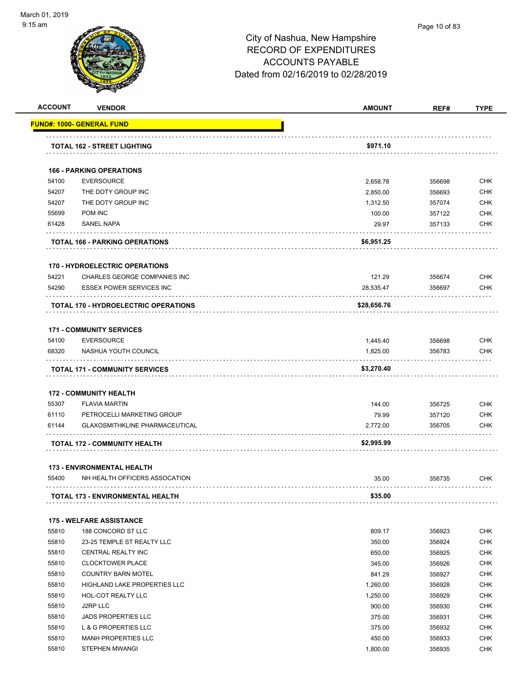

| <b>ACCOUNT</b> | <b>VENDOR</b>                                        | <b>AMOUNT</b>    | REF#             | <b>TYPE</b>              |
|----------------|------------------------------------------------------|------------------|------------------|--------------------------|
|                | <u> FUND#: 1000- GENERAL FUND</u>                    |                  |                  |                          |
|                | TOTAL 162 - STREET LIGHTING                          | \$971.10         |                  |                          |
|                |                                                      |                  |                  |                          |
| 54100          | <b>166 - PARKING OPERATIONS</b><br><b>EVERSOURCE</b> | 2,658.78         | 356698           | <b>CHK</b>               |
| 54207          | THE DOTY GROUP INC                                   | 2,850.00         | 356693           | <b>CHK</b>               |
| 54207          | THE DOTY GROUP INC                                   | 1,312.50         | 357074           | CHK                      |
| 55699          | POM INC                                              | 100.00           | 357122           | <b>CHK</b>               |
| 61428          | <b>SANEL NAPA</b>                                    | 29.97            | 357133           | <b>CHK</b>               |
|                | TOTAL 166 - PARKING OPERATIONS                       | \$6,951.25       |                  |                          |
|                | <b>170 - HYDROELECTRIC OPERATIONS</b>                |                  |                  |                          |
| 54221          | CHARLES GEORGE COMPANIES INC                         | 121.29           | 356674           | <b>CHK</b>               |
| 54290          | <b>ESSEX POWER SERVICES INC</b>                      | 28,535.47        | 356697           | <b>CHK</b>               |
|                | <b>TOTAL 170 - HYDROELECTRIC OPERATIONS</b>          | \$28,656.76      |                  |                          |
|                |                                                      |                  |                  |                          |
|                | <b>171 - COMMUNITY SERVICES</b>                      |                  |                  |                          |
| 54100<br>68320 | <b>EVERSOURCE</b><br>NASHUA YOUTH COUNCIL            | 1,445.40         | 356698<br>356783 | <b>CHK</b><br><b>CHK</b> |
|                |                                                      | 1,825.00         |                  |                          |
|                | <b>TOTAL 171 - COMMUNITY SERVICES</b>                | \$3,270.40       |                  |                          |
|                | <b>172 - COMMUNITY HEALTH</b>                        |                  |                  |                          |
| 55307          | <b>FLAVIA MARTIN</b>                                 | 144.00           | 356725           | <b>CHK</b>               |
| 61110          | PETROCELLI MARKETING GROUP                           | 79.99            | 357120           | CHK                      |
| 61144          | GLAXOSMITHKLINE PHARMACEUTICAL                       | 2,772.00         | 356705           | <b>CHK</b>               |
|                | <b>TOTAL 172 - COMMUNITY HEALTH</b>                  | \$2,995.99       |                  |                          |
|                | <b>173 - ENVIRONMENTAL HEALTH</b>                    |                  |                  |                          |
| 55400          | NH HEALTH OFFICERS ASSOCATION                        | 35.00            | 356735           | <b>CHK</b>               |
|                | TOTAL 173 - ENVIRONMENTAL HEALTH                     | \$35.00          |                  |                          |
|                |                                                      |                  |                  |                          |
|                | <b>175 - WELFARE ASSISTANCE</b>                      |                  |                  |                          |
| 55810          | 188 CONCORD ST LLC                                   | 809.17           | 356923           | <b>CHK</b>               |
| 55810          | 23-25 TEMPLE ST REALTY LLC                           | 350.00           | 356924           | <b>CHK</b>               |
| 55810<br>55810 | CENTRAL REALTY INC<br><b>CLOCKTOWER PLACE</b>        | 650.00<br>345.00 | 356925<br>356926 | CHK<br>CHK               |
| 55810          | <b>COUNTRY BARN MOTEL</b>                            | 841.29           | 356927           | CHK                      |
| 55810          | <b>HIGHLAND LAKE PROPERTIES LLC</b>                  | 1,260.00         | 356928           | <b>CHK</b>               |
| 55810          | HOL-COT REALTY LLC                                   | 1,250.00         | 356929           | CHK                      |
| 55810          | J2RP LLC                                             | 900.00           | 356930           | <b>CHK</b>               |
| 55810          | <b>JADS PROPERTIES LLC</b>                           | 375.00           | 356931           | CHK                      |
| 55810          | L & G PROPERTIES LLC                                 | 375.00           | 356932           | CHK                      |
| 55810          | <b>MANH PROPERTIES LLC</b>                           | 450.00           | 356933           | <b>CHK</b>               |
| 55810          | STEPHEN MWANGI                                       | 1,800.00         | 356935           | <b>CHK</b>               |
|                |                                                      |                  |                  |                          |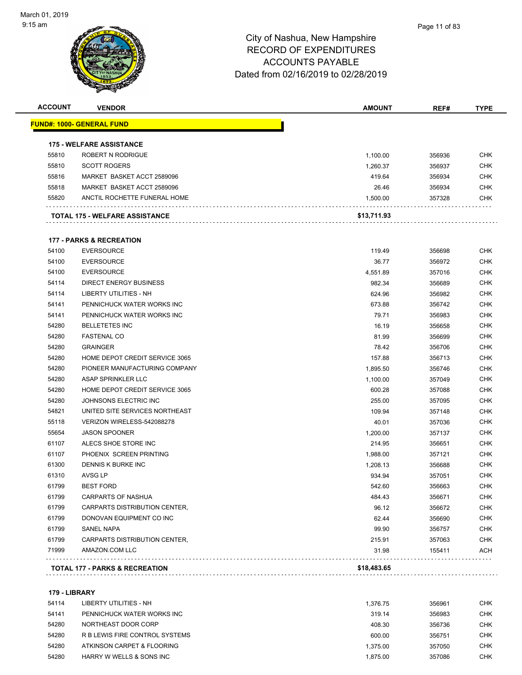#### Page 11 of 83

#### City of Nashua, New Hampshire RECORD OF EXPENDITURES ACCOUNTS PAYABLE Dated from 02/16/2019 to 02/28/2019

| <b>ACCOUNT</b> | <b>VENDOR</b>                         | <b>AMOUNT</b> | REF#   | <b>TYPE</b> |
|----------------|---------------------------------------|---------------|--------|-------------|
|                | <u> FUND#: 1000- GENERAL FUND</u>     |               |        |             |
|                | <b>175 - WELFARE ASSISTANCE</b>       |               |        |             |
| 55810          | ROBERT N RODRIGUE                     | 1,100.00      | 356936 | <b>CHK</b>  |
| 55810          | <b>SCOTT ROGERS</b>                   | 1,260.37      | 356937 | <b>CHK</b>  |
| 55816          | MARKET BASKET ACCT 2589096            | 419.64        | 356934 | <b>CHK</b>  |
| 55818          | MARKET BASKET ACCT 2589096            | 26.46         | 356934 | <b>CHK</b>  |
| 55820          | ANCTIL ROCHETTE FUNERAL HOME          | 1,500.00      | 357328 | <b>CHK</b>  |
|                | <b>TOTAL 175 - WELFARE ASSISTANCE</b> | \$13,711.93   |        |             |
|                | <b>177 - PARKS &amp; RECREATION</b>   |               |        |             |
| 54100          | <b>EVERSOURCE</b>                     | 119.49        | 356698 | <b>CHK</b>  |
| 54100          | <b>EVERSOURCE</b>                     | 36.77         | 356972 | <b>CHK</b>  |
| 54100          | <b>EVERSOURCE</b>                     | 4,551.89      | 357016 | <b>CHK</b>  |
| 54114          | <b>DIRECT ENERGY BUSINESS</b>         | 982.34        | 356689 | <b>CHK</b>  |
| 54114          | <b>LIBERTY UTILITIES - NH</b>         | 624.96        | 356982 | <b>CHK</b>  |
| 54141          | PENNICHUCK WATER WORKS INC            | 673.88        | 356742 | <b>CHK</b>  |
| 54141          | PENNICHUCK WATER WORKS INC            | 79.71         | 356983 | <b>CHK</b>  |
| 54280          | <b>BELLETETES INC</b>                 | 16.19         | 356658 | <b>CHK</b>  |
| 54280          | <b>FASTENAL CO</b>                    | 81.99         | 356699 | <b>CHK</b>  |
| 54280          | <b>GRAINGER</b>                       | 78.42         | 356706 | <b>CHK</b>  |
| 54280          | HOME DEPOT CREDIT SERVICE 3065        | 157.88        | 356713 | <b>CHK</b>  |
| 54280          | PIONEER MANUFACTURING COMPANY         | 1,895.50      | 356746 | <b>CHK</b>  |
| 54280          | ASAP SPRINKLER LLC                    | 1,100.00      | 357049 | <b>CHK</b>  |
| 54280          | HOME DEPOT CREDIT SERVICE 3065        | 600.28        | 357088 | <b>CHK</b>  |
| 54280          | JOHNSONS ELECTRIC INC                 | 255.00        | 357095 | <b>CHK</b>  |
| 54821          | UNITED SITE SERVICES NORTHEAST        | 109.94        | 357148 | <b>CHK</b>  |
| 55118          | VERIZON WIRELESS-542088278            | 40.01         | 357036 | <b>CHK</b>  |
| 55654          | <b>JASON SPOONER</b>                  | 1,200.00      | 357137 | <b>CHK</b>  |
| 61107          | ALECS SHOE STORE INC                  | 214.95        | 356651 | <b>CHK</b>  |
| 61107          | PHOENIX SCREEN PRINTING               | 1,988.00      | 357121 | <b>CHK</b>  |
| 61300          | <b>DENNIS K BURKE INC</b>             | 1,208.13      | 356688 | <b>CHK</b>  |
| 61310          | AVSG LP                               | 934.94        | 357051 | <b>CHK</b>  |
| 61799          | <b>BEST FORD</b>                      | 542.60        | 356663 | <b>CHK</b>  |
| 61799          | CARPARTS OF NASHUA                    | 484.43        | 356671 | <b>CHK</b>  |
| 61799          | CARPARTS DISTRIBUTION CENTER,         | 96.12         | 356672 | <b>CHK</b>  |
| 61799          | DONOVAN EQUIPMENT CO INC              | 62.44         | 356690 | <b>CHK</b>  |
| 61799          | SANEL NAPA                            | 99.90         | 356757 | <b>CHK</b>  |
| 61799          | CARPARTS DISTRIBUTION CENTER,         | 215.91        | 357063 | <b>CHK</b>  |
| 71999          | AMAZON.COM LLC                        | 31.98         | 155411 | <b>ACH</b>  |

**179 - LIBRARY**

| 54114 | LIBERTY UTILITIES - NH         | 1.376.75 | 356961 | <b>CHK</b> |
|-------|--------------------------------|----------|--------|------------|
| 54141 | PENNICHUCK WATER WORKS INC     | 319.14   | 356983 | <b>CHK</b> |
| 54280 | NORTHEAST DOOR CORP            | 408.30   | 356736 | <b>CHK</b> |
| 54280 | R B LEWIS FIRE CONTROL SYSTEMS | 600.00   | 356751 | <b>CHK</b> |
| 54280 | ATKINSON CARPET & FLOORING     | 1.375.00 | 357050 | CHK        |
| 54280 | HARRY W WELLS & SONS INC       | 1.875.00 | 357086 | <b>CHK</b> |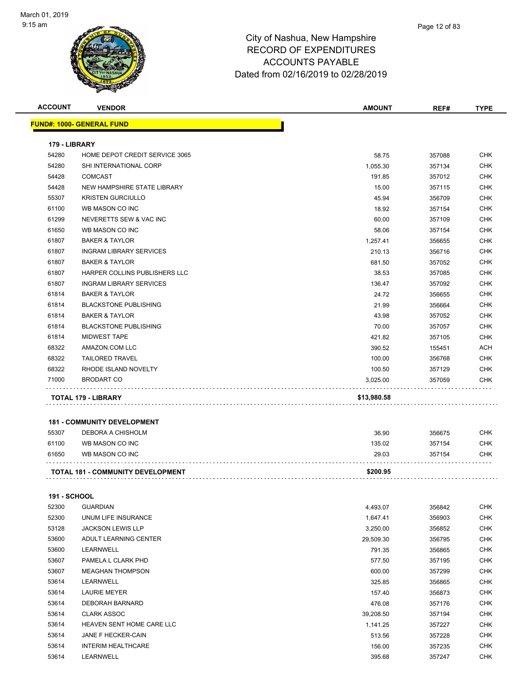

| <b>ACCOUNT</b>      | <b>VENDOR</b>                            | <b>AMOUNT</b> | REF#   | <b>TYPE</b> |
|---------------------|------------------------------------------|---------------|--------|-------------|
|                     | <b>FUND#: 1000- GENERAL FUND</b>         |               |        |             |
| 179 - LIBRARY       |                                          |               |        |             |
| 54280               | HOME DEPOT CREDIT SERVICE 3065           | 58.75         | 357088 | <b>CHK</b>  |
| 54280               | SHI INTERNATIONAL CORP                   | 1,055.30      | 357134 | CHK         |
| 54428               | <b>COMCAST</b>                           | 191.85        | 357012 | <b>CHK</b>  |
| 54428               | NEW HAMPSHIRE STATE LIBRARY              | 15.00         | 357115 | CHK         |
| 55307               | <b>KRISTEN GURCIULLO</b>                 | 45.94         | 356709 | <b>CHK</b>  |
| 61100               | WB MASON CO INC                          | 18.92         | 357154 | <b>CHK</b>  |
| 61299               | NEVERETTS SEW & VAC INC                  | 60.00         | 357109 | CHK         |
| 61650               | WB MASON CO INC                          | 58.06         | 357154 | <b>CHK</b>  |
| 61807               | <b>BAKER &amp; TAYLOR</b>                | 1,257.41      | 356655 | <b>CHK</b>  |
| 61807               | <b>INGRAM LIBRARY SERVICES</b>           | 210.13        | 356716 | CHK         |
| 61807               | <b>BAKER &amp; TAYLOR</b>                | 681.50        | 357052 | CHK         |
| 61807               | HARPER COLLINS PUBLISHERS LLC            | 38.53         | 357085 | CHK         |
| 61807               | <b>INGRAM LIBRARY SERVICES</b>           | 136.47        | 357092 | CHK         |
| 61814               | <b>BAKER &amp; TAYLOR</b>                | 24.72         | 356655 | <b>CHK</b>  |
| 61814               | <b>BLACKSTONE PUBLISHING</b>             | 21.99         | 356664 | <b>CHK</b>  |
| 61814               | <b>BAKER &amp; TAYLOR</b>                | 43.98         | 357052 | <b>CHK</b>  |
| 61814               | <b>BLACKSTONE PUBLISHING</b>             | 70.00         | 357057 | <b>CHK</b>  |
| 61814               | <b>MIDWEST TAPE</b>                      | 421.82        | 357105 | CHK         |
| 68322               | AMAZON.COM LLC                           | 390.52        | 155451 | <b>ACH</b>  |
| 68322               | <b>TAILORED TRAVEL</b>                   | 100.00        | 356768 | <b>CHK</b>  |
| 68322               | RHODE ISLAND NOVELTY                     | 100.50        | 357129 | CHK         |
| 71000               | <b>BRODART CO</b>                        | 3,025.00      | 357059 | CHK         |
|                     | TOTAL 179 - LIBRARY                      | \$13,980.58   |        |             |
|                     |                                          |               |        |             |
|                     | <b>181 - COMMUNITY DEVELOPMENT</b>       |               |        |             |
| 55307               | DEBORA A CHISHOLM                        | 36.90         | 356675 | CHK         |
| 61100               | WB MASON CO INC                          | 135.02        | 357154 | <b>CHK</b>  |
| 61650               | WB MASON CO INC                          | 29.03         | 357154 | CHK         |
|                     | <b>TOTAL 181 - COMMUNITY DEVELOPMENT</b> | \$200.95      |        |             |
|                     |                                          |               |        |             |
| <b>191 - SCHOOL</b> |                                          |               |        |             |
| 52300               | <b>GUARDIAN</b>                          | 4,493.07      | 356842 | <b>CHK</b>  |
| 52300               | UNUM LIFE INSURANCE                      | 1,647.41      | 356903 | <b>CHK</b>  |
| 53128               | <b>JACKSON LEWIS LLP</b>                 | 3,250.00      | 356852 | CHK         |
| 53600               | ADULT LEARNING CENTER                    | 29,509.30     | 356795 | CHK         |
| 53600               | LEARNWELL                                | 791.35        | 356865 | CHK         |
| 53607               | PAMELA L CLARK PHD                       | 577.50        | 357195 | CHK         |
| 53607               | <b>MEAGHAN THOMPSON</b>                  | 600.00        | 357299 | CHK         |
| 53614               | LEARNWELL                                | 325.85        | 356865 | <b>CHK</b>  |
| 53614               | <b>LAURIE MEYER</b>                      | 157.40        | 356873 | <b>CHK</b>  |
| 53614               | DEBORAH BARNARD                          | 476.08        | 357176 | <b>CHK</b>  |
| 53614               | <b>CLARK ASSOC</b>                       | 39,208.50     | 357194 | <b>CHK</b>  |
| 53614               | HEAVEN SENT HOME CARE LLC                | 1,141.25      | 357227 | CHK         |
| 53614               | JANE F HECKER-CAIN                       | 513.56        | 357228 | CHK         |
| 53614               | <b>INTERIM HEALTHCARE</b>                | 156.00        | 357235 | CHK         |
| 53614               | LEARNWELL                                | 395.68        | 357247 | CHK         |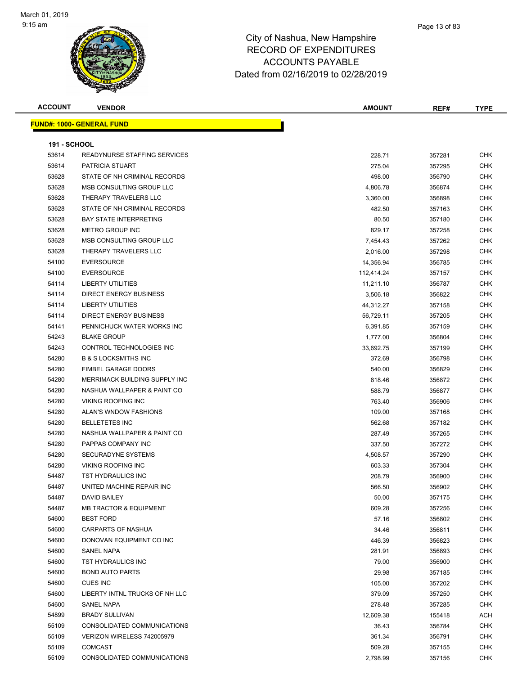

| <b>ACCOUNT</b>      | <b>VENDOR</b>                       | <b>AMOUNT</b> | REF#   | <b>TYPE</b> |
|---------------------|-------------------------------------|---------------|--------|-------------|
|                     | <b>FUND#: 1000- GENERAL FUND</b>    |               |        |             |
|                     |                                     |               |        |             |
| <b>191 - SCHOOL</b> |                                     |               |        |             |
| 53614               | <b>READYNURSE STAFFING SERVICES</b> | 228.71        | 357281 | <b>CHK</b>  |
| 53614               | PATRICIA STUART                     | 275.04        | 357295 | <b>CHK</b>  |
| 53628               | STATE OF NH CRIMINAL RECORDS        | 498.00        | 356790 | <b>CHK</b>  |
| 53628               | MSB CONSULTING GROUP LLC            | 4,806.78      | 356874 | CHK         |
| 53628               | THERAPY TRAVELERS LLC               | 3,360.00      | 356898 | CHK         |
| 53628               | STATE OF NH CRIMINAL RECORDS        | 482.50        | 357163 | CHK         |
| 53628               | <b>BAY STATE INTERPRETING</b>       | 80.50         | 357180 | CHK         |
| 53628               | METRO GROUP INC                     | 829.17        | 357258 | CHK         |
| 53628               | MSB CONSULTING GROUP LLC            | 7,454.43      | 357262 | CHK         |
| 53628               | THERAPY TRAVELERS LLC               | 2,016.00      | 357298 | CHK         |
| 54100               | <b>EVERSOURCE</b>                   | 14,356.94     | 356785 | <b>CHK</b>  |
| 54100               | <b>EVERSOURCE</b>                   | 112,414.24    | 357157 | <b>CHK</b>  |
| 54114               | LIBERTY UTILITIES                   | 11,211.10     | 356787 | CHK         |
| 54114               | <b>DIRECT ENERGY BUSINESS</b>       | 3,506.18      | 356822 | <b>CHK</b>  |
| 54114               | <b>LIBERTY UTILITIES</b>            | 44,312.27     | 357158 | CHK         |
| 54114               | DIRECT ENERGY BUSINESS              | 56,729.11     | 357205 | CHK         |
| 54141               | PENNICHUCK WATER WORKS INC          | 6,391.85      | 357159 | CHK         |
| 54243               | <b>BLAKE GROUP</b>                  | 1,777.00      | 356804 | CHK         |
| 54243               | CONTROL TECHNOLOGIES INC            | 33,692.75     | 357199 | CHK         |
| 54280               | <b>B &amp; S LOCKSMITHS INC</b>     | 372.69        | 356798 | CHK         |
| 54280               | FIMBEL GARAGE DOORS                 | 540.00        | 356829 | <b>CHK</b>  |
| 54280               | MERRIMACK BUILDING SUPPLY INC       | 818.46        | 356872 | <b>CHK</b>  |
| 54280               | NASHUA WALLPAPER & PAINT CO         | 588.79        | 356877 | <b>CHK</b>  |
| 54280               | <b>VIKING ROOFING INC</b>           | 763.40        | 356906 | <b>CHK</b>  |
| 54280               | ALAN'S WNDOW FASHIONS               | 109.00        | 357168 | <b>CHK</b>  |
| 54280               | <b>BELLETETES INC</b>               | 562.68        | 357182 | CHK         |
| 54280               | NASHUA WALLPAPER & PAINT CO         | 287.49        | 357265 | CHK         |
| 54280               | PAPPAS COMPANY INC                  | 337.50        | 357272 | CHK         |
| 54280               | SECURADYNE SYSTEMS                  | 4,508.57      | 357290 | CHK         |
| 54280               | <b>VIKING ROOFING INC</b>           | 603.33        | 357304 | CHK         |
| 54487               | TST HYDRAULICS INC                  | 208.79        | 356900 | <b>CHK</b>  |
| 54487               | UNITED MACHINE REPAIR INC           | 566.50        | 356902 | CHK         |
| 54487               | DAVID BAILEY                        | 50.00         | 357175 | <b>CHK</b>  |
| 54487               | <b>MB TRACTOR &amp; EQUIPMENT</b>   | 609.28        | 357256 | <b>CHK</b>  |
| 54600               | <b>BEST FORD</b>                    | 57.16         | 356802 | <b>CHK</b>  |
| 54600               | <b>CARPARTS OF NASHUA</b>           | 34.46         | 356811 | <b>CHK</b>  |
| 54600               | DONOVAN EQUIPMENT CO INC            | 446.39        | 356823 | CHK         |
| 54600               | SANEL NAPA                          | 281.91        | 356893 | <b>CHK</b>  |
| 54600               | <b>TST HYDRAULICS INC</b>           | 79.00         | 356900 | <b>CHK</b>  |
| 54600               | <b>BOND AUTO PARTS</b>              | 29.98         | 357185 | CHK         |
| 54600               | <b>CUES INC</b>                     | 105.00        | 357202 | CHK         |
| 54600               | LIBERTY INTNL TRUCKS OF NH LLC      | 379.09        | 357250 | <b>CHK</b>  |
| 54600               | SANEL NAPA                          | 278.48        | 357285 | CHK         |
| 54899               | <b>BRADY SULLIVAN</b>               | 12,609.38     | 155418 | ACH         |
| 55109               | CONSOLIDATED COMMUNICATIONS         | 36.43         | 356784 | <b>CHK</b>  |
| 55109               | VERIZON WIRELESS 742005979          | 361.34        | 356791 | <b>CHK</b>  |
| 55109               | <b>COMCAST</b>                      | 509.28        | 357155 | <b>CHK</b>  |
| 55109               | CONSOLIDATED COMMUNICATIONS         | 2,798.99      | 357156 | <b>CHK</b>  |
|                     |                                     |               |        |             |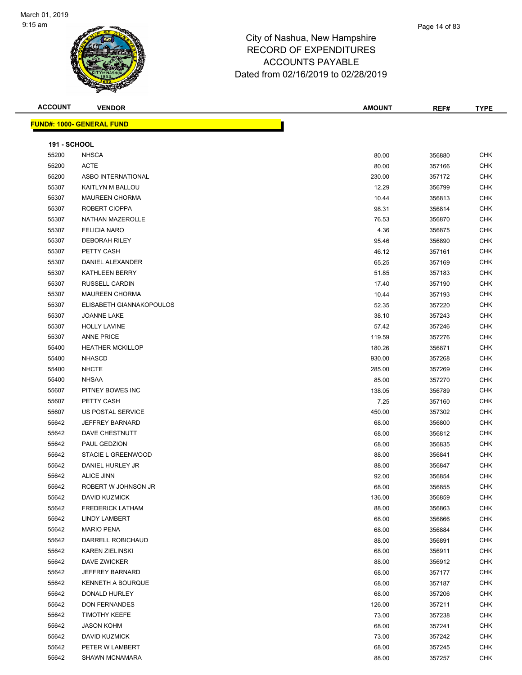

| <b>ACCOUNT</b>      | <b>VENDOR</b>                    | <b>AMOUNT</b> | REF#   | <b>TYPE</b> |
|---------------------|----------------------------------|---------------|--------|-------------|
|                     | <b>FUND#: 1000- GENERAL FUND</b> |               |        |             |
|                     |                                  |               |        |             |
| <b>191 - SCHOOL</b> |                                  |               |        |             |
| 55200               | <b>NHSCA</b>                     | 80.00         | 356880 | <b>CHK</b>  |
| 55200               | <b>ACTE</b>                      | 80.00         | 357166 | <b>CHK</b>  |
| 55200               | ASBO INTERNATIONAL               | 230.00        | 357172 | <b>CHK</b>  |
| 55307               | KAITLYN M BALLOU                 | 12.29         | 356799 | <b>CHK</b>  |
| 55307               | <b>MAUREEN CHORMA</b>            | 10.44         | 356813 | <b>CHK</b>  |
| 55307               | ROBERT CIOPPA                    | 98.31         | 356814 | <b>CHK</b>  |
| 55307               | <b>NATHAN MAZEROLLE</b>          | 76.53         | 356870 | CHK         |
| 55307               | <b>FELICIA NARO</b>              | 4.36          | 356875 | <b>CHK</b>  |
| 55307               | <b>DEBORAH RILEY</b>             | 95.46         | 356890 | <b>CHK</b>  |
| 55307               | PETTY CASH                       | 46.12         | 357161 | <b>CHK</b>  |
| 55307               | DANIEL ALEXANDER                 | 65.25         | 357169 | <b>CHK</b>  |
| 55307               | <b>KATHLEEN BERRY</b>            | 51.85         | 357183 | <b>CHK</b>  |
| 55307               | RUSSELL CARDIN                   | 17.40         | 357190 | <b>CHK</b>  |
| 55307               | <b>MAUREEN CHORMA</b>            | 10.44         | 357193 | <b>CHK</b>  |
| 55307               | ELISABETH GIANNAKOPOULOS         | 52.35         | 357220 | CHK         |
| 55307               | JOANNE LAKE                      | 38.10         | 357243 | <b>CHK</b>  |
| 55307               | <b>HOLLY LAVINE</b>              | 57.42         | 357246 | <b>CHK</b>  |
| 55307               | <b>ANNE PRICE</b>                | 119.59        | 357276 | <b>CHK</b>  |
| 55400               | <b>HEATHER MCKILLOP</b>          | 180.26        | 356871 | <b>CHK</b>  |
| 55400               | <b>NHASCD</b>                    | 930.00        | 357268 | <b>CHK</b>  |
| 55400               | <b>NHCTE</b>                     | 285.00        | 357269 | <b>CHK</b>  |
| 55400               | <b>NHSAA</b>                     | 85.00         | 357270 | <b>CHK</b>  |
| 55607               | PITNEY BOWES INC                 | 138.05        | 356789 | <b>CHK</b>  |
| 55607               | PETTY CASH                       | 7.25          | 357160 | <b>CHK</b>  |
| 55607               | US POSTAL SERVICE                | 450.00        | 357302 | <b>CHK</b>  |
| 55642               | <b>JEFFREY BARNARD</b>           | 68.00         | 356800 | <b>CHK</b>  |
| 55642               | DAVE CHESTNUTT                   | 68.00         | 356812 | <b>CHK</b>  |
| 55642               | PAUL GEDZION                     | 68.00         | 356835 | <b>CHK</b>  |
| 55642               | STACIE L GREENWOOD               | 88.00         | 356841 | CHK         |
| 55642               | DANIEL HURLEY JR                 | 88.00         | 356847 | CHK         |
| 55642               | <b>ALICE JINN</b>                | 92.00         | 356854 | <b>CHK</b>  |
| 55642               | ROBERT W JOHNSON JR              | 68.00         | 356855 | <b>CHK</b>  |
| 55642               | <b>DAVID KUZMICK</b>             | 136.00        | 356859 | <b>CHK</b>  |
| 55642               | <b>FREDERICK LATHAM</b>          | 88.00         | 356863 | <b>CHK</b>  |
| 55642               | LINDY LAMBERT                    | 68.00         | 356866 | <b>CHK</b>  |
| 55642               | <b>MARIO PENA</b>                | 68.00         | 356884 | <b>CHK</b>  |
| 55642               | DARRELL ROBICHAUD                | 88.00         | 356891 | <b>CHK</b>  |
| 55642               | <b>KAREN ZIELINSKI</b>           | 68.00         | 356911 | CHK         |
| 55642               | DAVE ZWICKER                     | 88.00         | 356912 | <b>CHK</b>  |
| 55642               | <b>JEFFREY BARNARD</b>           | 68.00         | 357177 | CHK         |
| 55642               | <b>KENNETH A BOURQUE</b>         | 68.00         | 357187 | CHK         |
| 55642               | DONALD HURLEY                    | 68.00         | 357206 | <b>CHK</b>  |
| 55642               | <b>DON FERNANDES</b>             | 126.00        | 357211 | <b>CHK</b>  |
| 55642               | <b>TIMOTHY KEEFE</b>             | 73.00         | 357238 | <b>CHK</b>  |
| 55642               | <b>JASON KOHM</b>                | 68.00         | 357241 | CHK         |
| 55642               | DAVID KUZMICK                    | 73.00         | 357242 | CHK         |
| 55642               | PETER W LAMBERT                  | 68.00         | 357245 | CHK         |
| 55642               | SHAWN MCNAMARA                   | 88.00         | 357257 | CHK         |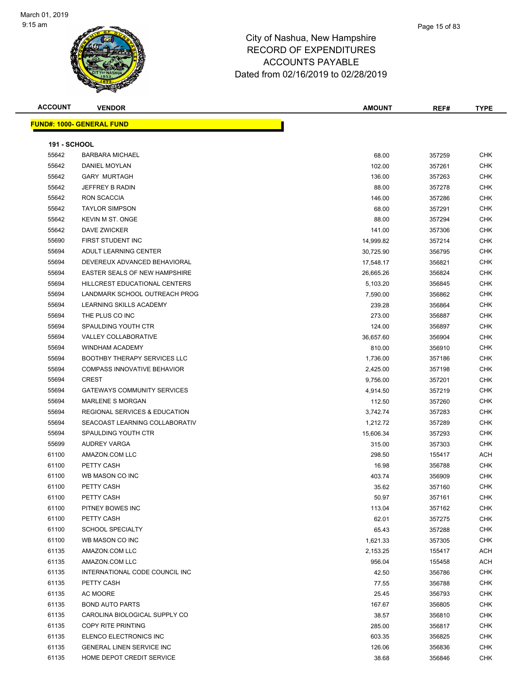

Page 15 of 83

**FUND#: 1000- GENERAL FUND**

| <b>ACCOUNT</b>                    | <b>VENDOR</b> |  | <b>AMOUNT</b> | REF# | TYPE |
|-----------------------------------|---------------|--|---------------|------|------|
|                                   |               |  |               |      |      |
| <u> IND#: 1000- GENERAL FUNDI</u> |               |  |               |      |      |
|                                   |               |  |               |      |      |

| <b>191 - SCHOOL</b> |                                     |           |        |            |
|---------------------|-------------------------------------|-----------|--------|------------|
| 55642               | <b>BARBARA MICHAEL</b>              | 68.00     | 357259 | <b>CHK</b> |
| 55642               | DANIEL MOYLAN                       | 102.00    | 357261 | <b>CHK</b> |
| 55642               | <b>GARY MURTAGH</b>                 | 136.00    | 357263 | <b>CHK</b> |
| 55642               | <b>JEFFREY B RADIN</b>              | 88.00     | 357278 | <b>CHK</b> |
| 55642               | RON SCACCIA                         | 146.00    | 357286 | <b>CHK</b> |
| 55642               | <b>TAYLOR SIMPSON</b>               | 68.00     | 357291 | <b>CHK</b> |
| 55642               | <b>KEVIN M ST. ONGE</b>             | 88.00     | 357294 | <b>CHK</b> |
| 55642               | DAVE ZWICKER                        | 141.00    | 357306 | <b>CHK</b> |
| 55690               | FIRST STUDENT INC                   | 14,999.82 | 357214 | <b>CHK</b> |
| 55694               | ADULT LEARNING CENTER               | 30,725.90 | 356795 | <b>CHK</b> |
| 55694               | DEVEREUX ADVANCED BEHAVIORAL        | 17,548.17 | 356821 | <b>CHK</b> |
| 55694               | EASTER SEALS OF NEW HAMPSHIRE       | 26,665.26 | 356824 | <b>CHK</b> |
| 55694               | HILLCREST EDUCATIONAL CENTERS       | 5,103.20  | 356845 | <b>CHK</b> |
| 55694               | LANDMARK SCHOOL OUTREACH PROG       | 7,590.00  | 356862 | <b>CHK</b> |
| 55694               | LEARNING SKILLS ACADEMY             | 239.28    | 356864 | <b>CHK</b> |
| 55694               | THE PLUS CO INC                     | 273.00    | 356887 | <b>CHK</b> |
| 55694               | <b>SPAULDING YOUTH CTR</b>          | 124.00    | 356897 | <b>CHK</b> |
| 55694               | VALLEY COLLABORATIVE                | 36,657.60 | 356904 | <b>CHK</b> |
| 55694               | <b>WINDHAM ACADEMY</b>              | 810.00    | 356910 | <b>CHK</b> |
| 55694               | <b>BOOTHBY THERAPY SERVICES LLC</b> | 1,736.00  | 357186 | <b>CHK</b> |
| 55694               | <b>COMPASS INNOVATIVE BEHAVIOR</b>  | 2,425.00  | 357198 | <b>CHK</b> |
| 55694               | <b>CREST</b>                        | 9,756.00  | 357201 | <b>CHK</b> |
| 55694               | <b>GATEWAYS COMMUNITY SERVICES</b>  | 4,914.50  | 357219 | <b>CHK</b> |
| 55694               | <b>MARLENE S MORGAN</b>             | 112.50    | 357260 | <b>CHK</b> |
| 55694               | REGIONAL SERVICES & EDUCATION       | 3,742.74  | 357283 | <b>CHK</b> |
| 55694               | SEACOAST LEARNING COLLABORATIV      | 1,212.72  | 357289 | <b>CHK</b> |
| 55694               | SPAULDING YOUTH CTR                 | 15,606.34 | 357293 | <b>CHK</b> |
| 55699               | AUDREY VARGA                        | 315.00    | 357303 | <b>CHK</b> |
| 61100               | AMAZON.COM LLC                      | 298.50    | 155417 | <b>ACH</b> |
| 61100               | PETTY CASH                          | 16.98     | 356788 | <b>CHK</b> |
| 61100               | WB MASON CO INC                     | 403.74    | 356909 | <b>CHK</b> |
| 61100               | PETTY CASH                          | 35.62     | 357160 | <b>CHK</b> |
| 61100               | PETTY CASH                          | 50.97     | 357161 | <b>CHK</b> |
| 61100               | PITNEY BOWES INC                    | 113.04    | 357162 | <b>CHK</b> |
| 61100               | PETTY CASH                          | 62.01     | 357275 | <b>CHK</b> |
| 61100               | <b>SCHOOL SPECIALTY</b>             | 65.43     | 357288 | <b>CHK</b> |
| 61100               | WB MASON CO INC                     | 1,621.33  | 357305 | <b>CHK</b> |
| 61135               | AMAZON.COM LLC                      | 2,153.25  | 155417 | <b>ACH</b> |
| 61135               | AMAZON.COM LLC                      | 956.04    | 155458 | <b>ACH</b> |
| 61135               | INTERNATIONAL CODE COUNCIL INC      | 42.50     | 356786 | <b>CHK</b> |
| 61135               | PETTY CASH                          | 77.55     | 356788 | <b>CHK</b> |
| 61135               | AC MOORE                            | 25.45     | 356793 | <b>CHK</b> |
| 61135               | <b>BOND AUTO PARTS</b>              | 167.67    | 356805 | <b>CHK</b> |
| 61135               | CAROLINA BIOLOGICAL SUPPLY CO       | 38.57     | 356810 | <b>CHK</b> |
| 61135               | COPY RITE PRINTING                  | 285.00    | 356817 | CHK        |
| 61135               | ELENCO ELECTRONICS INC              | 603.35    | 356825 | <b>CHK</b> |
| 61135               | <b>GENERAL LINEN SERVICE INC</b>    | 126.06    | 356836 | <b>CHK</b> |
| 61135               | HOME DEPOT CREDIT SERVICE           | 38.68     |        | <b>CHK</b> |
|                     |                                     |           | 356846 |            |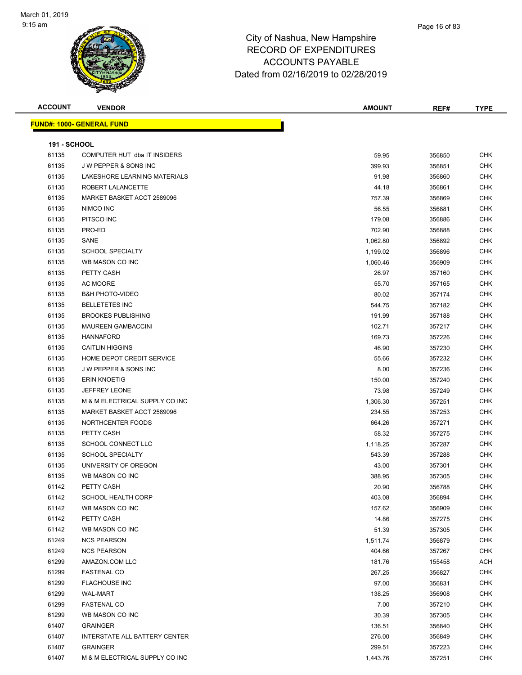

| <b>ACCOUNT</b>      | <b>VENDOR</b>                     | <b>AMOUNT</b> | REF#   | <b>TYPE</b> |
|---------------------|-----------------------------------|---------------|--------|-------------|
|                     | <u> FUND#: 1000- GENERAL FUND</u> |               |        |             |
|                     |                                   |               |        |             |
| <b>191 - SCHOOL</b> |                                   |               |        |             |
| 61135               | COMPUTER HUT dba IT INSIDERS      | 59.95         | 356850 | <b>CHK</b>  |
| 61135               | J W PEPPER & SONS INC             | 399.93        | 356851 | <b>CHK</b>  |
| 61135               | LAKESHORE LEARNING MATERIALS      | 91.98         | 356860 | <b>CHK</b>  |
| 61135               | ROBERT LALANCETTE                 | 44.18         | 356861 | <b>CHK</b>  |
| 61135               | MARKET BASKET ACCT 2589096        | 757.39        | 356869 | <b>CHK</b>  |
| 61135               | NIMCO INC                         | 56.55         | 356881 | <b>CHK</b>  |
| 61135               | PITSCO INC                        | 179.08        | 356886 | <b>CHK</b>  |
| 61135               | PRO-ED                            | 702.90        | 356888 | <b>CHK</b>  |
| 61135               | SANE                              | 1,062.80      | 356892 | <b>CHK</b>  |
| 61135               | <b>SCHOOL SPECIALTY</b>           | 1,199.02      | 356896 | <b>CHK</b>  |
| 61135               | WB MASON CO INC                   | 1,060.46      | 356909 | <b>CHK</b>  |
| 61135               | PETTY CASH                        | 26.97         | 357160 | <b>CHK</b>  |
| 61135               | AC MOORE                          | 55.70         | 357165 | <b>CHK</b>  |
| 61135               | <b>B&amp;H PHOTO-VIDEO</b>        | 80.02         | 357174 | <b>CHK</b>  |
| 61135               | <b>BELLETETES INC</b>             | 544.75        | 357182 | <b>CHK</b>  |
| 61135               | <b>BROOKES PUBLISHING</b>         | 191.99        | 357188 | <b>CHK</b>  |
| 61135               | <b>MAUREEN GAMBACCINI</b>         | 102.71        | 357217 | <b>CHK</b>  |
| 61135               | <b>HANNAFORD</b>                  | 169.73        | 357226 | <b>CHK</b>  |
| 61135               | <b>CAITLIN HIGGINS</b>            | 46.90         | 357230 | <b>CHK</b>  |
| 61135               | HOME DEPOT CREDIT SERVICE         | 55.66         | 357232 | <b>CHK</b>  |
| 61135               | J W PEPPER & SONS INC             | 8.00          | 357236 | <b>CHK</b>  |
| 61135               | <b>ERIN KNOETIG</b>               | 150.00        | 357240 | <b>CHK</b>  |
| 61135               | <b>JEFFREY LEONE</b>              | 73.98         | 357249 | <b>CHK</b>  |
| 61135               | M & M ELECTRICAL SUPPLY CO INC    | 1,306.30      | 357251 | <b>CHK</b>  |
| 61135               | MARKET BASKET ACCT 2589096        | 234.55        | 357253 | <b>CHK</b>  |
| 61135               | NORTHCENTER FOODS                 | 664.26        | 357271 | <b>CHK</b>  |
| 61135               | PETTY CASH                        | 58.32         | 357275 | <b>CHK</b>  |
| 61135               | SCHOOL CONNECT LLC                | 1,118.25      | 357287 | <b>CHK</b>  |
| 61135               | <b>SCHOOL SPECIALTY</b>           | 543.39        | 357288 | <b>CHK</b>  |
| 61135               | UNIVERSITY OF OREGON              | 43.00         | 357301 | <b>CHK</b>  |
| 61135               | WB MASON CO INC                   | 388.95        | 357305 | CHK         |
| 61142               | PETTY CASH                        | 20.90         | 356788 | <b>CHK</b>  |
| 61142               | <b>SCHOOL HEALTH CORP</b>         | 403.08        | 356894 | CHK         |
| 61142               | WB MASON CO INC                   | 157.62        | 356909 | <b>CHK</b>  |
| 61142               | PETTY CASH                        | 14.86         | 357275 | <b>CHK</b>  |
| 61142               | WB MASON CO INC                   | 51.39         | 357305 | <b>CHK</b>  |
| 61249               | <b>NCS PEARSON</b>                | 1,511.74      | 356879 | <b>CHK</b>  |
| 61249               | <b>NCS PEARSON</b>                | 404.66        | 357267 | <b>CHK</b>  |
| 61299               | AMAZON.COM LLC                    | 181.76        | 155458 | <b>ACH</b>  |
| 61299               | <b>FASTENAL CO</b>                | 267.25        | 356827 | <b>CHK</b>  |
| 61299               | <b>FLAGHOUSE INC</b>              | 97.00         | 356831 | <b>CHK</b>  |
| 61299               | <b>WAL-MART</b>                   | 138.25        | 356908 | <b>CHK</b>  |
| 61299               | <b>FASTENAL CO</b>                | 7.00          | 357210 | <b>CHK</b>  |
| 61299               | WB MASON CO INC                   | 30.39         | 357305 | <b>CHK</b>  |
| 61407               | <b>GRAINGER</b>                   | 136.51        | 356840 | <b>CHK</b>  |
| 61407               | INTERSTATE ALL BATTERY CENTER     | 276.00        | 356849 | <b>CHK</b>  |
| 61407               | <b>GRAINGER</b>                   | 299.51        | 357223 | <b>CHK</b>  |
| 61407               | M & M ELECTRICAL SUPPLY CO INC    | 1,443.76      | 357251 | <b>CHK</b>  |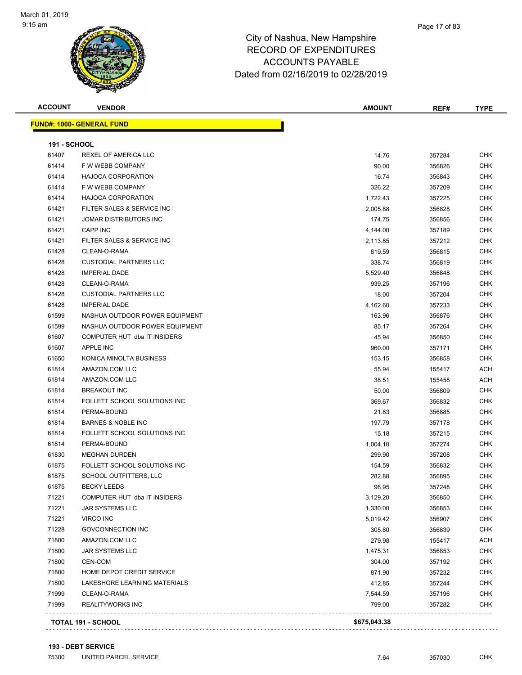| <b>ACCOUNT</b>      | <b>VENDOR</b>                    | <b>AMOUNT</b> | REF#   | <b>TYPE</b> |
|---------------------|----------------------------------|---------------|--------|-------------|
|                     | <b>FUND#: 1000- GENERAL FUND</b> |               |        |             |
|                     |                                  |               |        |             |
| <b>191 - SCHOOL</b> |                                  |               |        |             |
| 61407               | <b>REXEL OF AMERICA LLC</b>      | 14.76         | 357284 | <b>CHK</b>  |
| 61414               | F W WEBB COMPANY                 | 90.00         | 356826 | <b>CHK</b>  |
| 61414               | <b>HAJOCA CORPORATION</b>        | 16.74         | 356843 | <b>CHK</b>  |
| 61414               | F W WEBB COMPANY                 | 326.22        | 357209 | <b>CHK</b>  |
| 61414               | <b>HAJOCA CORPORATION</b>        | 1,722.43      | 357225 | <b>CHK</b>  |
| 61421               | FILTER SALES & SERVICE INC       | 2,005.88      | 356828 | <b>CHK</b>  |
| 61421               | JOMAR DISTRIBUTORS INC           | 174.75        | 356856 | <b>CHK</b>  |
| 61421               | <b>CAPP INC</b>                  | 4,144.00      | 357189 | <b>CHK</b>  |
| 61421               | FILTER SALES & SERVICE INC       | 2,113.85      | 357212 | <b>CHK</b>  |
| 61428               | CLEAN-O-RAMA                     | 819.59        | 356815 | <b>CHK</b>  |
| 61428               | <b>CUSTODIAL PARTNERS LLC</b>    | 338.74        | 356819 | <b>CHK</b>  |
| 61428               | <b>IMPERIAL DADE</b>             | 5,529.40      | 356848 | <b>CHK</b>  |
| 61428               | CLEAN-O-RAMA                     | 939.25        | 357196 | CHK         |
| 61428               | <b>CUSTODIAL PARTNERS LLC</b>    | 18.00         | 357204 | CHK         |
| 61428               | <b>IMPERIAL DADE</b>             | 4,162.60      | 357233 | CHK         |
| 61599               | NASHUA OUTDOOR POWER EQUIPMENT   | 163.96        | 356876 | <b>CHK</b>  |
| 61599               | NASHUA OUTDOOR POWER EQUIPMENT   | 85.17         | 357264 | CHK         |
| 61607               | COMPUTER HUT dba IT INSIDERS     | 45.94         | 356850 | CHK         |
| 61607               | APPLE INC                        | 960.00        | 357171 | <b>CHK</b>  |
| 61650               | KONICA MINOLTA BUSINESS          | 153.15        | 356858 | <b>CHK</b>  |
| 61814               | AMAZON.COM LLC                   | 55.94         | 155417 | ACH         |
| 61814               | AMAZON.COM LLC                   | 38.51         | 155458 | ACH         |
| 61814               | <b>BREAKOUT INC</b>              | 50.00         | 356809 | <b>CHK</b>  |
| 61814               | FOLLETT SCHOOL SOLUTIONS INC     | 369.67        | 356832 | <b>CHK</b>  |
| 61814               | PERMA-BOUND                      | 21.83         | 356885 | <b>CHK</b>  |
| 61814               | <b>BARNES &amp; NOBLE INC</b>    | 197.79        | 357178 | <b>CHK</b>  |
| 61814               | FOLLETT SCHOOL SOLUTIONS INC     | 15.18         | 357215 | CHK         |
| 61814               | PERMA-BOUND                      | 1,004.18      | 357274 | CHK         |
| 61830               | <b>MEGHAN DURDEN</b>             | 299.90        | 357208 | CHK         |
| 61875               | FOLLETT SCHOOL SOLUTIONS INC     | 154.59        | 356832 | <b>CHK</b>  |
| 61875               | SCHOOL OUTFITTERS, LLC           | 282.88        | 356895 | <b>CHK</b>  |
| 61875               | <b>BECKY LEEDS</b>               | 96.95         | 357248 | <b>CHK</b>  |
| 71221               | COMPUTER HUT dba IT INSIDERS     | 3,129.20      | 356850 | <b>CHK</b>  |
| 71221               | <b>JAR SYSTEMS LLC</b>           | 1,330.00      | 356853 | <b>CHK</b>  |
| 71221               | VIRCO INC                        | 5,019.42      | 356907 | <b>CHK</b>  |
| 71228               | <b>GOVCONNECTION INC</b>         | 305.80        | 356839 | <b>CHK</b>  |
| 71800               | AMAZON.COM LLC                   | 279.98        | 155417 | ACH         |
| 71800               | JAR SYSTEMS LLC                  | 1,475.31      | 356853 | <b>CHK</b>  |
| 71800               | CEN-COM                          | 304.00        | 357192 | <b>CHK</b>  |
| 71800               | HOME DEPOT CREDIT SERVICE        | 871.90        | 357232 | <b>CHK</b>  |
| 71800               | LAKESHORE LEARNING MATERIALS     | 412.85        | 357244 | <b>CHK</b>  |
| 71999               | CLEAN-O-RAMA                     | 7,544.59      | 357196 | CHK         |
| 71999               | REALITYWORKS INC                 | 799.00        | 357282 | <b>CHK</b>  |
|                     |                                  |               |        |             |
|                     | TOTAL 191 - SCHOOL               | \$675,043.38  |        |             |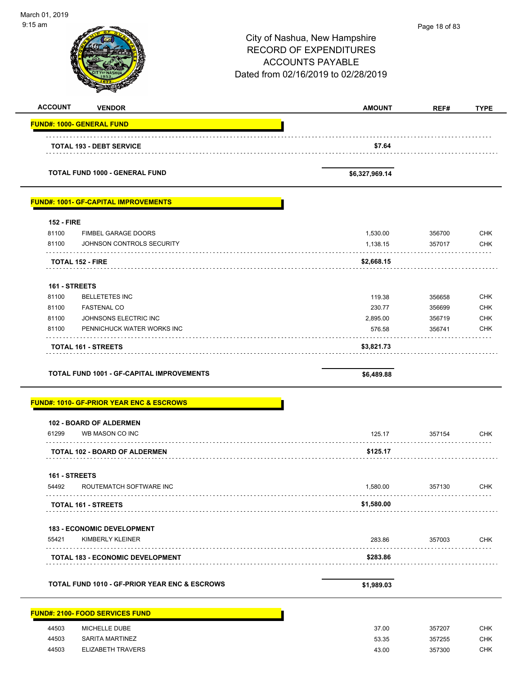| March 01, 2019                                           |                                     |               |             |
|----------------------------------------------------------|-------------------------------------|---------------|-------------|
| $9:15$ am                                                |                                     | Page 18 of 83 |             |
|                                                          | City of Nashua, New Hampshire       |               |             |
|                                                          | <b>RECORD OF EXPENDITURES</b>       |               |             |
|                                                          | <b>ACCOUNTS PAYABLE</b>             |               |             |
|                                                          | Dated from 02/16/2019 to 02/28/2019 |               |             |
|                                                          |                                     |               |             |
| <b>ACCOUNT</b><br><b>VENDOR</b>                          | <b>AMOUNT</b>                       | REF#          | <b>TYPE</b> |
| <b>FUND#: 1000- GENERAL FUND</b>                         |                                     |               |             |
|                                                          |                                     |               |             |
| <b>TOTAL 193 - DEBT SERVICE</b>                          | \$7.64                              |               |             |
| <b>TOTAL FUND 1000 - GENERAL FUND</b>                    | \$6,327,969.14                      |               |             |
| <b>FUND#: 1001- GF-CAPITAL IMPROVEMENTS</b>              |                                     |               |             |
| <b>152 - FIRE</b>                                        |                                     |               |             |
| 81100<br><b>FIMBEL GARAGE DOORS</b>                      | 1,530.00                            | 356700        | <b>CHK</b>  |
| 81100<br>JOHNSON CONTROLS SECURITY                       | 1,138.15                            | 357017        | <b>CHK</b>  |
| <b>TOTAL 152 - FIRE</b>                                  | \$2,668.15                          |               |             |
|                                                          |                                     |               |             |
| 161 - STREETS                                            |                                     |               |             |
| 81100<br><b>BELLETETES INC</b>                           | 119.38                              | 356658        | <b>CHK</b>  |
| 81100<br><b>FASTENAL CO</b>                              | 230.77                              | 356699        | <b>CHK</b>  |
| JOHNSONS ELECTRIC INC<br>81100                           | 2,895.00                            | 356719        | CHK         |
| 81100<br>PENNICHUCK WATER WORKS INC                      | 576.58                              | 356741        | <b>CHK</b>  |
| <b>TOTAL 161 - STREETS</b>                               | \$3,821.73                          |               |             |
| <b>TOTAL FUND 1001 - GF-CAPITAL IMPROVEMENTS</b>         | \$6,489.88                          |               |             |
| <b>FUND#: 1010- GF-PRIOR YEAR ENC &amp; ESCROWS</b>      |                                     |               |             |
| <b>102 - BOARD OF ALDERMEN</b>                           |                                     |               |             |
| 61299<br>WB MASON CO INC                                 | 125.17                              | 357154        | <b>CHK</b>  |
| <b>TOTAL 102 - BOARD OF ALDERMEN</b>                     | \$125.17                            |               |             |
| 161 - STREETS                                            |                                     |               |             |
| 54492<br>ROUTEMATCH SOFTWARE INC                         | 1,580.00                            | 357130        | <b>CHK</b>  |
| <b>TOTAL 161 - STREETS</b>                               | \$1,580.00                          |               |             |
| <b>183 - ECONOMIC DEVELOPMENT</b>                        |                                     |               |             |
| 55421<br>KIMBERLY KLEINER                                | 283.86                              | 357003        | <b>CHK</b>  |
| <b>TOTAL 183 - ECONOMIC DEVELOPMENT</b>                  | \$283.86                            |               |             |
| <b>TOTAL FUND 1010 - GF-PRIOR YEAR ENC &amp; ESCROWS</b> | \$1,989.03                          |               |             |
| <b>FUND#: 2100- FOOD SERVICES FUND</b>                   |                                     |               |             |
| 44503<br>MICHELLE DUBE                                   | 37.00                               | 357207        | <b>CHK</b>  |
| 44503<br><b>SARITA MARTINEZ</b>                          | 53.35                               | 357255        | <b>CHK</b>  |
| 44503<br><b>ELIZABETH TRAVERS</b>                        | 43.00                               | 357300        | <b>CHK</b>  |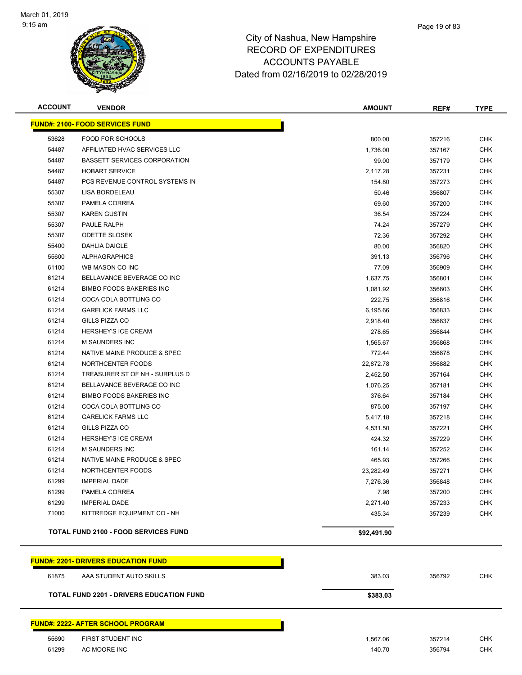

| <b>ACCOUNT</b> | <b>VENDOR</b>                                   | <b>AMOUNT</b> | REF#   | <b>TYPE</b> |
|----------------|-------------------------------------------------|---------------|--------|-------------|
|                | <b>FUND#: 2100- FOOD SERVICES FUND</b>          |               |        |             |
| 53628          | FOOD FOR SCHOOLS                                | 800.00        | 357216 | <b>CHK</b>  |
| 54487          | AFFILIATED HVAC SERVICES LLC                    | 1,736.00      | 357167 | <b>CHK</b>  |
| 54487          | <b>BASSETT SERVICES CORPORATION</b>             | 99.00         | 357179 | <b>CHK</b>  |
| 54487          | <b>HOBART SERVICE</b>                           | 2,117.28      | 357231 | CHK         |
| 54487          | PCS REVENUE CONTROL SYSTEMS IN                  | 154.80        | 357273 | <b>CHK</b>  |
| 55307          | <b>LISA BORDELEAU</b>                           | 50.46         | 356807 | <b>CHK</b>  |
| 55307          | PAMELA CORREA                                   | 69.60         | 357200 | <b>CHK</b>  |
| 55307          | <b>KAREN GUSTIN</b>                             | 36.54         | 357224 | <b>CHK</b>  |
| 55307          | PAULE RALPH                                     | 74.24         | 357279 | <b>CHK</b>  |
| 55307          | <b>ODETTE SLOSEK</b>                            | 72.36         | 357292 | <b>CHK</b>  |
| 55400          | DAHLIA DAIGLE                                   | 80.00         | 356820 | <b>CHK</b>  |
| 55600          | <b>ALPHAGRAPHICS</b>                            | 391.13        | 356796 | <b>CHK</b>  |
| 61100          | WB MASON CO INC                                 | 77.09         | 356909 | <b>CHK</b>  |
| 61214          | BELLAVANCE BEVERAGE CO INC                      | 1,637.75      | 356801 | <b>CHK</b>  |
| 61214          | <b>BIMBO FOODS BAKERIES INC</b>                 | 1,081.92      | 356803 | <b>CHK</b>  |
| 61214          | COCA COLA BOTTLING CO                           | 222.75        | 356816 | <b>CHK</b>  |
| 61214          | <b>GARELICK FARMS LLC</b>                       | 6,195.66      | 356833 | <b>CHK</b>  |
| 61214          | GILLS PIZZA CO                                  | 2,918.40      | 356837 | CHK         |
| 61214          | <b>HERSHEY'S ICE CREAM</b>                      | 278.65        | 356844 | <b>CHK</b>  |
| 61214          | M SAUNDERS INC                                  | 1,565.67      | 356868 | <b>CHK</b>  |
| 61214          | NATIVE MAINE PRODUCE & SPEC                     | 772.44        | 356878 | <b>CHK</b>  |
| 61214          | NORTHCENTER FOODS                               | 22,872.78     | 356882 | <b>CHK</b>  |
| 61214          | TREASURER ST OF NH - SURPLUS D                  | 2,452.50      | 357164 | <b>CHK</b>  |
| 61214          | BELLAVANCE BEVERAGE CO INC                      | 1,076.25      | 357181 | <b>CHK</b>  |
| 61214          | <b>BIMBO FOODS BAKERIES INC</b>                 | 376.64        | 357184 | <b>CHK</b>  |
| 61214          | COCA COLA BOTTLING CO                           | 875.00        | 357197 | CHK         |
| 61214          | <b>GARELICK FARMS LLC</b>                       | 5,417.18      | 357218 | <b>CHK</b>  |
| 61214          | GILLS PIZZA CO                                  | 4,531.50      | 357221 | <b>CHK</b>  |
| 61214          | <b>HERSHEY'S ICE CREAM</b>                      | 424.32        | 357229 | <b>CHK</b>  |
| 61214          | M SAUNDERS INC                                  | 161.14        | 357252 | <b>CHK</b>  |
| 61214          | NATIVE MAINE PRODUCE & SPEC                     | 465.93        | 357266 | <b>CHK</b>  |
| 61214          | NORTHCENTER FOODS                               | 23,282.49     | 357271 | <b>CHK</b>  |
| 61299          | <b>IMPERIAL DADE</b>                            | 7,276.36      | 356848 | <b>CHK</b>  |
| 61299          | PAMELA CORREA                                   | 7.98          | 357200 | <b>CHK</b>  |
| 61299          | <b>IMPERIAL DADE</b>                            | 2,271.40      | 357233 | <b>CHK</b>  |
| 71000          | KITTREDGE EQUIPMENT CO - NH                     | 435.34        | 357239 | <b>CHK</b>  |
|                | <b>TOTAL FUND 2100 - FOOD SERVICES FUND</b>     | \$92,491.90   |        |             |
|                | <b>FUND#: 2201- DRIVERS EDUCATION FUND</b>      |               |        |             |
| 61875          | AAA STUDENT AUTO SKILLS                         | 383.03        | 356792 | <b>CHK</b>  |
|                | <b>TOTAL FUND 2201 - DRIVERS EDUCATION FUND</b> | \$383.03      |        |             |

## **FUND#: 2222- AFTER SCHOOL PROGRAM**

h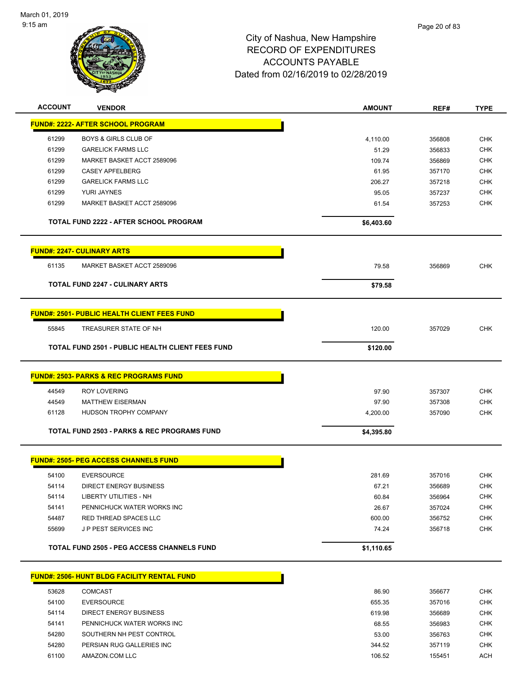

| <b>ACCOUNT</b> | <b>VENDOR</b>                                                | <b>AMOUNT</b>     | REF#             | <b>TYPE</b>              |
|----------------|--------------------------------------------------------------|-------------------|------------------|--------------------------|
|                | <b>FUND#: 2222- AFTER SCHOOL PROGRAM</b>                     |                   |                  |                          |
|                |                                                              |                   |                  |                          |
| 61299<br>61299 | <b>BOYS &amp; GIRLS CLUB OF</b><br><b>GARELICK FARMS LLC</b> | 4,110.00<br>51.29 | 356808           | <b>CHK</b><br><b>CHK</b> |
| 61299          | MARKET BASKET ACCT 2589096                                   | 109.74            | 356833<br>356869 | <b>CHK</b>               |
| 61299          | <b>CASEY APFELBERG</b>                                       | 61.95             | 357170           | <b>CHK</b>               |
| 61299          | <b>GARELICK FARMS LLC</b>                                    | 206.27            | 357218           | CHK                      |
| 61299          | YURI JAYNES                                                  | 95.05             | 357237           | <b>CHK</b>               |
| 61299          | MARKET BASKET ACCT 2589096                                   | 61.54             | 357253           | <b>CHK</b>               |
|                | <b>TOTAL FUND 2222 - AFTER SCHOOL PROGRAM</b>                | \$6,403.60        |                  |                          |
|                | <b>FUND#: 2247- CULINARY ARTS</b>                            |                   |                  |                          |
| 61135          | MARKET BASKET ACCT 2589096                                   | 79.58             | 356869           | <b>CHK</b>               |
|                |                                                              |                   |                  |                          |
|                | <b>TOTAL FUND 2247 - CULINARY ARTS</b>                       | \$79.58           |                  |                          |
|                |                                                              |                   |                  |                          |
|                | <b>FUND#: 2501- PUBLIC HEALTH CLIENT FEES FUND</b>           |                   |                  |                          |
| 55845          | TREASURER STATE OF NH                                        | 120.00            | 357029           | <b>CHK</b>               |
|                | <b>TOTAL FUND 2501 - PUBLIC HEALTH CLIENT FEES FUND</b>      | \$120.00          |                  |                          |
|                |                                                              |                   |                  |                          |
|                | <u> FUND#: 2503- PARKS &amp; REC PROGRAMS FUND</u>           |                   |                  |                          |
| 44549          | <b>ROY LOVERING</b>                                          | 97.90             | 357307           | <b>CHK</b>               |
| 44549          | <b>MATTHEW EISERMAN</b>                                      | 97.90             | 357308           | <b>CHK</b>               |
| 61128          | HUDSON TROPHY COMPANY                                        | 4,200.00          | 357090           | <b>CHK</b>               |
|                | <b>TOTAL FUND 2503 - PARKS &amp; REC PROGRAMS FUND</b>       | \$4,395.80        |                  |                          |
|                | <b>FUND#: 2505- PEG ACCESS CHANNELS FUND</b>                 |                   |                  |                          |
| 54100          | <b>EVERSOURCE</b>                                            | 281.69            | 357016           | CHK                      |
| 54114          | DIRECT ENERGY BUSINESS                                       | 67.21             | 356689           | CHK                      |
| 54114          | LIBERTY UTILITIES - NH                                       | 60.84             | 356964           | <b>CHK</b>               |
| 54141          | PENNICHUCK WATER WORKS INC                                   | 26.67             | 357024           | <b>CHK</b>               |
| 54487          | RED THREAD SPACES LLC                                        | 600.00            | 356752           | <b>CHK</b>               |
| 55699          | J P PEST SERVICES INC                                        | 74.24             | 356718           | <b>CHK</b>               |
|                |                                                              |                   |                  |                          |
|                | <b>TOTAL FUND 2505 - PEG ACCESS CHANNELS FUND</b>            | \$1,110.65        |                  |                          |
|                | FUND#: 2506- HUNT BLDG FACILITY RENTAL FUND                  |                   |                  |                          |
| 53628          | <b>COMCAST</b>                                               | 86.90             | 356677           | <b>CHK</b>               |
| 54100          | <b>EVERSOURCE</b>                                            | 655.35            | 357016           | <b>CHK</b>               |
| 54114          | <b>DIRECT ENERGY BUSINESS</b>                                | 619.98            | 356689           | <b>CHK</b>               |
| 54141          | PENNICHUCK WATER WORKS INC                                   | 68.55             | 356983           | <b>CHK</b>               |
| 54280          | SOUTHERN NH PEST CONTROL                                     | 53.00             | 356763           | <b>CHK</b>               |
| 54280          | PERSIAN RUG GALLERIES INC                                    | 344.52            | 357119           | <b>CHK</b>               |
| 61100          | AMAZON.COM LLC                                               | 106.52            | 155451           | ACH                      |
|                |                                                              |                   |                  |                          |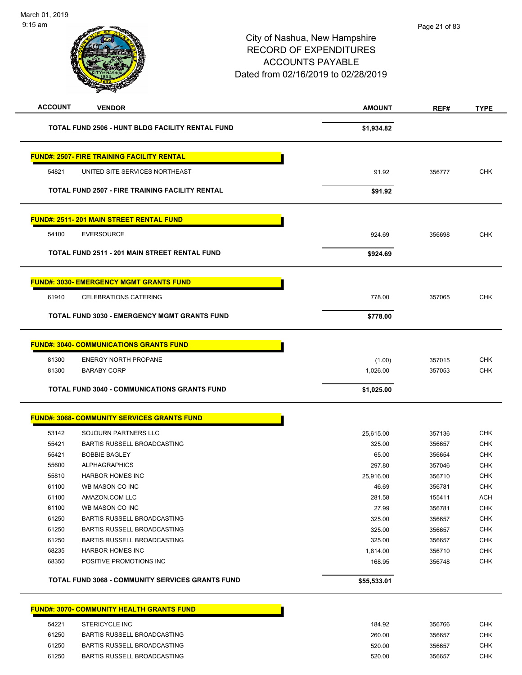| <b>ACCOUNT</b> | <b>VENDOR</b>                                           | <b>AMOUNT</b> | REF#   | <b>TYPE</b> |
|----------------|---------------------------------------------------------|---------------|--------|-------------|
|                | TOTAL FUND 2506 - HUNT BLDG FACILITY RENTAL FUND        | \$1,934.82    |        |             |
|                | <b>FUND#: 2507- FIRE TRAINING FACILITY RENTAL</b>       |               |        |             |
| 54821          | UNITED SITE SERVICES NORTHEAST                          | 91.92         | 356777 | <b>CHK</b>  |
|                | <b>TOTAL FUND 2507 - FIRE TRAINING FACILITY RENTAL</b>  | \$91.92       |        |             |
|                | <b>FUND#: 2511-201 MAIN STREET RENTAL FUND</b>          |               |        |             |
| 54100          | <b>EVERSOURCE</b>                                       | 924.69        | 356698 | <b>CHK</b>  |
|                | <b>TOTAL FUND 2511 - 201 MAIN STREET RENTAL FUND</b>    | \$924.69      |        |             |
|                | <b>FUND#: 3030- EMERGENCY MGMT GRANTS FUND</b>          |               |        |             |
| 61910          | <b>CELEBRATIONS CATERING</b>                            | 778.00        | 357065 | <b>CHK</b>  |
|                | TOTAL FUND 3030 - EMERGENCY MGMT GRANTS FUND            | \$778.00      |        |             |
|                | <b>FUND#: 3040- COMMUNICATIONS GRANTS FUND</b>          |               |        |             |
| 81300          | <b>ENERGY NORTH PROPANE</b>                             | (1.00)        | 357015 | <b>CHK</b>  |
| 81300          | <b>BARABY CORP</b>                                      | 1,026.00      | 357053 | <b>CHK</b>  |
|                | <b>TOTAL FUND 3040 - COMMUNICATIONS GRANTS FUND</b>     | \$1,025.00    |        |             |
|                | <b>FUND#: 3068- COMMUNITY SERVICES GRANTS FUND</b>      |               |        |             |
| 53142          | SOJOURN PARTNERS LLC                                    | 25,615.00     | 357136 | <b>CHK</b>  |
| 55421          | BARTIS RUSSELL BROADCASTING                             | 325.00        | 356657 | <b>CHK</b>  |
| 55421          | <b>BOBBIE BAGLEY</b>                                    | 65.00         | 356654 | <b>CHK</b>  |
| 55600          | <b>ALPHAGRAPHICS</b>                                    | 297.80        | 357046 | <b>CHK</b>  |
| 55810          | <b>HARBOR HOMES INC</b>                                 | 25,916.00     | 356710 | <b>CHK</b>  |
| 61100          | WB MASON CO INC                                         | 46.69         | 356781 | <b>CHK</b>  |
| 61100          | AMAZON.COM LLC                                          | 281.58        | 155411 | <b>ACH</b>  |
| 61100          | WB MASON CO INC                                         | 27.99         | 356781 | CHK         |
| 61250          | BARTIS RUSSELL BROADCASTING                             | 325.00        | 356657 | <b>CHK</b>  |
| 61250          | BARTIS RUSSELL BROADCASTING                             | 325.00        | 356657 | <b>CHK</b>  |
| 61250          | <b>BARTIS RUSSELL BROADCASTING</b>                      | 325.00        | 356657 | <b>CHK</b>  |
| 68235          | <b>HARBOR HOMES INC</b>                                 | 1,814.00      | 356710 | <b>CHK</b>  |
| 68350          | POSITIVE PROMOTIONS INC                                 | 168.95        | 356748 | <b>CHK</b>  |
|                | <b>TOTAL FUND 3068 - COMMUNITY SERVICES GRANTS FUND</b> | \$55,533.01   |        |             |
|                | <b>FUND#: 3070- COMMUNITY HEALTH GRANTS FUND</b>        |               |        |             |
| 54221          | STERICYCLE INC                                          | 184.92        | 356766 | <b>CHK</b>  |
| 61250          | BARTIS RUSSELL BROADCASTING                             | 260.00        | 356657 | <b>CHK</b>  |

 61250 BARTIS RUSSELL BROADCASTING 520.00 356657 CHK er 61250 BARTIS RUSSELL BROADCASTING STATES AND RESERVE THE STATES SECTION OF STATES AND RESERVE THE STATES OF STATES AND RESERVE THE STATES OF STATES AND RESERVE THE STATES OF STATES AND RESERVE THE STATES OF STATES AND R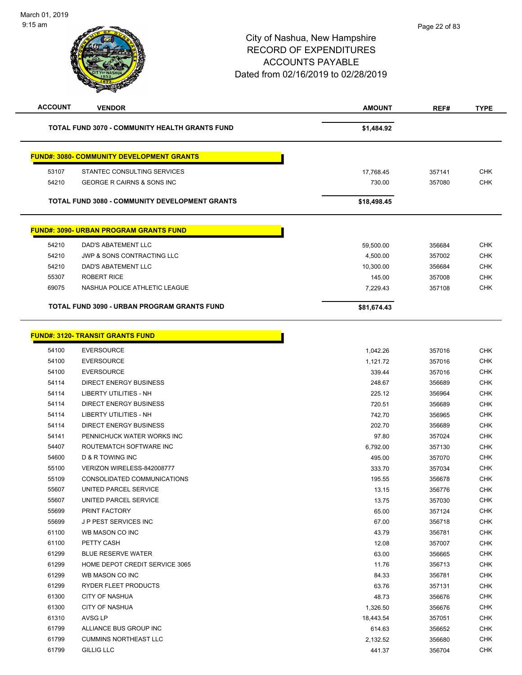| <b>ACCOUNT</b> | <b>VENDOR</b>                                         | <b>AMOUNT</b> | REF#   | <b>TYPE</b> |
|----------------|-------------------------------------------------------|---------------|--------|-------------|
|                | <b>TOTAL FUND 3070 - COMMUNITY HEALTH GRANTS FUND</b> | \$1,484.92    |        |             |
|                | <b>FUND#: 3080- COMMUNITY DEVELOPMENT GRANTS</b>      |               |        |             |
| 53107          | STANTEC CONSULTING SERVICES                           | 17,768.45     | 357141 | <b>CHK</b>  |
| 54210          | GEORGE R CAIRNS & SONS INC                            | 730.00        | 357080 | <b>CHK</b>  |
|                |                                                       |               |        |             |
|                | <b>TOTAL FUND 3080 - COMMUNITY DEVELOPMENT GRANTS</b> | \$18,498.45   |        |             |
|                | <b>FUND#: 3090- URBAN PROGRAM GRANTS FUND</b>         |               |        |             |
| 54210          | DAD'S ABATEMENT LLC                                   | 59,500.00     | 356684 | <b>CHK</b>  |
| 54210          | JWP & SONS CONTRACTING LLC                            | 4,500.00      | 357002 | <b>CHK</b>  |
| 54210          | DAD'S ABATEMENT LLC                                   | 10,300.00     | 356684 | <b>CHK</b>  |
| 55307          | <b>ROBERT RICE</b>                                    | 145.00        | 357008 | <b>CHK</b>  |
| 69075          | NASHUA POLICE ATHLETIC LEAGUE                         | 7,229.43      | 357108 | <b>CHK</b>  |
|                | TOTAL FUND 3090 - URBAN PROGRAM GRANTS FUND           | \$81,674.43   |        |             |
|                | <b>FUND#: 3120- TRANSIT GRANTS FUND</b>               |               |        |             |
|                |                                                       |               |        |             |
| 54100          | <b>EVERSOURCE</b>                                     | 1,042.26      | 357016 | <b>CHK</b>  |
| 54100          | <b>EVERSOURCE</b>                                     | 1,121.72      | 357016 | <b>CHK</b>  |
| 54100          | <b>EVERSOURCE</b>                                     | 339.44        | 357016 | <b>CHK</b>  |
| 54114          | DIRECT ENERGY BUSINESS                                | 248.67        | 356689 | <b>CHK</b>  |
| 54114          | LIBERTY UTILITIES - NH                                | 225.12        | 356964 | <b>CHK</b>  |
| 54114          | <b>DIRECT ENERGY BUSINESS</b>                         | 720.51        | 356689 | <b>CHK</b>  |
| 54114          | <b>LIBERTY UTILITIES - NH</b>                         | 742.70        | 356965 | <b>CHK</b>  |
| 54114          | DIRECT ENERGY BUSINESS                                | 202.70        | 356689 | <b>CHK</b>  |
| 54141          | PENNICHUCK WATER WORKS INC                            | 97.80         | 357024 | <b>CHK</b>  |
| 54407          | ROUTEMATCH SOFTWARE INC                               | 6,792.00      | 357130 | <b>CHK</b>  |
| 54600          | D & R TOWING INC                                      | 495.00        | 357070 | <b>CHK</b>  |
| 55100          | VERIZON WIRELESS-842008777                            | 333.70        | 357034 | <b>CHK</b>  |
| 55109          | CONSOLIDATED COMMUNICATIONS                           | 195.55        | 356678 | <b>CHK</b>  |
| 55607          | UNITED PARCEL SERVICE                                 | 13.15         | 356776 | <b>CHK</b>  |
| 55607          | UNITED PARCEL SERVICE                                 | 13.75         | 357030 | <b>CHK</b>  |
| 55699          | PRINT FACTORY                                         | 65.00         | 357124 | <b>CHK</b>  |
| 55699          | J P PEST SERVICES INC                                 | 67.00         | 356718 | <b>CHK</b>  |
| 61100          | WB MASON CO INC                                       | 43.79         | 356781 | <b>CHK</b>  |
| 61100          | PETTY CASH                                            | 12.08         | 357007 | <b>CHK</b>  |
| 61299          | <b>BLUE RESERVE WATER</b>                             | 63.00         | 356665 | <b>CHK</b>  |
| 61299          | HOME DEPOT CREDIT SERVICE 3065                        | 11.76         | 356713 | <b>CHK</b>  |
| 61299          | WB MASON CO INC                                       | 84.33         | 356781 | <b>CHK</b>  |
| 61299          | RYDER FLEET PRODUCTS                                  | 63.76         | 357131 | <b>CHK</b>  |
| 61300          | CITY OF NASHUA                                        | 48.73         | 356676 | <b>CHK</b>  |
| 61300          | <b>CITY OF NASHUA</b>                                 | 1,326.50      | 356676 | <b>CHK</b>  |
| 61310          | AVSG LP                                               | 18,443.54     | 357051 | <b>CHK</b>  |
| 61799          | ALLIANCE BUS GROUP INC                                | 614.63        | 356652 | CHK         |
| 61799          | <b>CUMMINS NORTHEAST LLC</b>                          | 2,132.52      | 356680 | <b>CHK</b>  |
| 61799          | <b>GILLIG LLC</b>                                     | 441.37        | 356704 | <b>CHK</b>  |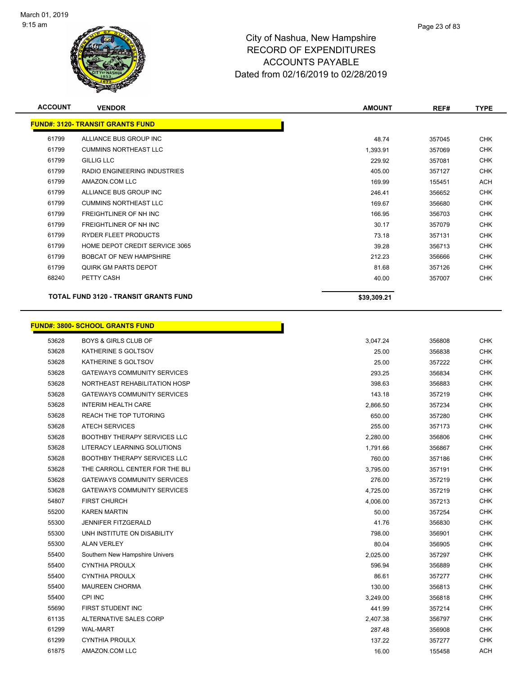

| <b>ACCOUNT</b> | <b>VENDOR</b>                           | <b>AMOUNT</b> | REF#   | <b>TYPE</b> |
|----------------|-----------------------------------------|---------------|--------|-------------|
|                | <b>FUND#: 3120- TRANSIT GRANTS FUND</b> |               |        |             |
| 61799          | ALLIANCE BUS GROUP INC                  | 48.74         | 357045 | <b>CHK</b>  |
| 61799          | <b>CUMMINS NORTHEAST LLC</b>            | 1,393.91      | 357069 | <b>CHK</b>  |
| 61799          | <b>GILLIG LLC</b>                       | 229.92        | 357081 | <b>CHK</b>  |
| 61799          | RADIO ENGINEERING INDUSTRIES            | 405.00        | 357127 | <b>CHK</b>  |
| 61799          | AMAZON.COM LLC                          | 169.99        | 155451 | ACH         |
| 61799          | ALLIANCE BUS GROUP INC                  | 246.41        | 356652 | <b>CHK</b>  |
| 61799          | <b>CUMMINS NORTHEAST LLC</b>            | 169.67        | 356680 | <b>CHK</b>  |
| 61799          | FREIGHTLINER OF NH INC                  | 166.95        | 356703 | <b>CHK</b>  |
| 61799          | FREIGHTLINER OF NH INC                  | 30.17         | 357079 | CHK         |
| 61799          | <b>RYDER FLEET PRODUCTS</b>             | 73.18         | 357131 | CHK         |
| 61799          | HOME DEPOT CREDIT SERVICE 3065          | 39.28         | 356713 | <b>CHK</b>  |
| 61799          | <b>BOBCAT OF NEW HAMPSHIRE</b>          | 212.23        | 356666 | <b>CHK</b>  |
| 61799          | QUIRK GM PARTS DEPOT                    | 81.68         | 357126 | <b>CHK</b>  |
| 68240          | PETTY CASH                              | 40.00         | 357007 | CHK         |
|                | TOTAL FUND 3120 - TRANSIT GRANTS FUND   | \$39,309.21   |        |             |

|       | <b>FUND#: 3800- SCHOOL GRANTS FUND</b> |          |        |            |
|-------|----------------------------------------|----------|--------|------------|
| 53628 | <b>BOYS &amp; GIRLS CLUB OF</b>        | 3,047.24 | 356808 | <b>CHK</b> |
| 53628 | KATHERINE S GOLTSOV                    | 25.00    | 356838 | <b>CHK</b> |
| 53628 | KATHERINE S GOLTSOV                    | 25.00    | 357222 | <b>CHK</b> |
| 53628 | <b>GATEWAYS COMMUNITY SERVICES</b>     | 293.25   | 356834 | <b>CHK</b> |
| 53628 | NORTHEAST REHABILITATION HOSP          | 398.63   | 356883 | <b>CHK</b> |
| 53628 | <b>GATEWAYS COMMUNITY SERVICES</b>     | 143.18   | 357219 | <b>CHK</b> |
| 53628 | <b>INTERIM HEALTH CARE</b>             | 2,866.50 | 357234 | <b>CHK</b> |
| 53628 | REACH THE TOP TUTORING                 | 650.00   | 357280 | <b>CHK</b> |
| 53628 | <b>ATECH SERVICES</b>                  | 255.00   | 357173 | <b>CHK</b> |
| 53628 | <b>BOOTHBY THERAPY SERVICES LLC</b>    | 2,280.00 | 356806 | <b>CHK</b> |
| 53628 | LITERACY LEARNING SOLUTIONS            | 1,791.66 | 356867 | <b>CHK</b> |
| 53628 | BOOTHBY THERAPY SERVICES LLC           | 760.00   | 357186 | <b>CHK</b> |
| 53628 | THE CARROLL CENTER FOR THE BLI         | 3,795.00 | 357191 | <b>CHK</b> |
| 53628 | <b>GATEWAYS COMMUNITY SERVICES</b>     | 276.00   | 357219 | <b>CHK</b> |
| 53628 | <b>GATEWAYS COMMUNITY SERVICES</b>     | 4,725.00 | 357219 | <b>CHK</b> |
| 54807 | <b>FIRST CHURCH</b>                    | 4,006.00 | 357213 | <b>CHK</b> |
| 55200 | <b>KAREN MARTIN</b>                    | 50.00    | 357254 | <b>CHK</b> |
| 55300 | <b>JENNIFER FITZGERALD</b>             | 41.76    | 356830 | <b>CHK</b> |
| 55300 | UNH INSTITUTE ON DISABILITY            | 798.00   | 356901 | <b>CHK</b> |
| 55300 | <b>ALAN VERLEY</b>                     | 80.04    | 356905 | <b>CHK</b> |
| 55400 | Southern New Hampshire Univers         | 2,025.00 | 357297 | <b>CHK</b> |
| 55400 | <b>CYNTHIA PROULX</b>                  | 596.94   | 356889 | <b>CHK</b> |
| 55400 | <b>CYNTHIA PROULX</b>                  | 86.61    | 357277 | <b>CHK</b> |
| 55400 | <b>MAUREEN CHORMA</b>                  | 130.00   | 356813 | <b>CHK</b> |
| 55400 | CPI INC                                | 3,249.00 | 356818 | <b>CHK</b> |
| 55690 | FIRST STUDENT INC                      | 441.99   | 357214 | <b>CHK</b> |
| 61135 | ALTERNATIVE SALES CORP                 | 2,407.38 | 356797 | <b>CHK</b> |
| 61299 | <b>WAL-MART</b>                        | 287.48   | 356908 | <b>CHK</b> |
| 61299 | <b>CYNTHIA PROULX</b>                  | 137.22   | 357277 | <b>CHK</b> |
| 61875 | AMAZON.COM LLC                         | 16.00    | 155458 | <b>ACH</b> |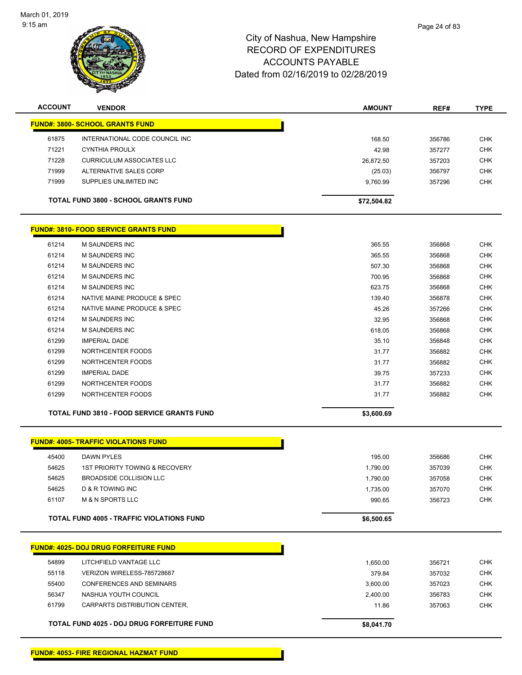

| <b>ACCOUNT</b> | <b>VENDOR</b>                                     | <b>AMOUNT</b> | REF#   | <b>TYPE</b> |
|----------------|---------------------------------------------------|---------------|--------|-------------|
|                | <b>FUND#: 3800- SCHOOL GRANTS FUND</b>            |               |        |             |
| 61875          | INTERNATIONAL CODE COUNCIL INC                    | 168.50        | 356786 | <b>CHK</b>  |
| 71221          | <b>CYNTHIA PROULX</b>                             | 42.98         | 357277 | <b>CHK</b>  |
| 71228          | <b>CURRICULUM ASSOCIATES LLC</b>                  | 26,872.50     | 357203 | <b>CHK</b>  |
| 71999          | ALTERNATIVE SALES CORP                            | (25.03)       | 356797 | <b>CHK</b>  |
| 71999          | SUPPLIES UNLIMITED INC                            | 9,760.99      | 357296 | <b>CHK</b>  |
|                | <b>TOTAL FUND 3800 - SCHOOL GRANTS FUND</b>       | \$72,504.82   |        |             |
|                | <b>FUND#: 3810- FOOD SERVICE GRANTS FUND</b>      |               |        |             |
| 61214          | M SAUNDERS INC                                    | 365.55        | 356868 | <b>CHK</b>  |
| 61214          | <b>M SAUNDERS INC</b>                             | 365.55        | 356868 | <b>CHK</b>  |
| 61214          | M SAUNDERS INC                                    | 507.30        | 356868 | <b>CHK</b>  |
| 61214          | <b>M SAUNDERS INC</b>                             | 700.95        | 356868 | <b>CHK</b>  |
| 61214          | M SAUNDERS INC                                    | 623.75        | 356868 | <b>CHK</b>  |
| 61214          | NATIVE MAINE PRODUCE & SPEC                       | 139.40        | 356878 | <b>CHK</b>  |
| 61214          | NATIVE MAINE PRODUCE & SPEC                       | 45.26         | 357266 | <b>CHK</b>  |
| 61214          | <b>M SAUNDERS INC</b>                             | 32.95         | 356868 | <b>CHK</b>  |
| 61214          | <b>M SAUNDERS INC</b>                             | 618.05        | 356868 | CHK         |
| 61299          | <b>IMPERIAL DADE</b>                              | 35.10         | 356848 | <b>CHK</b>  |
| 61299          | NORTHCENTER FOODS                                 | 31.77         | 356882 | <b>CHK</b>  |
| 61299          | NORTHCENTER FOODS                                 | 31.77         | 356882 | <b>CHK</b>  |
| 61299          | <b>IMPERIAL DADE</b>                              | 39.75         | 357233 | <b>CHK</b>  |
| 61299          | NORTHCENTER FOODS                                 | 31.77         | 356882 | <b>CHK</b>  |
| 61299          | NORTHCENTER FOODS                                 | 31.77         | 356882 | <b>CHK</b>  |
|                | <b>TOTAL FUND 3810 - FOOD SERVICE GRANTS FUND</b> | \$3,600.69    |        |             |
|                | <b>FUND#: 4005- TRAFFIC VIOLATIONS FUND</b>       |               |        |             |
| 45400          | <b>DAWN PYLES</b>                                 | 195.00        | 356686 | <b>CHK</b>  |
| 54625          | <b>1ST PRIORITY TOWING &amp; RECOVERY</b>         | 1,790.00      | 357039 | <b>CHK</b>  |
| 54625          | <b>BROADSIDE COLLISION LLC</b>                    | 1,790.00      | 357058 | <b>CHK</b>  |
| 54625          | D & R TOWING INC                                  | 1,735.00      | 357070 | <b>CHK</b>  |
| 61107          | <b>M &amp; N SPORTS LLC</b>                       | 990.65        | 356723 | CHK         |
|                | <b>TOTAL FUND 4005 - TRAFFIC VIOLATIONS FUND</b>  | \$6,500.65    |        |             |
|                | <b>FUND#: 4025- DOJ DRUG FORFEITURE FUND</b>      |               |        |             |
|                |                                                   |               |        |             |
| 54899          | LITCHFIELD VANTAGE LLC                            | 1,650.00      | 356721 | <b>CHK</b>  |
| 55118          | VERIZON WIRELESS-785728687                        | 379.84        | 357032 | <b>CHK</b>  |
| 55400          | CONFERENCES AND SEMINARS                          | 3,600.00      | 357023 | <b>CHK</b>  |
| 56347          | NASHUA YOUTH COUNCIL                              | 2,400.00      | 356783 | <b>CHK</b>  |
| 61799          | CARPARTS DISTRIBUTION CENTER,                     | 11.86         | 357063 | <b>CHK</b>  |
|                | TOTAL FUND 4025 - DOJ DRUG FORFEITURE FUND        | \$8,041.70    |        |             |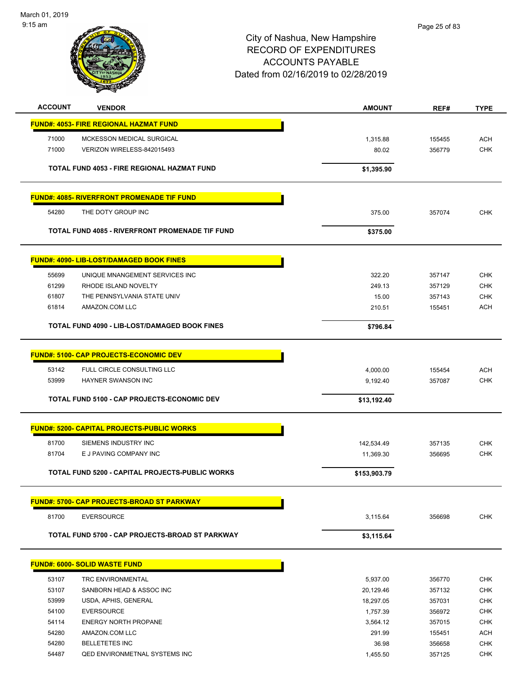March 01, 2019 9:15 am



## City of Nashua, New Hampshire RECORD OF EXPENDITURES ACCOUNTS PAYABLE Dated from 02/16/2019 to 02/28/2019

Page 25 of 83

| <b>ACCOUNT</b> | <b>VENDOR</b>                                     | <b>AMOUNT</b> | REF#   | <b>TYPE</b> |
|----------------|---------------------------------------------------|---------------|--------|-------------|
|                | <b>FUND#: 4053- FIRE REGIONAL HAZMAT FUND</b>     |               |        |             |
| 71000          | MCKESSON MEDICAL SURGICAL                         | 1,315.88      | 155455 | <b>ACH</b>  |
| 71000          | VERIZON WIRELESS-842015493                        | 80.02         | 356779 | <b>CHK</b>  |
|                | TOTAL FUND 4053 - FIRE REGIONAL HAZMAT FUND       | \$1,395.90    |        |             |
|                |                                                   |               |        |             |
|                | <b>FUND#: 4085- RIVERFRONT PROMENADE TIF FUND</b> |               |        |             |
| 54280          | THE DOTY GROUP INC                                | 375.00        | 357074 | <b>CHK</b>  |
|                | TOTAL FUND 4085 - RIVERFRONT PROMENADE TIF FUND   | \$375.00      |        |             |
|                | <b>FUND#: 4090- LIB-LOST/DAMAGED BOOK FINES</b>   |               |        |             |
| 55699          | UNIQUE MNANGEMENT SERVICES INC                    | 322.20        | 357147 | <b>CHK</b>  |
| 61299          | RHODE ISLAND NOVELTY                              | 249.13        | 357129 | <b>CHK</b>  |
| 61807          | THE PENNSYLVANIA STATE UNIV                       | 15.00         | 357143 | <b>CHK</b>  |
| 61814          | AMAZON.COM LLC                                    | 210.51        | 155451 | <b>ACH</b>  |
|                | TOTAL FUND 4090 - LIB-LOST/DAMAGED BOOK FINES     | \$796.84      |        |             |
|                | <b>FUND#: 5100- CAP PROJECTS-ECONOMIC DEV</b>     |               |        |             |
|                |                                                   |               |        |             |
| 53142          | FULL CIRCLE CONSULTING LLC                        | 4,000.00      | 155454 | <b>ACH</b>  |
| 53999          | HAYNER SWANSON INC                                | 9,192.40      | 357087 | <b>CHK</b>  |
|                | TOTAL FUND 5100 - CAP PROJECTS-ECONOMIC DEV       | \$13,192.40   |        |             |
|                | <b>FUND#: 5200- CAPITAL PROJECTS-PUBLIC WORKS</b> |               |        |             |
| 81700          | SIEMENS INDUSTRY INC                              | 142,534.49    | 357135 | <b>CHK</b>  |
| 81704          | E J PAVING COMPANY INC                            | 11,369.30     | 356695 | <b>CHK</b>  |
|                | TOTAL FUND 5200 - CAPITAL PROJECTS-PUBLIC WORKS   | \$153,903.79  |        |             |
|                | <b>FUND#: 5700- CAP PROJECTS-BROAD ST PARKWAY</b> |               |        |             |
| 81700          | <b>EVERSOURCE</b>                                 | 3,115.64      | 356698 | <b>CHK</b>  |
|                |                                                   |               |        |             |
|                | TOTAL FUND 5700 - CAP PROJECTS-BROAD ST PARKWAY   | \$3,115.64    |        |             |
|                | <b>FUND#: 6000- SOLID WASTE FUND</b>              |               |        |             |
| 53107          | <b>TRC ENVIRONMENTAL</b>                          | 5,937.00      | 356770 | <b>CHK</b>  |
| 53107          | SANBORN HEAD & ASSOC INC                          | 20,129.46     | 357132 | <b>CHK</b>  |
| 53999          | USDA, APHIS, GENERAL                              | 18,297.05     | 357031 | <b>CHK</b>  |
| 54100          | <b>EVERSOURCE</b>                                 | 1,757.39      | 356972 | <b>CHK</b>  |
| 54114          | <b>ENERGY NORTH PROPANE</b>                       | 3,564.12      | 357015 | <b>CHK</b>  |
| 54280          | AMAZON.COM LLC                                    | 291.99        | 155451 | <b>ACH</b>  |
| 54280          | <b>BELLETETES INC</b>                             | 36.98         | 356658 | <b>CHK</b>  |
| 54487          | QED ENVIRONMETNAL SYSTEMS INC                     | 1,455.50      | 357125 | <b>CHK</b>  |
|                |                                                   |               |        |             |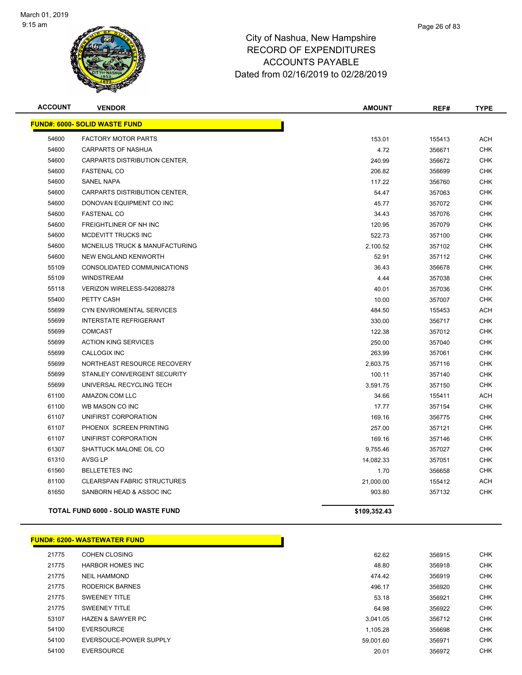

| <b>ACCOUNT</b>                       | <b>VENDOR</b>                             | <b>AMOUNT</b> | REF#   | <b>TYPE</b> |
|--------------------------------------|-------------------------------------------|---------------|--------|-------------|
| <b>FUND#: 6000- SOLID WASTE FUND</b> |                                           |               |        |             |
| 54600                                | <b>FACTORY MOTOR PARTS</b>                | 153.01        | 155413 | <b>ACH</b>  |
| 54600                                | CARPARTS OF NASHUA                        | 4.72          | 356671 | <b>CHK</b>  |
| 54600                                | CARPARTS DISTRIBUTION CENTER,             | 240.99        | 356672 | <b>CHK</b>  |
| 54600                                | <b>FASTENAL CO</b>                        | 206.82        | 356699 | <b>CHK</b>  |
| 54600                                | <b>SANEL NAPA</b>                         | 117.22        | 356760 | <b>CHK</b>  |
| 54600                                | CARPARTS DISTRIBUTION CENTER,             | 54.47         | 357063 | <b>CHK</b>  |
| 54600                                | DONOVAN EQUIPMENT CO INC                  | 45.77         | 357072 | <b>CHK</b>  |
| 54600                                | <b>FASTENAL CO</b>                        | 34.43         | 357076 | <b>CHK</b>  |
| 54600                                | FREIGHTLINER OF NH INC                    | 120.95        | 357079 | <b>CHK</b>  |
| 54600                                | MCDEVITT TRUCKS INC                       | 522.73        | 357100 | <b>CHK</b>  |
| 54600                                | MCNEILUS TRUCK & MANUFACTURING            | 2,100.52      | 357102 | <b>CHK</b>  |
| 54600                                | NEW ENGLAND KENWORTH                      | 52.91         | 357112 | <b>CHK</b>  |
| 55109                                | CONSOLIDATED COMMUNICATIONS               | 36.43         | 356678 | <b>CHK</b>  |
| 55109                                | <b>WINDSTREAM</b>                         | 4.44          | 357038 | <b>CHK</b>  |
| 55118                                | VERIZON WIRELESS-542088278                | 40.01         | 357036 | <b>CHK</b>  |
| 55400                                | PETTY CASH                                | 10.00         | 357007 | <b>CHK</b>  |
| 55699                                | CYN ENVIROMENTAL SERVICES                 | 484.50        | 155453 | <b>ACH</b>  |
| 55699                                | <b>INTERSTATE REFRIGERANT</b>             | 330.00        | 356717 | <b>CHK</b>  |
| 55699                                | <b>COMCAST</b>                            | 122.38        | 357012 | <b>CHK</b>  |
| 55699                                | <b>ACTION KING SERVICES</b>               | 250.00        | 357040 | <b>CHK</b>  |
| 55699                                | <b>CALLOGIX INC</b>                       | 263.99        | 357061 | <b>CHK</b>  |
| 55699                                | NORTHEAST RESOURCE RECOVERY               | 2,603.75      | 357116 | <b>CHK</b>  |
| 55699                                | STANLEY CONVERGENT SECURITY               | 100.11        | 357140 | <b>CHK</b>  |
| 55699                                | UNIVERSAL RECYCLING TECH                  | 3,591.75      | 357150 | <b>CHK</b>  |
| 61100                                | AMAZON.COM LLC                            | 34.66         | 155411 | <b>ACH</b>  |
| 61100                                | WB MASON CO INC                           | 17.77         | 357154 | <b>CHK</b>  |
| 61107                                | UNIFIRST CORPORATION                      | 169.16        | 356775 | <b>CHK</b>  |
| 61107                                | PHOENIX SCREEN PRINTING                   | 257.00        | 357121 | <b>CHK</b>  |
| 61107                                | UNIFIRST CORPORATION                      | 169.16        | 357146 | <b>CHK</b>  |
| 61307                                | SHATTUCK MALONE OIL CO                    | 9,755.46      | 357027 | <b>CHK</b>  |
| 61310                                | AVSG LP                                   | 14,082.33     | 357051 | <b>CHK</b>  |
| 61560                                | <b>BELLETETES INC</b>                     | 1.70          | 356658 | <b>CHK</b>  |
| 81100                                | <b>CLEARSPAN FABRIC STRUCTURES</b>        | 21,000.00     | 155412 | <b>ACH</b>  |
| 81650                                | SANBORN HEAD & ASSOC INC                  | 903.80        | 357132 | <b>CHK</b>  |
|                                      | <b>TOTAL FUND 6000 - SOLID WASTE FUND</b> | \$109,352.43  |        |             |

# **FUND#: 6200- WASTEWATER FUND**

| 21775 | COHEN CLOSING                | 62.62     | 356915 |
|-------|------------------------------|-----------|--------|
| 21775 | <b>HARBOR HOMES INC</b>      | 48.80     | 356918 |
| 21775 | <b>NEIL HAMMOND</b>          | 474.42    | 356919 |
| 21775 | <b>RODERICK BARNES</b>       | 496.17    | 356920 |
| 21775 | <b>SWEENEY TITLE</b>         | 53.18     | 356921 |
| 21775 | <b>SWEENEY TITLE</b>         | 64.98     | 356922 |
| 53107 | <b>HAZEN &amp; SAWYER PC</b> | 3.041.05  | 356712 |
| 54100 | EVERSOURCE                   | 1.105.28  | 356698 |
| 54100 | EVERSOUCE-POWER SUPPLY       | 59.001.60 | 356971 |
| 54100 | <b>EVERSOURCE</b>            | 20.01     | 356972 |
|       |                              |           |        |

Г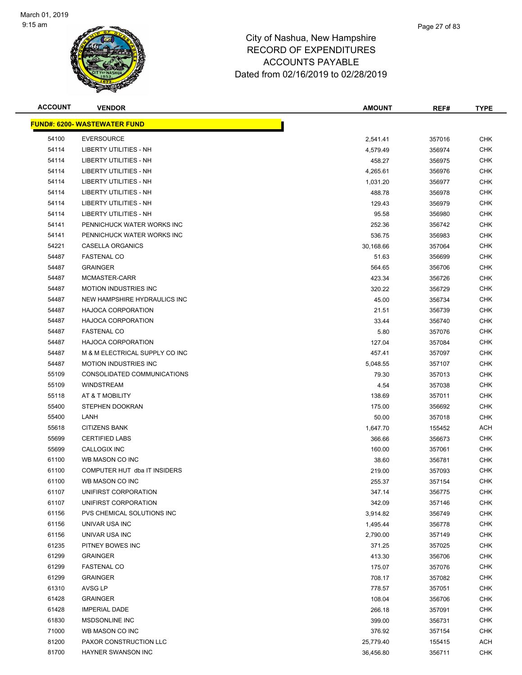

# Page 27 of 83

| <b>ACCOUNT</b> | <b>VENDOR</b>                       | <b>AMOUNT</b> | REF#   | <b>TYPE</b> |
|----------------|-------------------------------------|---------------|--------|-------------|
|                | <b>FUND#: 6200- WASTEWATER FUND</b> |               |        |             |
| 54100          | <b>EVERSOURCE</b>                   | 2,541.41      | 357016 | <b>CHK</b>  |
| 54114          | LIBERTY UTILITIES - NH              | 4,579.49      | 356974 | <b>CHK</b>  |
| 54114          | LIBERTY UTILITIES - NH              | 458.27        | 356975 | <b>CHK</b>  |
| 54114          | LIBERTY UTILITIES - NH              | 4,265.61      | 356976 | <b>CHK</b>  |
| 54114          | <b>LIBERTY UTILITIES - NH</b>       | 1,031.20      | 356977 | <b>CHK</b>  |
| 54114          | <b>LIBERTY UTILITIES - NH</b>       | 488.78        | 356978 | <b>CHK</b>  |
| 54114          | <b>LIBERTY UTILITIES - NH</b>       | 129.43        | 356979 | <b>CHK</b>  |
| 54114          | LIBERTY UTILITIES - NH              | 95.58         | 356980 | <b>CHK</b>  |
| 54141          | PENNICHUCK WATER WORKS INC          | 252.36        | 356742 | <b>CHK</b>  |
| 54141          | PENNICHUCK WATER WORKS INC          | 536.75        | 356983 | <b>CHK</b>  |
| 54221          | CASELLA ORGANICS                    | 30,168.66     | 357064 | <b>CHK</b>  |
| 54487          | <b>FASTENAL CO</b>                  | 51.63         | 356699 | <b>CHK</b>  |
| 54487          | <b>GRAINGER</b>                     | 564.65        | 356706 | <b>CHK</b>  |
| 54487          | MCMASTER-CARR                       | 423.34        | 356726 | <b>CHK</b>  |
| 54487          | <b>MOTION INDUSTRIES INC</b>        | 320.22        | 356729 | <b>CHK</b>  |
| 54487          | NEW HAMPSHIRE HYDRAULICS INC        | 45.00         | 356734 | <b>CHK</b>  |
| 54487          | <b>HAJOCA CORPORATION</b>           | 21.51         | 356739 | <b>CHK</b>  |
| 54487          | <b>HAJOCA CORPORATION</b>           | 33.44         | 356740 | <b>CHK</b>  |
| 54487          | <b>FASTENAL CO</b>                  | 5.80          | 357076 | <b>CHK</b>  |
| 54487          | <b>HAJOCA CORPORATION</b>           | 127.04        | 357084 | <b>CHK</b>  |
| 54487          | M & M ELECTRICAL SUPPLY CO INC      | 457.41        | 357097 | <b>CHK</b>  |
| 54487          | <b>MOTION INDUSTRIES INC</b>        | 5,048.55      | 357107 | <b>CHK</b>  |
| 55109          | CONSOLIDATED COMMUNICATIONS         | 79.30         | 357013 | <b>CHK</b>  |
| 55109          | <b>WINDSTREAM</b>                   | 4.54          | 357038 | <b>CHK</b>  |
| 55118          | AT & T MOBILITY                     | 138.69        | 357011 | <b>CHK</b>  |
| 55400          | STEPHEN DOOKRAN                     | 175.00        | 356692 | <b>CHK</b>  |
| 55400          | LANH                                | 50.00         | 357018 | <b>CHK</b>  |
| 55618          | <b>CITIZENS BANK</b>                | 1,647.70      | 155452 | <b>ACH</b>  |
| 55699          | <b>CERTIFIED LABS</b>               | 366.66        | 356673 | <b>CHK</b>  |
| 55699          | CALLOGIX INC                        | 160.00        | 357061 | <b>CHK</b>  |
| 61100          | WB MASON CO INC                     | 38.60         | 356781 | <b>CHK</b>  |
| 61100          | COMPUTER HUT dba IT INSIDERS        | 219.00        | 357093 | <b>CHK</b>  |
| 61100          | WB MASON CO INC                     | 255.37        | 357154 | <b>CHK</b>  |
| 61107          | UNIFIRST CORPORATION                | 347.14        | 356775 | <b>CHK</b>  |
| 61107          | UNIFIRST CORPORATION                | 342.09        | 357146 | <b>CHK</b>  |
| 61156          | PVS CHEMICAL SOLUTIONS INC          | 3,914.82      | 356749 | <b>CHK</b>  |
| 61156          | UNIVAR USA INC                      | 1,495.44      | 356778 | <b>CHK</b>  |
| 61156          | UNIVAR USA INC                      | 2,790.00      | 357149 | <b>CHK</b>  |
| 61235          | PITNEY BOWES INC                    | 371.25        | 357025 | <b>CHK</b>  |
| 61299          | <b>GRAINGER</b>                     | 413.30        | 356706 | <b>CHK</b>  |
| 61299          | <b>FASTENAL CO</b>                  | 175.07        | 357076 | <b>CHK</b>  |
| 61299          | <b>GRAINGER</b>                     | 708.17        | 357082 | <b>CHK</b>  |
| 61310          | AVSG LP                             | 778.57        | 357051 | <b>CHK</b>  |
| 61428          | <b>GRAINGER</b>                     | 108.04        | 356706 | <b>CHK</b>  |
| 61428          | <b>IMPERIAL DADE</b>                | 266.18        | 357091 | <b>CHK</b>  |
| 61830          | MSDSONLINE INC                      | 399.00        | 356731 | <b>CHK</b>  |
| 71000          | WB MASON CO INC                     | 376.92        | 357154 | CHK         |
| 81200          | PAXOR CONSTRUCTION LLC              | 25,779.40     | 155415 | <b>ACH</b>  |
| 81700          | HAYNER SWANSON INC                  | 36,456.80     | 356711 | <b>CHK</b>  |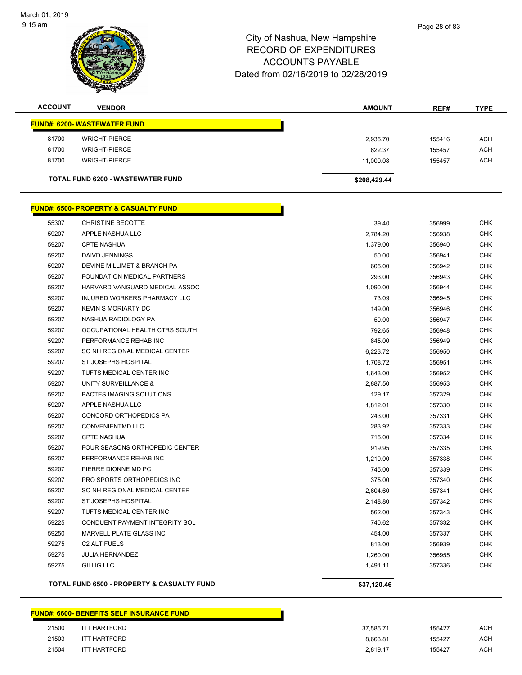

| <b>ACCOUNT</b> | <b>VENDOR</b>                       | <b>AMOUNT</b> | REF#   | <b>TYPE</b> |
|----------------|-------------------------------------|---------------|--------|-------------|
|                | <b>FUND#: 6200- WASTEWATER FUND</b> |               |        |             |
| 81700          | WRIGHT-PIERCE                       | 2,935.70      | 155416 | <b>ACH</b>  |
| 81700          | <b>WRIGHT-PIERCE</b>                | 622.37        | 155457 | <b>ACH</b>  |
| 81700          | <b>WRIGHT-PIERCE</b>                | 11.000.08     | 155457 | <b>ACH</b>  |
|                | TOTAL FUND 6200 - WASTEWATER FUND   | \$208,429.44  |        |             |

|       | <u> FUND#: 6500- PROPERTY &amp; CASUALTY FUND</u>     |             |        |            |
|-------|-------------------------------------------------------|-------------|--------|------------|
| 55307 | <b>CHRISTINE BECOTTE</b>                              | 39.40       | 356999 | <b>CHK</b> |
| 59207 | APPLE NASHUA LLC                                      | 2,784.20    | 356938 | <b>CHK</b> |
| 59207 | <b>CPTE NASHUA</b>                                    | 1,379.00    | 356940 | <b>CHK</b> |
| 59207 | DAIVD JENNINGS                                        | 50.00       | 356941 | <b>CHK</b> |
| 59207 | DEVINE MILLIMET & BRANCH PA                           | 605.00      | 356942 | <b>CHK</b> |
| 59207 | <b>FOUNDATION MEDICAL PARTNERS</b>                    | 293.00      | 356943 | <b>CHK</b> |
| 59207 | HARVARD VANGUARD MEDICAL ASSOC                        | 1,090.00    | 356944 | <b>CHK</b> |
| 59207 | <b>INJURED WORKERS PHARMACY LLC</b>                   | 73.09       | 356945 | <b>CHK</b> |
| 59207 | <b>KEVIN S MORIARTY DC</b>                            | 149.00      | 356946 | <b>CHK</b> |
| 59207 | NASHUA RADIOLOGY PA                                   | 50.00       | 356947 | <b>CHK</b> |
| 59207 | OCCUPATIONAL HEALTH CTRS SOUTH                        | 792.65      | 356948 | <b>CHK</b> |
| 59207 | PERFORMANCE REHAB INC                                 | 845.00      | 356949 | <b>CHK</b> |
| 59207 | SO NH REGIONAL MEDICAL CENTER                         | 6,223.72    | 356950 | <b>CHK</b> |
| 59207 | ST JOSEPHS HOSPITAL                                   | 1,708.72    | 356951 | <b>CHK</b> |
| 59207 | TUFTS MEDICAL CENTER INC                              | 1,643.00    | 356952 | <b>CHK</b> |
| 59207 | UNITY SURVEILLANCE &                                  | 2,887.50    | 356953 | <b>CHK</b> |
| 59207 | <b>BACTES IMAGING SOLUTIONS</b>                       | 129.17      | 357329 | <b>CHK</b> |
| 59207 | APPLE NASHUA LLC                                      | 1,812.01    | 357330 | <b>CHK</b> |
| 59207 | CONCORD ORTHOPEDICS PA                                | 243.00      | 357331 | CHK        |
| 59207 | <b>CONVENIENTMD LLC</b>                               | 283.92      | 357333 | CHK        |
| 59207 | <b>CPTE NASHUA</b>                                    | 715.00      | 357334 | <b>CHK</b> |
| 59207 | FOUR SEASONS ORTHOPEDIC CENTER                        | 919.95      | 357335 | <b>CHK</b> |
| 59207 | PERFORMANCE REHAB INC                                 | 1,210.00    | 357338 | <b>CHK</b> |
| 59207 | PIERRE DIONNE MD PC                                   | 745.00      | 357339 | <b>CHK</b> |
| 59207 | PRO SPORTS ORTHOPEDICS INC                            | 375.00      | 357340 | <b>CHK</b> |
| 59207 | SO NH REGIONAL MEDICAL CENTER                         | 2,604.60    | 357341 | <b>CHK</b> |
| 59207 | ST JOSEPHS HOSPITAL                                   | 2,148.80    | 357342 | <b>CHK</b> |
| 59207 | TUFTS MEDICAL CENTER INC                              | 562.00      | 357343 | <b>CHK</b> |
| 59225 | CONDUENT PAYMENT INTEGRITY SOL                        | 740.62      | 357332 | <b>CHK</b> |
| 59250 | MARVELL PLATE GLASS INC                               | 454.00      | 357337 | <b>CHK</b> |
| 59275 | C <sub>2</sub> ALT FUELS                              | 813.00      | 356939 | CHK        |
| 59275 | <b>JULIA HERNANDEZ</b>                                | 1,260.00    | 356955 | <b>CHK</b> |
| 59275 | <b>GILLIG LLC</b>                                     | 1,491.11    | 357336 | <b>CHK</b> |
|       | <b>TOTAL FUND 6500 - PROPERTY &amp; CASUALTY FUND</b> | \$37,120.46 |        |            |

## **FUND#: 6600- BENEFITS SELF INSURANCE FUND**

| 21500 | ITT HARTFORD        |
|-------|---------------------|
| 21503 | <b>ITT HARTFORD</b> |
| 21504 | <b>ITT HARTFORD</b> |

| 21500 | ITT HARTFORD        | 37.585.71 | 155427 | <b>ACH</b> |
|-------|---------------------|-----------|--------|------------|
| 21503 | ITT HARTFORD        | 8.663.81  | 155427 | <b>ACH</b> |
| 21504 | <b>ITT HARTFORD</b> | 2.819.17  | 155427 | <b>ACH</b> |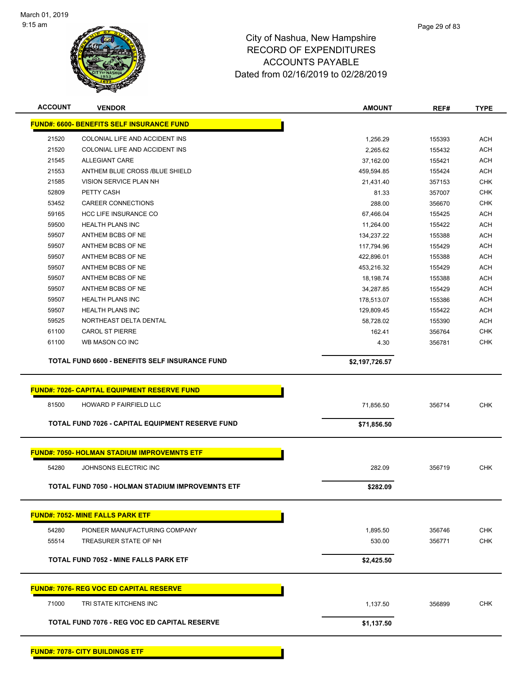

| <b>ACCOUNT</b> | <b>VENDOR</b>                                       | <b>AMOUNT</b>  | REF#   | <b>TYPE</b> |
|----------------|-----------------------------------------------------|----------------|--------|-------------|
|                | <b>FUND#: 6600- BENEFITS SELF INSURANCE FUND</b>    |                |        |             |
| 21520          | COLONIAL LIFE AND ACCIDENT INS                      | 1,256.29       | 155393 | <b>ACH</b>  |
| 21520          | COLONIAL LIFE AND ACCIDENT INS                      | 2,265.62       | 155432 | <b>ACH</b>  |
| 21545          | <b>ALLEGIANT CARE</b>                               | 37,162.00      | 155421 | <b>ACH</b>  |
| 21553          | ANTHEM BLUE CROSS /BLUE SHIELD                      | 459,594.85     | 155424 | <b>ACH</b>  |
| 21585          | VISION SERVICE PLAN NH                              | 21,431.40      | 357153 | <b>CHK</b>  |
| 52809          | PETTY CASH                                          | 81.33          | 357007 | <b>CHK</b>  |
| 53452          | <b>CAREER CONNECTIONS</b>                           | 288.00         | 356670 | <b>CHK</b>  |
| 59165          | <b>HCC LIFE INSURANCE CO</b>                        | 67,466.04      | 155425 | <b>ACH</b>  |
| 59500          | <b>HEALTH PLANS INC</b>                             | 11,264.00      | 155422 | <b>ACH</b>  |
| 59507          | ANTHEM BCBS OF NE                                   | 134,237.22     | 155388 | <b>ACH</b>  |
| 59507          | ANTHEM BCBS OF NE                                   | 117,794.96     | 155429 | <b>ACH</b>  |
| 59507          | ANTHEM BCBS OF NE                                   | 422,896.01     | 155388 | <b>ACH</b>  |
| 59507          | ANTHEM BCBS OF NE                                   | 453,216.32     | 155429 | <b>ACH</b>  |
| 59507          | ANTHEM BCBS OF NE                                   | 18,198.74      | 155388 | <b>ACH</b>  |
| 59507          | ANTHEM BCBS OF NE                                   | 34,287.85      | 155429 | <b>ACH</b>  |
| 59507          | <b>HEALTH PLANS INC</b>                             | 178,513.07     | 155386 | <b>ACH</b>  |
| 59507          | <b>HEALTH PLANS INC</b>                             | 129,809.45     | 155422 | <b>ACH</b>  |
| 59525          | NORTHEAST DELTA DENTAL                              | 58,728.02      | 155390 | <b>ACH</b>  |
| 61100          | <b>CAROL ST PIERRE</b>                              | 162.41         | 356764 | <b>CHK</b>  |
| 61100          | WB MASON CO INC                                     | 4.30           | 356781 | <b>CHK</b>  |
|                |                                                     |                |        |             |
|                | TOTAL FUND 6600 - BENEFITS SELF INSURANCE FUND      | \$2,197,726.57 |        |             |
|                | <b>FUND#: 7026- CAPITAL EQUIPMENT RESERVE FUND</b>  |                |        |             |
|                |                                                     |                |        |             |
| 81500          | HOWARD P FAIRFIELD LLC                              | 71,856.50      | 356714 | <b>CHK</b>  |
|                | TOTAL FUND 7026 - CAPITAL EQUIPMENT RESERVE FUND    | \$71,856.50    |        |             |
|                |                                                     |                |        |             |
|                | <b>FUND#: 7050- HOLMAN STADIUM IMPROVEMNTS ETF</b>  |                |        |             |
| 54280          | JOHNSONS ELECTRIC INC                               | 282.09         | 356719 | <b>CHK</b>  |
|                | TOTAL FUND 7050 - HOLMAN STADIUM IMPROVEMNTS ETF    | \$282.09       |        |             |
|                |                                                     |                |        |             |
|                | <b>FUND#: 7052- MINE FALLS PARK ETF</b>             |                |        |             |
| 54280          | PIONEER MANUFACTURING COMPANY                       | 1,895.50       | 356746 | <b>CHK</b>  |
| 55514          | TREASURER STATE OF NH                               | 530.00         | 356771 | <b>CHK</b>  |
|                |                                                     |                |        |             |
|                | <b>TOTAL FUND 7052 - MINE FALLS PARK ETF</b>        | \$2,425.50     |        |             |
|                | <b>FUND#: 7076- REG VOC ED CAPITAL RESERVE</b>      |                |        |             |
|                |                                                     |                |        |             |
|                |                                                     |                |        |             |
| 71000          | TRI STATE KITCHENS INC                              | 1,137.50       | 356899 | <b>CHK</b>  |
|                | <b>TOTAL FUND 7076 - REG VOC ED CAPITAL RESERVE</b> | \$1,137.50     |        |             |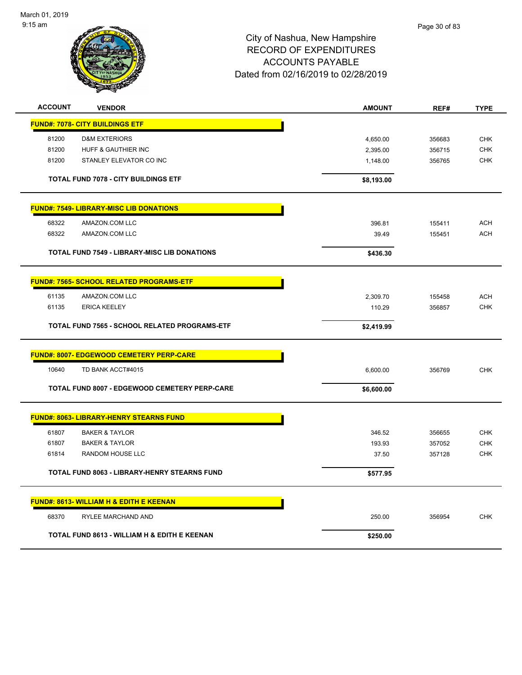

| <b>ACCOUNT</b> | <b>VENDOR</b>                                       | <b>AMOUNT</b> | REF#   | <b>TYPE</b> |
|----------------|-----------------------------------------------------|---------------|--------|-------------|
|                | <b>FUND#: 7078- CITY BUILDINGS ETF</b>              |               |        |             |
| 81200          | <b>D&amp;M EXTERIORS</b>                            | 4,650.00      | 356683 | <b>CHK</b>  |
| 81200          | HUFF & GAUTHIER INC                                 | 2,395.00      | 356715 | <b>CHK</b>  |
| 81200          | STANLEY ELEVATOR CO INC                             | 1,148.00      | 356765 | <b>CHK</b>  |
|                | <b>TOTAL FUND 7078 - CITY BUILDINGS ETF</b>         | \$8,193.00    |        |             |
|                | <b>FUND#: 7549- LIBRARY-MISC LIB DONATIONS</b>      |               |        |             |
| 68322          | AMAZON.COM LLC                                      | 396.81        | 155411 | <b>ACH</b>  |
| 68322          | AMAZON.COM LLC                                      | 39.49         | 155451 | ACH         |
|                | <b>TOTAL FUND 7549 - LIBRARY-MISC LIB DONATIONS</b> | \$436.30      |        |             |
|                | <b>FUND#: 7565- SCHOOL RELATED PROGRAMS-ETF</b>     |               |        |             |
| 61135          | AMAZON.COM LLC                                      | 2,309.70      | 155458 | <b>ACH</b>  |
| 61135          | <b>ERICA KEELEY</b>                                 | 110.29        | 356857 | <b>CHK</b>  |
|                | TOTAL FUND 7565 - SCHOOL RELATED PROGRAMS-ETF       | \$2,419.99    |        |             |
|                | <b>FUND#: 8007- EDGEWOOD CEMETERY PERP-CARE</b>     |               |        |             |
| 10640          | TD BANK ACCT#4015                                   | 6,600.00      | 356769 | <b>CHK</b>  |
|                | TOTAL FUND 8007 - EDGEWOOD CEMETERY PERP-CARE       | \$6,600.00    |        |             |
|                | <b>FUND#: 8063- LIBRARY-HENRY STEARNS FUND</b>      |               |        |             |
| 61807          | <b>BAKER &amp; TAYLOR</b>                           | 346.52        | 356655 | <b>CHK</b>  |
| 61807          | <b>BAKER &amp; TAYLOR</b>                           | 193.93        | 357052 | <b>CHK</b>  |
| 61814          | RANDOM HOUSE LLC                                    | 37.50         | 357128 | <b>CHK</b>  |
|                | <b>TOTAL FUND 8063 - LIBRARY-HENRY STEARNS FUND</b> | \$577.95      |        |             |
|                | <b>FUND#: 8613- WILLIAM H &amp; EDITH E KEENAN</b>  |               |        |             |
| 68370          | RYLEE MARCHAND AND                                  | 250.00        | 356954 | <b>CHK</b>  |
|                | TOTAL FUND 8613 - WILLIAM H & EDITH E KEENAN        | \$250.00      |        |             |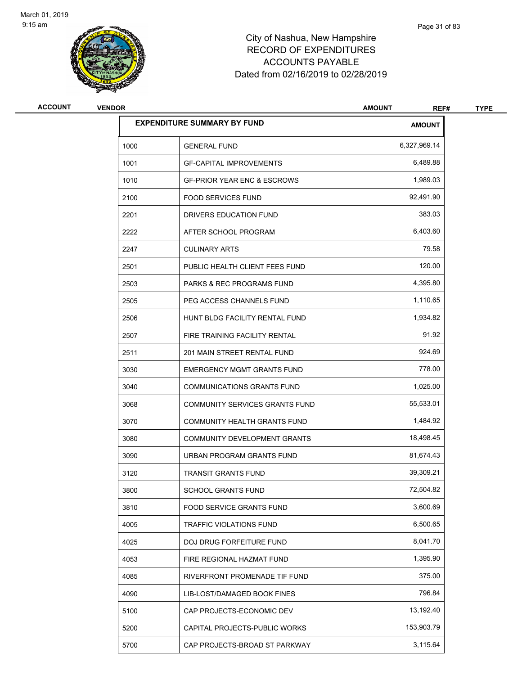

| <b>ACCOUNT</b> | <b>VENDOR</b> |                                        | <b>AMOUNT</b><br>REF# | <b>TYPE</b> |
|----------------|---------------|----------------------------------------|-----------------------|-------------|
|                |               | <b>EXPENDITURE SUMMARY BY FUND</b>     | <b>AMOUNT</b>         |             |
|                | 1000          | <b>GENERAL FUND</b>                    | 6,327,969.14          |             |
|                | 1001          | <b>GF-CAPITAL IMPROVEMENTS</b>         | 6,489.88              |             |
|                | 1010          | <b>GF-PRIOR YEAR ENC &amp; ESCROWS</b> | 1,989.03              |             |
|                | 2100          | <b>FOOD SERVICES FUND</b>              | 92,491.90             |             |
|                | 2201          | DRIVERS EDUCATION FUND                 | 383.03                |             |
|                | 2222          | AFTER SCHOOL PROGRAM                   | 6,403.60              |             |
|                | 2247          | <b>CULINARY ARTS</b>                   | 79.58                 |             |
|                | 2501          | PUBLIC HEALTH CLIENT FEES FUND         | 120.00                |             |
|                | 2503          | <b>PARKS &amp; REC PROGRAMS FUND</b>   | 4,395.80              |             |
|                | 2505          | PEG ACCESS CHANNELS FUND               | 1,110.65              |             |
|                | 2506          | HUNT BLDG FACILITY RENTAL FUND         | 1,934.82              |             |
|                | 2507          | FIRE TRAINING FACILITY RENTAL          | 91.92                 |             |
|                | 2511          | 201 MAIN STREET RENTAL FUND            | 924.69                |             |
|                | 3030          | <b>EMERGENCY MGMT GRANTS FUND</b>      | 778.00                |             |
|                | 3040          | <b>COMMUNICATIONS GRANTS FUND</b>      | 1,025.00              |             |
|                | 3068          | COMMUNITY SERVICES GRANTS FUND         | 55,533.01             |             |
|                | 3070          | COMMUNITY HEALTH GRANTS FUND           | 1,484.92              |             |
|                | 3080          | COMMUNITY DEVELOPMENT GRANTS           | 18,498.45             |             |
|                | 3090          | URBAN PROGRAM GRANTS FUND              | 81,674.43             |             |
|                | 3120          | <b>TRANSIT GRANTS FUND</b>             | 39,309.21             |             |
|                | 3800          | SCHOOL GRANTS FUND                     | 72,504.82             |             |
|                | 3810          | FOOD SERVICE GRANTS FUND               | 3,600.69              |             |
|                | 4005          | TRAFFIC VIOLATIONS FUND                | 6,500.65              |             |
|                | 4025          | DOJ DRUG FORFEITURE FUND               | 8,041.70              |             |
|                | 4053          | FIRE REGIONAL HAZMAT FUND              | 1,395.90              |             |
|                | 4085          | RIVERFRONT PROMENADE TIF FUND          | 375.00                |             |
|                | 4090          | LIB-LOST/DAMAGED BOOK FINES            | 796.84                |             |
|                | 5100          | CAP PROJECTS-ECONOMIC DEV              | 13,192.40             |             |
|                | 5200          | CAPITAL PROJECTS-PUBLIC WORKS          | 153,903.79            |             |
|                | 5700          | CAP PROJECTS-BROAD ST PARKWAY          | 3,115.64              |             |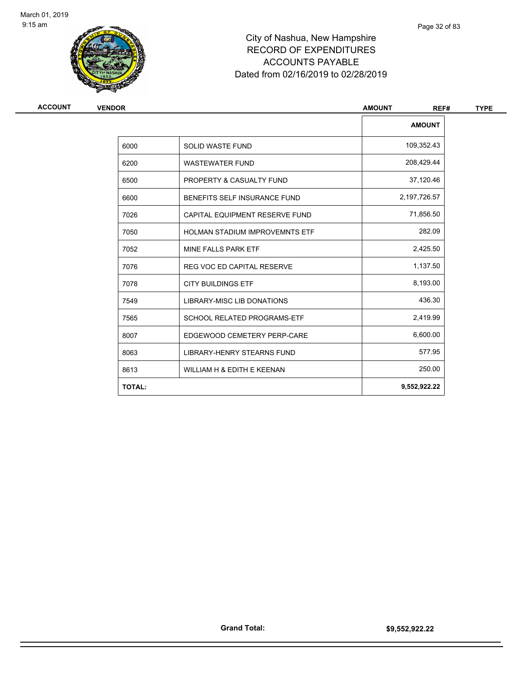

| ACCOUNT<br><b>VENDOR</b> |                                       | <b>AMOUNT</b><br>REF# |
|--------------------------|---------------------------------------|-----------------------|
|                          |                                       | <b>AMOUNT</b>         |
| 6000                     | <b>SOLID WASTE FUND</b>               | 109,352.43            |
| 6200                     | <b>WASTEWATER FUND</b>                | 208,429.44            |
| 6500                     | <b>PROPERTY &amp; CASUALTY FUND</b>   | 37,120.46             |
| 6600                     | BENEFITS SELF INSURANCE FUND          | 2,197,726.57          |
| 7026                     | CAPITAL EQUIPMENT RESERVE FUND        | 71,856.50             |
| 7050                     | <b>HOLMAN STADIUM IMPROVEMNTS ETF</b> | 282.09                |
| 7052                     | MINE FALLS PARK ETF                   | 2,425.50              |
| 7076                     | <b>REG VOC ED CAPITAL RESERVE</b>     | 1,137.50              |
| 7078                     | <b>CITY BUILDINGS ETF</b>             | 8,193.00              |
| 7549                     | LIBRARY-MISC LIB DONATIONS            | 436.30                |
| 7565                     | <b>SCHOOL RELATED PROGRAMS-ETF</b>    | 2,419.99              |
| 8007                     | EDGEWOOD CEMETERY PERP-CARE           | 6,600.00              |
| 8063                     | <b>LIBRARY-HENRY STEARNS FUND</b>     | 577.95                |
| 8613                     | WILLIAM H & EDITH E KEENAN            | 250.00                |
| <b>TOTAL:</b>            |                                       | 9,552,922.22          |

Page 32 of 83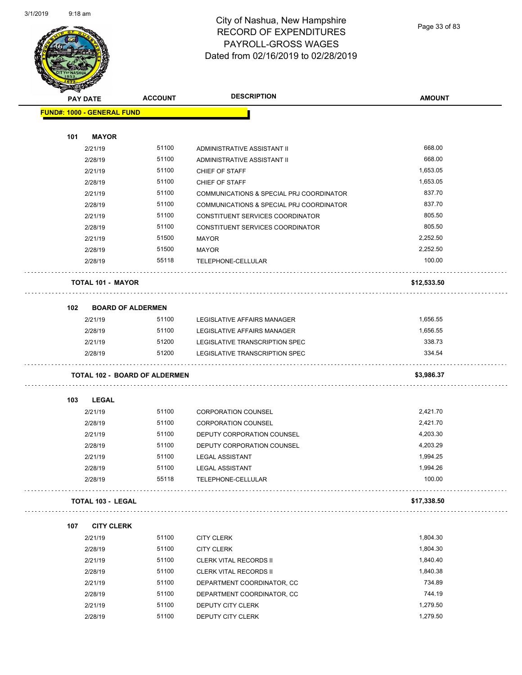#### City of Nashua, New Hampshire RECORD OF EXPENDITURES PAYROLL-GROSS WAGES Dated from 02/16/2019 to 02/28/2019

Page 33 of 83

|     | <b>PAY DATE</b>                      | <b>ACCOUNT</b> | <b>DESCRIPTION</b>                              | <b>AMOUNT</b> |
|-----|--------------------------------------|----------------|-------------------------------------------------|---------------|
|     | <b>FUND#: 1000 - GENERAL FUND</b>    |                |                                                 |               |
| 101 | <b>MAYOR</b>                         |                |                                                 |               |
|     | 2/21/19                              | 51100          | ADMINISTRATIVE ASSISTANT II                     | 668.00        |
|     | 2/28/19                              | 51100          | ADMINISTRATIVE ASSISTANT II                     | 668.00        |
|     | 2/21/19                              | 51100          | <b>CHIEF OF STAFF</b>                           | 1,653.05      |
|     | 2/28/19                              | 51100          | CHIEF OF STAFF                                  | 1,653.05      |
|     | 2/21/19                              | 51100          | COMMUNICATIONS & SPECIAL PRJ COORDINATOR        | 837.70        |
|     | 2/28/19                              | 51100          | COMMUNICATIONS & SPECIAL PRJ COORDINATOR        | 837.70        |
|     | 2/21/19                              | 51100          | CONSTITUENT SERVICES COORDINATOR                | 805.50        |
|     | 2/28/19                              | 51100          | CONSTITUENT SERVICES COORDINATOR                | 805.50        |
|     | 2/21/19                              | 51500          | MAYOR                                           | 2,252.50      |
|     | 2/28/19                              | 51500          | MAYOR                                           | 2,252.50      |
|     | 2/28/19                              | 55118          | TELEPHONE-CELLULAR                              | 100.00        |
|     | <b>TOTAL 101 - MAYOR</b>             |                |                                                 | \$12,533.50   |
| 102 | <b>BOARD OF ALDERMEN</b>             |                |                                                 |               |
|     | 2/21/19                              | 51100          | LEGISLATIVE AFFAIRS MANAGER                     | 1,656.55      |
|     | 2/28/19                              | 51100          | LEGISLATIVE AFFAIRS MANAGER                     | 1,656.55      |
|     | 2/21/19                              | 51200          | LEGISLATIVE TRANSCRIPTION SPEC                  | 338.73        |
|     | 2/28/19                              | 51200          | LEGISLATIVE TRANSCRIPTION SPEC                  | 334.54        |
|     | <b>TOTAL 102 - BOARD OF ALDERMEN</b> |                |                                                 | \$3,986.37    |
| 103 | LEGAL                                |                |                                                 |               |
|     | 2/21/19                              | 51100          | <b>CORPORATION COUNSEL</b>                      | 2,421.70      |
|     | 2/28/19                              | 51100          | <b>CORPORATION COUNSEL</b>                      | 2,421.70      |
|     | 2/21/19                              | 51100          | DEPUTY CORPORATION COUNSEL                      | 4,203.30      |
|     | 2/28/19                              | 51100          | DEPUTY CORPORATION COUNSEL                      | 4,203.29      |
|     | 2/21/19                              | 51100          | <b>LEGAL ASSISTANT</b>                          | 1,994.25      |
|     | 2/28/19                              | 51100          | <b>LEGAL ASSISTANT</b>                          | 1,994.26      |
|     | 2/28/19                              | 55118          | TELEPHONE-CELLULAR                              | 100.00        |
|     | <b>TOTAL 103 - LEGAL</b>             |                |                                                 | \$17,338.50   |
| 107 | <b>CITY CLERK</b>                    |                |                                                 |               |
|     | 2/21/19                              | 51100          | <b>CITY CLERK</b>                               | 1,804.30      |
|     | 2/28/19                              | 51100          | <b>CITY CLERK</b>                               | 1,804.30      |
|     | 2/21/19                              | 51100          | <b>CLERK VITAL RECORDS II</b>                   | 1,840.40      |
|     | 2/28/19                              | 51100          | <b>CLERK VITAL RECORDS II</b>                   | 1,840.38      |
|     | 2/21/19                              | 51100          | DEPARTMENT COORDINATOR, CC                      | 734.89        |
|     |                                      |                |                                                 |               |
|     |                                      | 51100          |                                                 | 744.19        |
|     | 2/28/19<br>2/21/19                   | 51100          | DEPARTMENT COORDINATOR, CC<br>DEPUTY CITY CLERK | 1,279.50      |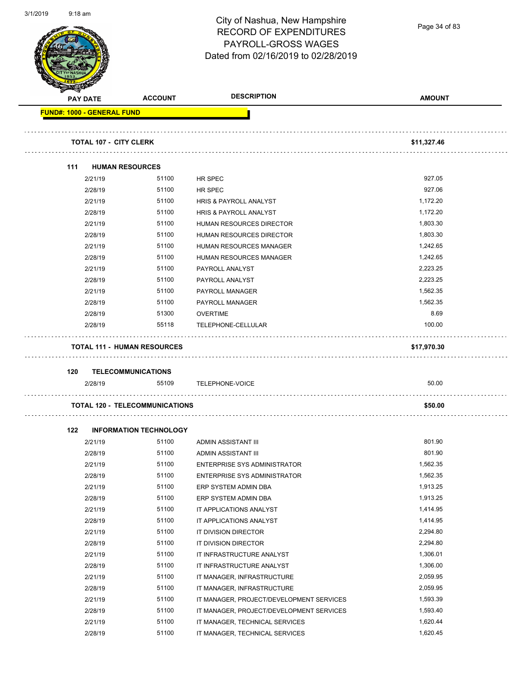| שו ט∡וו וט |                                   |                                       | City of Nashua, New Hampshire<br><b>RECORD OF EXPENDITURES</b><br>PAYROLL-GROSS WAGES<br>Dated from 02/16/2019 to 02/28/2019 | Page 34 of 83 |
|------------|-----------------------------------|---------------------------------------|------------------------------------------------------------------------------------------------------------------------------|---------------|
|            | <b>PAY DATE</b>                   | <b>ACCOUNT</b>                        | <b>DESCRIPTION</b>                                                                                                           | <b>AMOUNT</b> |
|            | <b>FUND#: 1000 - GENERAL FUND</b> |                                       |                                                                                                                              |               |
|            |                                   |                                       |                                                                                                                              |               |
|            | <b>TOTAL 107 - CITY CLERK</b>     |                                       |                                                                                                                              | \$11,327.46   |
|            | 111                               | <b>HUMAN RESOURCES</b>                |                                                                                                                              |               |
|            | 2/21/19                           | 51100                                 | <b>HR SPEC</b>                                                                                                               | 927.05        |
|            | 2/28/19                           | 51100                                 | <b>HR SPEC</b>                                                                                                               | 927.06        |
|            | 2/21/19                           | 51100                                 | HRIS & PAYROLL ANALYST                                                                                                       | 1,172.20      |
|            | 2/28/19                           | 51100                                 | HRIS & PAYROLL ANALYST                                                                                                       | 1,172.20      |
|            | 2/21/19                           | 51100                                 | HUMAN RESOURCES DIRECTOR                                                                                                     | 1,803.30      |
|            | 2/28/19                           | 51100                                 | HUMAN RESOURCES DIRECTOR                                                                                                     | 1,803.30      |
|            | 2/21/19                           | 51100                                 | HUMAN RESOURCES MANAGER                                                                                                      | 1,242.65      |
|            | 2/28/19                           | 51100                                 | HUMAN RESOURCES MANAGER                                                                                                      | 1,242.65      |
|            | 2/21/19                           | 51100                                 | PAYROLL ANALYST                                                                                                              | 2,223.25      |
|            | 2/28/19                           | 51100                                 | PAYROLL ANALYST                                                                                                              | 2,223.25      |
|            | 2/21/19                           | 51100                                 | PAYROLL MANAGER                                                                                                              | 1,562.35      |
|            | 2/28/19                           | 51100                                 | PAYROLL MANAGER                                                                                                              | 1,562.35      |
|            | 2/28/19                           | 51300                                 | <b>OVERTIME</b>                                                                                                              | 8.69          |
|            | 2/28/19                           | 55118                                 | TELEPHONE-CELLULAR                                                                                                           | 100.00        |
|            |                                   | <b>TOTAL 111 - HUMAN RESOURCES</b>    |                                                                                                                              | \$17,970.30   |
|            | 120                               | <b>TELECOMMUNICATIONS</b>             |                                                                                                                              |               |
|            | 2/28/19                           | 55109                                 | TELEPHONE-VOICE                                                                                                              | 50.00         |
|            |                                   |                                       |                                                                                                                              |               |
|            |                                   | <b>TOTAL 120 - TELECOMMUNICATIONS</b> |                                                                                                                              | \$50.00       |
|            | 122                               | <b>INFORMATION TECHNOLOGY</b>         |                                                                                                                              |               |
|            | 2/21/19                           | 51100                                 | ADMIN ASSISTANT III                                                                                                          | 801.90        |
|            | 2/28/19                           | 51100                                 | ADMIN ASSISTANT III                                                                                                          | 801.90        |
|            | 2/21/19                           | 51100                                 | ENTERPRISE SYS ADMINISTRATOR                                                                                                 | 1,562.35      |
|            | 2/28/19                           | 51100                                 | ENTERPRISE SYS ADMINISTRATOR                                                                                                 | 1,562.35      |
|            | 2/21/19                           | 51100                                 | ERP SYSTEM ADMIN DBA                                                                                                         | 1,913.25      |
|            | 2/28/19                           | 51100                                 | ERP SYSTEM ADMIN DBA                                                                                                         | 1,913.25      |
|            | 2/21/19                           | 51100                                 | IT APPLICATIONS ANALYST                                                                                                      | 1,414.95      |
|            | 2/28/19                           | 51100                                 | IT APPLICATIONS ANALYST                                                                                                      | 1,414.95      |
|            | 2/21/19                           | 51100                                 | IT DIVISION DIRECTOR                                                                                                         | 2,294.80      |
|            | 2/28/19                           | 51100                                 | IT DIVISION DIRECTOR                                                                                                         | 2,294.80      |
|            | 2/21/19                           | 51100                                 | IT INFRASTRUCTURE ANALYST                                                                                                    | 1,306.01      |
|            | 2/28/19                           | 51100                                 | IT INFRASTRUCTURE ANALYST                                                                                                    | 1,306.00      |
|            | 2/21/19                           | 51100                                 | IT MANAGER, INFRASTRUCTURE                                                                                                   | 2,059.95      |
|            | 2/28/19                           | 51100                                 | IT MANAGER, INFRASTRUCTURE                                                                                                   | 2,059.95      |
|            | 2/21/19                           | 51100                                 | IT MANAGER, PROJECT/DEVELOPMENT SERVICES                                                                                     | 1,593.39      |
|            | 2/28/19                           | 51100                                 | IT MANAGER, PROJECT/DEVELOPMENT SERVICES                                                                                     | 1,593.40      |
|            | 2/21/19                           | 51100                                 | IT MANAGER, TECHNICAL SERVICES                                                                                               | 1,620.44      |
|            | 2/28/19                           | 51100                                 | IT MANAGER, TECHNICAL SERVICES                                                                                               | 1,620.45      |

3/1/2019 9:18 am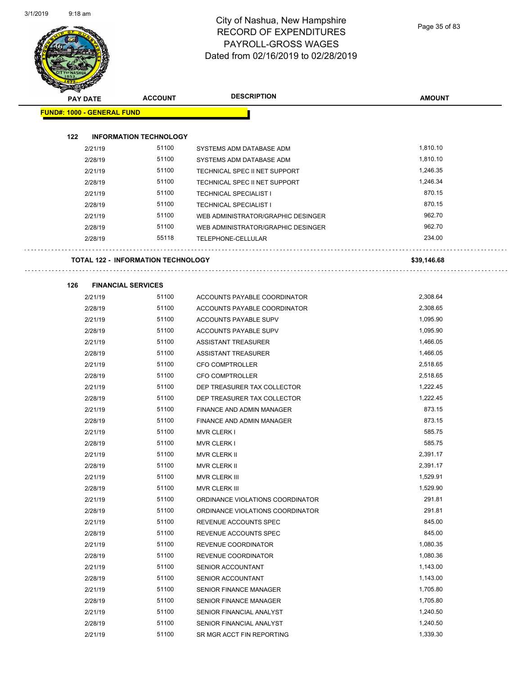#### City of Nashua, New Hampshire RECORD OF EXPENDITURES PAYROLL-GROSS WAGES Dated from 02/16/2019 to 02/28/2019

Page 35 of 83

| <b>PAY DATE</b>                   | <b>ACCOUNT</b>                            | <b>DESCRIPTION</b>                 | <b>AMOUNT</b> |
|-----------------------------------|-------------------------------------------|------------------------------------|---------------|
| <b>FUND#: 1000 - GENERAL FUND</b> |                                           |                                    |               |
|                                   |                                           |                                    |               |
| 122                               | <b>INFORMATION TECHNOLOGY</b>             |                                    |               |
| 2/21/19                           | 51100                                     | SYSTEMS ADM DATABASE ADM           | 1,810.10      |
| 2/28/19                           | 51100                                     | SYSTEMS ADM DATABASE ADM           | 1,810.10      |
| 2/21/19                           | 51100                                     | TECHNICAL SPEC II NET SUPPORT      | 1,246.35      |
| 2/28/19                           | 51100                                     | TECHNICAL SPEC II NET SUPPORT      | 1,246.34      |
| 2/21/19                           | 51100                                     | TECHNICAL SPECIALIST I             | 870.15        |
| 2/28/19                           | 51100                                     | <b>TECHNICAL SPECIALIST I</b>      | 870.15        |
| 2/21/19                           | 51100                                     | WEB ADMINISTRATOR/GRAPHIC DESINGER | 962.70        |
| 2/28/19                           | 51100                                     | WEB ADMINISTRATOR/GRAPHIC DESINGER | 962.70        |
| 2/28/19                           | 55118                                     | TELEPHONE-CELLULAR                 | 234.00        |
|                                   | <b>TOTAL 122 - INFORMATION TECHNOLOGY</b> |                                    | \$39,146.68   |
| 126                               | <b>FINANCIAL SERVICES</b>                 |                                    |               |
| 2/21/19                           | 51100                                     | ACCOUNTS PAYABLE COORDINATOR       | 2,308.64      |
| 2/28/19                           | 51100                                     | ACCOUNTS PAYABLE COORDINATOR       | 2,308.65      |
| 2/21/19                           | 51100                                     | ACCOUNTS PAYABLE SUPV              | 1,095.90      |
| 2/28/19                           | 51100                                     | ACCOUNTS PAYABLE SUPV              | 1,095.90      |
| 2/21/19                           | 51100                                     | ASSISTANT TREASURER                | 1,466.05      |
| 2/28/19                           | 51100                                     | ASSISTANT TREASURER                | 1,466.05      |
| 2/21/19                           | 51100                                     | <b>CFO COMPTROLLER</b>             | 2,518.65      |
| 2/28/19                           | 51100                                     | <b>CFO COMPTROLLER</b>             | 2,518.65      |
| 2/21/19                           | 51100                                     | DEP TREASURER TAX COLLECTOR        | 1,222.45      |
| 2/28/19                           | 51100                                     | DEP TREASURER TAX COLLECTOR        | 1,222.45      |
| 2/21/19                           | 51100                                     | FINANCE AND ADMIN MANAGER          | 873.15        |
| 2/28/19                           | 51100                                     | FINANCE AND ADMIN MANAGER          | 873.15        |
| 2/21/19                           | 51100                                     | <b>MVR CLERK I</b>                 | 585.75        |
| 2/28/19                           | 51100                                     | <b>MVR CLERK I</b>                 | 585.75        |
| 2/21/19                           | 51100                                     | <b>MVR CLERK II</b>                | 2,391.17      |
| 2/28/19                           | 51100                                     | MVR CLERK II                       | 2,391.17      |
| 2/21/19                           | 51100                                     | MVR CLERK III                      | 1,529.91      |
| 2/28/19                           | 51100                                     | MVR CLERK III                      | 1,529.90      |
| 2/21/19                           | 51100                                     | ORDINANCE VIOLATIONS COORDINATOR   | 291.81        |
| 2/28/19                           | 51100                                     | ORDINANCE VIOLATIONS COORDINATOR   | 291.81        |
| 2/21/19                           | 51100                                     | REVENUE ACCOUNTS SPEC              | 845.00        |
| 2/28/19                           | 51100                                     | REVENUE ACCOUNTS SPEC              | 845.00        |
| 2/21/19                           | 51100                                     | REVENUE COORDINATOR                | 1,080.35      |
| 2/28/19                           | 51100                                     | REVENUE COORDINATOR                | 1,080.36      |
| 2/21/19                           | 51100                                     | SENIOR ACCOUNTANT                  | 1,143.00      |
| 2/28/19                           | 51100                                     | SENIOR ACCOUNTANT                  | 1,143.00      |
| 2/21/19                           | 51100                                     | SENIOR FINANCE MANAGER             | 1,705.80      |
| 2/28/19                           | 51100                                     | SENIOR FINANCE MANAGER             | 1,705.80      |
| 2/21/19                           | 51100                                     | SENIOR FINANCIAL ANALYST           | 1,240.50      |
| 2/28/19                           | 51100                                     | SENIOR FINANCIAL ANALYST           | 1,240.50      |
|                                   | 51100                                     |                                    | 1,339.30      |
| 2/21/19                           |                                           | SR MGR ACCT FIN REPORTING          |               |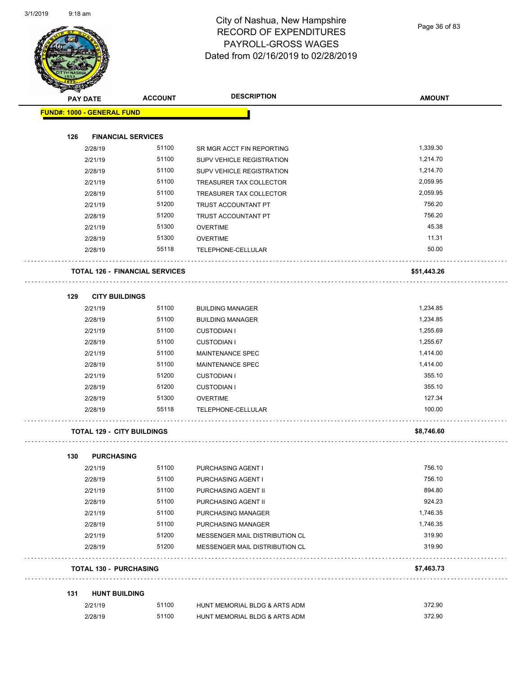

#### City of Nashua, New Hampshire RECORD OF EXPENDITURES PAYROLL-GROSS WAGES Dated from 02/16/2019 to 02/28/2019

Page 36 of 83

| <b>KILTARY</b>                    |                                       |                                  |               |
|-----------------------------------|---------------------------------------|----------------------------------|---------------|
| <b>PAY DATE</b>                   | <b>ACCOUNT</b>                        | <b>DESCRIPTION</b>               | <b>AMOUNT</b> |
| <b>FUND#: 1000 - GENERAL FUND</b> |                                       |                                  |               |
|                                   |                                       |                                  |               |
| 126                               | <b>FINANCIAL SERVICES</b>             |                                  |               |
| 2/28/19                           | 51100                                 | SR MGR ACCT FIN REPORTING        | 1,339.30      |
| 2/21/19                           | 51100                                 | SUPV VEHICLE REGISTRATION        | 1,214.70      |
| 2/28/19                           | 51100                                 | <b>SUPV VEHICLE REGISTRATION</b> | 1,214.70      |
| 2/21/19                           | 51100                                 | TREASURER TAX COLLECTOR          | 2,059.95      |
| 2/28/19                           | 51100                                 | TREASURER TAX COLLECTOR          | 2,059.95      |
| 2/21/19                           | 51200                                 | TRUST ACCOUNTANT PT              | 756.20        |
| 2/28/19                           | 51200                                 | TRUST ACCOUNTANT PT              | 756.20        |
| 2/21/19                           | 51300                                 | <b>OVERTIME</b>                  | 45.38         |
| 2/28/19                           | 51300                                 | <b>OVERTIME</b>                  | 11.31         |
| 2/28/19                           | 55118                                 | TELEPHONE-CELLULAR               | 50.00         |
|                                   | <b>TOTAL 126 - FINANCIAL SERVICES</b> |                                  | \$51,443.26   |
| 129<br><b>CITY BUILDINGS</b>      |                                       |                                  |               |
| 2/21/19                           | 51100                                 | <b>BUILDING MANAGER</b>          | 1,234.85      |
| 2/28/19                           | 51100                                 | <b>BUILDING MANAGER</b>          | 1,234.85      |
| 2/21/19                           | 51100                                 | <b>CUSTODIAN I</b>               | 1,255.69      |
| 2/28/19                           | 51100                                 | <b>CUSTODIAN I</b>               | 1,255.67      |
| 2/21/19                           | 51100                                 | MAINTENANCE SPEC                 | 1,414.00      |
| 2/28/19                           | 51100                                 | MAINTENANCE SPEC                 | 1,414.00      |
| 2/21/19                           | 51200                                 | <b>CUSTODIAN I</b>               | 355.10        |
| 2/28/19                           | 51200                                 | <b>CUSTODIAN I</b>               | 355.10        |
| 2/28/19                           | 51300                                 | <b>OVERTIME</b>                  | 127.34        |
| 2/28/19                           | 55118                                 | TELEPHONE-CELLULAR               | 100.00        |
| <b>TOTAL 129 - CITY BUILDINGS</b> |                                       |                                  | \$8,746.60    |
| 130<br><b>PURCHASING</b>          |                                       |                                  |               |
| 2/21/19                           | 51100                                 | PURCHASING AGENT I               | 756.10        |
| 2/28/19                           | 51100                                 | PURCHASING AGENT I               | 756.10        |
| 2/21/19                           | 51100                                 | PURCHASING AGENT II              | 894.80        |
| 2/28/19                           | 51100                                 | PURCHASING AGENT II              | 924.23        |
| 2/21/19                           | 51100                                 | PURCHASING MANAGER               | 1,746.35      |
| 2/28/19                           | 51100                                 | PURCHASING MANAGER               | 1,746.35      |
| 2/21/19                           | 51200                                 | MESSENGER MAIL DISTRIBUTION CL   | 319.90        |
| 2/28/19                           | 51200                                 | MESSENGER MAIL DISTRIBUTION CL   | 319.90        |
| <b>TOTAL 130 - PURCHASING</b>     |                                       |                                  | \$7,463.73    |
| 131<br><b>HUNT BUILDING</b>       |                                       |                                  |               |
| 2/21/19                           | 51100                                 | HUNT MEMORIAL BLDG & ARTS ADM    | 372.90        |
| 2/28/19                           | 51100                                 | HUNT MEMORIAL BLDG & ARTS ADM    | 372.90        |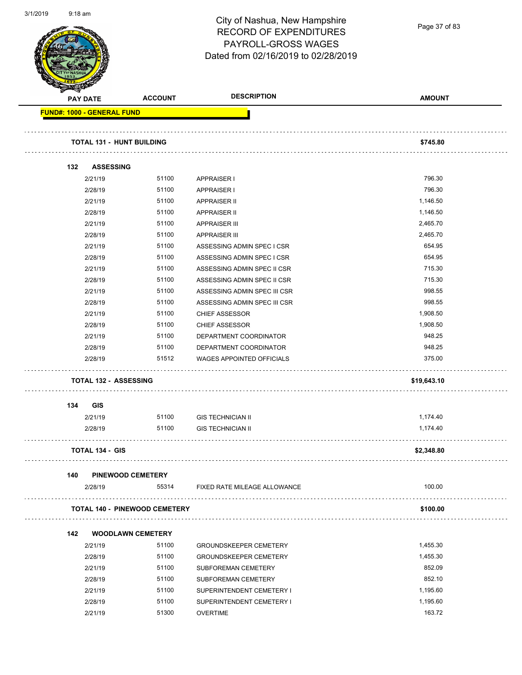

Page 37 of 83

| <b>PAY DATE</b> |                                   | <b>ACCOUNT</b>                       | <b>DESCRIPTION</b>                                         | <b>AMOUNT</b> |
|-----------------|-----------------------------------|--------------------------------------|------------------------------------------------------------|---------------|
|                 | <b>FUND#: 1000 - GENERAL FUND</b> |                                      |                                                            |               |
|                 |                                   | <b>TOTAL 131 - HUNT BUILDING</b>     |                                                            | \$745.80      |
|                 |                                   |                                      |                                                            |               |
| 132             | <b>ASSESSING</b>                  | 51100                                |                                                            | 796.30        |
|                 | 2/21/19<br>2/28/19                | 51100                                | <b>APPRAISER I</b><br><b>APPRAISER I</b>                   | 796.30        |
|                 | 2/21/19                           | 51100                                | <b>APPRAISER II</b>                                        | 1,146.50      |
|                 | 2/28/19                           | 51100                                | <b>APPRAISER II</b>                                        | 1,146.50      |
|                 | 2/21/19                           | 51100                                | <b>APPRAISER III</b>                                       | 2,465.70      |
|                 | 2/28/19                           | 51100                                | <b>APPRAISER III</b>                                       | 2,465.70      |
|                 | 2/21/19                           | 51100                                | ASSESSING ADMIN SPEC I CSR                                 | 654.95        |
|                 | 2/28/19                           | 51100                                | ASSESSING ADMIN SPEC I CSR                                 | 654.95        |
|                 | 2/21/19                           | 51100                                | ASSESSING ADMIN SPEC II CSR                                | 715.30        |
|                 | 2/28/19                           | 51100                                | ASSESSING ADMIN SPEC II CSR                                | 715.30        |
|                 | 2/21/19                           | 51100                                | ASSESSING ADMIN SPEC III CSR                               | 998.55        |
|                 | 2/28/19                           | 51100                                | ASSESSING ADMIN SPEC III CSR                               | 998.55        |
|                 | 2/21/19                           | 51100                                |                                                            | 1,908.50      |
|                 |                                   | 51100                                | <b>CHIEF ASSESSOR</b>                                      | 1,908.50      |
|                 | 2/28/19                           | 51100                                | <b>CHIEF ASSESSOR</b>                                      | 948.25        |
|                 | 2/21/19                           |                                      | DEPARTMENT COORDINATOR                                     | 948.25        |
|                 | 2/28/19                           | 51100<br>51512                       | DEPARTMENT COORDINATOR<br><b>WAGES APPOINTED OFFICIALS</b> | 375.00        |
|                 | 2/28/19                           |                                      |                                                            |               |
|                 |                                   | <b>TOTAL 132 - ASSESSING</b>         |                                                            | \$19,643.10   |
| 134             | GIS                               |                                      |                                                            |               |
|                 | 2/21/19                           | 51100                                | <b>GIS TECHNICIAN II</b>                                   | 1,174.40      |
|                 | 2/28/19                           | 51100                                | <b>GIS TECHNICIAN II</b>                                   | 1,174.40      |
|                 | <b>TOTAL 134 - GIS</b>            |                                      |                                                            | \$2,348.80    |
| 140             |                                   | <b>PINEWOOD CEMETERY</b>             |                                                            |               |
|                 | 2/28/19                           | 55314                                | FIXED RATE MILEAGE ALLOWANCE                               | 100.00        |
|                 |                                   | <b>TOTAL 140 - PINEWOOD CEMETERY</b> |                                                            | \$100.00      |
| 142             |                                   | <b>WOODLAWN CEMETERY</b>             |                                                            |               |
|                 | 2/21/19                           | 51100                                | <b>GROUNDSKEEPER CEMETERY</b>                              | 1,455.30      |
|                 | 2/28/19                           | 51100                                | <b>GROUNDSKEEPER CEMETERY</b>                              | 1,455.30      |
|                 | 2/21/19                           | 51100                                | SUBFOREMAN CEMETERY                                        | 852.09        |
|                 | 2/28/19                           | 51100                                | SUBFOREMAN CEMETERY                                        | 852.10        |
|                 | 2/21/19                           | 51100                                | SUPERINTENDENT CEMETERY I                                  | 1,195.60      |
|                 | 2/28/19                           | 51100                                | SUPERINTENDENT CEMETERY I                                  | 1,195.60      |
|                 | 2/21/19                           | 51300                                | <b>OVERTIME</b>                                            | 163.72        |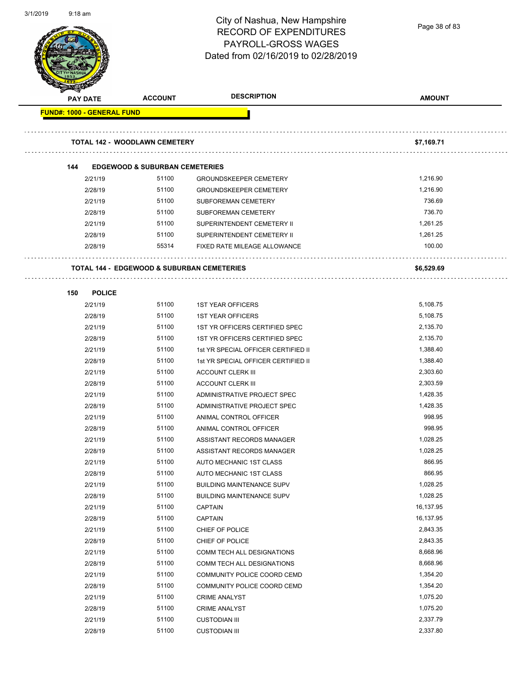| צו טגוו וכ | 9.10 ani                          |                                                       | City of Nashua, New Hampshire<br><b>RECORD OF EXPENDITURES</b><br>PAYROLL-GROSS WAGES | Page 38 of 83 |
|------------|-----------------------------------|-------------------------------------------------------|---------------------------------------------------------------------------------------|---------------|
|            |                                   |                                                       | Dated from 02/16/2019 to 02/28/2019                                                   |               |
|            | <b>PAY DATE</b>                   | <b>ACCOUNT</b>                                        | <b>DESCRIPTION</b>                                                                    | <b>AMOUNT</b> |
|            | <b>FUND#: 1000 - GENERAL FUND</b> |                                                       |                                                                                       |               |
|            |                                   |                                                       |                                                                                       |               |
|            |                                   | <b>TOTAL 142 - WOODLAWN CEMETERY</b>                  |                                                                                       | \$7,169.71    |
|            | 144                               | <b>EDGEWOOD &amp; SUBURBAN CEMETERIES</b>             |                                                                                       |               |
|            | 2/21/19                           | 51100                                                 | <b>GROUNDSKEEPER CEMETERY</b>                                                         | 1,216.90      |
|            | 2/28/19                           | 51100                                                 | <b>GROUNDSKEEPER CEMETERY</b>                                                         | 1,216.90      |
|            | 2/21/19                           | 51100                                                 | SUBFOREMAN CEMETERY                                                                   | 736.69        |
|            | 2/28/19                           | 51100                                                 | SUBFOREMAN CEMETERY                                                                   | 736.70        |
|            | 2/21/19                           | 51100                                                 | SUPERINTENDENT CEMETERY II                                                            | 1,261.25      |
|            | 2/28/19                           | 51100                                                 | SUPERINTENDENT CEMETERY II                                                            | 1,261.25      |
|            | 2/28/19                           | 55314                                                 | FIXED RATE MILEAGE ALLOWANCE                                                          | 100.00        |
|            |                                   | <b>TOTAL 144 - EDGEWOOD &amp; SUBURBAN CEMETERIES</b> |                                                                                       | \$6,529.69    |
|            | 150<br><b>POLICE</b>              |                                                       |                                                                                       |               |
|            | 2/21/19                           | 51100                                                 | <b>1ST YEAR OFFICERS</b>                                                              | 5,108.75      |
|            | 2/28/19                           | 51100                                                 | <b>1ST YEAR OFFICERS</b>                                                              | 5,108.75      |
|            | 2/21/19                           | 51100                                                 | 1ST YR OFFICERS CERTIFIED SPEC                                                        | 2,135.70      |
|            | 2/28/19                           | 51100                                                 | 1ST YR OFFICERS CERTIFIED SPEC                                                        | 2,135.70      |
|            | 2/21/19                           | 51100                                                 | 1st YR SPECIAL OFFICER CERTIFIED II                                                   | 1,388.40      |
|            | 2/28/19                           | 51100                                                 | 1st YR SPECIAL OFFICER CERTIFIED II                                                   | 1,388.40      |
|            | 2/21/19                           | 51100                                                 | <b>ACCOUNT CLERK III</b>                                                              | 2,303.60      |
|            | 2/28/19                           | 51100                                                 | <b>ACCOUNT CLERK III</b>                                                              | 2,303.59      |
|            | 2/21/19                           | 51100                                                 | ADMINISTRATIVE PROJECT SPEC                                                           | 1,428.35      |
|            | 2/28/19                           | 51100                                                 | ADMINISTRATIVE PROJECT SPEC                                                           | 1,428.35      |
|            | 2/21/19                           | 51100                                                 | ANIMAL CONTROL OFFICER                                                                | 998.95        |
|            | 2/28/19                           | 51100                                                 | ANIMAL CONTROL OFFICER                                                                | 998.95        |
|            | 2/21/19                           | 51100                                                 | ASSISTANT RECORDS MANAGER                                                             | 1,028.25      |
|            | 2/28/19                           | 51100                                                 | ASSISTANT RECORDS MANAGER                                                             | 1,028.25      |
|            | 2/21/19                           | 51100                                                 | AUTO MECHANIC 1ST CLASS                                                               | 866.95        |
|            | 2/28/19                           | 51100                                                 | AUTO MECHANIC 1ST CLASS                                                               | 866.95        |
|            | 2/21/19                           | 51100                                                 | <b>BUILDING MAINTENANCE SUPV</b>                                                      | 1,028.25      |
|            | 2/28/19                           | 51100                                                 | <b>BUILDING MAINTENANCE SUPV</b>                                                      | 1,028.25      |
|            | 2/21/19                           | 51100                                                 | CAPTAIN                                                                               | 16,137.95     |
|            | 2/28/19                           | 51100                                                 | CAPTAIN                                                                               | 16,137.95     |
|            | 2/21/19                           | 51100                                                 | CHIEF OF POLICE                                                                       | 2,843.35      |
|            | 2/28/19                           | 51100                                                 | CHIEF OF POLICE                                                                       | 2,843.35      |
|            | 2/21/19                           | 51100                                                 | COMM TECH ALL DESIGNATIONS                                                            | 8,668.96      |
|            | 2/28/19                           | 51100                                                 | COMM TECH ALL DESIGNATIONS                                                            | 8,668.96      |
|            | 2/21/19                           | 51100                                                 | COMMUNITY POLICE COORD CEMD                                                           | 1,354.20      |
|            | 2/28/19                           | 51100                                                 | COMMUNITY POLICE COORD CEMD                                                           | 1,354.20      |
|            | 2/21/19                           | 51100                                                 | <b>CRIME ANALYST</b>                                                                  | 1,075.20      |
|            | 2/28/19                           | 51100                                                 | <b>CRIME ANALYST</b>                                                                  | 1,075.20      |
|            | 2/21/19                           | 51100                                                 | <b>CUSTODIAN III</b>                                                                  | 2,337.79      |
|            | 2/28/19                           | 51100                                                 | <b>CUSTODIAN III</b>                                                                  | 2,337.80      |
|            |                                   |                                                       |                                                                                       |               |

3/1/2019 9:18 am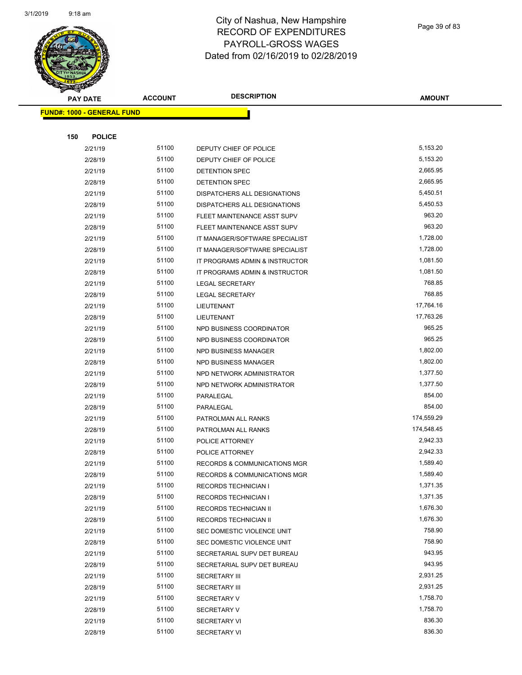

Page 39 of 83

|     | <b>PAY DATE</b>                   | <b>ACCOUNT</b> | <b>DESCRIPTION</b>                      | <b>AMOUNT</b> |
|-----|-----------------------------------|----------------|-----------------------------------------|---------------|
|     | <b>FUND#: 1000 - GENERAL FUND</b> |                |                                         |               |
|     |                                   |                |                                         |               |
| 150 | <b>POLICE</b>                     |                |                                         |               |
|     | 2/21/19                           | 51100          | DEPUTY CHIEF OF POLICE                  | 5,153.20      |
|     | 2/28/19                           | 51100          | DEPUTY CHIEF OF POLICE                  | 5,153.20      |
|     | 2/21/19                           | 51100          | DETENTION SPEC                          | 2,665.95      |
|     | 2/28/19                           | 51100          | DETENTION SPEC                          | 2,665.95      |
|     | 2/21/19                           | 51100          | DISPATCHERS ALL DESIGNATIONS            | 5,450.51      |
|     | 2/28/19                           | 51100          | DISPATCHERS ALL DESIGNATIONS            | 5,450.53      |
|     | 2/21/19                           | 51100          | FLEET MAINTENANCE ASST SUPV             | 963.20        |
|     | 2/28/19                           | 51100          | FLEET MAINTENANCE ASST SUPV             | 963.20        |
|     | 2/21/19                           | 51100          | IT MANAGER/SOFTWARE SPECIALIST          | 1,728.00      |
|     | 2/28/19                           | 51100          | IT MANAGER/SOFTWARE SPECIALIST          | 1,728.00      |
|     | 2/21/19                           | 51100          | IT PROGRAMS ADMIN & INSTRUCTOR          | 1,081.50      |
|     | 2/28/19                           | 51100          | IT PROGRAMS ADMIN & INSTRUCTOR          | 1,081.50      |
|     | 2/21/19                           | 51100          | <b>LEGAL SECRETARY</b>                  | 768.85        |
|     | 2/28/19                           | 51100          | <b>LEGAL SECRETARY</b>                  | 768.85        |
|     | 2/21/19                           | 51100          | LIEUTENANT                              | 17,764.16     |
|     | 2/28/19                           | 51100          | LIEUTENANT                              | 17,763.26     |
|     | 2/21/19                           | 51100          | NPD BUSINESS COORDINATOR                | 965.25        |
|     | 2/28/19                           | 51100          | NPD BUSINESS COORDINATOR                | 965.25        |
|     | 2/21/19                           | 51100          | <b>NPD BUSINESS MANAGER</b>             | 1,802.00      |
|     | 2/28/19                           | 51100          | <b>NPD BUSINESS MANAGER</b>             | 1,802.00      |
|     | 2/21/19                           | 51100          | NPD NETWORK ADMINISTRATOR               | 1,377.50      |
|     | 2/28/19                           | 51100          | NPD NETWORK ADMINISTRATOR               | 1,377.50      |
|     | 2/21/19                           | 51100          | PARALEGAL                               | 854.00        |
|     | 2/28/19                           | 51100          | PARALEGAL                               | 854.00        |
|     | 2/21/19                           | 51100          | PATROLMAN ALL RANKS                     | 174,559.29    |
|     | 2/28/19                           | 51100          | PATROLMAN ALL RANKS                     | 174,548.45    |
|     | 2/21/19                           | 51100          | POLICE ATTORNEY                         | 2,942.33      |
|     | 2/28/19                           | 51100          | POLICE ATTORNEY                         | 2,942.33      |
|     | 2/21/19                           | 51100          | RECORDS & COMMUNICATIONS MGR            | 1,589.40      |
|     | 2/28/19                           | 51100          | <b>RECORDS &amp; COMMUNICATIONS MGR</b> | 1,589.40      |
|     | 2/21/19                           | 51100          | <b>RECORDS TECHNICIAN I</b>             | 1,371.35      |
|     | 2/28/19                           | 51100          | <b>RECORDS TECHNICIAN I</b>             | 1,371.35      |
|     | 2/21/19                           | 51100          | RECORDS TECHNICIAN II                   | 1,676.30      |
|     | 2/28/19                           | 51100          | RECORDS TECHNICIAN II                   | 1,676.30      |
|     | 2/21/19                           | 51100          | SEC DOMESTIC VIOLENCE UNIT              | 758.90        |
|     | 2/28/19                           | 51100          | SEC DOMESTIC VIOLENCE UNIT              | 758.90        |
|     | 2/21/19                           | 51100          | SECRETARIAL SUPV DET BUREAU             | 943.95        |
|     | 2/28/19                           | 51100          | SECRETARIAL SUPV DET BUREAU             | 943.95        |
|     | 2/21/19                           | 51100          | <b>SECRETARY III</b>                    | 2,931.25      |
|     | 2/28/19                           | 51100          | <b>SECRETARY III</b>                    | 2,931.25      |
|     | 2/21/19                           | 51100          | <b>SECRETARY V</b>                      | 1,758.70      |
|     | 2/28/19                           | 51100          | <b>SECRETARY V</b>                      | 1,758.70      |
|     | 2/21/19                           | 51100          | <b>SECRETARY VI</b>                     | 836.30        |
|     | 2/28/19                           | 51100          | <b>SECRETARY VI</b>                     | 836.30        |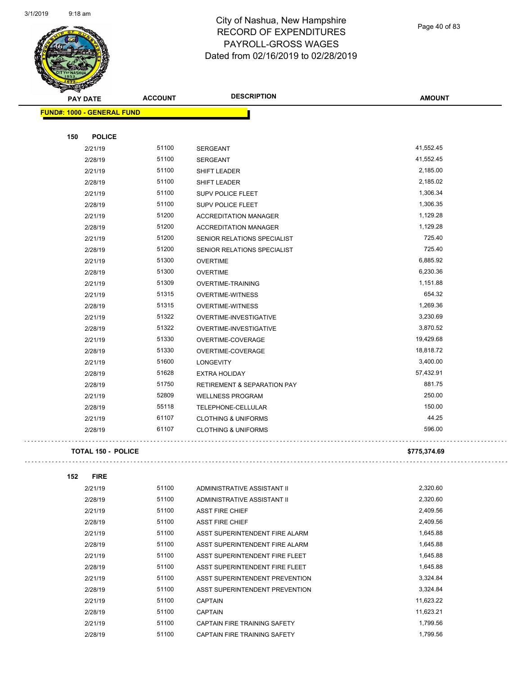

Page 40 of 83

| <b>PAY DATE</b>                   | <b>ACCOUNT</b> | <b>DESCRIPTION</b>                     | <b>AMOUNT</b> |
|-----------------------------------|----------------|----------------------------------------|---------------|
| <b>FUND#: 1000 - GENERAL FUND</b> |                |                                        |               |
|                                   |                |                                        |               |
| 150<br><b>POLICE</b>              |                |                                        |               |
| 2/21/19                           | 51100          | SERGEANT                               | 41,552.45     |
| 2/28/19                           | 51100          | <b>SERGEANT</b>                        | 41,552.45     |
| 2/21/19                           | 51100          | SHIFT LEADER                           | 2,185.00      |
| 2/28/19                           | 51100          | SHIFT LEADER                           | 2,185.02      |
| 2/21/19                           | 51100          | SUPV POLICE FLEET                      | 1,306.34      |
| 2/28/19                           | 51100          | SUPV POLICE FLEET                      | 1,306.35      |
| 2/21/19                           | 51200          | <b>ACCREDITATION MANAGER</b>           | 1,129.28      |
| 2/28/19                           | 51200          | <b>ACCREDITATION MANAGER</b>           | 1,129.28      |
| 2/21/19                           | 51200          | SENIOR RELATIONS SPECIALIST            | 725.40        |
| 2/28/19                           | 51200          | SENIOR RELATIONS SPECIALIST            | 725.40        |
| 2/21/19                           | 51300          | <b>OVERTIME</b>                        | 6,885.92      |
| 2/28/19                           | 51300          | <b>OVERTIME</b>                        | 6,230.36      |
| 2/21/19                           | 51309          | <b>OVERTIME-TRAINING</b>               | 1,151.88      |
| 2/21/19                           | 51315          | <b>OVERTIME-WITNESS</b>                | 654.32        |
| 2/28/19                           | 51315          | <b>OVERTIME-WITNESS</b>                | 1,269.36      |
| 2/21/19                           | 51322          | OVERTIME-INVESTIGATIVE                 | 3,230.69      |
| 2/28/19                           | 51322          | OVERTIME-INVESTIGATIVE                 | 3,870.52      |
| 2/21/19                           | 51330          | OVERTIME-COVERAGE                      | 19,429.68     |
| 2/28/19                           | 51330          | OVERTIME-COVERAGE                      | 18,818.72     |
| 2/21/19                           | 51600          | <b>LONGEVITY</b>                       | 3,400.00      |
| 2/28/19                           | 51628          | <b>EXTRA HOLIDAY</b>                   | 57,432.91     |
| 2/28/19                           | 51750          | <b>RETIREMENT &amp; SEPARATION PAY</b> | 881.75        |
| 2/21/19                           | 52809          | <b>WELLNESS PROGRAM</b>                | 250.00        |
| 2/28/19                           | 55118          | TELEPHONE-CELLULAR                     | 150.00        |
| 2/21/19                           | 61107          | <b>CLOTHING &amp; UNIFORMS</b>         | 44.25         |
| 2/28/19                           | 61107          | <b>CLOTHING &amp; UNIFORMS</b>         | 596.00        |
| <b>TOTAL 150 - POLICE</b>         |                |                                        | \$775,374.69  |
| 152<br><b>FIRE</b>                |                |                                        |               |
| 2/21/19                           | 51100          | ADMINISTRATIVE ASSISTANT II            | 2,320.60      |
| 2/28/19                           | 51100          | ADMINISTRATIVE ASSISTANT II            | 2,320.60      |
|                                   |                |                                        |               |

| 2/28/19 | 51100 | ADMINISTRATIVE ASSISTANT II    | 2,320.60  |
|---------|-------|--------------------------------|-----------|
| 2/21/19 | 51100 | <b>ASST FIRE CHIEF</b>         | 2,409.56  |
| 2/28/19 | 51100 | <b>ASST FIRE CHIEF</b>         | 2.409.56  |
| 2/21/19 | 51100 | ASST SUPERINTENDENT FIRE ALARM | 1.645.88  |
| 2/28/19 | 51100 | ASST SUPERINTENDENT FIRE ALARM | 1,645.88  |
| 2/21/19 | 51100 | ASST SUPERINTENDENT FIRE FLEET | 1.645.88  |
| 2/28/19 | 51100 | ASST SUPERINTENDENT FIRE FLEET | 1.645.88  |
| 2/21/19 | 51100 | ASST SUPERINTENDENT PREVENTION | 3,324.84  |
| 2/28/19 | 51100 | ASST SUPERINTENDENT PREVENTION | 3,324.84  |
| 2/21/19 | 51100 | <b>CAPTAIN</b>                 | 11,623.22 |
| 2/28/19 | 51100 | <b>CAPTAIN</b>                 | 11,623.21 |
| 2/21/19 | 51100 | CAPTAIN FIRE TRAINING SAFETY   | 1,799.56  |
| 2/28/19 | 51100 | CAPTAIN FIRE TRAINING SAFETY   | 1.799.56  |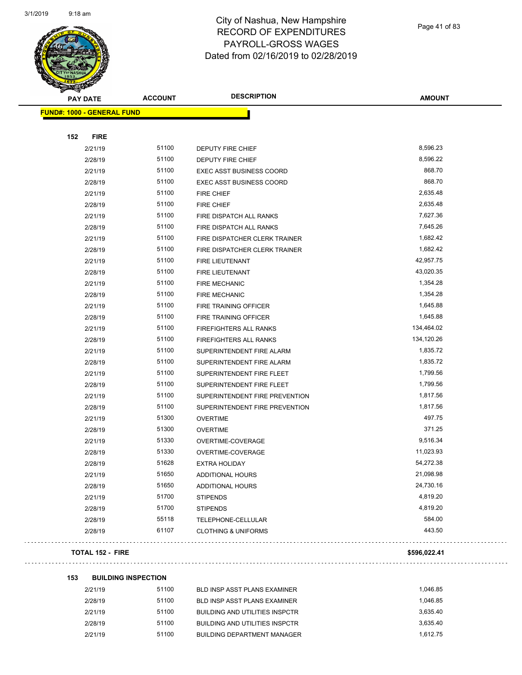

Page 41 of 83

. . .

. . .

| <b>PAY DATE</b>                   | <b>ACCOUNT</b> | <b>DESCRIPTION</b>              | <b>AMOUNT</b> |
|-----------------------------------|----------------|---------------------------------|---------------|
| <b>FUND#: 1000 - GENERAL FUND</b> |                |                                 |               |
|                                   |                |                                 |               |
| 152<br><b>FIRE</b>                |                |                                 |               |
| 2/21/19                           | 51100          | DEPUTY FIRE CHIEF               | 8,596.23      |
| 2/28/19                           | 51100          | DEPUTY FIRE CHIEF               | 8,596.22      |
| 2/21/19                           | 51100          | <b>EXEC ASST BUSINESS COORD</b> | 868.70        |
| 2/28/19                           | 51100          | <b>EXEC ASST BUSINESS COORD</b> | 868.70        |
| 2/21/19                           | 51100          | <b>FIRE CHIEF</b>               | 2,635.48      |
| 2/28/19                           | 51100          | <b>FIRE CHIEF</b>               | 2,635.48      |
| 2/21/19                           | 51100          | FIRE DISPATCH ALL RANKS         | 7,627.36      |
| 2/28/19                           | 51100          | FIRE DISPATCH ALL RANKS         | 7,645.26      |
| 2/21/19                           | 51100          | FIRE DISPATCHER CLERK TRAINER   | 1,682.42      |
| 2/28/19                           | 51100          | FIRE DISPATCHER CLERK TRAINER   | 1,682.42      |
| 2/21/19                           | 51100          | FIRE LIEUTENANT                 | 42,957.75     |
| 2/28/19                           | 51100          | FIRE LIEUTENANT                 | 43,020.35     |
| 2/21/19                           | 51100          | <b>FIRE MECHANIC</b>            | 1,354.28      |
| 2/28/19                           | 51100          | <b>FIRE MECHANIC</b>            | 1,354.28      |
| 2/21/19                           | 51100          | FIRE TRAINING OFFICER           | 1,645.88      |
| 2/28/19                           | 51100          | FIRE TRAINING OFFICER           | 1,645.88      |
| 2/21/19                           | 51100          | FIREFIGHTERS ALL RANKS          | 134,464.02    |
| 2/28/19                           | 51100          | FIREFIGHTERS ALL RANKS          | 134,120.26    |
| 2/21/19                           | 51100          | SUPERINTENDENT FIRE ALARM       | 1,835.72      |
| 2/28/19                           | 51100          | SUPERINTENDENT FIRE ALARM       | 1,835.72      |
| 2/21/19                           | 51100          | SUPERINTENDENT FIRE FLEET       | 1,799.56      |
| 2/28/19                           | 51100          | SUPERINTENDENT FIRE FLEET       | 1,799.56      |
| 2/21/19                           | 51100          | SUPERINTENDENT FIRE PREVENTION  | 1,817.56      |
| 2/28/19                           | 51100          | SUPERINTENDENT FIRE PREVENTION  | 1,817.56      |
| 2/21/19                           | 51300          | <b>OVERTIME</b>                 | 497.75        |
| 2/28/19                           | 51300          | <b>OVERTIME</b>                 | 371.25        |
| 2/21/19                           | 51330          | OVERTIME-COVERAGE               | 9,516.34      |
| 2/28/19                           | 51330          | OVERTIME-COVERAGE               | 11,023.93     |
| 2/28/19                           | 51628          | <b>EXTRA HOLIDAY</b>            | 54,272.38     |
| 2/21/19                           | 51650          | ADDITIONAL HOURS                | 21,098.98     |
| 2/28/19                           | 51650          | <b>ADDITIONAL HOURS</b>         | 24,730.16     |
| 2/21/19                           | 51700          | <b>STIPENDS</b>                 | 4,819.20      |
| 2/28/19                           | 51700          | <b>STIPENDS</b>                 | 4,819.20      |
| 2/28/19                           | 55118          | TELEPHONE-CELLULAR              | 584.00        |
| 2/28/19                           | 61107          | <b>CLOTHING &amp; UNIFORMS</b>  | 443.50        |
| <b>TOTAL 152 - FIRE</b>           |                |                                 | \$596,022.41  |
|                                   |                |                                 |               |

| 2/21/19 | 51100 | BLD INSP ASST PLANS EXAMINER       | 1.046.85 |
|---------|-------|------------------------------------|----------|
| 2/28/19 | 51100 | BLD INSP ASST PLANS EXAMINER       | 1.046.85 |
| 2/21/19 | 51100 | BUILDING AND UTILITIES INSPCTR     | 3.635.40 |
| 2/28/19 | 51100 | BUILDING AND UTILITIES INSPCTR     | 3.635.40 |
| 2/21/19 | 51100 | <b>BUILDING DEPARTMENT MANAGER</b> | 1.612.75 |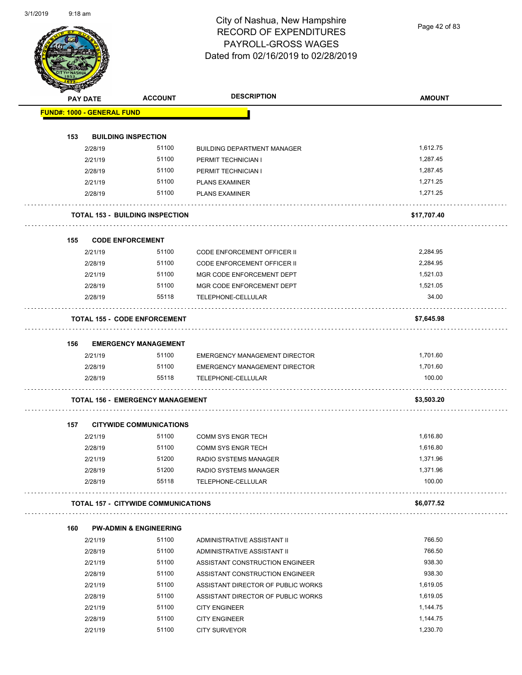Page 42 of 83

|     | PAY DATE           | <b>ACCOUNT</b>                             | <b>DESCRIPTION</b>                                        | <b>AMOUNT</b> |
|-----|--------------------|--------------------------------------------|-----------------------------------------------------------|---------------|
|     |                    | <b>FUND#: 1000 - GENERAL FUND</b>          |                                                           |               |
|     |                    |                                            |                                                           |               |
| 153 |                    | <b>BUILDING INSPECTION</b><br>51100        |                                                           | 1,612.75      |
|     | 2/28/19<br>2/21/19 | 51100                                      | <b>BUILDING DEPARTMENT MANAGER</b><br>PERMIT TECHNICIAN I | 1,287.45      |
|     | 2/28/19            | 51100                                      | PERMIT TECHNICIAN I                                       | 1,287.45      |
|     | 2/21/19            | 51100                                      | <b>PLANS EXAMINER</b>                                     | 1,271.25      |
|     | 2/28/19            | 51100                                      | <b>PLANS EXAMINER</b>                                     | 1,271.25      |
|     |                    |                                            |                                                           |               |
|     |                    | <b>TOTAL 153 - BUILDING INSPECTION</b>     |                                                           | \$17,707.40   |
| 155 |                    | <b>CODE ENFORCEMENT</b>                    |                                                           |               |
|     | 2/21/19            | 51100                                      | <b>CODE ENFORCEMENT OFFICER II</b>                        | 2,284.95      |
|     | 2/28/19            | 51100                                      | CODE ENFORCEMENT OFFICER II                               | 2,284.95      |
|     | 2/21/19            | 51100                                      | MGR CODE ENFORCEMENT DEPT                                 | 1,521.03      |
|     | 2/28/19            | 51100                                      | MGR CODE ENFORCEMENT DEPT                                 | 1,521.05      |
|     | 2/28/19            | 55118                                      | TELEPHONE-CELLULAR                                        | 34.00         |
|     |                    | <b>TOTAL 155 - CODE ENFORCEMENT</b>        |                                                           | \$7,645.98    |
|     |                    |                                            |                                                           |               |
| 156 | 2/21/19            | <b>EMERGENCY MANAGEMENT</b><br>51100       | <b>EMERGENCY MANAGEMENT DIRECTOR</b>                      | 1,701.60      |
|     | 2/28/19            | 51100                                      | EMERGENCY MANAGEMENT DIRECTOR                             | 1,701.60      |
|     | 2/28/19            | 55118                                      | TELEPHONE-CELLULAR                                        | 100.00        |
|     |                    | <b>TOTAL 156 - EMERGENCY MANAGEMENT</b>    |                                                           | \$3,503.20    |
|     |                    |                                            |                                                           |               |
| 157 |                    | <b>CITYWIDE COMMUNICATIONS</b>             |                                                           |               |
|     | 2/21/19            | 51100                                      | <b>COMM SYS ENGR TECH</b>                                 | 1,616.80      |
|     | 2/28/19            | 51100                                      | <b>COMM SYS ENGR TECH</b>                                 | 1,616.80      |
|     | 2/21/19            | 51200                                      | RADIO SYSTEMS MANAGER                                     | 1,371.96      |
|     | 2/28/19            | 51200                                      | RADIO SYSTEMS MANAGER                                     | 1,371.96      |
|     | 2/28/19            | 55118                                      | TELEPHONE-CELLULAR                                        | 100.00        |
|     |                    | <b>TOTAL 157 - CITYWIDE COMMUNICATIONS</b> |                                                           | \$6,077.52    |
| 160 |                    | <b>PW-ADMIN &amp; ENGINEERING</b>          |                                                           |               |
|     | 2/21/19            | 51100                                      | ADMINISTRATIVE ASSISTANT II                               | 766.50        |
|     | 2/28/19            | 51100                                      | ADMINISTRATIVE ASSISTANT II                               | 766.50        |
|     | 2/21/19            | 51100                                      | ASSISTANT CONSTRUCTION ENGINEER                           | 938.30        |
|     | 2/28/19            | 51100                                      | ASSISTANT CONSTRUCTION ENGINEER                           | 938.30        |
|     | 2/21/19            | 51100                                      | ASSISTANT DIRECTOR OF PUBLIC WORKS                        | 1,619.05      |
|     | 2/28/19            | 51100                                      | ASSISTANT DIRECTOR OF PUBLIC WORKS                        | 1,619.05      |
|     | 2/21/19            | 51100                                      | <b>CITY ENGINEER</b>                                      | 1,144.75      |
|     | 2/28/19            | 51100                                      | <b>CITY ENGINEER</b>                                      | 1,144.75      |
|     |                    | 51100                                      |                                                           | 1,230.70      |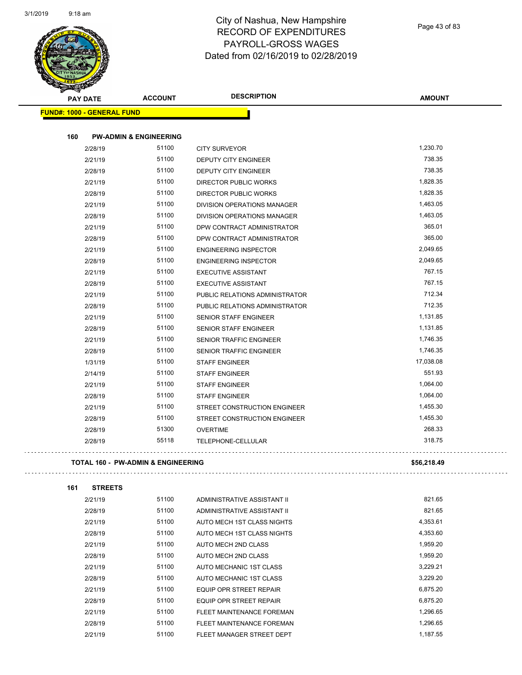Page 43 of 83

|     | <b>PAY DATE</b>                   | <b>ACCOUNT</b>                                | <b>DESCRIPTION</b>                                             | <b>AMOUNT</b> |
|-----|-----------------------------------|-----------------------------------------------|----------------------------------------------------------------|---------------|
|     | <b>FUND#: 1000 - GENERAL FUND</b> |                                               |                                                                |               |
|     |                                   | <b>PW-ADMIN &amp; ENGINEERING</b>             |                                                                |               |
| 160 | 2/28/19                           | 51100                                         |                                                                | 1,230.70      |
|     | 2/21/19                           | 51100                                         | <b>CITY SURVEYOR</b><br><b>DEPUTY CITY ENGINEER</b>            | 738.35        |
|     | 2/28/19                           | 51100                                         | <b>DEPUTY CITY ENGINEER</b>                                    | 738.35        |
|     | 2/21/19                           | 51100                                         | DIRECTOR PUBLIC WORKS                                          | 1,828.35      |
|     | 2/28/19                           | 51100                                         | DIRECTOR PUBLIC WORKS                                          | 1,828.35      |
|     | 2/21/19                           | 51100                                         | DIVISION OPERATIONS MANAGER                                    | 1,463.05      |
|     | 2/28/19                           | 51100                                         | <b>DIVISION OPERATIONS MANAGER</b>                             | 1,463.05      |
|     | 2/21/19                           | 51100                                         | DPW CONTRACT ADMINISTRATOR                                     | 365.01        |
|     | 2/28/19                           | 51100                                         | DPW CONTRACT ADMINISTRATOR                                     | 365.00        |
|     | 2/21/19                           | 51100                                         |                                                                | 2,049.65      |
|     | 2/28/19                           | 51100                                         | <b>ENGINEERING INSPECTOR</b><br><b>ENGINEERING INSPECTOR</b>   | 2,049.65      |
|     | 2/21/19                           | 51100                                         | <b>EXECUTIVE ASSISTANT</b>                                     | 767.15        |
|     | 2/28/19                           | 51100                                         | <b>EXECUTIVE ASSISTANT</b>                                     | 767.15        |
|     | 2/21/19                           | 51100                                         | PUBLIC RELATIONS ADMINISTRATOR                                 | 712.34        |
|     |                                   | 51100                                         |                                                                | 712.35        |
|     | 2/28/19<br>2/21/19                | 51100                                         | PUBLIC RELATIONS ADMINISTRATOR<br><b>SENIOR STAFF ENGINEER</b> | 1,131.85      |
|     | 2/28/19                           | 51100                                         | <b>SENIOR STAFF ENGINEER</b>                                   | 1,131.85      |
|     | 2/21/19                           | 51100                                         | SENIOR TRAFFIC ENGINEER                                        | 1,746.35      |
|     | 2/28/19                           | 51100                                         | SENIOR TRAFFIC ENGINEER                                        | 1,746.35      |
|     |                                   | 51100                                         |                                                                | 17,038.08     |
|     | 1/31/19                           | 51100                                         | <b>STAFF ENGINEER</b>                                          | 551.93        |
|     | 2/14/19<br>2/21/19                | 51100                                         | <b>STAFF ENGINEER</b><br><b>STAFF ENGINEER</b>                 | 1,064.00      |
|     | 2/28/19                           | 51100                                         | <b>STAFF ENGINEER</b>                                          | 1,064.00      |
|     | 2/21/19                           | 51100                                         | STREET CONSTRUCTION ENGINEER                                   | 1,455.30      |
|     |                                   | 51100                                         |                                                                | 1,455.30      |
|     | 2/28/19                           | 51300                                         | STREET CONSTRUCTION ENGINEER                                   | 268.33        |
|     | 2/28/19<br>2/28/19                | 55118                                         | <b>OVERTIME</b><br>TELEPHONE-CELLULAR                          | 318.75        |
|     |                                   |                                               |                                                                |               |
|     |                                   | <b>TOTAL 160 - PW-ADMIN &amp; ENGINEERING</b> |                                                                | \$56,218.49   |
| 161 | <b>STREETS</b>                    |                                               |                                                                |               |
|     |                                   | 51100                                         |                                                                | 821.65        |
|     | 2/21/19                           |                                               | ADMINISTRATIVE ASSISTANT II                                    |               |
|     | 2/28/19                           | 51100                                         | ADMINISTRATIVE ASSISTANT II                                    | 821.65        |
|     | 2/21/19                           | 51100                                         | AUTO MECH 1ST CLASS NIGHTS                                     | 4,353.61      |
|     | 2/28/19                           | 51100                                         | AUTO MECH 1ST CLASS NIGHTS                                     | 4,353.60      |
|     | 2/21/19                           | 51100                                         | AUTO MECH 2ND CLASS                                            | 1,959.20      |
|     | 2/28/19                           | 51100                                         | AUTO MECH 2ND CLASS                                            | 1,959.20      |
|     | 2/21/19                           | 51100                                         | AUTO MECHANIC 1ST CLASS                                        | 3,229.21      |
|     | 2/28/19                           | 51100                                         | AUTO MECHANIC 1ST CLASS                                        | 3,229.20      |
|     | 2/21/19                           | 51100                                         | EQUIP OPR STREET REPAIR                                        | 6,875.20      |
|     | 2/28/19                           | 51100                                         | EQUIP OPR STREET REPAIR                                        | 6,875.20      |
|     | 2/21/19                           | 51100                                         | FLEET MAINTENANCE FOREMAN                                      | 1,296.65      |
|     | 2/28/19                           | 51100                                         | FLEET MAINTENANCE FOREMAN                                      | 1,296.65      |
|     | 2/21/19                           | 51100                                         | FLEET MANAGER STREET DEPT                                      | 1,187.55      |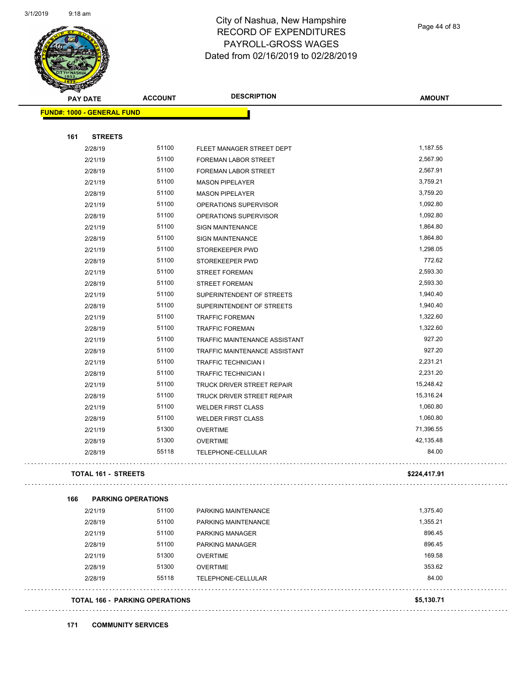

Page 44 of 83

| $\tilde{\phantom{a}}$<br><b>PAY DATE</b> |                            | <b>ACCOUNT</b>                        | <b>DESCRIPTION</b>            | <b>AMOUNT</b> |
|------------------------------------------|----------------------------|---------------------------------------|-------------------------------|---------------|
| FUND#: 1000 - GENERAL FUND               |                            |                                       |                               |               |
| 161                                      |                            |                                       |                               |               |
| 2/28/19                                  | <b>STREETS</b>             | 51100                                 | FLEET MANAGER STREET DEPT     | 1,187.55      |
| 2/21/19                                  |                            | 51100                                 | FOREMAN LABOR STREET          | 2,567.90      |
| 2/28/19                                  |                            | 51100                                 | FOREMAN LABOR STREET          | 2,567.91      |
| 2/21/19                                  |                            | 51100                                 | <b>MASON PIPELAYER</b>        | 3,759.21      |
| 2/28/19                                  |                            | 51100                                 | <b>MASON PIPELAYER</b>        | 3,759.20      |
| 2/21/19                                  |                            | 51100                                 | OPERATIONS SUPERVISOR         | 1,092.80      |
| 2/28/19                                  |                            | 51100                                 | OPERATIONS SUPERVISOR         | 1,092.80      |
| 2/21/19                                  |                            | 51100                                 | SIGN MAINTENANCE              | 1,864.80      |
| 2/28/19                                  |                            | 51100                                 | <b>SIGN MAINTENANCE</b>       | 1,864.80      |
| 2/21/19                                  |                            | 51100                                 | STOREKEEPER PWD               | 1,298.05      |
| 2/28/19                                  |                            | 51100                                 | STOREKEEPER PWD               | 772.62        |
| 2/21/19                                  |                            | 51100                                 | <b>STREET FOREMAN</b>         | 2,593.30      |
| 2/28/19                                  |                            | 51100                                 | <b>STREET FOREMAN</b>         | 2,593.30      |
| 2/21/19                                  |                            | 51100                                 | SUPERINTENDENT OF STREETS     | 1,940.40      |
| 2/28/19                                  |                            | 51100                                 | SUPERINTENDENT OF STREETS     | 1,940.40      |
| 2/21/19                                  |                            | 51100                                 | <b>TRAFFIC FOREMAN</b>        | 1,322.60      |
| 2/28/19                                  |                            | 51100                                 | <b>TRAFFIC FOREMAN</b>        | 1,322.60      |
| 2/21/19                                  |                            | 51100                                 | TRAFFIC MAINTENANCE ASSISTANT | 927.20        |
| 2/28/19                                  |                            | 51100                                 | TRAFFIC MAINTENANCE ASSISTANT | 927.20        |
| 2/21/19                                  |                            | 51100                                 | <b>TRAFFIC TECHNICIAN I</b>   | 2,231.21      |
| 2/28/19                                  |                            | 51100                                 | <b>TRAFFIC TECHNICIAN I</b>   | 2,231.20      |
| 2/21/19                                  |                            | 51100                                 | TRUCK DRIVER STREET REPAIR    | 15,248.42     |
| 2/28/19                                  |                            | 51100                                 | TRUCK DRIVER STREET REPAIR    | 15,316.24     |
| 2/21/19                                  |                            | 51100                                 | <b>WELDER FIRST CLASS</b>     | 1,060.80      |
| 2/28/19                                  |                            | 51100                                 | <b>WELDER FIRST CLASS</b>     | 1,060.80      |
| 2/21/19                                  |                            | 51300                                 | <b>OVERTIME</b>               | 71,396.55     |
| 2/28/19                                  |                            | 51300                                 | <b>OVERTIME</b>               | 42,135.48     |
| 2/28/19                                  |                            | 55118                                 | TELEPHONE-CELLULAR            | 84.00         |
|                                          | <b>TOTAL 161 - STREETS</b> |                                       |                               | \$224,417.91  |
| 166                                      |                            | <b>PARKING OPERATIONS</b>             |                               |               |
| 2/21/19                                  |                            | 51100                                 | PARKING MAINTENANCE           | 1,375.40      |
| 2/28/19                                  |                            | 51100                                 | PARKING MAINTENANCE           | 1,355.21      |
| 2/21/19                                  |                            | 51100                                 | PARKING MANAGER               | 896.45        |
| 2/28/19                                  |                            | 51100                                 | <b>PARKING MANAGER</b>        | 896.45        |
| 2/21/19                                  |                            | 51300                                 | <b>OVERTIME</b>               | 169.58        |
| 2/28/19                                  |                            | 51300                                 | <b>OVERTIME</b>               | 353.62        |
| 2/28/19                                  |                            | 55118                                 | TELEPHONE-CELLULAR            | 84.00         |
|                                          |                            | <b>TOTAL 166 - PARKING OPERATIONS</b> |                               | \$5,130.71    |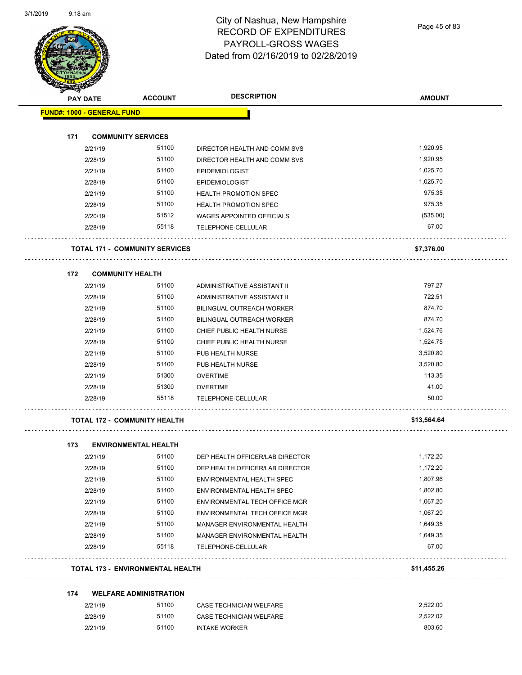Page 45 of 83

|                                   | <b>PAY DATE</b> | <b>ACCOUNT</b>                          | <b>DESCRIPTION</b>                   | <b>AMOUNT</b> |
|-----------------------------------|-----------------|-----------------------------------------|--------------------------------------|---------------|
| <b>FUND#: 1000 - GENERAL FUND</b> |                 |                                         |                                      |               |
| 171                               |                 | <b>COMMUNITY SERVICES</b>               |                                      |               |
|                                   | 2/21/19         | 51100                                   | DIRECTOR HEALTH AND COMM SVS         | 1,920.95      |
|                                   | 2/28/19         | 51100                                   | DIRECTOR HEALTH AND COMM SVS         | 1,920.95      |
|                                   | 2/21/19         | 51100                                   | <b>EPIDEMIOLOGIST</b>                | 1,025.70      |
|                                   | 2/28/19         | 51100                                   | <b>EPIDEMIOLOGIST</b>                | 1,025.70      |
|                                   | 2/21/19         | 51100                                   | <b>HEALTH PROMOTION SPEC</b>         | 975.35        |
|                                   | 2/28/19         | 51100                                   | <b>HEALTH PROMOTION SPEC</b>         | 975.35        |
|                                   | 2/20/19         | 51512                                   | <b>WAGES APPOINTED OFFICIALS</b>     | (535.00)      |
|                                   | 2/28/19         | 55118                                   | TELEPHONE-CELLULAR                   | 67.00         |
|                                   |                 | <b>TOTAL 171 - COMMUNITY SERVICES</b>   |                                      | \$7,376.00    |
| 172                               |                 | <b>COMMUNITY HEALTH</b>                 |                                      |               |
|                                   | 2/21/19         | 51100                                   | ADMINISTRATIVE ASSISTANT II          | 797.27        |
|                                   | 2/28/19         | 51100                                   | ADMINISTRATIVE ASSISTANT II          | 722.51        |
|                                   | 2/21/19         | 51100                                   | <b>BILINGUAL OUTREACH WORKER</b>     | 874.70        |
|                                   | 2/28/19         | 51100                                   | <b>BILINGUAL OUTREACH WORKER</b>     | 874.70        |
|                                   | 2/21/19         | 51100                                   | CHIEF PUBLIC HEALTH NURSE            | 1,524.76      |
|                                   | 2/28/19         | 51100                                   | CHIEF PUBLIC HEALTH NURSE            | 1,524.75      |
|                                   | 2/21/19         | 51100                                   | PUB HEALTH NURSE                     | 3,520.80      |
|                                   | 2/28/19         | 51100                                   | PUB HEALTH NURSE                     | 3,520.80      |
|                                   | 2/21/19         | 51300                                   | <b>OVERTIME</b>                      | 113.35        |
|                                   | 2/28/19         | 51300                                   | <b>OVERTIME</b>                      | 41.00         |
|                                   | 2/28/19         | 55118                                   | TELEPHONE-CELLULAR                   | 50.00         |
|                                   |                 | <b>TOTAL 172 - COMMUNITY HEALTH</b>     |                                      | \$13,564.64   |
| 173                               |                 | <b>ENVIRONMENTAL HEALTH</b>             |                                      |               |
|                                   | 2/21/19         | 51100                                   | DEP HEALTH OFFICER/LAB DIRECTOR      | 1.172.20      |
|                                   | 2/28/19         | 51100                                   | DEP HEALTH OFFICER/LAB DIRECTOR      | 1,172.20      |
|                                   | 2/21/19         | 51100                                   | ENVIRONMENTAL HEALTH SPEC            | 1,807.96      |
|                                   | 2/28/19         | 51100                                   | ENVIRONMENTAL HEALTH SPEC            | 1,802.80      |
|                                   | 2/21/19         | 51100                                   | <b>ENVIRONMENTAL TECH OFFICE MGR</b> | 1,067.20      |
|                                   | 2/28/19         | 51100                                   | ENVIRONMENTAL TECH OFFICE MGR        | 1,067.20      |
|                                   | 2/21/19         | 51100                                   | MANAGER ENVIRONMENTAL HEALTH         | 1,649.35      |
|                                   | 2/28/19         | 51100                                   | MANAGER ENVIRONMENTAL HEALTH         | 1,649.35      |
|                                   | 2/28/19         | 55118                                   | TELEPHONE-CELLULAR                   | 67.00         |
|                                   |                 | <b>TOTAL 173 - ENVIRONMENTAL HEALTH</b> |                                      | \$11,455.26   |
| 174                               |                 | <b>WELFARE ADMINISTRATION</b>           |                                      |               |
|                                   | 2/21/19         | 51100                                   | CASE TECHNICIAN WELFARE              | 2,522.00      |
|                                   | 2/28/19         | 51100                                   | CASE TECHNICIAN WELFARE              | 2,522.02      |
|                                   | 2/21/19         | 51100                                   | <b>INTAKE WORKER</b>                 | 803.60        |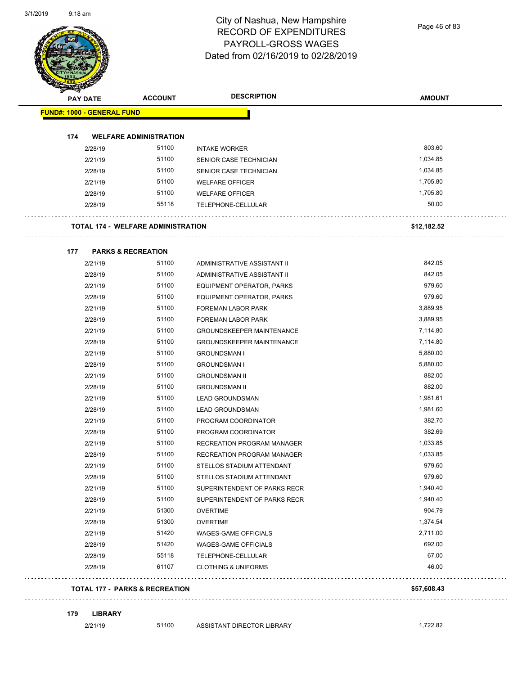Page 46 of 83

| <b>PAY DATE</b>                   | <b>ACCOUNT</b>                            | <b>DESCRIPTION</b>               | <b>AMOUNT</b> |
|-----------------------------------|-------------------------------------------|----------------------------------|---------------|
| <b>FUND#: 1000 - GENERAL FUND</b> |                                           |                                  |               |
| 174                               | <b>WELFARE ADMINISTRATION</b>             |                                  |               |
| 2/28/19                           | 51100                                     | <b>INTAKE WORKER</b>             | 803.60        |
| 2/21/19                           | 51100                                     | SENIOR CASE TECHNICIAN           | 1,034.85      |
| 2/28/19                           | 51100                                     | SENIOR CASE TECHNICIAN           | 1,034.85      |
| 2/21/19                           | 51100                                     | <b>WELFARE OFFICER</b>           | 1,705.80      |
| 2/28/19                           | 51100                                     | <b>WELFARE OFFICER</b>           | 1,705.80      |
| 2/28/19                           | 55118                                     | TELEPHONE-CELLULAR               | 50.00         |
|                                   | <b>TOTAL 174 - WELFARE ADMINISTRATION</b> |                                  | \$12,182.52   |
| 177                               | <b>PARKS &amp; RECREATION</b>             |                                  |               |
| 2/21/19                           | 51100                                     | ADMINISTRATIVE ASSISTANT II      | 842.05        |
| 2/28/19                           | 51100                                     | ADMINISTRATIVE ASSISTANT II      | 842.05        |
| 2/21/19                           | 51100                                     | EQUIPMENT OPERATOR, PARKS        | 979.60        |
| 2/28/19                           | 51100                                     | EQUIPMENT OPERATOR, PARKS        | 979.60        |
| 2/21/19                           | 51100                                     | FOREMAN LABOR PARK               | 3,889.95      |
| 2/28/19                           | 51100                                     | FOREMAN LABOR PARK               | 3,889.95      |
| 2/21/19                           | 51100                                     | <b>GROUNDSKEEPER MAINTENANCE</b> | 7,114.80      |
| 2/28/19                           | 51100                                     | <b>GROUNDSKEEPER MAINTENANCE</b> | 7,114.80      |
| 2/21/19                           | 51100                                     | <b>GROUNDSMAN I</b>              | 5,880.00      |
| 2/28/19                           | 51100                                     | <b>GROUNDSMAN I</b>              | 5,880.00      |
| 2/21/19                           | 51100                                     | <b>GROUNDSMAN II</b>             | 882.00        |
| 2/28/19                           | 51100                                     | <b>GROUNDSMAN II</b>             | 882.00        |
| 2/21/19                           | 51100                                     | <b>LEAD GROUNDSMAN</b>           | 1,981.61      |
| 2/28/19                           | 51100                                     | <b>LEAD GROUNDSMAN</b>           | 1,981.60      |
| 2/21/19                           | 51100                                     | PROGRAM COORDINATOR              | 382.70        |
| 2/28/19                           | 51100                                     | PROGRAM COORDINATOR              | 382.69        |
| 2/21/19                           | 51100                                     | RECREATION PROGRAM MANAGER       | 1,033.85      |
| 2/28/19                           | 51100                                     | RECREATION PROGRAM MANAGER       | 1,033.85      |
| 2/21/19                           | 51100                                     | STELLOS STADIUM ATTENDANT        | 979.60        |
| 2/28/19                           | 51100                                     | STELLOS STADIUM ATTENDANT        | 979.60        |
| 2/21/19                           | 51100                                     | SUPERINTENDENT OF PARKS RECR     | 1,940.40      |
| 2/28/19                           | 51100                                     | SUPERINTENDENT OF PARKS RECR     | 1,940.40      |
| 2/21/19                           | 51300                                     | <b>OVERTIME</b>                  | 904.79        |
| 2/28/19                           | 51300                                     | <b>OVERTIME</b>                  | 1,374.54      |
| 2/21/19                           | 51420                                     | WAGES-GAME OFFICIALS             | 2,711.00      |
| 2/28/19                           | 51420                                     | WAGES-GAME OFFICIALS             | 692.00        |
| 2/28/19                           | 55118                                     | TELEPHONE-CELLULAR               | 67.00         |
| 2/28/19                           | 61107                                     | <b>CLOTHING &amp; UNIFORMS</b>   | 46.00         |

#### **179 LIBRARY**

2/21/19 51100 ASSISTANT DIRECTOR LIBRARY 1,722.82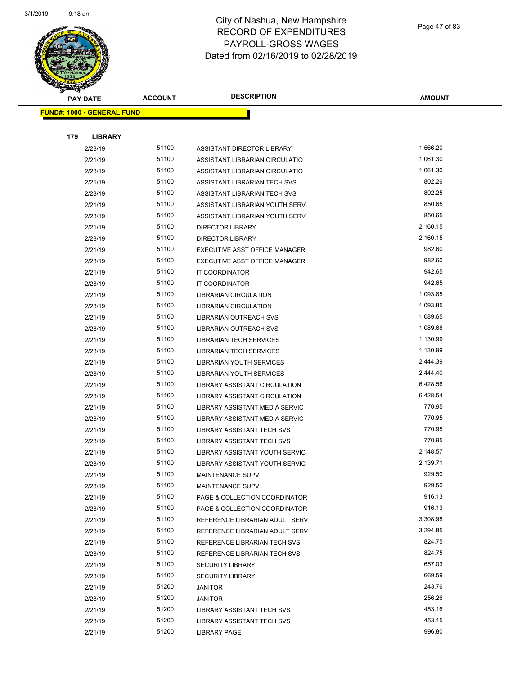

Page 47 of 83

| <b>PAY DATE</b>                   | <b>ACCOUNT</b> | <b>DESCRIPTION</b>                                           | <b>AMOUNT</b>      |
|-----------------------------------|----------------|--------------------------------------------------------------|--------------------|
| <b>FUND#: 1000 - GENERAL FUND</b> |                |                                                              |                    |
|                                   |                |                                                              |                    |
| 179<br><b>LIBRARY</b>             |                |                                                              |                    |
| 2/28/19                           | 51100          | ASSISTANT DIRECTOR LIBRARY                                   | 1,566.20           |
| 2/21/19                           | 51100          | ASSISTANT LIBRARIAN CIRCULATIO                               | 1,061.30           |
| 2/28/19                           | 51100          | ASSISTANT LIBRARIAN CIRCULATIO                               | 1,061.30           |
| 2/21/19                           | 51100          | ASSISTANT LIBRARIAN TECH SVS                                 | 802.26             |
| 2/28/19                           | 51100          | ASSISTANT LIBRARIAN TECH SVS                                 | 802.25             |
| 2/21/19                           | 51100          | ASSISTANT LIBRARIAN YOUTH SERV                               | 850.65             |
| 2/28/19                           | 51100          | ASSISTANT LIBRARIAN YOUTH SERV                               | 850.65             |
| 2/21/19                           | 51100          | <b>DIRECTOR LIBRARY</b>                                      | 2,160.15           |
| 2/28/19                           | 51100          | <b>DIRECTOR LIBRARY</b>                                      | 2,160.15           |
| 2/21/19                           | 51100          | EXECUTIVE ASST OFFICE MANAGER                                | 982.60             |
| 2/28/19                           | 51100          | EXECUTIVE ASST OFFICE MANAGER                                | 982.60             |
| 2/21/19                           | 51100          | IT COORDINATOR                                               | 942.65             |
| 2/28/19                           | 51100          | <b>IT COORDINATOR</b>                                        | 942.65             |
| 2/21/19                           | 51100          | LIBRARIAN CIRCULATION                                        | 1,093.85           |
| 2/28/19                           | 51100          | <b>LIBRARIAN CIRCULATION</b>                                 | 1,093.85           |
| 2/21/19                           | 51100          | <b>LIBRARIAN OUTREACH SVS</b>                                | 1,089.65           |
| 2/28/19                           | 51100          | LIBRARIAN OUTREACH SVS                                       | 1,089.68           |
| 2/21/19                           | 51100          | <b>LIBRARIAN TECH SERVICES</b>                               | 1,130.99           |
| 2/28/19                           | 51100          | <b>LIBRARIAN TECH SERVICES</b>                               | 1,130.99           |
| 2/21/19                           | 51100          | LIBRARIAN YOUTH SERVICES                                     | 2,444.39           |
| 2/28/19                           | 51100          | LIBRARIAN YOUTH SERVICES                                     | 2,444.40           |
| 2/21/19                           | 51100          | LIBRARY ASSISTANT CIRCULATION                                | 6,428.56           |
| 2/28/19                           | 51100          | LIBRARY ASSISTANT CIRCULATION                                | 6,428.54           |
| 2/21/19                           | 51100          | LIBRARY ASSISTANT MEDIA SERVIC                               | 770.95             |
| 2/28/19                           | 51100          | LIBRARY ASSISTANT MEDIA SERVIC                               | 770.95             |
| 2/21/19                           | 51100          | <b>LIBRARY ASSISTANT TECH SVS</b>                            | 770.95             |
| 2/28/19                           | 51100          | LIBRARY ASSISTANT TECH SVS                                   | 770.95             |
| 2/21/19                           | 51100          | LIBRARY ASSISTANT YOUTH SERVIC                               | 2,148.57           |
| 2/28/19                           | 51100          | LIBRARY ASSISTANT YOUTH SERVIC                               | 2,139.71           |
| 2/21/19                           | 51100          | <b>MAINTENANCE SUPV</b>                                      | 929.50             |
| 2/28/19                           | 51100          | MAINTENANCE SUPV                                             | 929.50             |
| 2/21/19                           | 51100          | PAGE & COLLECTION COORDINATOR                                | 916.13             |
| 2/28/19                           | 51100          | PAGE & COLLECTION COORDINATOR                                | 916.13             |
| 2/21/19                           | 51100          | REFERENCE LIBRARIAN ADULT SERV                               | 3,308.98           |
| 2/28/19                           | 51100<br>51100 | REFERENCE LIBRARIAN ADULT SERV                               | 3,294.85<br>824.75 |
| 2/21/19<br>2/28/19                | 51100          | REFERENCE LIBRARIAN TECH SVS<br>REFERENCE LIBRARIAN TECH SVS | 824.75             |
|                                   | 51100          | <b>SECURITY LIBRARY</b>                                      | 657.03             |
| 2/21/19<br>2/28/19                | 51100          | <b>SECURITY LIBRARY</b>                                      | 669.59             |
| 2/21/19                           | 51200          | <b>JANITOR</b>                                               | 243.76             |
| 2/28/19                           | 51200          | <b>JANITOR</b>                                               | 256.26             |
| 2/21/19                           | 51200          | LIBRARY ASSISTANT TECH SVS                                   | 453.16             |
| 2/28/19                           | 51200          | LIBRARY ASSISTANT TECH SVS                                   | 453.15             |
| 2/21/19                           | 51200          | <b>LIBRARY PAGE</b>                                          | 996.80             |
|                                   |                |                                                              |                    |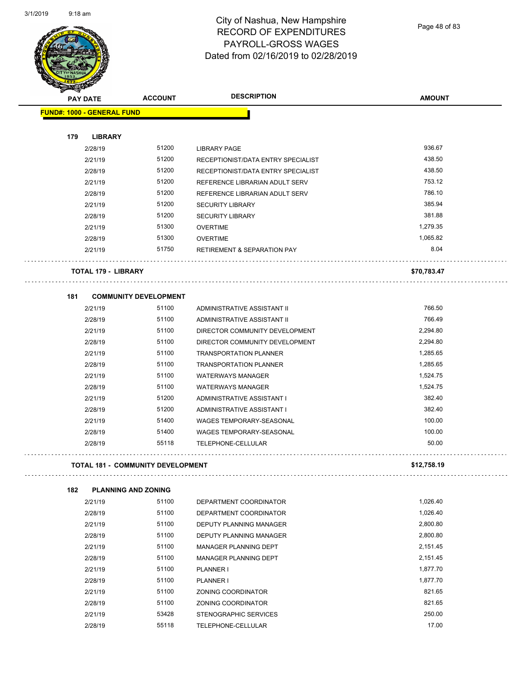Page 48 of 83

| <b>PAY DATE</b> |                                   | <b>ACCOUNT</b>                           | <b>DESCRIPTION</b>                             | <b>AMOUNT</b> |
|-----------------|-----------------------------------|------------------------------------------|------------------------------------------------|---------------|
|                 |                                   |                                          |                                                |               |
|                 | <b>FUND#: 1000 - GENERAL FUND</b> |                                          |                                                |               |
| 179             | <b>LIBRARY</b>                    |                                          |                                                |               |
|                 | 2/28/19                           | 51200                                    | <b>LIBRARY PAGE</b>                            | 936.67        |
|                 | 2/21/19                           | 51200                                    | RECEPTIONIST/DATA ENTRY SPECIALIST             | 438.50        |
|                 | 2/28/19                           | 51200                                    | RECEPTIONIST/DATA ENTRY SPECIALIST             | 438.50        |
|                 | 2/21/19                           | 51200                                    | REFERENCE LIBRARIAN ADULT SERV                 | 753.12        |
|                 | 2/28/19                           | 51200                                    | REFERENCE LIBRARIAN ADULT SERV                 | 786.10        |
|                 |                                   | 51200                                    |                                                | 385.94        |
|                 | 2/21/19                           |                                          | <b>SECURITY LIBRARY</b>                        | 381.88        |
|                 | 2/28/19                           | 51200                                    | <b>SECURITY LIBRARY</b>                        |               |
|                 | 2/21/19                           | 51300                                    | <b>OVERTIME</b>                                | 1,279.35      |
|                 | 2/28/19                           | 51300                                    | <b>OVERTIME</b>                                | 1,065.82      |
|                 | 2/21/19                           | 51750                                    | <b>RETIREMENT &amp; SEPARATION PAY</b>         | 8.04          |
|                 | <b>TOTAL 179 - LIBRARY</b>        |                                          |                                                | \$70,783.47   |
| 181             |                                   | <b>COMMUNITY DEVELOPMENT</b>             |                                                |               |
|                 | 2/21/19                           | 51100                                    | ADMINISTRATIVE ASSISTANT II                    | 766.50        |
|                 | 2/28/19                           | 51100                                    | ADMINISTRATIVE ASSISTANT II                    | 766.49        |
|                 | 2/21/19                           | 51100                                    | DIRECTOR COMMUNITY DEVELOPMENT                 | 2,294.80      |
|                 | 2/28/19                           | 51100                                    | DIRECTOR COMMUNITY DEVELOPMENT                 | 2,294.80      |
|                 | 2/21/19                           | 51100                                    | <b>TRANSPORTATION PLANNER</b>                  | 1,285.65      |
|                 | 2/28/19                           | 51100                                    | <b>TRANSPORTATION PLANNER</b>                  | 1,285.65      |
|                 | 2/21/19                           | 51100                                    | <b>WATERWAYS MANAGER</b>                       | 1,524.75      |
|                 | 2/28/19                           | 51100                                    | <b>WATERWAYS MANAGER</b>                       | 1,524.75      |
|                 | 2/21/19                           | 51200                                    | ADMINISTRATIVE ASSISTANT I                     | 382.40        |
|                 | 2/28/19                           | 51200                                    | ADMINISTRATIVE ASSISTANT I                     | 382.40        |
|                 | 2/21/19                           | 51400                                    | WAGES TEMPORARY-SEASONAL                       | 100.00        |
|                 |                                   |                                          |                                                | 100.00        |
|                 | 2/28/19<br>2/28/19                | 51400<br>55118                           | WAGES TEMPORARY-SEASONAL<br>TELEPHONE-CELLULAR | 50.00         |
|                 |                                   |                                          |                                                |               |
|                 |                                   | <b>TOTAL 181 - COMMUNITY DEVELOPMENT</b> |                                                | \$12,758.19   |
| 182             | <b>PLANNING AND ZONING</b>        |                                          |                                                |               |
|                 | 2/21/19                           | 51100                                    | DEPARTMENT COORDINATOR                         | 1,026.40      |
|                 | 2/28/19                           | 51100                                    | DEPARTMENT COORDINATOR                         | 1,026.40      |
|                 | 2/21/19                           | 51100                                    | DEPUTY PLANNING MANAGER                        | 2,800.80      |
|                 | 2/28/19                           | 51100                                    | DEPUTY PLANNING MANAGER                        | 2,800.80      |
|                 | 2/21/19                           | 51100                                    | MANAGER PLANNING DEPT                          | 2,151.45      |
|                 | 2/28/19                           | 51100                                    | MANAGER PLANNING DEPT                          | 2,151.45      |
|                 | 2/21/19                           | 51100                                    | PLANNER I                                      | 1,877.70      |
|                 | 2/28/19                           | 51100                                    | PLANNER I                                      | 1,877.70      |
|                 | 2/21/19                           | 51100                                    | ZONING COORDINATOR                             | 821.65        |
|                 | 2/28/19                           | 51100                                    | ZONING COORDINATOR                             | 821.65        |
|                 | 2/21/19                           | 53428                                    | STENOGRAPHIC SERVICES                          | 250.00        |

2/28/19 55118 TELEPHONE-CELLULAR 17.00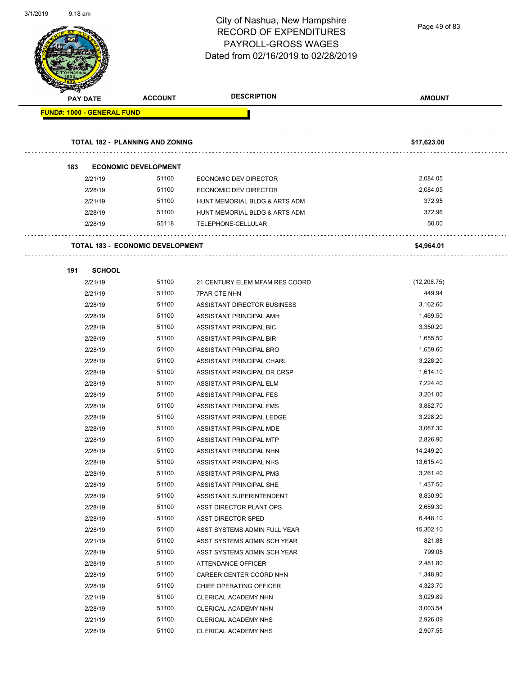

Page 49 of 83

|     | <b>PAY DATE</b>                   | <b>ACCOUNT</b>                          | <b>DESCRIPTION</b>                 | <b>AMOUNT</b> |
|-----|-----------------------------------|-----------------------------------------|------------------------------------|---------------|
|     | <b>FUND#: 1000 - GENERAL FUND</b> |                                         |                                    |               |
|     |                                   |                                         |                                    |               |
|     |                                   | <b>TOTAL 182 - PLANNING AND ZONING</b>  |                                    | \$17,623.00   |
|     |                                   |                                         |                                    |               |
| 183 |                                   | <b>ECONOMIC DEVELOPMENT</b>             |                                    |               |
|     | 2/21/19                           | 51100                                   | ECONOMIC DEV DIRECTOR              | 2,084.05      |
|     | 2/28/19                           | 51100                                   | <b>ECONOMIC DEV DIRECTOR</b>       | 2,084.05      |
|     | 2/21/19                           | 51100                                   | HUNT MEMORIAL BLDG & ARTS ADM      | 372.95        |
|     | 2/28/19                           | 51100                                   | HUNT MEMORIAL BLDG & ARTS ADM      | 372.96        |
|     | 2/28/19                           | 55118                                   | TELEPHONE-CELLULAR                 | 50.00         |
|     |                                   |                                         |                                    |               |
|     |                                   | <b>TOTAL 183 - ECONOMIC DEVELOPMENT</b> |                                    | \$4,964.01    |
|     |                                   |                                         |                                    |               |
| 191 | <b>SCHOOL</b>                     |                                         |                                    |               |
|     | 2/21/19                           | 51100                                   | 21 CENTURY ELEM MFAM RES COORD     | (12, 206.75)  |
|     | 2/21/19                           | 51100                                   | <b>7PAR CTE NHN</b>                | 449.94        |
|     | 2/28/19                           | 51100                                   | <b>ASSISTANT DIRECTOR BUSINESS</b> | 3,162.60      |
|     | 2/28/19                           | 51100                                   | ASSISTANT PRINCIPAL AMH            | 1,469.50      |
|     | 2/28/19                           | 51100                                   | ASSISTANT PRINCIPAL BIC            | 3,350.20      |
|     | 2/28/19                           | 51100                                   | ASSISTANT PRINCIPAL BIR            | 1,655.50      |
|     | 2/28/19                           | 51100                                   | ASSISTANT PRINCIPAL BRO            | 1,659.60      |
|     | 2/28/19                           | 51100                                   | ASSISTANT PRINCIPAL CHARL          | 3,228.20      |
|     | 2/28/19                           | 51100                                   | ASSISTANT PRINCIPAL DR CRSP        | 1,614.10      |
|     | 2/28/19                           | 51100                                   | ASSISTANT PRINCIPAL ELM            | 7,224.40      |
|     | 2/28/19                           | 51100                                   | ASSISTANT PRINCIPAL FES            | 3,201.00      |
|     | 2/28/19                           | 51100                                   | ASSISTANT PRINCIPAL FMS            | 3,882.70      |
|     | 2/28/19                           | 51100                                   | ASSISTANT PRINCIPAL LEDGE          | 3,228.20      |
|     | 2/28/19                           | 51100                                   | ASSISTANT PRINCIPAL MDE            | 3,067.30      |
|     | 2/28/19                           | 51100                                   | ASSISTANT PRINCIPAL MTP            | 2,826.90      |
|     | 2/28/19                           | 51100                                   | ASSISTANT PRINCIPAL NHN            | 14,249.20     |
|     | 2/28/19                           | 51100                                   | ASSISTANT PRINCIPAL NHS            | 13,615.40     |
|     | 2/28/19                           | 51100                                   | ASSISTANT PRINCIPAL PMS            | 3,261.40      |
|     | 2/28/19                           | 51100                                   | ASSISTANT PRINCIPAL SHE            | 1,437.50      |
|     | 2/28/19                           | 51100                                   | ASSISTANT SUPERINTENDENT           | 8,830.90      |
|     | 2/28/19                           | 51100                                   | ASST DIRECTOR PLANT OPS            | 2,689.30      |
|     | 2/28/19                           | 51100                                   | <b>ASST DIRECTOR SPED</b>          | 6,448.10      |
|     | 2/28/19                           | 51100                                   | ASST SYSTEMS ADMIN FULL YEAR       | 15,302.10     |
|     | 2/21/19                           | 51100                                   | ASST SYSTEMS ADMIN SCH YEAR        | 821.88        |
|     | 2/28/19                           | 51100                                   | ASST SYSTEMS ADMIN SCH YEAR        | 799.05        |
|     | 2/28/19                           | 51100                                   | ATTENDANCE OFFICER                 | 2,481.80      |
|     | 2/28/19                           | 51100                                   | CAREER CENTER COORD NHN            | 1,348.90      |
|     | 2/28/19                           | 51100                                   | CHIEF OPERATING OFFICER            | 4,323.70      |
|     | 2/21/19                           | 51100                                   | CLERICAL ACADEMY NHN               | 3,029.89      |
|     | 2/28/19                           | 51100                                   | CLERICAL ACADEMY NHN               | 3,003.54      |
|     | 2/21/19                           | 51100                                   | CLERICAL ACADEMY NHS               | 2,926.09      |
|     | 2/28/19                           | 51100                                   | CLERICAL ACADEMY NHS               | 2,907.55      |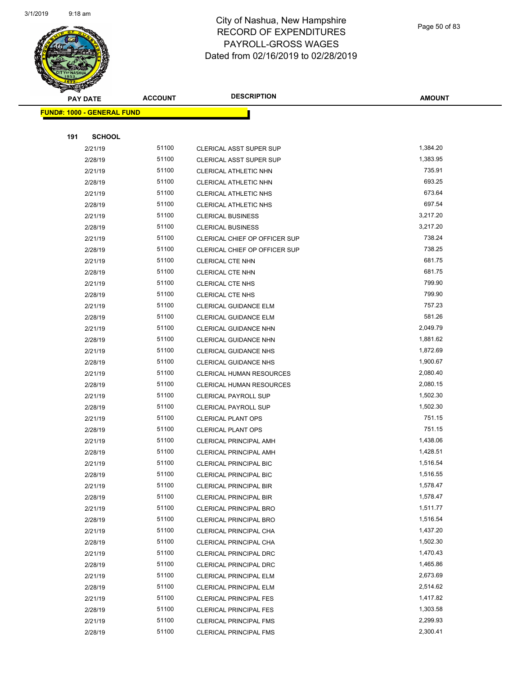

Page 50 of 83

|     | <b>PAY DATE</b>                   | <b>ACCOUNT</b> | <b>DESCRIPTION</b>                                             | <b>AMOUNT</b>        |
|-----|-----------------------------------|----------------|----------------------------------------------------------------|----------------------|
|     | <b>FUND#: 1000 - GENERAL FUND</b> |                |                                                                |                      |
|     |                                   |                |                                                                |                      |
| 191 | <b>SCHOOL</b>                     |                |                                                                |                      |
|     | 2/21/19                           | 51100          | <b>CLERICAL ASST SUPER SUP</b>                                 | 1,384.20             |
|     | 2/28/19                           | 51100          | <b>CLERICAL ASST SUPER SUP</b>                                 | 1,383.95             |
|     | 2/21/19                           | 51100          | CLERICAL ATHLETIC NHN                                          | 735.91               |
|     | 2/28/19                           | 51100          | CLERICAL ATHLETIC NHN                                          | 693.25               |
|     | 2/21/19                           | 51100          | CLERICAL ATHLETIC NHS                                          | 673.64               |
|     | 2/28/19                           | 51100          | CLERICAL ATHLETIC NHS                                          | 697.54               |
|     | 2/21/19                           | 51100          | <b>CLERICAL BUSINESS</b>                                       | 3,217.20             |
|     | 2/28/19                           | 51100          | <b>CLERICAL BUSINESS</b>                                       | 3,217.20             |
|     | 2/21/19                           | 51100          | CLERICAL CHIEF OP OFFICER SUP                                  | 738.24               |
|     | 2/28/19                           | 51100          | CLERICAL CHIEF OP OFFICER SUP                                  | 738.25               |
|     | 2/21/19                           | 51100          | <b>CLERICAL CTE NHN</b>                                        | 681.75               |
|     | 2/28/19                           | 51100          | <b>CLERICAL CTE NHN</b>                                        | 681.75               |
|     | 2/21/19                           | 51100          | <b>CLERICAL CTE NHS</b>                                        | 799.90               |
|     | 2/28/19                           | 51100          | <b>CLERICAL CTE NHS</b>                                        | 799.90               |
|     | 2/21/19                           | 51100          | <b>CLERICAL GUIDANCE ELM</b>                                   | 757.23               |
|     | 2/28/19                           | 51100          | <b>CLERICAL GUIDANCE ELM</b>                                   | 581.26               |
|     | 2/21/19                           | 51100          | CLERICAL GUIDANCE NHN                                          | 2,049.79             |
|     | 2/28/19                           | 51100          | CLERICAL GUIDANCE NHN                                          | 1,881.62             |
|     | 2/21/19                           | 51100          | <b>CLERICAL GUIDANCE NHS</b>                                   | 1,872.69             |
|     | 2/28/19                           | 51100          | <b>CLERICAL GUIDANCE NHS</b>                                   | 1,900.67             |
|     | 2/21/19                           | 51100          | <b>CLERICAL HUMAN RESOURCES</b>                                | 2,080.40             |
|     | 2/28/19                           | 51100          | <b>CLERICAL HUMAN RESOURCES</b>                                | 2,080.15             |
|     | 2/21/19                           | 51100          | <b>CLERICAL PAYROLL SUP</b>                                    | 1,502.30             |
|     | 2/28/19                           | 51100          | <b>CLERICAL PAYROLL SUP</b>                                    | 1,502.30             |
|     | 2/21/19                           | 51100          | <b>CLERICAL PLANT OPS</b>                                      | 751.15               |
|     | 2/28/19                           | 51100          | <b>CLERICAL PLANT OPS</b>                                      | 751.15               |
|     | 2/21/19                           | 51100          | <b>CLERICAL PRINCIPAL AMH</b>                                  | 1,438.06             |
|     | 2/28/19                           | 51100          | <b>CLERICAL PRINCIPAL AMH</b>                                  | 1,428.51             |
|     | 2/21/19                           | 51100          | <b>CLERICAL PRINCIPAL BIC</b>                                  | 1,516.54             |
|     | 2/28/19                           | 51100          | CLERICAL PRINCIPAL BIC                                         | 1,516.55             |
|     | 2/21/19                           | 51100          | <b>CLERICAL PRINCIPAL BIR</b>                                  | 1,578.47             |
|     | 2/28/19                           | 51100          | <b>CLERICAL PRINCIPAL BIR</b>                                  | 1,578.47             |
|     | 2/21/19                           | 51100<br>51100 | CLERICAL PRINCIPAL BRO                                         | 1,511.77<br>1,516.54 |
|     | 2/28/19                           | 51100          | <b>CLERICAL PRINCIPAL BRO</b><br><b>CLERICAL PRINCIPAL CHA</b> | 1,437.20             |
|     | 2/21/19<br>2/28/19                | 51100          | CLERICAL PRINCIPAL CHA                                         | 1,502.30             |
|     | 2/21/19                           | 51100          | CLERICAL PRINCIPAL DRC                                         | 1,470.43             |
|     | 2/28/19                           | 51100          | <b>CLERICAL PRINCIPAL DRC</b>                                  | 1,465.86             |
|     | 2/21/19                           | 51100          | <b>CLERICAL PRINCIPAL ELM</b>                                  | 2,673.69             |
|     | 2/28/19                           | 51100          | <b>CLERICAL PRINCIPAL ELM</b>                                  | 2,514.62             |
|     | 2/21/19                           | 51100          | <b>CLERICAL PRINCIPAL FES</b>                                  | 1,417.82             |
|     | 2/28/19                           | 51100          | <b>CLERICAL PRINCIPAL FES</b>                                  | 1,303.58             |
|     | 2/21/19                           | 51100          | <b>CLERICAL PRINCIPAL FMS</b>                                  | 2,299.93             |
|     | 2/28/19                           | 51100          | <b>CLERICAL PRINCIPAL FMS</b>                                  | 2,300.41             |
|     |                                   |                |                                                                |                      |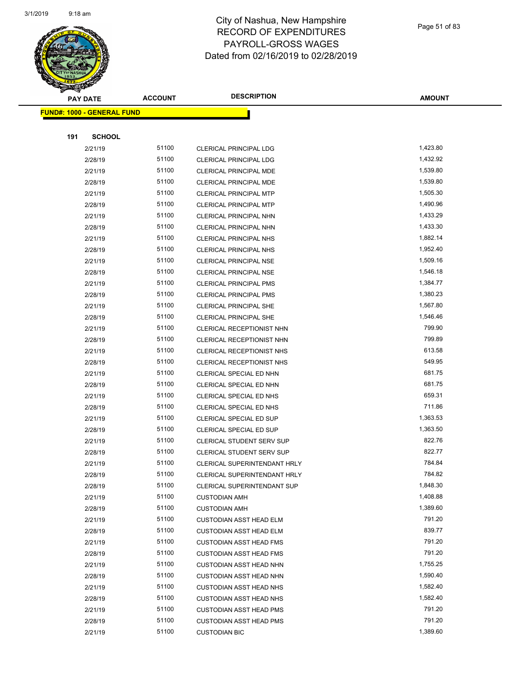

Page 51 of 83

|     | <b>PAY DATE</b>                   | <b>ACCOUNT</b> | <b>DESCRIPTION</b>             | <b>AMOUNT</b> |
|-----|-----------------------------------|----------------|--------------------------------|---------------|
|     | <b>FUND#: 1000 - GENERAL FUND</b> |                |                                |               |
|     |                                   |                |                                |               |
| 191 | <b>SCHOOL</b>                     |                |                                |               |
|     | 2/21/19                           | 51100          | <b>CLERICAL PRINCIPAL LDG</b>  | 1,423.80      |
|     | 2/28/19                           | 51100          | <b>CLERICAL PRINCIPAL LDG</b>  | 1,432.92      |
|     | 2/21/19                           | 51100          | <b>CLERICAL PRINCIPAL MDE</b>  | 1,539.80      |
|     | 2/28/19                           | 51100          | <b>CLERICAL PRINCIPAL MDE</b>  | 1,539.80      |
|     | 2/21/19                           | 51100          | <b>CLERICAL PRINCIPAL MTP</b>  | 1,505.30      |
|     | 2/28/19                           | 51100          | <b>CLERICAL PRINCIPAL MTP</b>  | 1,490.96      |
|     | 2/21/19                           | 51100          | CLERICAL PRINCIPAL NHN         | 1,433.29      |
|     | 2/28/19                           | 51100          | CLERICAL PRINCIPAL NHN         | 1,433.30      |
|     | 2/21/19                           | 51100          | <b>CLERICAL PRINCIPAL NHS</b>  | 1,882.14      |
|     | 2/28/19                           | 51100          | <b>CLERICAL PRINCIPAL NHS</b>  | 1,952.40      |
|     | 2/21/19                           | 51100          | <b>CLERICAL PRINCIPAL NSE</b>  | 1,509.16      |
|     | 2/28/19                           | 51100          | <b>CLERICAL PRINCIPAL NSE</b>  | 1,546.18      |
|     | 2/21/19                           | 51100          | <b>CLERICAL PRINCIPAL PMS</b>  | 1,384.77      |
|     | 2/28/19                           | 51100          | <b>CLERICAL PRINCIPAL PMS</b>  | 1,380.23      |
|     | 2/21/19                           | 51100          | <b>CLERICAL PRINCIPAL SHE</b>  | 1,567.80      |
|     | 2/28/19                           | 51100          | <b>CLERICAL PRINCIPAL SHE</b>  | 1,546.46      |
|     | 2/21/19                           | 51100          | CLERICAL RECEPTIONIST NHN      | 799.90        |
|     | 2/28/19                           | 51100          | CLERICAL RECEPTIONIST NHN      | 799.89        |
|     | 2/21/19                           | 51100          | CLERICAL RECEPTIONIST NHS      | 613.58        |
|     | 2/28/19                           | 51100          | CLERICAL RECEPTIONIST NHS      | 549.95        |
|     | 2/21/19                           | 51100          | CLERICAL SPECIAL ED NHN        | 681.75        |
|     | 2/28/19                           | 51100          | CLERICAL SPECIAL ED NHN        | 681.75        |
|     | 2/21/19                           | 51100          | CLERICAL SPECIAL ED NHS        | 659.31        |
|     | 2/28/19                           | 51100          | CLERICAL SPECIAL ED NHS        | 711.86        |
|     | 2/21/19                           | 51100          | CLERICAL SPECIAL ED SUP        | 1,363.53      |
|     | 2/28/19                           | 51100          | CLERICAL SPECIAL ED SUP        | 1,363.50      |
|     | 2/21/19                           | 51100          | CLERICAL STUDENT SERV SUP      | 822.76        |
|     | 2/28/19                           | 51100          | CLERICAL STUDENT SERV SUP      | 822.77        |
|     | 2/21/19                           | 51100          | CLERICAL SUPERINTENDANT HRLY   | 784.84        |
|     | 2/28/19                           | 51100          | CLERICAL SUPERINTENDANT HRLY   | 784.82        |
|     | 2/28/19                           | 51100          | CLERICAL SUPERINTENDANT SUP    | 1,848.30      |
|     | 2/21/19                           | 51100          | <b>CUSTODIAN AMH</b>           | 1,408.88      |
|     | 2/28/19                           | 51100          | <b>CUSTODIAN AMH</b>           | 1,389.60      |
|     | 2/21/19                           | 51100          | <b>CUSTODIAN ASST HEAD ELM</b> | 791.20        |
|     | 2/28/19                           | 51100          | <b>CUSTODIAN ASST HEAD ELM</b> | 839.77        |
|     | 2/21/19                           | 51100          | <b>CUSTODIAN ASST HEAD FMS</b> | 791.20        |
|     | 2/28/19                           | 51100          | <b>CUSTODIAN ASST HEAD FMS</b> | 791.20        |
|     | 2/21/19                           | 51100          | <b>CUSTODIAN ASST HEAD NHN</b> | 1,755.25      |
|     | 2/28/19                           | 51100          | <b>CUSTODIAN ASST HEAD NHN</b> | 1,590.40      |
|     | 2/21/19                           | 51100          | <b>CUSTODIAN ASST HEAD NHS</b> | 1,582.40      |
|     | 2/28/19                           | 51100          | <b>CUSTODIAN ASST HEAD NHS</b> | 1,582.40      |
|     | 2/21/19                           | 51100          | <b>CUSTODIAN ASST HEAD PMS</b> | 791.20        |
|     | 2/28/19                           | 51100          | <b>CUSTODIAN ASST HEAD PMS</b> | 791.20        |
|     | 2/21/19                           | 51100          | <b>CUSTODIAN BIC</b>           | 1,389.60      |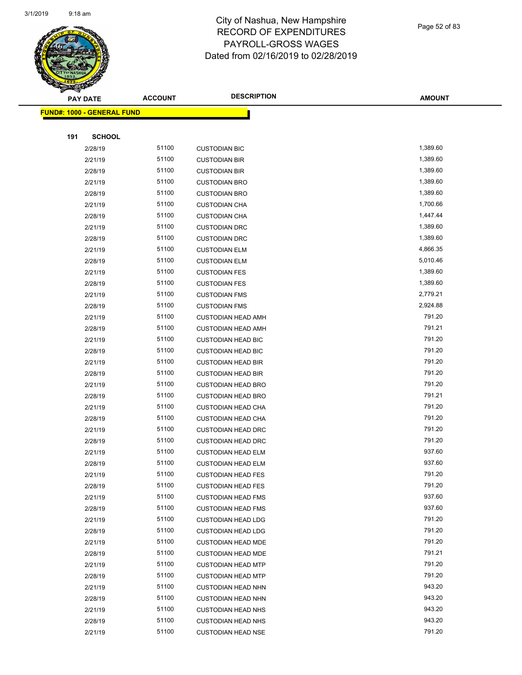**FUND#: 1000 - GENERAL FUND**



#### City of Nashua, New Hampshire RECORD OF EXPENDITURES PAYROLL-GROSS WAGES Dated from 02/16/2019 to 02/28/2019

|     | <b>PAY DATE</b>               | <b>ACCOUNT</b> | <b>DESCRIPTION</b>        | <b>AMOUNT</b> |
|-----|-------------------------------|----------------|---------------------------|---------------|
|     | <u>l: 1000 - GENERAL FUND</u> |                |                           |               |
|     |                               |                |                           |               |
| 191 | <b>SCHOOL</b>                 |                |                           |               |
|     | 2/28/19                       | 51100          | <b>CUSTODIAN BIC</b>      | 1,389.60      |
|     | 2/21/19                       | 51100          | <b>CUSTODIAN BIR</b>      | 1,389.60      |
|     | 2/28/19                       | 51100          | <b>CUSTODIAN BIR</b>      | 1,389.60      |
|     | 2/21/19                       | 51100          | <b>CUSTODIAN BRO</b>      | 1,389.60      |
|     | 2/28/19                       | 51100          | <b>CUSTODIAN BRO</b>      | 1,389.60      |
|     | 2/21/19                       | 51100          | <b>CUSTODIAN CHA</b>      | 1,700.66      |
|     | 2/28/19                       | 51100          | <b>CUSTODIAN CHA</b>      | 1,447.44      |
|     | 2/21/19                       | 51100          | <b>CUSTODIAN DRC</b>      | 1,389.60      |
|     | 2/28/19                       | 51100          | <b>CUSTODIAN DRC</b>      | 1,389.60      |
|     | 2/21/19                       | 51100          | <b>CUSTODIAN ELM</b>      | 4,866.35      |
|     | 2/28/19                       | 51100          | <b>CUSTODIAN ELM</b>      | 5,010.46      |
|     | 2/21/19                       | 51100          | <b>CUSTODIAN FES</b>      | 1,389.60      |
|     | 2/28/19                       | 51100          | <b>CUSTODIAN FES</b>      | 1,389.60      |
|     | 2/21/19                       | 51100          | <b>CUSTODIAN FMS</b>      | 2,779.21      |
|     | 2/28/19                       | 51100          | <b>CUSTODIAN FMS</b>      | 2,924.88      |
|     | 2/21/19                       | 51100          | <b>CUSTODIAN HEAD AMH</b> | 791.20        |
|     | 2/28/19                       | 51100          | <b>CUSTODIAN HEAD AMH</b> | 791.21        |
|     | 2/21/19                       | 51100          | <b>CUSTODIAN HEAD BIC</b> | 791.20        |
|     | 2/28/19                       | 51100          | <b>CUSTODIAN HEAD BIC</b> | 791.20        |
|     | 2/21/19                       | 51100          | <b>CUSTODIAN HEAD BIR</b> | 791.20        |
|     | 2/28/19                       | 51100          | <b>CUSTODIAN HEAD BIR</b> | 791.20        |
|     | 2/21/19                       | 51100          | <b>CUSTODIAN HEAD BRO</b> | 791.20        |
|     | 2/28/19                       | 51100          | <b>CUSTODIAN HEAD BRO</b> | 791.21        |
|     | 2/21/19                       | 51100          | <b>CUSTODIAN HEAD CHA</b> | 791.20        |
|     | 2/28/19                       | 51100          | <b>CUSTODIAN HEAD CHA</b> | 791.20        |
|     | 2/21/19                       | 51100          | <b>CUSTODIAN HEAD DRC</b> | 791.20        |
|     | 2/28/19                       | 51100          | <b>CUSTODIAN HEAD DRC</b> | 791.20        |
|     | 2/21/19                       | 51100          | <b>CUSTODIAN HEAD ELM</b> | 937.60        |
|     | 2/28/19                       | 51100          | <b>CUSTODIAN HEAD ELM</b> | 937.60        |
|     | 2/21/19                       | 51100          | <b>CUSTODIAN HEAD FES</b> | 791.20        |
|     | 2/28/19                       | 51100          | <b>CUSTODIAN HEAD FES</b> | 791.20        |
|     | 2/21/19                       | 51100          | <b>CUSTODIAN HEAD FMS</b> | 937.60        |
|     | 2/28/19                       | 51100          | <b>CUSTODIAN HEAD FMS</b> | 937.60        |
|     | 2/21/19                       | 51100          | <b>CUSTODIAN HEAD LDG</b> | 791.20        |
|     | 2/28/19                       | 51100          | <b>CUSTODIAN HEAD LDG</b> | 791.20        |
|     | 2/21/19                       | 51100          | <b>CUSTODIAN HEAD MDE</b> | 791.20        |
|     | 2/28/19                       | 51100          | <b>CUSTODIAN HEAD MDE</b> | 791.21        |
|     | 2/21/19                       | 51100          | <b>CUSTODIAN HEAD MTP</b> | 791.20        |
|     | 2/28/19                       | 51100          | <b>CUSTODIAN HEAD MTP</b> | 791.20        |
|     | 2/21/19                       | 51100          | <b>CUSTODIAN HEAD NHN</b> | 943.20        |
|     | 2/28/19                       | 51100          | <b>CUSTODIAN HEAD NHN</b> | 943.20        |
|     | 2/21/19                       | 51100          | <b>CUSTODIAN HEAD NHS</b> | 943.20        |
|     | 2/28/19                       | 51100          | <b>CUSTODIAN HEAD NHS</b> | 943.20        |
|     | 2/21/19                       | 51100          | <b>CUSTODIAN HEAD NSE</b> | 791.20        |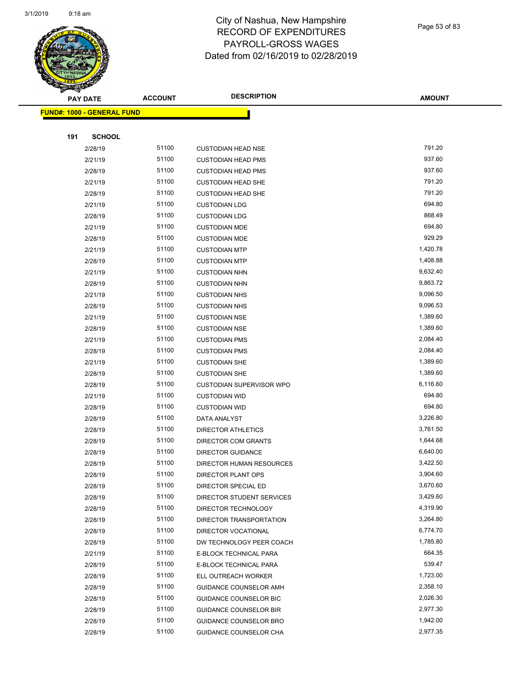

Page 53 of 83

|     | <b>PAY DATE</b>                   | <b>ACCOUNT</b> | <b>DESCRIPTION</b>                                 | <b>AMOUNT</b>        |
|-----|-----------------------------------|----------------|----------------------------------------------------|----------------------|
|     | <b>FUND#: 1000 - GENERAL FUND</b> |                |                                                    |                      |
|     |                                   |                |                                                    |                      |
| 191 | <b>SCHOOL</b>                     |                |                                                    |                      |
|     | 2/28/19                           | 51100          | <b>CUSTODIAN HEAD NSE</b>                          | 791.20               |
|     | 2/21/19                           | 51100          | <b>CUSTODIAN HEAD PMS</b>                          | 937.60               |
|     | 2/28/19                           | 51100          | <b>CUSTODIAN HEAD PMS</b>                          | 937.60               |
|     | 2/21/19                           | 51100          | <b>CUSTODIAN HEAD SHE</b>                          | 791.20               |
|     | 2/28/19                           | 51100          | <b>CUSTODIAN HEAD SHE</b>                          | 791.20               |
|     | 2/21/19                           | 51100          | <b>CUSTODIAN LDG</b>                               | 694.80               |
|     | 2/28/19                           | 51100          | <b>CUSTODIAN LDG</b>                               | 868.49               |
|     | 2/21/19                           | 51100          | <b>CUSTODIAN MDE</b>                               | 694.80               |
|     | 2/28/19                           | 51100          | <b>CUSTODIAN MDE</b>                               | 929.29               |
|     | 2/21/19                           | 51100          | <b>CUSTODIAN MTP</b>                               | 1,420.78             |
|     | 2/28/19                           | 51100          | <b>CUSTODIAN MTP</b>                               | 1,408.88             |
|     | 2/21/19                           | 51100          | <b>CUSTODIAN NHN</b>                               | 9,632.40             |
|     | 2/28/19                           | 51100          | <b>CUSTODIAN NHN</b>                               | 9,863.72             |
|     | 2/21/19                           | 51100          | <b>CUSTODIAN NHS</b>                               | 9,096.50             |
|     | 2/28/19                           | 51100          | <b>CUSTODIAN NHS</b>                               | 9,096.53             |
|     | 2/21/19                           | 51100          | <b>CUSTODIAN NSE</b>                               | 1,389.60             |
|     | 2/28/19                           | 51100          | <b>CUSTODIAN NSE</b>                               | 1,389.60             |
|     | 2/21/19                           | 51100          | <b>CUSTODIAN PMS</b>                               | 2,084.40             |
|     | 2/28/19                           | 51100          | <b>CUSTODIAN PMS</b>                               | 2,084.40             |
|     | 2/21/19                           | 51100          | <b>CUSTODIAN SHE</b>                               | 1,389.60             |
|     | 2/28/19                           | 51100          | <b>CUSTODIAN SHE</b>                               | 1,389.60             |
|     | 2/28/19                           | 51100          | CUSTODIAN SUPERVISOR WPO                           | 6,116.60             |
|     | 2/21/19                           | 51100          | <b>CUSTODIAN WID</b>                               | 694.80               |
|     | 2/28/19                           | 51100          | <b>CUSTODIAN WID</b>                               | 694.80               |
|     | 2/28/19                           | 51100          | DATA ANALYST                                       | 3,226.80             |
|     | 2/28/19                           | 51100          | DIRECTOR ATHLETICS                                 | 3,761.50             |
|     | 2/28/19                           | 51100          | DIRECTOR COM GRANTS                                | 1,644.68             |
|     | 2/28/19                           | 51100          | <b>DIRECTOR GUIDANCE</b>                           | 6,640.00             |
|     | 2/28/19                           | 51100          | <b>DIRECTOR HUMAN RESOURCES</b>                    | 3,422.50             |
|     | 2/28/19                           | 51100          | DIRECTOR PLANT OPS                                 | 3,904.60             |
|     | 2/28/19                           | 51100          | DIRECTOR SPECIAL ED                                | 3,670.60             |
|     | 2/28/19                           | 51100          | DIRECTOR STUDENT SERVICES                          | 3,429.60             |
|     | 2/28/19                           | 51100          | DIRECTOR TECHNOLOGY                                | 4,319.90             |
|     | 2/28/19                           | 51100<br>51100 | DIRECTOR TRANSPORTATION                            | 3,264.80<br>6,774.70 |
|     | 2/28/19                           | 51100          | DIRECTOR VOCATIONAL                                | 1,785.80             |
|     | 2/28/19<br>2/21/19                | 51100          | DW TECHNOLOGY PEER COACH<br>E-BLOCK TECHNICAL PARA | 664.35               |
|     | 2/28/19                           | 51100          |                                                    | 539.47               |
|     | 2/28/19                           | 51100          | E-BLOCK TECHNICAL PARA<br>ELL OUTREACH WORKER      | 1,723.00             |
|     | 2/28/19                           | 51100          | GUIDANCE COUNSELOR AMH                             | 2,358.10             |
|     | 2/28/19                           | 51100          | <b>GUIDANCE COUNSELOR BIC</b>                      | 2,026.30             |
|     | 2/28/19                           | 51100          | <b>GUIDANCE COUNSELOR BIR</b>                      | 2,977.30             |
|     | 2/28/19                           | 51100          | GUIDANCE COUNSELOR BRO                             | 1,942.00             |
|     | 2/28/19                           | 51100          | GUIDANCE COUNSELOR CHA                             | 2,977.35             |
|     |                                   |                |                                                    |                      |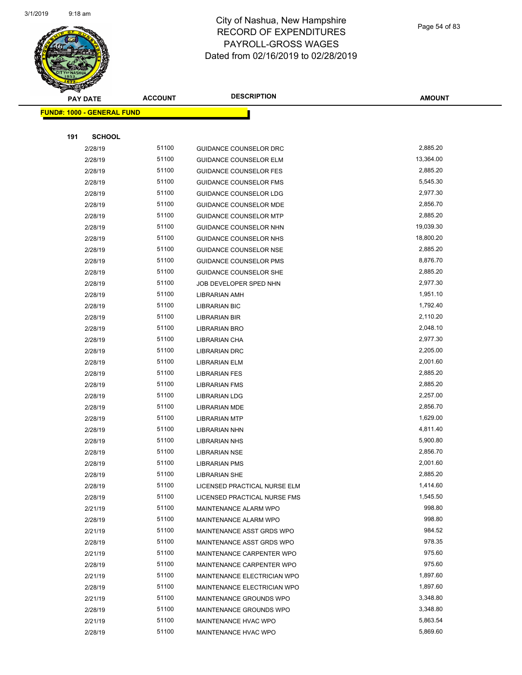

Page 54 of 83

| <b>PAY DATE</b>                   | <b>ACCOUNT</b> | <b>DESCRIPTION</b>            | <b>AMOUNT</b> |
|-----------------------------------|----------------|-------------------------------|---------------|
| <b>FUND#: 1000 - GENERAL FUND</b> |                |                               |               |
|                                   |                |                               |               |
| <b>SCHOOL</b><br>191              |                |                               |               |
| 2/28/19                           | 51100          | <b>GUIDANCE COUNSELOR DRC</b> | 2,885.20      |
| 2/28/19                           | 51100          | <b>GUIDANCE COUNSELOR ELM</b> | 13,364.00     |
| 2/28/19                           | 51100          | <b>GUIDANCE COUNSELOR FES</b> | 2,885.20      |
| 2/28/19                           | 51100          | <b>GUIDANCE COUNSELOR FMS</b> | 5,545.30      |
| 2/28/19                           | 51100          | GUIDANCE COUNSELOR LDG        | 2,977.30      |
| 2/28/19                           | 51100          | <b>GUIDANCE COUNSELOR MDE</b> | 2,856.70      |
| 2/28/19                           | 51100          | <b>GUIDANCE COUNSELOR MTP</b> | 2,885.20      |
| 2/28/19                           | 51100          | GUIDANCE COUNSELOR NHN        | 19,039.30     |
| 2/28/19                           | 51100          | GUIDANCE COUNSELOR NHS        | 18,800.20     |
| 2/28/19                           | 51100          | <b>GUIDANCE COUNSELOR NSE</b> | 2,885.20      |
| 2/28/19                           | 51100          | <b>GUIDANCE COUNSELOR PMS</b> | 8,876.70      |
| 2/28/19                           | 51100          | <b>GUIDANCE COUNSELOR SHE</b> | 2,885.20      |
| 2/28/19                           | 51100          | JOB DEVELOPER SPED NHN        | 2,977.30      |
| 2/28/19                           | 51100          | <b>LIBRARIAN AMH</b>          | 1,951.10      |
| 2/28/19                           | 51100          | <b>LIBRARIAN BIC</b>          | 1,792.40      |
| 2/28/19                           | 51100          | <b>LIBRARIAN BIR</b>          | 2,110.20      |
| 2/28/19                           | 51100          | <b>LIBRARIAN BRO</b>          | 2,048.10      |
| 2/28/19                           | 51100          | <b>LIBRARIAN CHA</b>          | 2,977.30      |
| 2/28/19                           | 51100          | <b>LIBRARIAN DRC</b>          | 2,205.00      |
| 2/28/19                           | 51100          | <b>LIBRARIAN ELM</b>          | 2,001.60      |
| 2/28/19                           | 51100          | <b>LIBRARIAN FES</b>          | 2,885.20      |
| 2/28/19                           | 51100          | <b>LIBRARIAN FMS</b>          | 2,885.20      |
| 2/28/19                           | 51100          | <b>LIBRARIAN LDG</b>          | 2,257.00      |
| 2/28/19                           | 51100          | <b>LIBRARIAN MDE</b>          | 2,856.70      |
| 2/28/19                           | 51100          | <b>LIBRARIAN MTP</b>          | 1,629.00      |
| 2/28/19                           | 51100          | <b>LIBRARIAN NHN</b>          | 4,811.40      |
| 2/28/19                           | 51100          | <b>LIBRARIAN NHS</b>          | 5,900.80      |
| 2/28/19                           | 51100          | <b>LIBRARIAN NSE</b>          | 2,856.70      |
| 2/28/19                           | 51100          | <b>LIBRARIAN PMS</b>          | 2,001.60      |
| 2/28/19                           | 51100          | <b>LIBRARIAN SHE</b>          | 2,885.20      |
| 2/28/19                           | 51100          | LICENSED PRACTICAL NURSE ELM  | 1,414.60      |
| 2/28/19                           | 51100          | LICENSED PRACTICAL NURSE FMS  | 1,545.50      |
| 2/21/19                           | 51100          | MAINTENANCE ALARM WPO         | 998.80        |
| 2/28/19                           | 51100          | MAINTENANCE ALARM WPO         | 998.80        |
| 2/21/19                           | 51100          | MAINTENANCE ASST GRDS WPO     | 984.52        |
| 2/28/19                           | 51100          | MAINTENANCE ASST GRDS WPO     | 978.35        |
| 2/21/19                           | 51100          | MAINTENANCE CARPENTER WPO     | 975.60        |
| 2/28/19                           | 51100          | MAINTENANCE CARPENTER WPO     | 975.60        |
| 2/21/19                           | 51100          | MAINTENANCE ELECTRICIAN WPO   | 1,897.60      |
| 2/28/19                           | 51100          | MAINTENANCE ELECTRICIAN WPO   | 1,897.60      |
| 2/21/19                           | 51100          | MAINTENANCE GROUNDS WPO       | 3,348.80      |
| 2/28/19                           | 51100          | MAINTENANCE GROUNDS WPO       | 3,348.80      |
| 2/21/19                           | 51100          | MAINTENANCE HVAC WPO          | 5,863.54      |
| 2/28/19                           | 51100          | MAINTENANCE HVAC WPO          | 5,869.60      |
|                                   |                |                               |               |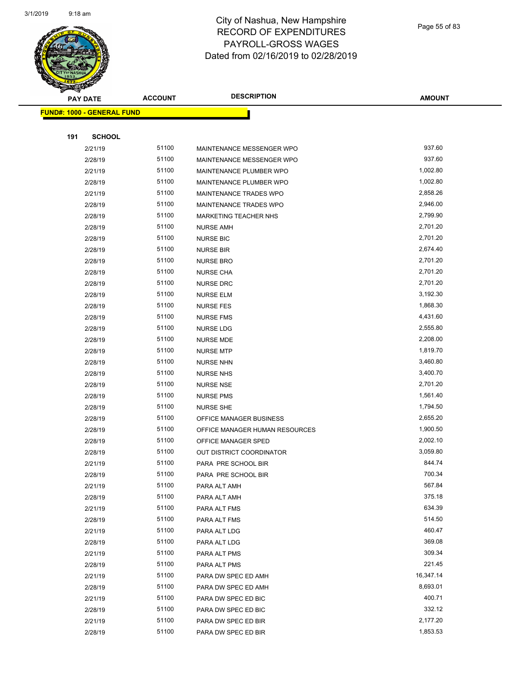

Page 55 of 83

| ॼ   | <b>PAY DATE</b>                   | <b>ACCOUNT</b> | <b>DESCRIPTION</b>                         | <b>AMOUNT</b>       |
|-----|-----------------------------------|----------------|--------------------------------------------|---------------------|
|     | <b>FUND#: 1000 - GENERAL FUND</b> |                |                                            |                     |
|     |                                   |                |                                            |                     |
| 191 | <b>SCHOOL</b>                     |                |                                            |                     |
|     | 2/21/19                           | 51100          | MAINTENANCE MESSENGER WPO                  | 937.60              |
|     | 2/28/19                           | 51100          | MAINTENANCE MESSENGER WPO                  | 937.60              |
|     | 2/21/19                           | 51100          | MAINTENANCE PLUMBER WPO                    | 1,002.80            |
|     | 2/28/19                           | 51100          | MAINTENANCE PLUMBER WPO                    | 1,002.80            |
|     | 2/21/19                           | 51100          | MAINTENANCE TRADES WPO                     | 2,858.26            |
|     | 2/28/19                           | 51100          | MAINTENANCE TRADES WPO                     | 2,946.00            |
|     | 2/28/19                           | 51100          | <b>MARKETING TEACHER NHS</b>               | 2,799.90            |
|     | 2/28/19                           | 51100          | <b>NURSE AMH</b>                           | 2,701.20            |
|     | 2/28/19                           | 51100          | <b>NURSE BIC</b>                           | 2,701.20            |
|     | 2/28/19                           | 51100          | <b>NURSE BIR</b>                           | 2,674.40            |
|     | 2/28/19                           | 51100          | <b>NURSE BRO</b>                           | 2,701.20            |
|     | 2/28/19                           | 51100          | <b>NURSE CHA</b>                           | 2,701.20            |
|     | 2/28/19                           | 51100          | <b>NURSE DRC</b>                           | 2,701.20            |
|     | 2/28/19                           | 51100          | <b>NURSE ELM</b>                           | 3,192.30            |
|     | 2/28/19                           | 51100          | <b>NURSE FES</b>                           | 1,868.30            |
|     | 2/28/19                           | 51100          | <b>NURSE FMS</b>                           | 4,431.60            |
|     | 2/28/19                           | 51100          | <b>NURSE LDG</b>                           | 2,555.80            |
|     | 2/28/19                           | 51100          | <b>NURSE MDE</b>                           | 2,208.00            |
|     | 2/28/19                           | 51100          | <b>NURSE MTP</b>                           | 1,819.70            |
|     | 2/28/19                           | 51100          | <b>NURSE NHN</b>                           | 3,460.80            |
|     | 2/28/19                           | 51100          | <b>NURSE NHS</b>                           | 3,400.70            |
|     | 2/28/19                           | 51100          | <b>NURSE NSE</b>                           | 2,701.20            |
|     | 2/28/19                           | 51100          | <b>NURSE PMS</b>                           | 1,561.40            |
|     | 2/28/19                           | 51100          | <b>NURSE SHE</b>                           | 1,794.50            |
|     | 2/28/19                           | 51100          | OFFICE MANAGER BUSINESS                    | 2,655.20            |
|     | 2/28/19                           | 51100          | OFFICE MANAGER HUMAN RESOURCES             | 1,900.50            |
|     | 2/28/19                           | 51100          | OFFICE MANAGER SPED                        | 2,002.10            |
|     | 2/28/19                           | 51100          | OUT DISTRICT COORDINATOR                   | 3,059.80            |
|     | 2/21/19                           | 51100          | PARA PRE SCHOOL BIR                        | 844.74              |
|     | 2/28/19                           | 51100          | PARA PRE SCHOOL BIR                        | 700.34              |
|     | 2/21/19                           | 51100          | PARA ALT AMH                               | 567.84              |
|     | 2/28/19                           | 51100          | PARA ALT AMH                               | 375.18              |
|     | 2/21/19                           | 51100          | PARA ALT FMS                               | 634.39              |
|     | 2/28/19                           | 51100          | PARA ALT FMS                               | 514.50              |
|     | 2/21/19                           | 51100          | PARA ALT LDG                               | 460.47<br>369.08    |
|     | 2/28/19                           | 51100          | PARA ALT LDG                               | 309.34              |
|     | 2/21/19                           | 51100          | PARA ALT PMS                               |                     |
|     | 2/28/19                           | 51100          | PARA ALT PMS                               | 221.45<br>16,347.14 |
|     | 2/21/19                           | 51100<br>51100 | PARA DW SPEC ED AMH                        | 8,693.01            |
|     | 2/28/19<br>2/21/19                | 51100          | PARA DW SPEC ED AMH<br>PARA DW SPEC ED BIC | 400.71              |
|     |                                   | 51100          | PARA DW SPEC ED BIC                        | 332.12              |
|     | 2/28/19                           | 51100          | PARA DW SPEC ED BIR                        | 2,177.20            |
|     | 2/21/19                           | 51100          | PARA DW SPEC ED BIR                        | 1,853.53            |
|     | 2/28/19                           |                |                                            |                     |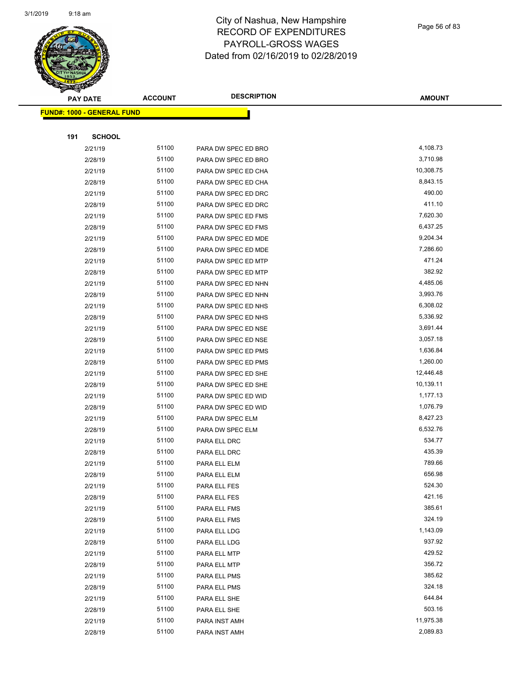

Page 56 of 83

|     | <b>PAY DATE</b>                   | <b>ACCOUNT</b> | <b>DESCRIPTION</b>  | <b>AMOUNT</b> |
|-----|-----------------------------------|----------------|---------------------|---------------|
|     | <b>FUND#: 1000 - GENERAL FUND</b> |                |                     |               |
|     |                                   |                |                     |               |
| 191 | <b>SCHOOL</b>                     |                |                     |               |
|     | 2/21/19                           | 51100          | PARA DW SPEC ED BRO | 4,108.73      |
|     | 2/28/19                           | 51100          | PARA DW SPEC ED BRO | 3,710.98      |
|     | 2/21/19                           | 51100          | PARA DW SPEC ED CHA | 10,308.75     |
|     | 2/28/19                           | 51100          | PARA DW SPEC ED CHA | 8,843.15      |
|     | 2/21/19                           | 51100          | PARA DW SPEC ED DRC | 490.00        |
|     | 2/28/19                           | 51100          | PARA DW SPEC ED DRC | 411.10        |
|     | 2/21/19                           | 51100          | PARA DW SPEC ED FMS | 7,620.30      |
|     | 2/28/19                           | 51100          | PARA DW SPEC ED FMS | 6,437.25      |
|     | 2/21/19                           | 51100          | PARA DW SPEC ED MDE | 9,204.34      |
|     | 2/28/19                           | 51100          | PARA DW SPEC ED MDE | 7,286.60      |
|     | 2/21/19                           | 51100          | PARA DW SPEC ED MTP | 471.24        |
|     | 2/28/19                           | 51100          | PARA DW SPEC ED MTP | 382.92        |
|     | 2/21/19                           | 51100          | PARA DW SPEC ED NHN | 4,485.06      |
|     | 2/28/19                           | 51100          | PARA DW SPEC ED NHN | 3,993.76      |
|     | 2/21/19                           | 51100          | PARA DW SPEC ED NHS | 6,308.02      |
|     | 2/28/19                           | 51100          | PARA DW SPEC ED NHS | 5,336.92      |
|     | 2/21/19                           | 51100          | PARA DW SPEC ED NSE | 3,691.44      |
|     | 2/28/19                           | 51100          | PARA DW SPEC ED NSE | 3,057.18      |
|     | 2/21/19                           | 51100          | PARA DW SPEC ED PMS | 1,636.84      |
|     | 2/28/19                           | 51100          | PARA DW SPEC ED PMS | 1,260.00      |
|     | 2/21/19                           | 51100          | PARA DW SPEC ED SHE | 12,446.48     |
|     | 2/28/19                           | 51100          | PARA DW SPEC ED SHE | 10,139.11     |
|     | 2/21/19                           | 51100          | PARA DW SPEC ED WID | 1,177.13      |
|     | 2/28/19                           | 51100          | PARA DW SPEC ED WID | 1,076.79      |
|     | 2/21/19                           | 51100          | PARA DW SPEC ELM    | 8,427.23      |
|     | 2/28/19                           | 51100          | PARA DW SPEC ELM    | 6,532.76      |
|     | 2/21/19                           | 51100          | PARA ELL DRC        | 534.77        |
|     | 2/28/19                           | 51100          | PARA ELL DRC        | 435.39        |
|     | 2/21/19                           | 51100          | PARA ELL ELM        | 789.66        |
|     | 2/28/19                           | 51100          | PARA ELL ELM        | 656.98        |
|     | 2/21/19                           | 51100          | PARA ELL FES        | 524.30        |
|     | 2/28/19                           | 51100          | PARA ELL FES        | 421.16        |
|     | 2/21/19                           | 51100          | PARA ELL FMS        | 385.61        |
|     | 2/28/19                           | 51100          | PARA ELL FMS        | 324.19        |
|     | 2/21/19                           | 51100          | PARA ELL LDG        | 1,143.09      |
|     | 2/28/19                           | 51100          | PARA ELL LDG        | 937.92        |
|     | 2/21/19                           | 51100          | PARA ELL MTP        | 429.52        |
|     | 2/28/19                           | 51100          | PARA ELL MTP        | 356.72        |
|     | 2/21/19                           | 51100          | PARA ELL PMS        | 385.62        |
|     | 2/28/19                           | 51100          | PARA ELL PMS        | 324.18        |
|     | 2/21/19                           | 51100          | PARA ELL SHE        | 644.84        |
|     | 2/28/19                           | 51100          | PARA ELL SHE        | 503.16        |
|     | 2/21/19                           | 51100          | PARA INST AMH       | 11,975.38     |
|     | 2/28/19                           | 51100          | PARA INST AMH       | 2,089.83      |
|     |                                   |                |                     |               |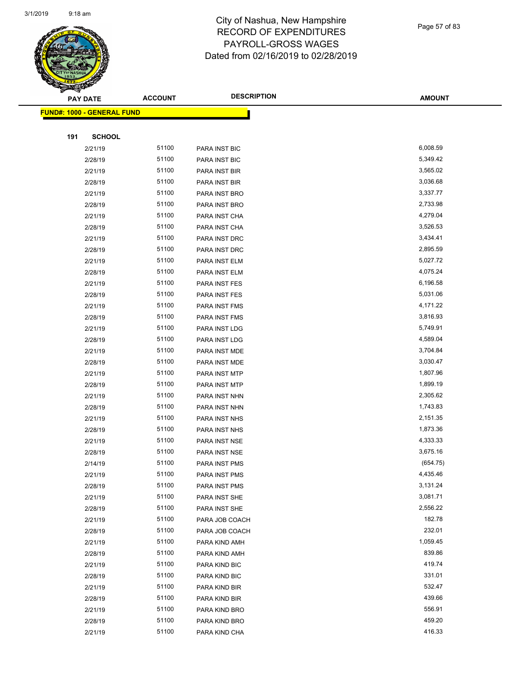

## City of Nashua, New Hampshire RECORD OF EXPENDITURES PAYROLL-GROSS WAGES Dated from 02/16/2019 to 02/28/2019

|     | <b>PAY DATE</b>                   | <b>ACCOUNT</b> | <b>DESCRIPTION</b> | <b>AMOUNT</b> |
|-----|-----------------------------------|----------------|--------------------|---------------|
|     | <b>FUND#: 1000 - GENERAL FUND</b> |                |                    |               |
|     |                                   |                |                    |               |
| 191 | <b>SCHOOL</b>                     |                |                    |               |
|     | 2/21/19                           | 51100          | PARA INST BIC      | 6,008.59      |
|     | 2/28/19                           | 51100          | PARA INST BIC      | 5,349.42      |
|     | 2/21/19                           | 51100          | PARA INST BIR      | 3,565.02      |
|     | 2/28/19                           | 51100          | PARA INST BIR      | 3,036.68      |
|     | 2/21/19                           | 51100          | PARA INST BRO      | 3,337.77      |
|     | 2/28/19                           | 51100          | PARA INST BRO      | 2,733.98      |
|     | 2/21/19                           | 51100          | PARA INST CHA      | 4,279.04      |
|     | 2/28/19                           | 51100          | PARA INST CHA      | 3,526.53      |
|     | 2/21/19                           | 51100          | PARA INST DRC      | 3,434.41      |
|     | 2/28/19                           | 51100          | PARA INST DRC      | 2,895.59      |
|     | 2/21/19                           | 51100          | PARA INST ELM      | 5,027.72      |
|     | 2/28/19                           | 51100          | PARA INST ELM      | 4,075.24      |
|     | 2/21/19                           | 51100          | PARA INST FES      | 6,196.58      |
|     | 2/28/19                           | 51100          | PARA INST FES      | 5,031.06      |
|     | 2/21/19                           | 51100          | PARA INST FMS      | 4,171.22      |
|     | 2/28/19                           | 51100          | PARA INST FMS      | 3,816.93      |
|     | 2/21/19                           | 51100          | PARA INST LDG      | 5,749.91      |
|     | 2/28/19                           | 51100          | PARA INST LDG      | 4,589.04      |
|     | 2/21/19                           | 51100          | PARA INST MDE      | 3,704.84      |
|     | 2/28/19                           | 51100          | PARA INST MDE      | 3,030.47      |
|     | 2/21/19                           | 51100          | PARA INST MTP      | 1,807.96      |
|     | 2/28/19                           | 51100          | PARA INST MTP      | 1,899.19      |
|     | 2/21/19                           | 51100          | PARA INST NHN      | 2,305.62      |
|     | 2/28/19                           | 51100          | PARA INST NHN      | 1,743.83      |
|     | 2/21/19                           | 51100          | PARA INST NHS      | 2,151.35      |
|     | 2/28/19                           | 51100          | PARA INST NHS      | 1,873.36      |
|     | 2/21/19                           | 51100          | PARA INST NSE      | 4,333.33      |
|     | 2/28/19                           | 51100          | PARA INST NSE      | 3,675.16      |
|     | 2/14/19                           | 51100          | PARA INST PMS      | (654.75)      |
|     | 2/21/19                           | 51100          | PARA INST PMS      | 4,435.46      |
|     | 2/28/19                           | 51100          | PARA INST PMS      | 3,131.24      |
|     | 2/21/19                           | 51100          | PARA INST SHE      | 3,081.71      |
|     | 2/28/19                           | 51100          | PARA INST SHE      | 2,556.22      |
|     | 2/21/19                           | 51100          | PARA JOB COACH     | 182.78        |
|     | 2/28/19                           | 51100          | PARA JOB COACH     | 232.01        |
|     | 2/21/19                           | 51100          | PARA KIND AMH      | 1,059.45      |
|     | 2/28/19                           | 51100          | PARA KIND AMH      | 839.86        |
|     | 2/21/19                           | 51100          | PARA KIND BIC      | 419.74        |
|     | 2/28/19                           | 51100          | PARA KIND BIC      | 331.01        |
|     | 2/21/19                           | 51100          | PARA KIND BIR      | 532.47        |
|     | 2/28/19                           | 51100          | PARA KIND BIR      | 439.66        |
|     | 2/21/19                           | 51100          | PARA KIND BRO      | 556.91        |
|     | 2/28/19                           | 51100          | PARA KIND BRO      | 459.20        |

2/21/19 51100 PARA KIND CHA 416.33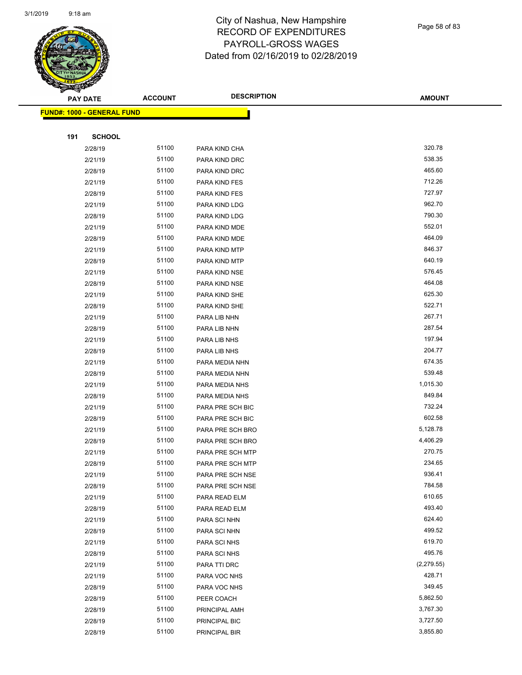

Page 58 of 83

| $\tilde{\phantom{a}}$ | <b>PAY DATE</b>            | <b>ACCOUNT</b> | <b>DESCRIPTION</b>         | <b>AMOUNT</b>        |
|-----------------------|----------------------------|----------------|----------------------------|----------------------|
|                       | FUND#: 1000 - GENERAL FUND |                |                            |                      |
|                       |                            |                |                            |                      |
| 191                   | <b>SCHOOL</b>              |                |                            |                      |
|                       | 2/28/19                    | 51100          | PARA KIND CHA              | 320.78               |
|                       | 2/21/19                    | 51100          | PARA KIND DRC              | 538.35               |
|                       | 2/28/19                    | 51100          | PARA KIND DRC              | 465.60               |
|                       | 2/21/19                    | 51100          | PARA KIND FES              | 712.26               |
|                       | 2/28/19                    | 51100          | PARA KIND FES              | 727.97               |
|                       | 2/21/19                    | 51100          | PARA KIND LDG              | 962.70               |
|                       | 2/28/19                    | 51100          | PARA KIND LDG              | 790.30               |
|                       | 2/21/19                    | 51100          | PARA KIND MDE              | 552.01               |
|                       | 2/28/19                    | 51100          | PARA KIND MDE              | 464.09               |
|                       | 2/21/19                    | 51100          | PARA KIND MTP              | 846.37               |
|                       | 2/28/19                    | 51100          | PARA KIND MTP              | 640.19               |
|                       | 2/21/19                    | 51100          | PARA KIND NSE              | 576.45               |
|                       | 2/28/19                    | 51100          | PARA KIND NSE              | 464.08               |
|                       | 2/21/19                    | 51100          | PARA KIND SHE              | 625.30               |
|                       | 2/28/19                    | 51100          | PARA KIND SHE              | 522.71               |
|                       | 2/21/19                    | 51100          | PARA LIB NHN               | 267.71               |
|                       | 2/28/19                    | 51100          | PARA LIB NHN               | 287.54               |
|                       | 2/21/19                    | 51100          | PARA LIB NHS               | 197.94               |
|                       | 2/28/19                    | 51100          | PARA LIB NHS               | 204.77               |
|                       | 2/21/19                    | 51100          | PARA MEDIA NHN             | 674.35               |
|                       | 2/28/19                    | 51100          | PARA MEDIA NHN             | 539.48               |
|                       | 2/21/19                    | 51100          | PARA MEDIA NHS             | 1,015.30             |
|                       | 2/28/19                    | 51100          | PARA MEDIA NHS             | 849.84               |
|                       | 2/21/19                    | 51100          | PARA PRE SCH BIC           | 732.24               |
|                       | 2/28/19                    | 51100          | PARA PRE SCH BIC           | 602.58               |
|                       | 2/21/19                    | 51100          | PARA PRE SCH BRO           | 5,128.78             |
|                       | 2/28/19                    | 51100          | PARA PRE SCH BRO           | 4,406.29             |
|                       | 2/21/19                    | 51100          | PARA PRE SCH MTP           | 270.75               |
|                       | 2/28/19                    | 51100          | PARA PRE SCH MTP           | 234.65               |
|                       | 2/21/19                    | 51100          | PARA PRE SCH NSE           | 936.41               |
|                       | 2/28/19                    | 51100          | PARA PRE SCH NSE           | 784.58               |
|                       | 2/21/19                    | 51100          | PARA READ ELM              | 610.65               |
|                       | 2/28/19                    | 51100          | PARA READ ELM              | 493.40               |
|                       | 2/21/19                    | 51100          | PARA SCI NHN               | 624.40<br>499.52     |
|                       | 2/28/19                    | 51100          | PARA SCI NHN               | 619.70               |
|                       | 2/21/19                    | 51100<br>51100 | PARA SCI NHS               | 495.76               |
|                       | 2/28/19                    |                | PARA SCI NHS               |                      |
|                       | 2/21/19                    | 51100<br>51100 | PARA TTI DRC               | (2,279.55)<br>428.71 |
|                       | 2/21/19                    | 51100          | PARA VOC NHS               | 349.45               |
|                       | 2/28/19<br>2/28/19         | 51100          | PARA VOC NHS<br>PEER COACH | 5,862.50             |
|                       | 2/28/19                    | 51100          | PRINCIPAL AMH              | 3,767.30             |
|                       | 2/28/19                    | 51100          | PRINCIPAL BIC              | 3,727.50             |
|                       | 2/28/19                    | 51100          | PRINCIPAL BIR              | 3,855.80             |
|                       |                            |                |                            |                      |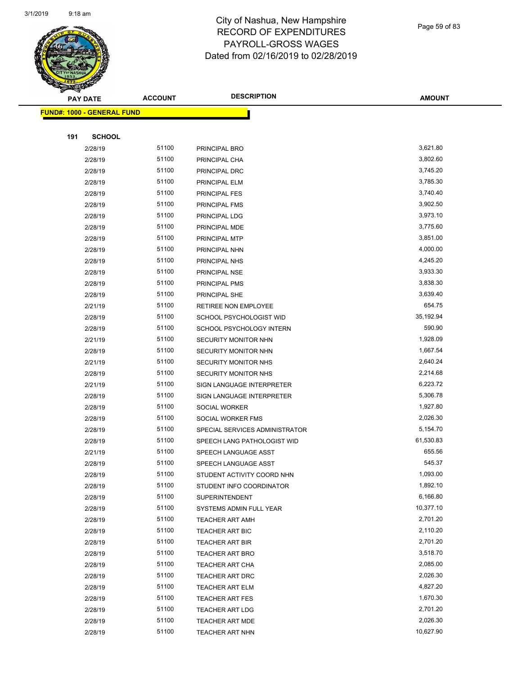

Page 59 of 83

|     | <b>PAY DATE</b>                   | <b>ACCOUNT</b> | <b>DESCRIPTION</b>             | <b>AMOUNT</b> |
|-----|-----------------------------------|----------------|--------------------------------|---------------|
|     | <b>FUND#: 1000 - GENERAL FUND</b> |                |                                |               |
|     |                                   |                |                                |               |
| 191 | <b>SCHOOL</b>                     |                |                                |               |
|     | 2/28/19                           | 51100          | PRINCIPAL BRO                  | 3,621.80      |
|     | 2/28/19                           | 51100          | PRINCIPAL CHA                  | 3,802.60      |
|     | 2/28/19                           | 51100          | PRINCIPAL DRC                  | 3,745.20      |
|     | 2/28/19                           | 51100          | PRINCIPAL ELM                  | 3,785.30      |
|     | 2/28/19                           | 51100          | PRINCIPAL FES                  | 3,740.40      |
|     | 2/28/19                           | 51100          | PRINCIPAL FMS                  | 3,902.50      |
|     | 2/28/19                           | 51100          | PRINCIPAL LDG                  | 3,973.10      |
|     | 2/28/19                           | 51100          | PRINCIPAL MDE                  | 3,775.60      |
|     | 2/28/19                           | 51100          | PRINCIPAL MTP                  | 3,851.00      |
|     | 2/28/19                           | 51100          | PRINCIPAL NHN                  | 4,000.00      |
|     | 2/28/19                           | 51100          | PRINCIPAL NHS                  | 4,245.20      |
|     | 2/28/19                           | 51100          | PRINCIPAL NSE                  | 3,933.30      |
|     | 2/28/19                           | 51100          | PRINCIPAL PMS                  | 3,838.30      |
|     | 2/28/19                           | 51100          | PRINCIPAL SHE                  | 3,639.40      |
|     | 2/21/19                           | 51100          | RETIREE NON EMPLOYEE           | 654.75        |
|     | 2/28/19                           | 51100          | SCHOOL PSYCHOLOGIST WID        | 35,192.94     |
|     | 2/28/19                           | 51100          | SCHOOL PSYCHOLOGY INTERN       | 590.90        |
|     | 2/21/19                           | 51100          | SECURITY MONITOR NHN           | 1,928.09      |
|     | 2/28/19                           | 51100          | SECURITY MONITOR NHN           | 1,667.54      |
|     | 2/21/19                           | 51100          | SECURITY MONITOR NHS           | 2,640.24      |
|     | 2/28/19                           | 51100          | <b>SECURITY MONITOR NHS</b>    | 2,214.68      |
|     | 2/21/19                           | 51100          | SIGN LANGUAGE INTERPRETER      | 6,223.72      |
|     | 2/28/19                           | 51100          | SIGN LANGUAGE INTERPRETER      | 5,306.78      |
|     | 2/28/19                           | 51100          | SOCIAL WORKER                  | 1,927.80      |
|     | 2/28/19                           | 51100          | SOCIAL WORKER FMS              | 2,026.30      |
|     | 2/28/19                           | 51100          | SPECIAL SERVICES ADMINISTRATOR | 5,154.70      |
|     | 2/28/19                           | 51100          | SPEECH LANG PATHOLOGIST WID    | 61,530.83     |
|     | 2/21/19                           | 51100          | SPEECH LANGUAGE ASST           | 655.56        |
|     | 2/28/19                           | 51100          | SPEECH LANGUAGE ASST           | 545.37        |
|     | 2/28/19                           | 51100          | STUDENT ACTIVITY COORD NHN     | 1,093.00      |
|     | 2/28/19                           | 51100          | STUDENT INFO COORDINATOR       | 1,892.10      |
|     | 2/28/19                           | 51100          | <b>SUPERINTENDENT</b>          | 6,166.80      |
|     | 2/28/19                           | 51100          | SYSTEMS ADMIN FULL YEAR        | 10,377.10     |
|     | 2/28/19                           | 51100          | TEACHER ART AMH                | 2,701.20      |
|     | 2/28/19                           | 51100          | <b>TEACHER ART BIC</b>         | 2,110.20      |
|     | 2/28/19                           | 51100          | <b>TEACHER ART BIR</b>         | 2,701.20      |
|     | 2/28/19                           | 51100          | <b>TEACHER ART BRO</b>         | 3,518.70      |
|     | 2/28/19                           | 51100          | <b>TEACHER ART CHA</b>         | 2,085.00      |
|     | 2/28/19                           | 51100          | <b>TEACHER ART DRC</b>         | 2,026.30      |
|     | 2/28/19                           | 51100          | TEACHER ART ELM                | 4,827.20      |
|     | 2/28/19                           | 51100          | <b>TEACHER ART FES</b>         | 1,670.30      |
|     | 2/28/19                           | 51100          | <b>TEACHER ART LDG</b>         | 2,701.20      |
|     | 2/28/19                           | 51100          | <b>TEACHER ART MDE</b>         | 2,026.30      |
|     | 2/28/19                           | 51100          | <b>TEACHER ART NHN</b>         | 10,627.90     |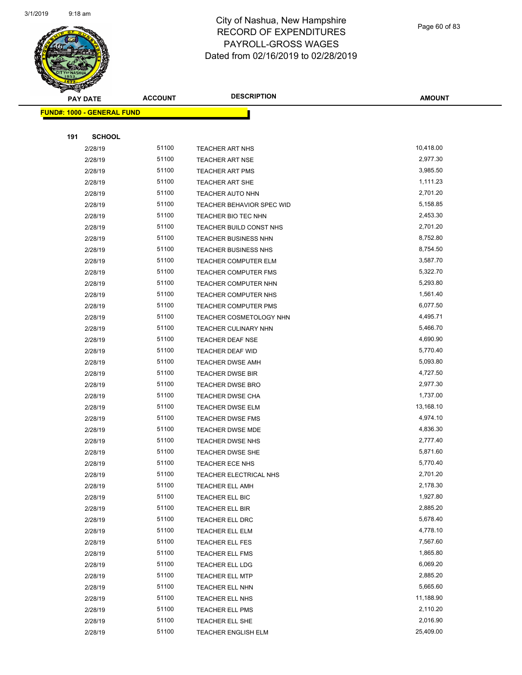

Page 60 of 83

| <b>PAY DATE</b>                   | <b>ACCOUNT</b> | <b>DESCRIPTION</b>               | <b>AMOUNT</b> |
|-----------------------------------|----------------|----------------------------------|---------------|
| <b>FUND#: 1000 - GENERAL FUND</b> |                |                                  |               |
|                                   |                |                                  |               |
| 191<br><b>SCHOOL</b>              |                |                                  |               |
| 2/28/19                           | 51100          | <b>TEACHER ART NHS</b>           | 10,418.00     |
| 2/28/19                           | 51100          | <b>TEACHER ART NSE</b>           | 2,977.30      |
| 2/28/19                           | 51100          | <b>TEACHER ART PMS</b>           | 3,985.50      |
| 2/28/19                           | 51100          | <b>TEACHER ART SHE</b>           | 1,111.23      |
| 2/28/19                           | 51100          | <b>TEACHER AUTO NHN</b>          | 2,701.20      |
| 2/28/19                           | 51100          | <b>TEACHER BEHAVIOR SPEC WID</b> | 5,158.85      |
| 2/28/19                           | 51100          | <b>TEACHER BIO TEC NHN</b>       | 2,453.30      |
| 2/28/19                           | 51100          | TEACHER BUILD CONST NHS          | 2,701.20      |
| 2/28/19                           | 51100          | <b>TEACHER BUSINESS NHN</b>      | 8,752.80      |
| 2/28/19                           | 51100          | <b>TEACHER BUSINESS NHS</b>      | 8,754.50      |
| 2/28/19                           | 51100          | TEACHER COMPUTER ELM             | 3,587.70      |
| 2/28/19                           | 51100          | <b>TEACHER COMPUTER FMS</b>      | 5,322.70      |
| 2/28/19                           | 51100          | TEACHER COMPUTER NHN             | 5,293.80      |
| 2/28/19                           | 51100          | TEACHER COMPUTER NHS             | 1,561.40      |
| 2/28/19                           | 51100          | <b>TEACHER COMPUTER PMS</b>      | 6,077.50      |
| 2/28/19                           | 51100          | TEACHER COSMETOLOGY NHN          | 4,495.71      |
| 2/28/19                           | 51100          | <b>TEACHER CULINARY NHN</b>      | 5,466.70      |
| 2/28/19                           | 51100          | <b>TEACHER DEAF NSE</b>          | 4,690.90      |
| 2/28/19                           | 51100          | TEACHER DEAF WID                 | 5,770.40      |
| 2/28/19                           | 51100          | <b>TEACHER DWSE AMH</b>          | 5,093.80      |
| 2/28/19                           | 51100          | <b>TEACHER DWSE BIR</b>          | 4,727.50      |
| 2/28/19                           | 51100          | <b>TEACHER DWSE BRO</b>          | 2,977.30      |
| 2/28/19                           | 51100          | <b>TEACHER DWSE CHA</b>          | 1,737.00      |
| 2/28/19                           | 51100          | <b>TEACHER DWSE ELM</b>          | 13,168.10     |
| 2/28/19                           | 51100          | <b>TEACHER DWSE FMS</b>          | 4,974.10      |
| 2/28/19                           | 51100          | <b>TEACHER DWSE MDE</b>          | 4,836.30      |
| 2/28/19                           | 51100          | TEACHER DWSE NHS                 | 2,777.40      |
| 2/28/19                           | 51100          | <b>TEACHER DWSE SHE</b>          | 5,871.60      |
| 2/28/19                           | 51100          | TEACHER ECE NHS                  | 5,770.40      |
| 2/28/19                           | 51100          | <b>TEACHER ELECTRICAL NHS</b>    | 2,701.20      |
| 2/28/19                           | 51100          | <b>TEACHER ELL AMH</b>           | 2,178.30      |
| 2/28/19                           | 51100          | <b>TEACHER ELL BIC</b>           | 1,927.80      |
| 2/28/19                           | 51100          | <b>TEACHER ELL BIR</b>           | 2,885.20      |
| 2/28/19                           | 51100          | <b>TEACHER ELL DRC</b>           | 5,678.40      |
| 2/28/19                           | 51100          | TEACHER ELL ELM                  | 4,778.10      |
| 2/28/19                           | 51100          | TEACHER ELL FES                  | 7,567.60      |
| 2/28/19                           | 51100          | TEACHER ELL FMS                  | 1,865.80      |
| 2/28/19                           | 51100          | TEACHER ELL LDG                  | 6,069.20      |
| 2/28/19                           | 51100          | <b>TEACHER ELL MTP</b>           | 2,885.20      |
| 2/28/19                           | 51100          | <b>TEACHER ELL NHN</b>           | 5,665.60      |
| 2/28/19                           | 51100          | TEACHER ELL NHS                  | 11,188.90     |
| 2/28/19                           | 51100          | TEACHER ELL PMS                  | 2,110.20      |
| 2/28/19                           | 51100          | TEACHER ELL SHE                  | 2,016.90      |
| 2/28/19                           | 51100          | TEACHER ENGLISH ELM              | 25,409.00     |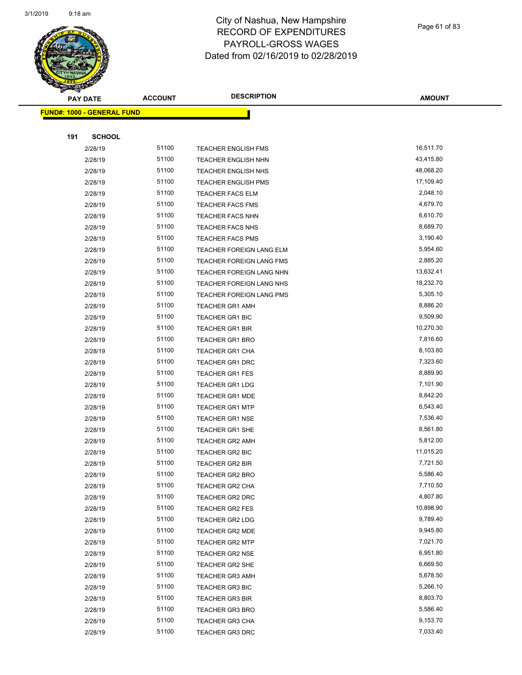

Page 61 of 83

**AMOUNT**

**FUND#: 1000 - GENERAL FUND 191 SCHOOL** 2/28/19 51100 TEACHER ENGLISH FMS 16,511.70 2/28/19 51100 TEACHER ENGLISH NHN 43,415.80 2/28/19 51100 TEACHER ENGLISH NHS 48,068.20 2/28/19 51100 TEACHER ENGLISH PMS 17,109.40 2/28/19 51100 TEACHER FACS ELM 2,048.10 2/28/19 51100 TEACHER FACS FMS 4,679.70 2/28/19 51100 TEACHER FACS NHN 6,610.70 2/28/19 51100 TEACHER FACS NHS 8,689.70 2/28/19 51100 TEACHER FACS PMS 3,190.40 2/28/19 51100 TEACHER FOREIGN LANG ELM 5,954.60 2/28/19 51100 TEACHER FOREIGN LANG FMS 2,885.20 2/28/19 51100 TEACHER FOREIGN LANG NHN 13,632.41 2/28/19 51100 TEACHER FOREIGN LANG NHS 18,232.70 2/28/19 51100 TEACHER FOREIGN LANG PMS 5,305.10 2/28/19 51100 TEACHER GR1 AMH 8,886.20 2/28/19 51100 TEACHER GR1 BIC 9,509.90 2/28/19 51100 TEACHER GR1 BIR 10,270.30 2/28/19 51100 TEACHER GR1 BRO 7,816.60 2/28/19 51100 TEACHER GR1 CHA 8,103.60 2/28/19 51100 TEACHER GR1 DRC 57,323.60 2/28/19 51100 TEACHER GR1 FES 8,889.90 2/28/19 51100 TEACHER GR1 LDG 7,101.90 2/28/19 51100 TEACHER GR1 MDE 6,842.20 2/28/19 51100 TEACHER GR1 MTP 6,543.40 2/28/19 51100 TEACHER GR1 NSE 7,536.40 2/28/19 51100 TEACHER GR1 SHE 8,561.80 2/28/19 5,812.00 51100 TEACHER GR2 AMH 2/28/19 51100 TEACHER GR2 BIC 11,015.20 2/28/19 51100 TEACHER GR2 BIR 7,721.50 2/28/19 51100 TEACHER GR2 BRO 5,586.40 2/28/19 51100 TEACHER GR2 CHA 7,710.50 2/28/19 51100 TEACHER GR2 DRC 4,807.80 2/28/19 51100 TEACHER GR2 FES 10,898.90 2/28/19 51100 TEACHER GR2 LDG 9,789.40 2/28/19 51100 TEACHER GR2 MDE 9,945.80 2/28/19 51100 TEACHER GR2 MTP 7,021.70 2/28/19 51100 TEACHER GR2 NSE 6,951.80 2/28/19 51100 TEACHER GR2 SHE 6,669.50 2/28/19 55/100 TEACHER GR3 AMH 5,678.50 2/28/19 51100 TEACHER GR3 BIC 5,266.10 2/28/19 51100 TEACHER GR3 BIR 6,803.70 2/28/19 51100 TEACHER GR3 BRO 5,586.40 2/28/19 51100 TEACHER GR3 CHA 9,153.70 2/28/19 51100 TEACHER GR3 DRC 7,033.40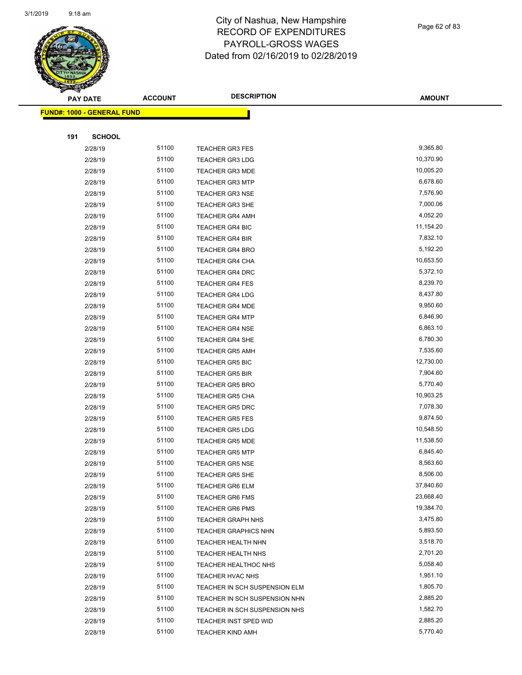

|     | <b>PAY DATE</b>                   | <b>ACCOUNT</b> | <b>DESCRIPTION</b>            | <b>AMOUNT</b> |
|-----|-----------------------------------|----------------|-------------------------------|---------------|
|     | <b>FUND#: 1000 - GENERAL FUND</b> |                |                               |               |
|     |                                   |                |                               |               |
| 191 | <b>SCHOOL</b>                     |                |                               |               |
|     | 2/28/19                           | 51100          | <b>TEACHER GR3 FES</b>        | 9,365.80      |
|     | 2/28/19                           | 51100          | <b>TEACHER GR3 LDG</b>        | 10,370.90     |
|     | 2/28/19                           | 51100          | <b>TEACHER GR3 MDE</b>        | 10,005.20     |
|     | 2/28/19                           | 51100          | <b>TEACHER GR3 MTP</b>        | 6,678.60      |
|     | 2/28/19                           | 51100          | <b>TEACHER GR3 NSE</b>        | 7,576.90      |
|     | 2/28/19                           | 51100          | <b>TEACHER GR3 SHE</b>        | 7,000.06      |
|     | 2/28/19                           | 51100          | <b>TEACHER GR4 AMH</b>        | 4,052.20      |
|     | 2/28/19                           | 51100          | <b>TEACHER GR4 BIC</b>        | 11,154.20     |
|     | 2/28/19                           | 51100          | <b>TEACHER GR4 BIR</b>        | 7,832.10      |
|     | 2/28/19                           | 51100          | <b>TEACHER GR4 BRO</b>        | 5,192.20      |
|     | 2/28/19                           | 51100          | <b>TEACHER GR4 CHA</b>        | 10,653.50     |
|     | 2/28/19                           | 51100          | <b>TEACHER GR4 DRC</b>        | 5,372.10      |
|     | 2/28/19                           | 51100          | <b>TEACHER GR4 FES</b>        | 8,239.70      |
|     | 2/28/19                           | 51100          | <b>TEACHER GR4 LDG</b>        | 8,437.80      |
|     | 2/28/19                           | 51100          | <b>TEACHER GR4 MDE</b>        | 9,950.60      |
|     | 2/28/19                           | 51100          | <b>TEACHER GR4 MTP</b>        | 6,846.90      |
|     | 2/28/19                           | 51100          | <b>TEACHER GR4 NSE</b>        | 6,863.10      |
|     | 2/28/19                           | 51100          | <b>TEACHER GR4 SHE</b>        | 6,780.30      |
|     | 2/28/19                           | 51100          | <b>TEACHER GR5 AMH</b>        | 7,535.60      |
|     | 2/28/19                           | 51100          | <b>TEACHER GR5 BIC</b>        | 12,730.00     |
|     | 2/28/19                           | 51100          | <b>TEACHER GR5 BIR</b>        | 7,904.60      |
|     | 2/28/19                           | 51100          | <b>TEACHER GR5 BRO</b>        | 5,770.40      |
|     | 2/28/19                           | 51100          | <b>TEACHER GR5 CHA</b>        | 10,903.25     |
|     | 2/28/19                           | 51100          | <b>TEACHER GR5 DRC</b>        | 7,078.30      |
|     | 2/28/19                           | 51100          | <b>TEACHER GR5 FES</b>        | 9,874.50      |
|     | 2/28/19                           | 51100          | <b>TEACHER GR5 LDG</b>        | 10,548.50     |
|     | 2/28/19                           | 51100          | <b>TEACHER GR5 MDE</b>        | 11,538.50     |
|     | 2/28/19                           | 51100          | <b>TEACHER GR5 MTP</b>        | 6,845.40      |
|     | 2/28/19                           | 51100          | <b>TEACHER GR5 NSE</b>        | 8,563.60      |
|     | 2/28/19                           | 51100          | TEACHER GR5 SHE               | 8,506.00      |
|     | 2/28/19                           | 51100          | <b>TEACHER GR6 ELM</b>        | 37,840.60     |
|     | 2/28/19                           | 51100          | <b>TEACHER GR6 FMS</b>        | 23,668.40     |
|     | 2/28/19                           | 51100          | <b>TEACHER GR6 PMS</b>        | 19,384.70     |
|     | 2/28/19                           | 51100          | <b>TEACHER GRAPH NHS</b>      | 3,475.80      |
|     | 2/28/19                           | 51100          | <b>TEACHER GRAPHICS NHN</b>   | 5,893.50      |
|     | 2/28/19                           | 51100          | TEACHER HEALTH NHN            | 3,518.70      |
|     | 2/28/19                           | 51100          | TEACHER HEALTH NHS            | 2,701.20      |
|     | 2/28/19                           | 51100          | TEACHER HEALTHOC NHS          | 5,058.40      |
|     | 2/28/19                           | 51100          | TEACHER HVAC NHS              | 1,951.10      |
|     | 2/28/19                           | 51100          | TEACHER IN SCH SUSPENSION ELM | 1,805.70      |
|     | 2/28/19                           | 51100          | TEACHER IN SCH SUSPENSION NHN | 2,885.20      |
|     | 2/28/19                           | 51100          | TEACHER IN SCH SUSPENSION NHS | 1,582.70      |
|     | 2/28/19                           | 51100          | TEACHER INST SPED WID         | 2,885.20      |

2/28/19 51100 TEACHER KIND AMH 5,770.40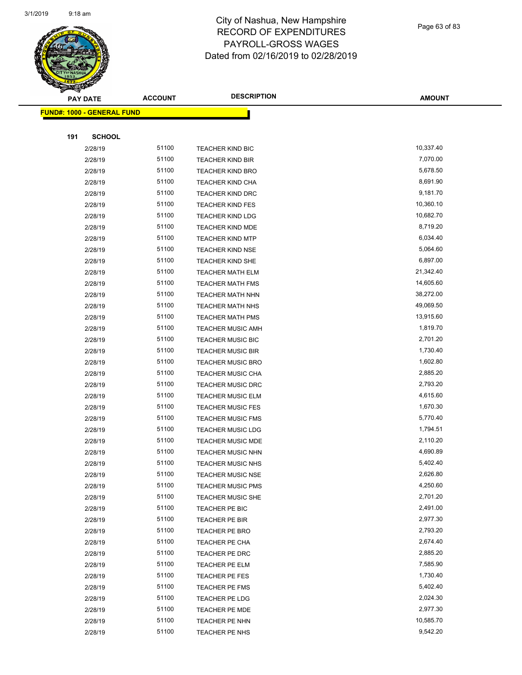

**FUND#: 1000 - GENERAL FUND**

#### City of Nashua, New Hampshire RECORD OF EXPENDITURES PAYROLL-GROSS WAGES Dated from 02/16/2019 to 02/28/2019

| <b>DESCRIPTION</b>  | <b>AMOUNT</b> |
|---------------------|---------------|
|                     |               |
|                     |               |
| <b>IER KIND BIC</b> | 10,337.40     |
| <b>IER KIND BIR</b> | 7,070.00      |
| <b>IER KIND BRO</b> | 5,678.50      |
| <b>IER KIND CHA</b> | 8,691.90      |
| <b>IER KIND DRC</b> | 9,181.70      |
| <b>IER KIND FES</b> | 10,360.10     |
| <b>IER KIND LDG</b> | 10,682.70     |
| <b>IER KIND MDE</b> | 8,719.20      |
| <b>IER KIND MTP</b> | 6,034.40      |
| <b>IER KIND NSE</b> | 5,064.60      |
| <b>IER KIND SHE</b> | 6,897.00      |
| <b>IER MATH ELM</b> | 21,342.40     |
| <b>IER MATH FMS</b> | 14,605.60     |
| <b>IER MATH NHN</b> | 38,272.00     |
|                     |               |

| 191 | <b>SCHOOL</b> |       |                          |           |
|-----|---------------|-------|--------------------------|-----------|
|     | 2/28/19       | 51100 | <b>TEACHER KIND BIC</b>  | 10,337.40 |
|     | 2/28/19       | 51100 | <b>TEACHER KIND BIR</b>  | 7,070.00  |
|     | 2/28/19       | 51100 | <b>TEACHER KIND BRO</b>  | 5,678.50  |
|     | 2/28/19       | 51100 | <b>TEACHER KIND CHA</b>  | 8,691.90  |
|     | 2/28/19       | 51100 | <b>TEACHER KIND DRC</b>  | 9,181.70  |
|     | 2/28/19       | 51100 | <b>TEACHER KIND FES</b>  | 10,360.10 |
|     | 2/28/19       | 51100 | <b>TEACHER KIND LDG</b>  | 10,682.70 |
|     | 2/28/19       | 51100 | <b>TEACHER KIND MDE</b>  | 8,719.20  |
|     | 2/28/19       | 51100 | <b>TEACHER KIND MTP</b>  | 6,034.40  |
|     | 2/28/19       | 51100 | <b>TEACHER KIND NSE</b>  | 5,064.60  |
|     | 2/28/19       | 51100 | TEACHER KIND SHE         | 6,897.00  |
|     | 2/28/19       | 51100 | <b>TEACHER MATH ELM</b>  | 21,342.40 |
|     | 2/28/19       | 51100 | <b>TEACHER MATH FMS</b>  | 14,605.60 |
|     | 2/28/19       | 51100 | <b>TEACHER MATH NHN</b>  | 38,272.00 |
|     | 2/28/19       | 51100 | <b>TEACHER MATH NHS</b>  | 49,069.50 |
|     | 2/28/19       | 51100 | <b>TEACHER MATH PMS</b>  | 13,915.60 |
|     | 2/28/19       | 51100 | <b>TEACHER MUSIC AMH</b> | 1,819.70  |
|     | 2/28/19       | 51100 | <b>TEACHER MUSIC BIC</b> | 2,701.20  |
|     | 2/28/19       | 51100 | <b>TEACHER MUSIC BIR</b> | 1,730.40  |
|     | 2/28/19       | 51100 | <b>TEACHER MUSIC BRO</b> | 1,602.80  |
|     | 2/28/19       | 51100 | <b>TEACHER MUSIC CHA</b> | 2,885.20  |
|     | 2/28/19       | 51100 | <b>TEACHER MUSIC DRC</b> | 2,793.20  |
|     | 2/28/19       | 51100 | <b>TEACHER MUSIC ELM</b> | 4,615.60  |
|     | 2/28/19       | 51100 | <b>TEACHER MUSIC FES</b> | 1,670.30  |
|     | 2/28/19       | 51100 | <b>TEACHER MUSIC FMS</b> | 5,770.40  |
|     | 2/28/19       | 51100 | <b>TEACHER MUSIC LDG</b> | 1,794.51  |
|     | 2/28/19       | 51100 | TEACHER MUSIC MDE        | 2,110.20  |
|     | 2/28/19       | 51100 | <b>TEACHER MUSIC NHN</b> | 4,690.89  |
|     | 2/28/19       | 51100 | <b>TEACHER MUSIC NHS</b> | 5,402.40  |
|     | 2/28/19       | 51100 | <b>TEACHER MUSIC NSE</b> | 2,626.80  |
|     | 2/28/19       | 51100 | <b>TEACHER MUSIC PMS</b> | 4,250.60  |
|     | 2/28/19       | 51100 | <b>TEACHER MUSIC SHE</b> | 2,701.20  |
|     | 2/28/19       | 51100 | TEACHER PE BIC           | 2,491.00  |
|     | 2/28/19       | 51100 | TEACHER PE BIR           | 2,977.30  |
|     | 2/28/19       | 51100 | TEACHER PE BRO           | 2,793.20  |
|     | 2/28/19       | 51100 | <b>TEACHER PE CHA</b>    | 2,674.40  |
|     | 2/28/19       | 51100 | TEACHER PE DRC           | 2,885.20  |
|     | 2/28/19       | 51100 | TEACHER PE ELM           | 7,585.90  |
|     | 2/28/19       | 51100 | TEACHER PE FES           | 1,730.40  |
|     | 2/28/19       | 51100 | TEACHER PE FMS           | 5,402.40  |
|     | 2/28/19       | 51100 | TEACHER PE LDG           | 2,024.30  |
|     | 2/28/19       | 51100 | TEACHER PE MDE           | 2,977.30  |
|     | 2/28/19       | 51100 | TEACHER PE NHN           | 10,585.70 |
|     | 2/28/19       | 51100 | TEACHER PE NHS           | 9,542.20  |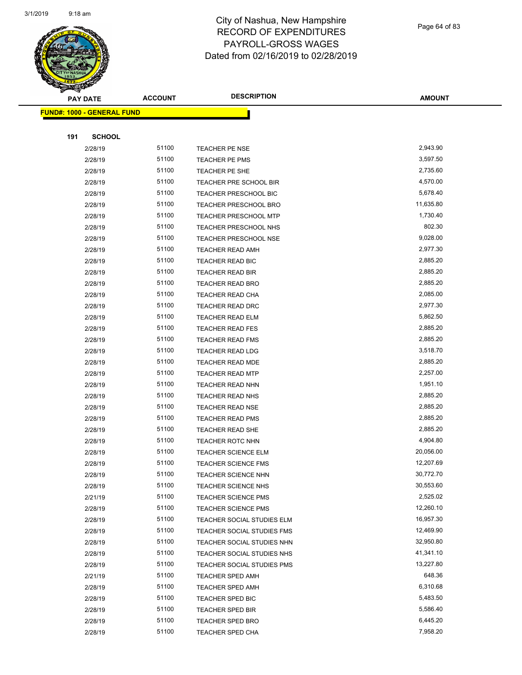

Page 64 of 83

| <b>PAY DATE</b>                   | <b>ACCOUNT</b> | <b>DESCRIPTION</b>           | <b>AMOUNT</b> |
|-----------------------------------|----------------|------------------------------|---------------|
| <b>FUND#: 1000 - GENERAL FUND</b> |                |                              |               |
|                                   |                |                              |               |
| <b>SCHOOL</b><br>191              |                |                              |               |
| 2/28/19                           | 51100          | <b>TEACHER PE NSE</b>        | 2,943.90      |
| 2/28/19                           | 51100          | TEACHER PE PMS               | 3,597.50      |
| 2/28/19                           | 51100          | TEACHER PE SHE               | 2,735.60      |
| 2/28/19                           | 51100          | TEACHER PRE SCHOOL BIR       | 4,570.00      |
| 2/28/19                           | 51100          | <b>TEACHER PRESCHOOL BIC</b> | 5,678.40      |
| 2/28/19                           | 51100          | <b>TEACHER PRESCHOOL BRO</b> | 11,635.80     |
| 2/28/19                           | 51100          | <b>TEACHER PRESCHOOL MTP</b> | 1,730.40      |
| 2/28/19                           | 51100          | <b>TEACHER PRESCHOOL NHS</b> | 802.30        |
| 2/28/19                           | 51100          | <b>TEACHER PRESCHOOL NSE</b> | 9,028.00      |
| 2/28/19                           | 51100          | TEACHER READ AMH             | 2,977.30      |
| 2/28/19                           | 51100          | TEACHER READ BIC             | 2,885.20      |
| 2/28/19                           | 51100          | <b>TEACHER READ BIR</b>      | 2,885.20      |
| 2/28/19                           | 51100          | <b>TEACHER READ BRO</b>      | 2,885.20      |
| 2/28/19                           | 51100          | TEACHER READ CHA             | 2,085.00      |
| 2/28/19                           | 51100          | <b>TEACHER READ DRC</b>      | 2,977.30      |
| 2/28/19                           | 51100          | <b>TEACHER READ ELM</b>      | 5,862.50      |
| 2/28/19                           | 51100          | <b>TEACHER READ FES</b>      | 2,885.20      |
| 2/28/19                           | 51100          | <b>TEACHER READ FMS</b>      | 2,885.20      |
| 2/28/19                           | 51100          | <b>TEACHER READ LDG</b>      | 3,518.70      |
| 2/28/19                           | 51100          | TEACHER READ MDE             | 2,885.20      |
| 2/28/19                           | 51100          | <b>TEACHER READ MTP</b>      | 2,257.00      |
| 2/28/19                           | 51100          | TEACHER READ NHN             | 1,951.10      |
| 2/28/19                           | 51100          | <b>TEACHER READ NHS</b>      | 2,885.20      |
| 2/28/19                           | 51100          | TEACHER READ NSE             | 2,885.20      |
| 2/28/19                           | 51100          | <b>TEACHER READ PMS</b>      | 2,885.20      |
| 2/28/19                           | 51100          | TEACHER READ SHE             | 2,885.20      |
| 2/28/19                           | 51100          | <b>TEACHER ROTC NHN</b>      | 4,904.80      |
| 2/28/19                           | 51100          | <b>TEACHER SCIENCE ELM</b>   | 20,056.00     |
| 2/28/19                           | 51100          | <b>TEACHER SCIENCE FMS</b>   | 12,207.69     |
| 2/28/19                           | 51100          | TEACHER SCIENCE NHN          | 30,772.70     |
| 2/28/19                           | 51100          | TEACHER SCIENCE NHS          | 30,553.60     |
| 2/21/19                           | 51100          | <b>TEACHER SCIENCE PMS</b>   | 2,525.02      |
| 2/28/19                           | 51100          | <b>TEACHER SCIENCE PMS</b>   | 12,260.10     |
| 2/28/19                           | 51100          | TEACHER SOCIAL STUDIES ELM   | 16,957.30     |
| 2/28/19                           | 51100          | TEACHER SOCIAL STUDIES FMS   | 12,469.90     |
| 2/28/19                           | 51100          | TEACHER SOCIAL STUDIES NHN   | 32,950.80     |
| 2/28/19                           | 51100          | TEACHER SOCIAL STUDIES NHS   | 41,341.10     |
| 2/28/19                           | 51100          | TEACHER SOCIAL STUDIES PMS   | 13,227.80     |
| 2/21/19                           | 51100          | <b>TEACHER SPED AMH</b>      | 648.36        |
| 2/28/19                           | 51100          | TEACHER SPED AMH             | 6,310.68      |
| 2/28/19                           | 51100          | TEACHER SPED BIC             | 5,483.50      |
| 2/28/19                           | 51100          | <b>TEACHER SPED BIR</b>      | 5,586.40      |
| 2/28/19                           | 51100          | <b>TEACHER SPED BRO</b>      | 6,445.20      |
| 2/28/19                           | 51100          | <b>TEACHER SPED CHA</b>      | 7,958.20      |
|                                   |                |                              |               |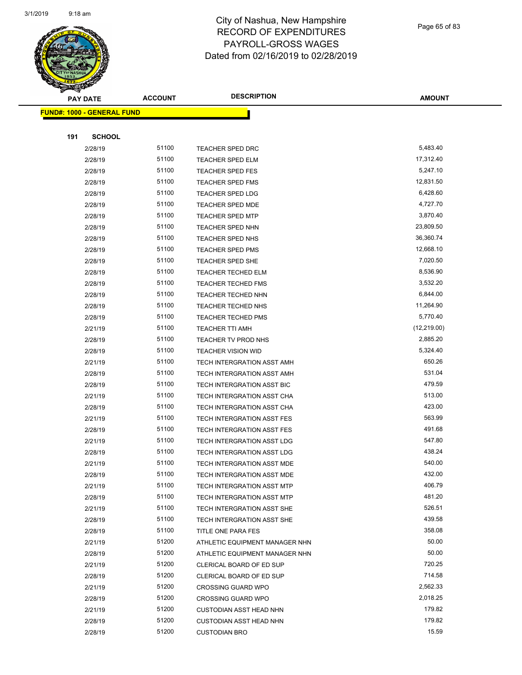

Page 65 of 83

| <b>PAY DATE</b>                   | <b>ACCOUNT</b> | <b>DESCRIPTION</b>             | <b>AMOUNT</b> |
|-----------------------------------|----------------|--------------------------------|---------------|
| <b>FUND#: 1000 - GENERAL FUND</b> |                |                                |               |
|                                   |                |                                |               |
| 191<br><b>SCHOOL</b>              |                |                                |               |
| 2/28/19                           | 51100          | TEACHER SPED DRC               | 5,483.40      |
| 2/28/19                           | 51100          | <b>TEACHER SPED ELM</b>        | 17,312.40     |
| 2/28/19                           | 51100          | <b>TEACHER SPED FES</b>        | 5,247.10      |
| 2/28/19                           | 51100          | <b>TEACHER SPED FMS</b>        | 12,831.50     |
| 2/28/19                           | 51100          | TEACHER SPED LDG               | 6,428.60      |
| 2/28/19                           | 51100          | <b>TEACHER SPED MDE</b>        | 4,727.70      |
| 2/28/19                           | 51100          | <b>TEACHER SPED MTP</b>        | 3,870.40      |
| 2/28/19                           | 51100          | <b>TEACHER SPED NHN</b>        | 23,809.50     |
| 2/28/19                           | 51100          | TEACHER SPED NHS               | 36,360.74     |
| 2/28/19                           | 51100          | <b>TEACHER SPED PMS</b>        | 12,668.10     |
| 2/28/19                           | 51100          | <b>TEACHER SPED SHE</b>        | 7,020.50      |
| 2/28/19                           | 51100          | <b>TEACHER TECHED ELM</b>      | 8,536.90      |
| 2/28/19                           | 51100          | <b>TEACHER TECHED FMS</b>      | 3,532.20      |
| 2/28/19                           | 51100          | TEACHER TECHED NHN             | 6,844.00      |
| 2/28/19                           | 51100          | <b>TEACHER TECHED NHS</b>      | 11,264.90     |
| 2/28/19                           | 51100          | <b>TEACHER TECHED PMS</b>      | 5,770.40      |
| 2/21/19                           | 51100          | <b>TEACHER TTI AMH</b>         | (12, 219.00)  |
| 2/28/19                           | 51100          | TEACHER TV PROD NHS            | 2,885.20      |
| 2/28/19                           | 51100          | <b>TEACHER VISION WID</b>      | 5,324.40      |
| 2/21/19                           | 51100          | TECH INTERGRATION ASST AMH     | 650.26        |
| 2/28/19                           | 51100          | TECH INTERGRATION ASST AMH     | 531.04        |
| 2/28/19                           | 51100          | TECH INTERGRATION ASST BIC     | 479.59        |
| 2/21/19                           | 51100          | TECH INTERGRATION ASST CHA     | 513.00        |
| 2/28/19                           | 51100          | TECH INTERGRATION ASST CHA     | 423.00        |
| 2/21/19                           | 51100          | TECH INTERGRATION ASST FES     | 563.99        |
| 2/28/19                           | 51100          | TECH INTERGRATION ASST FES     | 491.68        |
| 2/21/19                           | 51100          | TECH INTERGRATION ASST LDG     | 547.80        |
| 2/28/19                           | 51100          | TECH INTERGRATION ASST LDG     | 438.24        |
| 2/21/19                           | 51100          | TECH INTERGRATION ASST MDE     | 540.00        |
| 2/28/19                           | 51100          | TECH INTERGRATION ASST MDE     | 432.00        |
| 2/21/19                           | 51100          | TECH INTERGRATION ASST MTP     | 406.79        |
| 2/28/19                           | 51100          | TECH INTERGRATION ASST MTP     | 481.20        |
| 2/21/19                           | 51100          | TECH INTERGRATION ASST SHE     | 526.51        |
| 2/28/19                           | 51100          | TECH INTERGRATION ASST SHE     | 439.58        |
| 2/28/19                           | 51100          | TITLE ONE PARA FES             | 358.08        |
| 2/21/19                           | 51200          | ATHLETIC EQUIPMENT MANAGER NHN | 50.00         |
| 2/28/19                           | 51200          | ATHLETIC EQUIPMENT MANAGER NHN | 50.00         |
| 2/21/19                           | 51200          | CLERICAL BOARD OF ED SUP       | 720.25        |
| 2/28/19                           | 51200          | CLERICAL BOARD OF ED SUP       | 714.58        |
| 2/21/19                           | 51200          | <b>CROSSING GUARD WPO</b>      | 2,562.33      |
| 2/28/19                           | 51200          | <b>CROSSING GUARD WPO</b>      | 2,018.25      |
| 2/21/19                           | 51200          | <b>CUSTODIAN ASST HEAD NHN</b> | 179.82        |
| 2/28/19                           | 51200          | <b>CUSTODIAN ASST HEAD NHN</b> | 179.82        |
| 2/28/19                           | 51200          | <b>CUSTODIAN BRO</b>           | 15.59         |
|                                   |                |                                |               |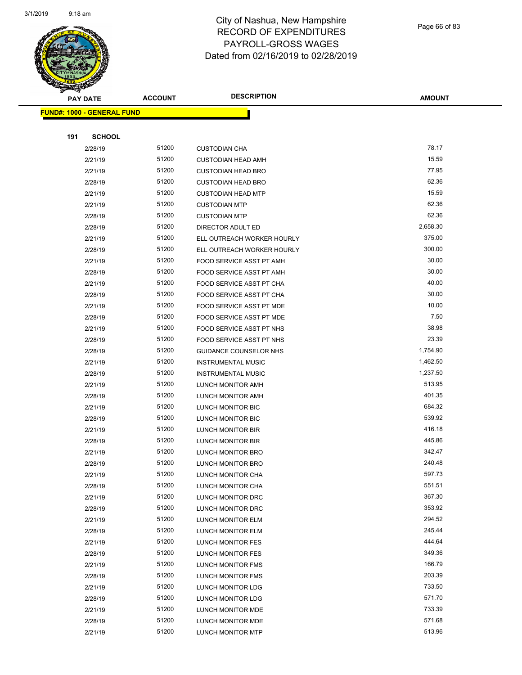

Page 66 of 83

| <b>PAY DATE</b>                   | <b>ACCOUNT</b> | <b>DESCRIPTION</b>                     | <b>AMOUNT</b>    |
|-----------------------------------|----------------|----------------------------------------|------------------|
| <b>FUND#: 1000 - GENERAL FUND</b> |                |                                        |                  |
|                                   |                |                                        |                  |
| 191<br><b>SCHOOL</b>              |                |                                        |                  |
| 2/28/19                           | 51200          | <b>CUSTODIAN CHA</b>                   | 78.17            |
| 2/21/19                           | 51200          | <b>CUSTODIAN HEAD AMH</b>              | 15.59            |
| 2/21/19                           | 51200          | <b>CUSTODIAN HEAD BRO</b>              | 77.95            |
| 2/28/19                           | 51200          | <b>CUSTODIAN HEAD BRO</b>              | 62.36            |
| 2/21/19                           | 51200          | <b>CUSTODIAN HEAD MTP</b>              | 15.59            |
| 2/21/19                           | 51200          | <b>CUSTODIAN MTP</b>                   | 62.36            |
| 2/28/19                           | 51200          | <b>CUSTODIAN MTP</b>                   | 62.36            |
| 2/28/19                           | 51200          | DIRECTOR ADULT ED                      | 2,658.30         |
| 2/21/19                           | 51200          | ELL OUTREACH WORKER HOURLY             | 375.00           |
| 2/28/19                           | 51200          | ELL OUTREACH WORKER HOURLY             | 300.00           |
| 2/21/19                           | 51200          | FOOD SERVICE ASST PT AMH               | 30.00            |
| 2/28/19                           | 51200          | FOOD SERVICE ASST PT AMH               | 30.00            |
| 2/21/19                           | 51200          | FOOD SERVICE ASST PT CHA               | 40.00            |
| 2/28/19                           | 51200          | FOOD SERVICE ASST PT CHA               | 30.00            |
| 2/21/19                           | 51200          | FOOD SERVICE ASST PT MDE               | 10.00            |
| 2/28/19                           | 51200          | FOOD SERVICE ASST PT MDE               | 7.50             |
| 2/21/19                           | 51200          | FOOD SERVICE ASST PT NHS               | 38.98            |
| 2/28/19                           | 51200          | FOOD SERVICE ASST PT NHS               | 23.39            |
| 2/28/19                           | 51200          | GUIDANCE COUNSELOR NHS                 | 1,754.90         |
| 2/21/19                           | 51200          | <b>INSTRUMENTAL MUSIC</b>              | 1,462.50         |
| 2/28/19                           | 51200          | <b>INSTRUMENTAL MUSIC</b>              | 1,237.50         |
| 2/21/19                           | 51200          | LUNCH MONITOR AMH                      | 513.95           |
| 2/28/19                           | 51200          | LUNCH MONITOR AMH                      | 401.35           |
| 2/21/19                           | 51200          | LUNCH MONITOR BIC                      | 684.32           |
| 2/28/19                           | 51200          | LUNCH MONITOR BIC                      | 539.92           |
| 2/21/19                           | 51200          | LUNCH MONITOR BIR                      | 416.18           |
| 2/28/19                           | 51200          | LUNCH MONITOR BIR                      | 445.86           |
| 2/21/19                           | 51200          | LUNCH MONITOR BRO                      | 342.47           |
| 2/28/19                           | 51200          | LUNCH MONITOR BRO                      | 240.48           |
| 2/21/19                           | 51200          | LUNCH MONITOR CHA                      | 597.73           |
| 2/28/19                           | 51200          | LUNCH MONITOR CHA                      | 551.51<br>367.30 |
| 2/21/19                           | 51200          | LUNCH MONITOR DRC<br>LUNCH MONITOR DRC | 353.92           |
| 2/28/19<br>2/21/19                | 51200<br>51200 | LUNCH MONITOR ELM                      | 294.52           |
| 2/28/19                           | 51200          | LUNCH MONITOR ELM                      | 245.44           |
| 2/21/19                           | 51200          | LUNCH MONITOR FES                      | 444.64           |
| 2/28/19                           | 51200          | LUNCH MONITOR FES                      | 349.36           |
| 2/21/19                           | 51200          | LUNCH MONITOR FMS                      | 166.79           |
| 2/28/19                           | 51200          | LUNCH MONITOR FMS                      | 203.39           |
| 2/21/19                           | 51200          | LUNCH MONITOR LDG                      | 733.50           |
| 2/28/19                           | 51200          | LUNCH MONITOR LDG                      | 571.70           |
| 2/21/19                           | 51200          | LUNCH MONITOR MDE                      | 733.39           |
| 2/28/19                           | 51200          | LUNCH MONITOR MDE                      | 571.68           |
| 2/21/19                           | 51200          | LUNCH MONITOR MTP                      | 513.96           |
|                                   |                |                                        |                  |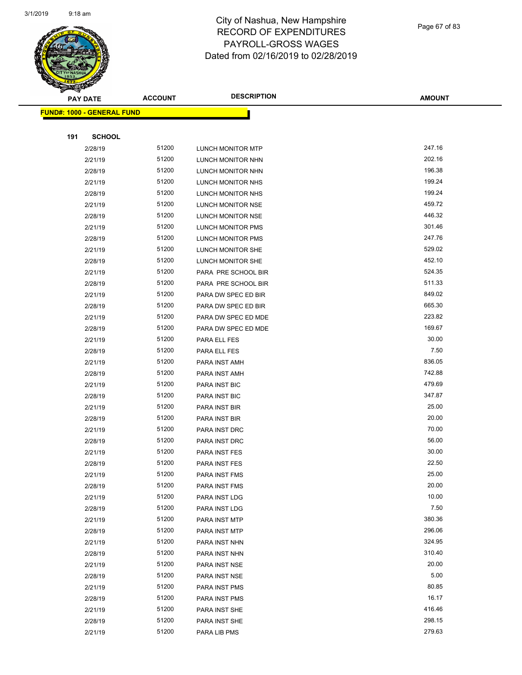

| $\overline{9}$ |  |  |  |
|----------------|--|--|--|

| PAY DATE                          | <b>ACCOUNT</b> | <b>DESCRIPTION</b>       | <b>AMOUNT</b> |
|-----------------------------------|----------------|--------------------------|---------------|
| <b>FUND#: 1000 - GENERAL FUND</b> |                |                          |               |
|                                   |                |                          |               |
| 191<br><b>SCHOOL</b>              |                |                          |               |
| 2/28/19                           | 51200          | LUNCH MONITOR MTP        | 247.16        |
| 2/21/19                           | 51200          | LUNCH MONITOR NHN        | 202.16        |
| 2/28/19                           | 51200          | LUNCH MONITOR NHN        | 196.38        |
| 2/21/19                           | 51200          | LUNCH MONITOR NHS        | 199.24        |
| 2/28/19                           | 51200          | LUNCH MONITOR NHS        | 199.24        |
| 2/21/19                           | 51200          | LUNCH MONITOR NSE        | 459.72        |
| 2/28/19                           | 51200          | LUNCH MONITOR NSE        | 446.32        |
| 2/21/19                           | 51200          | <b>LUNCH MONITOR PMS</b> | 301.46        |
| 2/28/19                           | 51200          | LUNCH MONITOR PMS        | 247.76        |
| 2/21/19                           | 51200          | LUNCH MONITOR SHE        | 529.02        |
| 2/28/19                           | 51200          | LUNCH MONITOR SHE        | 452.10        |
| 2/21/19                           | 51200          | PARA PRE SCHOOL BIR      | 524.35        |
| 2/28/19                           | 51200          | PARA PRE SCHOOL BIR      | 511.33        |
| 2/21/19                           | 51200          | PARA DW SPEC ED BIR      | 849.02        |
| 2/28/19                           | 51200          | PARA DW SPEC ED BIR      | 665.30        |
| 2/21/19                           | 51200          | PARA DW SPEC ED MDE      | 223.82        |
| 2/28/19                           | 51200          | PARA DW SPEC ED MDE      | 169.67        |
| 2/21/19                           | 51200          | PARA ELL FES             | 30.00         |
| 2/28/19                           | 51200          | PARA ELL FES             | 7.50          |
| 2/21/19                           | 51200          | PARA INST AMH            | 836.05        |
| 2/28/19                           | 51200          | PARA INST AMH            | 742.88        |
| 2/21/19                           | 51200          | PARA INST BIC            | 479.69        |
| 2/28/19                           | 51200          | PARA INST BIC            | 347.87        |
| 2/21/19                           | 51200          | PARA INST BIR            | 25.00         |
| 2/28/19                           | 51200          | PARA INST BIR            | 20.00         |
| 2/21/19                           | 51200          | PARA INST DRC            | 70.00         |
| 2/28/19                           | 51200          | PARA INST DRC            | 56.00         |
| 2/21/19                           | 51200          | PARA INST FES            | 30.00         |
| 2/28/19                           | 51200          | PARA INST FES            | 22.50         |
| 2/21/19                           | 51200          | PARA INST FMS            | 25.00         |
| 2/28/19                           | 51200          | PARA INST FMS            | 20.00         |
| 2/21/19                           | 51200          | PARA INST LDG            | 10.00         |
| 2/28/19                           | 51200          | PARA INST LDG            | 7.50          |
| 2/21/19                           | 51200          | PARA INST MTP            | 380.36        |
| 2/28/19                           | 51200          | PARA INST MTP            | 296.06        |
| 2/21/19                           | 51200          | PARA INST NHN            | 324.95        |
| 2/28/19                           | 51200          | PARA INST NHN            | 310.40        |
| 2/21/19                           | 51200          | PARA INST NSE            | 20.00         |
| 2/28/19                           | 51200          | PARA INST NSE            | 5.00          |
| 2/21/19                           | 51200          | PARA INST PMS            | 80.85         |
| 2/28/19                           | 51200          | PARA INST PMS            | 16.17         |
| 2/21/19                           | 51200          | PARA INST SHE            | 416.46        |
| 2/28/19                           | 51200          | PARA INST SHE            | 298.15        |
| 2/21/19                           | 51200          | PARA LIB PMS             | 279.63        |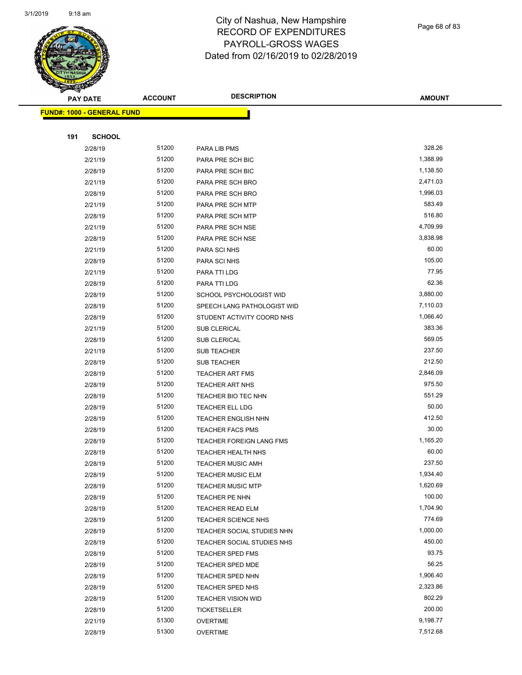

Page 68 of 83

| <b>PAY DATE</b>                   | <b>ACCOUNT</b> | <b>DESCRIPTION</b>              | <b>AMOUNT</b> |
|-----------------------------------|----------------|---------------------------------|---------------|
| <b>FUND#: 1000 - GENERAL FUND</b> |                |                                 |               |
|                                   |                |                                 |               |
| 191<br><b>SCHOOL</b>              |                |                                 |               |
| 2/28/19                           | 51200          | PARA LIB PMS                    | 328.26        |
| 2/21/19                           | 51200          | PARA PRE SCH BIC                | 1,388.99      |
| 2/28/19                           | 51200          | PARA PRE SCH BIC                | 1,138.50      |
| 2/21/19                           | 51200          | PARA PRE SCH BRO                | 2,471.03      |
| 2/28/19                           | 51200          | PARA PRE SCH BRO                | 1,996.03      |
| 2/21/19                           | 51200          | PARA PRE SCH MTP                | 583.49        |
| 2/28/19                           | 51200          | PARA PRE SCH MTP                | 516.80        |
| 2/21/19                           | 51200          | PARA PRE SCH NSE                | 4,709.99      |
| 2/28/19                           | 51200          | PARA PRE SCH NSE                | 3,838.98      |
| 2/21/19                           | 51200          | PARA SCI NHS                    | 60.00         |
| 2/28/19                           | 51200          | PARA SCI NHS                    | 105.00        |
| 2/21/19                           | 51200          | PARA TTI LDG                    | 77.95         |
| 2/28/19                           | 51200          | PARA TTI LDG                    | 62.36         |
| 2/28/19                           | 51200          | SCHOOL PSYCHOLOGIST WID         | 3,880.00      |
| 2/28/19                           | 51200          | SPEECH LANG PATHOLOGIST WID     | 7,110.03      |
| 2/28/19                           | 51200          | STUDENT ACTIVITY COORD NHS      | 1,066.40      |
| 2/21/19                           | 51200          | <b>SUB CLERICAL</b>             | 383.36        |
| 2/28/19                           | 51200          | <b>SUB CLERICAL</b>             | 569.05        |
| 2/21/19                           | 51200          | SUB TEACHER                     | 237.50        |
| 2/28/19                           | 51200          | <b>SUB TEACHER</b>              | 212.50        |
| 2/28/19                           | 51200          | <b>TEACHER ART FMS</b>          | 2,846.09      |
| 2/28/19                           | 51200          | TEACHER ART NHS                 | 975.50        |
| 2/28/19                           | 51200          | TEACHER BIO TEC NHN             | 551.29        |
| 2/28/19                           | 51200          | TEACHER ELL LDG                 | 50.00         |
| 2/28/19                           | 51200          | <b>TEACHER ENGLISH NHN</b>      | 412.50        |
| 2/28/19                           | 51200          | <b>TEACHER FACS PMS</b>         | 30.00         |
| 2/28/19                           | 51200          | <b>TEACHER FOREIGN LANG FMS</b> | 1,165.20      |
| 2/28/19                           | 51200          | TEACHER HEALTH NHS              | 60.00         |
| 2/28/19                           | 51200          | <b>TEACHER MUSIC AMH</b>        | 237.50        |
| 2/28/19                           | 51200          | TEACHER MUSIC ELM               | 1,934.40      |
| 2/28/19                           | 51200          | <b>TEACHER MUSIC MTP</b>        | 1,620.69      |
| 2/28/19                           | 51200          | TEACHER PE NHN                  | 100.00        |
| 2/28/19                           | 51200          | <b>TEACHER READ ELM</b>         | 1,704.90      |
| 2/28/19                           | 51200          | TEACHER SCIENCE NHS             | 774.69        |
| 2/28/19                           | 51200          | TEACHER SOCIAL STUDIES NHN      | 1,000.00      |
| 2/28/19                           | 51200          | TEACHER SOCIAL STUDIES NHS      | 450.00        |
| 2/28/19                           | 51200          | <b>TEACHER SPED FMS</b>         | 93.75         |
| 2/28/19                           | 51200          | TEACHER SPED MDE                | 56.25         |
| 2/28/19                           | 51200          | <b>TEACHER SPED NHN</b>         | 1,906.40      |
| 2/28/19                           | 51200          | TEACHER SPED NHS                | 2,323.86      |
| 2/28/19                           | 51200          | TEACHER VISION WID              | 802.29        |
| 2/28/19                           | 51200          | <b>TICKETSELLER</b>             | 200.00        |
| 2/21/19                           | 51300          | <b>OVERTIME</b>                 | 9,198.77      |
| 2/28/19                           | 51300          | <b>OVERTIME</b>                 | 7,512.68      |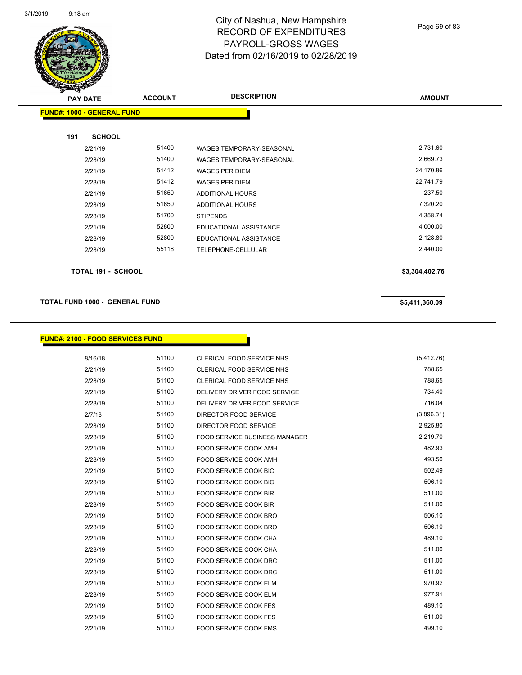

Page 69 of 83

| $\sim$<br><b>PAY DATE</b> |                                   | <b>ACCOUNT</b> | <b>DESCRIPTION</b>              | <b>AMOUNT</b>       |
|---------------------------|-----------------------------------|----------------|---------------------------------|---------------------|
|                           | <b>FUND#: 1000 - GENERAL FUND</b> |                |                                 |                     |
| 191                       | <b>SCHOOL</b>                     |                |                                 |                     |
|                           | 2/21/19                           | 51400          | <b>WAGES TEMPORARY-SEASONAL</b> | 2,731.60            |
|                           | 2/28/19                           | 51400          | <b>WAGES TEMPORARY-SEASONAL</b> | 2,669.73            |
|                           | 2/21/19                           | 51412          | <b>WAGES PER DIEM</b>           | 24,170.86           |
|                           | 2/28/19                           | 51412          | <b>WAGES PER DIEM</b>           | 22,741.79           |
|                           | 2/21/19                           | 51650          | ADDITIONAL HOURS                | 237.50              |
|                           | 2/28/19                           | 51650          | ADDITIONAL HOURS                | 7,320.20            |
|                           | 2/28/19                           | 51700          | <b>STIPENDS</b>                 | 4,358.74            |
|                           | 2/21/19                           | 52800          | EDUCATIONAL ASSISTANCE          | 4,000.00            |
|                           | 2/28/19                           | 52800          | EDUCATIONAL ASSISTANCE          | 2,128.80            |
|                           | 2/28/19                           | 55118          | TELEPHONE-CELLULAR              | 2,440.00            |
|                           | <b>TOTAL 191 - SCHOOL</b>         |                |                                 | \$3,304,402.76<br>. |

#### **TOTAL FUND 1000 - GENERAL FUND \$5,411,360.09**

| <b>FUND#: 2100 - FOOD SERVICES FUND</b> |       |                                      |            |
|-----------------------------------------|-------|--------------------------------------|------------|
|                                         |       |                                      |            |
| 8/16/18                                 | 51100 | <b>CLERICAL FOOD SERVICE NHS</b>     | (5,412.76) |
| 2/21/19                                 | 51100 | <b>CLERICAL FOOD SERVICE NHS</b>     | 788.65     |
| 2/28/19                                 | 51100 | <b>CLERICAL FOOD SERVICE NHS</b>     | 788.65     |
| 2/21/19                                 | 51100 | DELIVERY DRIVER FOOD SERVICE         | 734.40     |
| 2/28/19                                 | 51100 | DELIVERY DRIVER FOOD SERVICE         | 716.04     |
| 2/7/18                                  | 51100 | DIRECTOR FOOD SERVICE                | (3,896.31) |
| 2/28/19                                 | 51100 | DIRECTOR FOOD SERVICE                | 2,925.80   |
| 2/28/19                                 | 51100 | <b>FOOD SERVICE BUSINESS MANAGER</b> | 2,219.70   |
| 2/21/19                                 | 51100 | <b>FOOD SERVICE COOK AMH</b>         | 482.93     |
| 2/28/19                                 | 51100 | FOOD SERVICE COOK AMH                | 493.50     |
| 2/21/19                                 | 51100 | <b>FOOD SERVICE COOK BIC</b>         | 502.49     |
| 2/28/19                                 | 51100 | <b>FOOD SERVICE COOK BIC</b>         | 506.10     |
| 2/21/19                                 | 51100 | FOOD SERVICE COOK BIR                | 511.00     |
| 2/28/19                                 | 51100 | <b>FOOD SERVICE COOK BIR</b>         | 511.00     |
| 2/21/19                                 | 51100 | FOOD SERVICE COOK BRO                | 506.10     |
| 2/28/19                                 | 51100 | FOOD SERVICE COOK BRO                | 506.10     |
| 2/21/19                                 | 51100 | <b>FOOD SERVICE COOK CHA</b>         | 489.10     |
| 2/28/19                                 | 51100 | <b>FOOD SERVICE COOK CHA</b>         | 511.00     |
| 2/21/19                                 | 51100 | <b>FOOD SERVICE COOK DRC</b>         | 511.00     |
| 2/28/19                                 | 51100 | FOOD SERVICE COOK DRC                | 511.00     |
| 2/21/19                                 | 51100 | <b>FOOD SERVICE COOK ELM</b>         | 970.92     |
| 2/28/19                                 | 51100 | FOOD SERVICE COOK ELM                | 977.91     |
| 2/21/19                                 | 51100 | <b>FOOD SERVICE COOK FES</b>         | 489.10     |
| 2/28/19                                 | 51100 | <b>FOOD SERVICE COOK FES</b>         | 511.00     |
| 2/21/19                                 | 51100 | <b>FOOD SERVICE COOK FMS</b>         | 499.10     |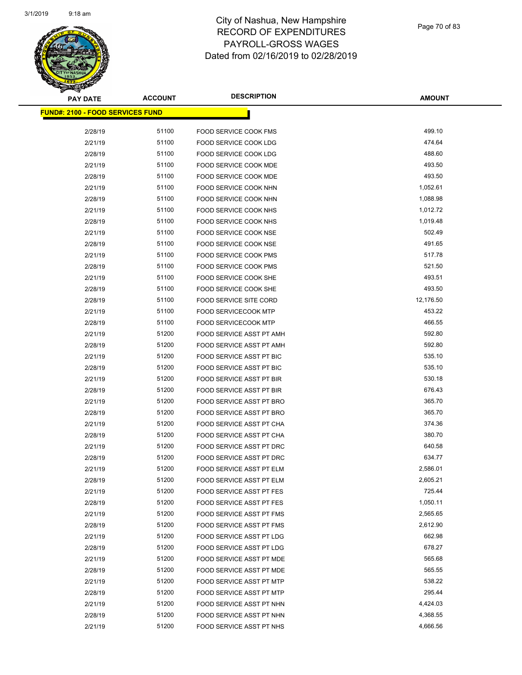

| <b>PAY DATE</b>                          | <b>ACCOUNT</b> | <b>DESCRIPTION</b>              | <b>AMOUNT</b>       |
|------------------------------------------|----------------|---------------------------------|---------------------|
| <u> FUND#: 2100 - FOOD SERVICES FUND</u> |                |                                 |                     |
| 2/28/19                                  | 51100          | <b>FOOD SERVICE COOK FMS</b>    | 499.10              |
| 2/21/19                                  | 51100          | FOOD SERVICE COOK LDG           | 474.64              |
| 2/28/19                                  | 51100          | FOOD SERVICE COOK LDG           | 488.60              |
| 2/21/19                                  | 51100          | FOOD SERVICE COOK MDE           | 493.50              |
| 2/28/19                                  | 51100          | FOOD SERVICE COOK MDE           | 493.50              |
| 2/21/19                                  | 51100          | FOOD SERVICE COOK NHN           | 1,052.61            |
| 2/28/19                                  | 51100          | <b>FOOD SERVICE COOK NHN</b>    | 1,088.98            |
| 2/21/19                                  | 51100          | FOOD SERVICE COOK NHS           | 1,012.72            |
| 2/28/19                                  | 51100          | FOOD SERVICE COOK NHS           | 1,019.48            |
| 2/21/19                                  | 51100          | FOOD SERVICE COOK NSE           | 502.49              |
| 2/28/19                                  | 51100          | FOOD SERVICE COOK NSE           | 491.65              |
|                                          | 51100          | <b>FOOD SERVICE COOK PMS</b>    | 517.78              |
| 2/21/19                                  | 51100          | <b>FOOD SERVICE COOK PMS</b>    | 521.50              |
| 2/28/19                                  | 51100          | FOOD SERVICE COOK SHE           | 493.51              |
| 2/21/19                                  | 51100          | FOOD SERVICE COOK SHE           | 493.50              |
| 2/28/19                                  |                | <b>FOOD SERVICE SITE CORD</b>   |                     |
| 2/28/19                                  | 51100<br>51100 |                                 | 12,176.50<br>453.22 |
| 2/21/19                                  | 51100          | <b>FOOD SERVICECOOK MTP</b>     |                     |
| 2/28/19                                  |                | <b>FOOD SERVICECOOK MTP</b>     | 466.55              |
| 2/21/19                                  | 51200          | FOOD SERVICE ASST PT AMH        | 592.80              |
| 2/28/19                                  | 51200          | FOOD SERVICE ASST PT AMH        | 592.80              |
| 2/21/19                                  | 51200          | FOOD SERVICE ASST PT BIC        | 535.10              |
| 2/28/19                                  | 51200          | FOOD SERVICE ASST PT BIC        | 535.10              |
| 2/21/19                                  | 51200          | FOOD SERVICE ASST PT BIR        | 530.18              |
| 2/28/19                                  | 51200          | <b>FOOD SERVICE ASST PT BIR</b> | 676.43              |
| 2/21/19                                  | 51200          | FOOD SERVICE ASST PT BRO        | 365.70              |
| 2/28/19                                  | 51200          | FOOD SERVICE ASST PT BRO        | 365.70              |
| 2/21/19                                  | 51200          | FOOD SERVICE ASST PT CHA        | 374.36              |
| 2/28/19                                  | 51200          | FOOD SERVICE ASST PT CHA        | 380.70              |
| 2/21/19                                  | 51200          | FOOD SERVICE ASST PT DRC        | 640.58              |
| 2/28/19                                  | 51200          | FOOD SERVICE ASST PT DRC        | 634.77              |
| 2/21/19                                  | 51200          | FOOD SERVICE ASST PT ELM        | 2,586.01            |
| 2/28/19                                  | 51200          | FOOD SERVICE ASST PT ELM        | 2,605.21            |
| 2/21/19                                  | 51200          | <b>FOOD SERVICE ASST PT FES</b> | 725.44              |
| 2/28/19                                  | 51200          | FOOD SERVICE ASST PT FES        | 1,050.11            |
| 2/21/19                                  | 51200          | FOOD SERVICE ASST PT FMS        | 2,565.65            |
| 2/28/19                                  | 51200          | FOOD SERVICE ASST PT FMS        | 2,612.90            |
| 2/21/19                                  | 51200          | FOOD SERVICE ASST PT LDG        | 662.98              |
| 2/28/19                                  | 51200          | FOOD SERVICE ASST PT LDG        | 678.27              |
| 2/21/19                                  | 51200          | FOOD SERVICE ASST PT MDE        | 565.68              |
| 2/28/19                                  | 51200          | FOOD SERVICE ASST PT MDE        | 565.55              |
| 2/21/19                                  | 51200          | FOOD SERVICE ASST PT MTP        | 538.22              |
| 2/28/19                                  | 51200          | FOOD SERVICE ASST PT MTP        | 295.44              |
| 2/21/19                                  | 51200          | FOOD SERVICE ASST PT NHN        | 4,424.03            |
| 2/28/19                                  | 51200          | FOOD SERVICE ASST PT NHN        | 4,368.55            |
| 2/21/19                                  | 51200          | FOOD SERVICE ASST PT NHS        | 4,666.56            |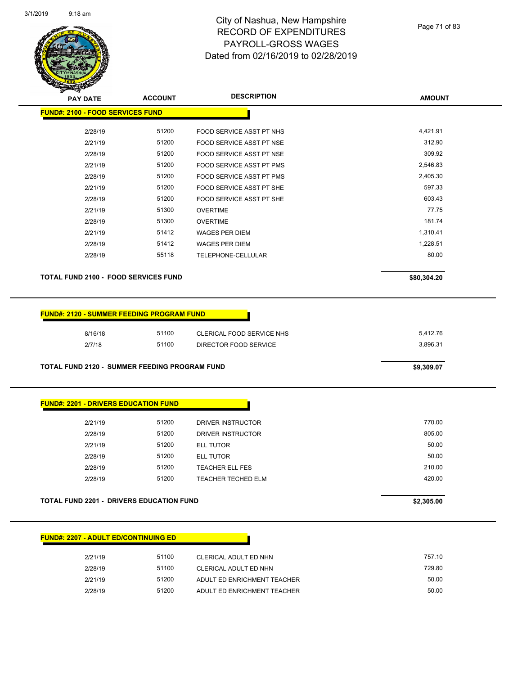

| <b>PAY DATE</b>                                  | <b>ACCOUNT</b> | <b>DESCRIPTION</b>              | <b>AMOUNT</b> |
|--------------------------------------------------|----------------|---------------------------------|---------------|
| <b>FUND#: 2100 - FOOD SERVICES FUND</b>          |                |                                 |               |
| 2/28/19                                          | 51200          | FOOD SERVICE ASST PT NHS        | 4,421.91      |
| 2/21/19                                          | 51200          | <b>FOOD SERVICE ASST PT NSE</b> | 312.90        |
| 2/28/19                                          | 51200          | FOOD SERVICE ASST PT NSE        | 309.92        |
| 2/21/19                                          | 51200          | <b>FOOD SERVICE ASST PT PMS</b> | 2,546.83      |
| 2/28/19                                          | 51200          | <b>FOOD SERVICE ASST PT PMS</b> | 2,405.30      |
| 2/21/19                                          | 51200          | FOOD SERVICE ASST PT SHE        | 597.33        |
| 2/28/19                                          | 51200          | FOOD SERVICE ASST PT SHE        | 603.43        |
| 2/21/19                                          | 51300          | <b>OVERTIME</b>                 | 77.75         |
| 2/28/19                                          | 51300          | <b>OVERTIME</b>                 | 181.74        |
| 2/21/19                                          | 51412          | <b>WAGES PER DIEM</b>           | 1,310.41      |
| 2/28/19                                          | 51412          | <b>WAGES PER DIEM</b>           | 1,228.51      |
| 2/28/19                                          | 55118          | TELEPHONE-CELLULAR              | 80.00         |
| <b>TOTAL FUND 2100 - FOOD SERVICES FUND</b>      |                |                                 | \$80,304.20   |
|                                                  |                |                                 |               |
|                                                  |                |                                 |               |
| <b>FUND#: 2120 - SUMMER FEEDING PROGRAM FUND</b> |                |                                 |               |
| $0140140$                                        | 51100          | CLEDICAL FOOD SEDVICE NUC       | 5 112 76      |

| TOTAL FUND 2120 - SUMMER FEEDING PROGRAM FUND |              |                           | \$9,309.07 |
|-----------------------------------------------|--------------|---------------------------|------------|
| 2/7/18                                        | 51100        | DIRECTOR FOOD SERVICE     | 3.896.31   |
| 0/10/10                                       | <b>UIIUU</b> | CLERICAL FOOD SERVICE NHS | 0.414.10   |

#### **FUND#: 2201 - DRIVERS EDUCATION FUND**

| 2/21/19 | 51200 | DRIVER INSTRUCTOR         | 770.00 |
|---------|-------|---------------------------|--------|
| 2/28/19 | 51200 | DRIVER INSTRUCTOR         | 805.00 |
| 2/21/19 | 51200 | <b>ELL TUTOR</b>          | 50.00  |
| 2/28/19 | 51200 | ELL TUTOR                 | 50.00  |
| 2/28/19 | 51200 | <b>TEACHER ELL FES</b>    | 210.00 |
| 2/28/19 | 51200 | <b>TEACHER TECHED ELM</b> | 420.00 |
|         |       |                           |        |

#### **TOTAL FUND 2201 - DRIVERS EDUCATION FUND \$2,305.00**

| <b>FUND#: 2207 - ADULT ED/CONTINUING ED</b> |       |                             |
|---------------------------------------------|-------|-----------------------------|
| 2/21/19                                     | 51100 | CLERICAL ADULT ED NHN       |
| 2/28/19                                     | 51100 | CLERICAL ADULT ED NHN       |
| 2/21/19                                     | 51200 | ADULT ED ENRICHMENT TEACHER |

2/28/19 51200 ADULT ED ENRICHMENT TEACHER 50.00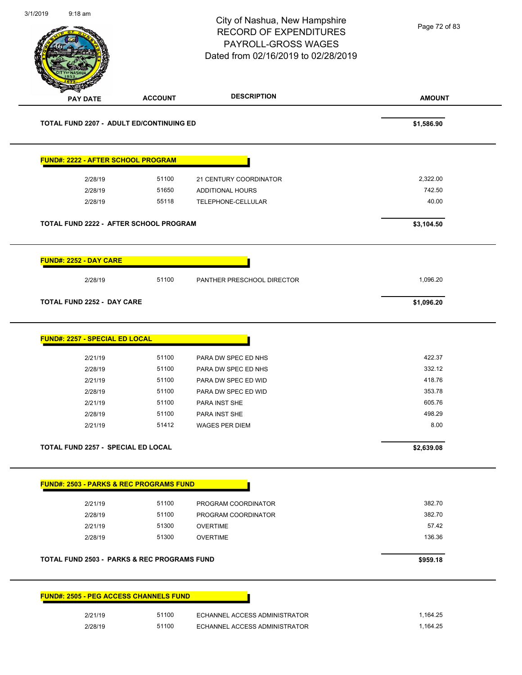| 3/1/2019 | $9:18$ am                                 |                                                        | City of Nashua, New Hampshire<br><b>RECORD OF EXPENDITURES</b><br>PAYROLL-GROSS WAGES<br>Dated from 02/16/2019 to 02/28/2019 | Page 72 of 83 |
|----------|-------------------------------------------|--------------------------------------------------------|------------------------------------------------------------------------------------------------------------------------------|---------------|
|          | <b>PAY DATE</b>                           | <b>ACCOUNT</b>                                         | <b>DESCRIPTION</b>                                                                                                           | <b>AMOUNT</b> |
|          |                                           | TOTAL FUND 2207 - ADULT ED/CONTINUING ED               |                                                                                                                              | \$1,586.90    |
|          |                                           | FUND#: 2222 - AFTER SCHOOL PROGRAM                     |                                                                                                                              |               |
|          | 2/28/19                                   | 51100                                                  | 21 CENTURY COORDINATOR                                                                                                       | 2,322.00      |
|          | 2/28/19                                   | 51650                                                  | ADDITIONAL HOURS                                                                                                             | 742.50        |
|          | 2/28/19                                   | 55118                                                  | TELEPHONE-CELLULAR                                                                                                           | 40.00         |
|          |                                           | TOTAL FUND 2222 - AFTER SCHOOL PROGRAM                 |                                                                                                                              | \$3,104.50    |
|          | <b>FUND#: 2252 - DAY CARE</b>             |                                                        |                                                                                                                              |               |
|          | 2/28/19                                   | 51100                                                  | PANTHER PRESCHOOL DIRECTOR                                                                                                   | 1,096.20      |
|          | <b>TOTAL FUND 2252 - DAY CARE</b>         |                                                        |                                                                                                                              | \$1,096.20    |
|          | FUND#: 2257 - SPECIAL ED LOCAL            |                                                        |                                                                                                                              |               |
|          | 2/21/19                                   | 51100                                                  | PARA DW SPEC ED NHS                                                                                                          | 422.37        |
|          | 2/28/19                                   | 51100                                                  | PARA DW SPEC ED NHS                                                                                                          | 332.12        |
|          | 2/21/19                                   | 51100                                                  | PARA DW SPEC ED WID                                                                                                          | 418.76        |
|          | 2/28/19                                   | 51100                                                  | PARA DW SPEC ED WID                                                                                                          | 353.78        |
|          | 2/21/19                                   | 51100                                                  | PARA INST SHE                                                                                                                | 605.76        |
|          | 2/28/19                                   | 51100                                                  | PARA INST SHE                                                                                                                | 498.29        |
|          | 2/21/19                                   | 51412                                                  | WAGES PER DIEM                                                                                                               | 8.00          |
|          | <b>TOTAL FUND 2257 - SPECIAL ED LOCAL</b> |                                                        |                                                                                                                              | \$2,639.08    |
|          |                                           | <b>FUND#: 2503 - PARKS &amp; REC PROGRAMS FUND</b>     |                                                                                                                              |               |
|          | 2/21/19                                   | 51100                                                  | PROGRAM COORDINATOR                                                                                                          | 382.70        |
|          | 2/28/19                                   | 51100                                                  | PROGRAM COORDINATOR                                                                                                          | 382.70        |
|          | 2/21/19                                   | 51300                                                  | <b>OVERTIME</b>                                                                                                              | 57.42         |
|          | 2/28/19                                   | 51300                                                  | <b>OVERTIME</b>                                                                                                              | 136.36        |
|          |                                           | <b>TOTAL FUND 2503 - PARKS &amp; REC PROGRAMS FUND</b> |                                                                                                                              | \$959.18      |
|          |                                           | <b>FUND#: 2505 - PEG ACCESS CHANNELS FUND</b>          |                                                                                                                              |               |
|          |                                           | 51100                                                  |                                                                                                                              | 1,164.25      |
|          | 2/21/19                                   |                                                        | ECHANNEL ACCESS ADMINISTRATOR                                                                                                |               |
|          | 2/28/19                                   | 51100                                                  | ECHANNEL ACCESS ADMINISTRATOR                                                                                                | 1,164.25      |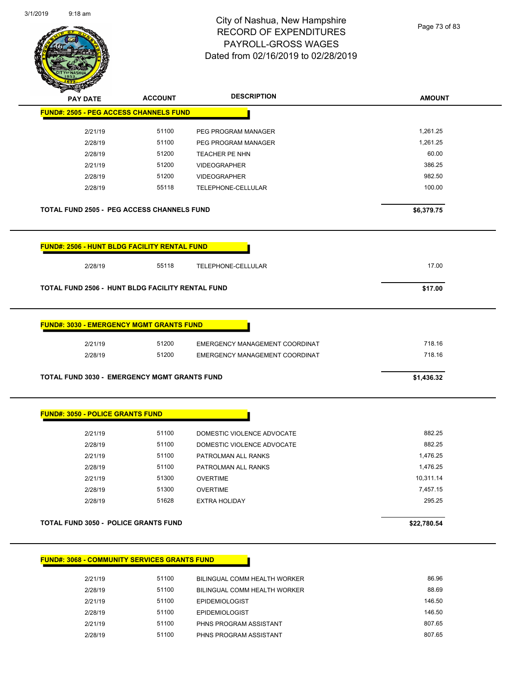| 3/1/2019 | $9:18$ am |
|----------|-----------|
|----------|-----------|



Page 73 of 83

| <b>PAY DATE</b>                                                                                                                                                                                                            | <b>ACCOUNT</b> | <b>DESCRIPTION</b>                                    | <b>AMOUNT</b>   |
|----------------------------------------------------------------------------------------------------------------------------------------------------------------------------------------------------------------------------|----------------|-------------------------------------------------------|-----------------|
| <b>FUND#: 2505 - PEG ACCESS CHANNELS FUND</b>                                                                                                                                                                              |                |                                                       |                 |
| 2/21/19                                                                                                                                                                                                                    | 51100          | PEG PROGRAM MANAGER                                   | 1,261.25        |
| 2/28/19                                                                                                                                                                                                                    | 51100          | PEG PROGRAM MANAGER                                   | 1,261.25        |
| 2/28/19                                                                                                                                                                                                                    | 51200          | <b>TEACHER PE NHN</b>                                 | 60.00           |
| 2/21/19                                                                                                                                                                                                                    | 51200          | <b>VIDEOGRAPHER</b>                                   | 386.25          |
| 2/28/19                                                                                                                                                                                                                    | 51200          | <b>VIDEOGRAPHER</b>                                   | 982.50          |
| 2/28/19                                                                                                                                                                                                                    | 55118          | TELEPHONE-CELLULAR                                    | 100.00          |
| <b>TOTAL FUND 2505 - PEG ACCESS CHANNELS FUND</b>                                                                                                                                                                          |                |                                                       | \$6,379.75      |
| <b>FUND#: 2506 - HUNT BLDG FACILITY RENTAL FUND</b>                                                                                                                                                                        |                |                                                       |                 |
| 2/28/19                                                                                                                                                                                                                    | 55118          | TELEPHONE-CELLULAR                                    | 17.00           |
| <b>TOTAL FUND 2506 - HUNT BLDG FACILITY RENTAL FUND</b>                                                                                                                                                                    |                |                                                       | \$17.00         |
|                                                                                                                                                                                                                            |                |                                                       |                 |
| <b>FUND#: 3030 - EMERGENCY MGMT GRANTS FUND</b>                                                                                                                                                                            |                |                                                       |                 |
|                                                                                                                                                                                                                            |                |                                                       |                 |
| 2/21/19                                                                                                                                                                                                                    | 51200          | EMERGENCY MANAGEMENT COORDINAT                        | 718.16          |
| 2/28/19                                                                                                                                                                                                                    | 51200          | EMERGENCY MANAGEMENT COORDINAT                        | 718.16          |
|                                                                                                                                                                                                                            |                |                                                       | \$1,436.32      |
|                                                                                                                                                                                                                            |                |                                                       |                 |
| 2/21/19                                                                                                                                                                                                                    | 51100          | DOMESTIC VIOLENCE ADVOCATE                            | 882.25          |
| 2/28/19                                                                                                                                                                                                                    | 51100          | DOMESTIC VIOLENCE ADVOCATE                            | 882.25          |
| 2/21/19                                                                                                                                                                                                                    | 51100          | PATROLMAN ALL RANKS                                   | 1,476.25        |
| 2/28/19                                                                                                                                                                                                                    | 51100          | PATROLMAN ALL RANKS                                   | 1,476.25        |
| 2/21/19                                                                                                                                                                                                                    | 51300          | <b>OVERTIME</b>                                       | 10,311.14       |
| 2/28/19                                                                                                                                                                                                                    | 51300          | <b>OVERTIME</b>                                       | 7,457.15        |
| 2/28/19                                                                                                                                                                                                                    | 51628          | <b>EXTRA HOLIDAY</b>                                  | 295.25          |
|                                                                                                                                                                                                                            |                |                                                       | \$22,780.54     |
|                                                                                                                                                                                                                            |                |                                                       |                 |
|                                                                                                                                                                                                                            |                |                                                       |                 |
| 2/21/19                                                                                                                                                                                                                    | 51100          | BILINGUAL COMM HEALTH WORKER                          | 86.96           |
| <b>TOTAL FUND 3030 - EMERGENCY MGMT GRANTS FUND</b><br><b>FUND#: 3050 - POLICE GRANTS FUND</b><br><b>TOTAL FUND 3050 - POLICE GRANTS FUND</b><br><b>FUND#: 3068 - COMMUNITY SERVICES GRANTS FUND</b><br>2/28/19<br>2/21/19 | 51100<br>51100 | BILINGUAL COMM HEALTH WORKER<br><b>EPIDEMIOLOGIST</b> | 88.69<br>146.50 |

2/21/19 51100 PHNS PROGRAM ASSISTANT 807.65 2/28/19 51100 PHNS PROGRAM ASSISTANT 807.65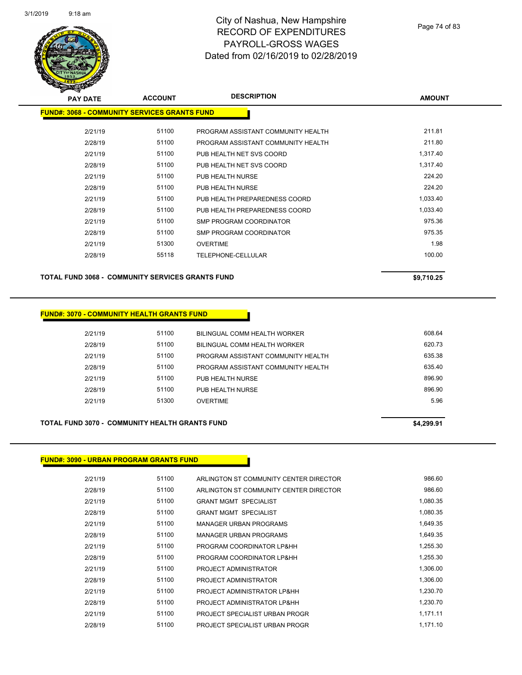

| $\mathbf{z}$<br><b>PAY DATE</b>                     | <b>ACCOUNT</b> | <b>DESCRIPTION</b>                 | <b>AMOUNT</b> |
|-----------------------------------------------------|----------------|------------------------------------|---------------|
| <b>FUND#: 3068 - COMMUNITY SERVICES GRANTS FUND</b> |                |                                    |               |
| 2/21/19                                             | 51100          | PROGRAM ASSISTANT COMMUNITY HEALTH | 211.81        |
| 2/28/19                                             | 51100          | PROGRAM ASSISTANT COMMUNITY HEALTH | 211.80        |
| 2/21/19                                             | 51100          | PUB HEALTH NET SVS COORD           | 1,317.40      |
| 2/28/19                                             | 51100          | PUB HEALTH NET SVS COORD           | 1,317.40      |
| 2/21/19                                             | 51100          | PUB HEALTH NURSE                   | 224.20        |
| 2/28/19                                             | 51100          | PUB HEALTH NURSE                   | 224.20        |
| 2/21/19                                             | 51100          | PUB HEALTH PREPAREDNESS COORD      | 1,033.40      |
| 2/28/19                                             | 51100          | PUB HEALTH PREPAREDNESS COORD      | 1,033.40      |
| 2/21/19                                             | 51100          | <b>SMP PROGRAM COORDINATOR</b>     | 975.36        |
| 2/28/19                                             | 51100          | <b>SMP PROGRAM COORDINATOR</b>     | 975.35        |
| 2/21/19                                             | 51300          | <b>OVERTIME</b>                    | 1.98          |
| 2/28/19                                             | 55118          | TELEPHONE-CELLULAR                 | 100.00        |
|                                                     |                |                                    |               |

**TOTAL FUND 3068 - COMMUNITY SERVICES GRANTS FUND \$9,710.25** 

#### **FUND#: 3070 - COMMUNITY HEALTH GRANTS FUND**

| 2/21/19 | 51100 | BILINGUAL COMM HEALTH WORKER       | 608.64 |
|---------|-------|------------------------------------|--------|
| 2/28/19 | 51100 | BILINGUAL COMM HEALTH WORKER       | 620.73 |
| 2/21/19 | 51100 | PROGRAM ASSISTANT COMMUNITY HEALTH | 635.38 |
| 2/28/19 | 51100 | PROGRAM ASSISTANT COMMUNITY HEALTH | 635.40 |
| 2/21/19 | 51100 | PUB HEALTH NURSE                   | 896.90 |
| 2/28/19 | 51100 | PUB HEALTH NURSE                   | 896.90 |
| 2/21/19 | 51300 | <b>OVERTIME</b>                    | 5.96   |
|         |       |                                    |        |

#### **TOTAL FUND 3070 - COMMUNITY HEALTH GRANTS FUND \$4,299.91**

## **FUND#: 3090 - URBAN PROGRAM GRANTS FUND**

| 2/21/19 | 51100 | ARLINGTON ST COMMUNITY CENTER DIRECTOR | 986.60   |
|---------|-------|----------------------------------------|----------|
| 2/28/19 | 51100 | ARLINGTON ST COMMUNITY CENTER DIRECTOR | 986.60   |
| 2/21/19 | 51100 | <b>GRANT MGMT SPECIALIST</b>           | 1,080.35 |
| 2/28/19 | 51100 | <b>GRANT MGMT SPECIALIST</b>           | 1,080.35 |
| 2/21/19 | 51100 | <b>MANAGER URBAN PROGRAMS</b>          | 1.649.35 |
| 2/28/19 | 51100 | <b>MANAGER URBAN PROGRAMS</b>          | 1,649.35 |
| 2/21/19 | 51100 | PROGRAM COORDINATOR LP&HH              | 1.255.30 |
| 2/28/19 | 51100 | PROGRAM COORDINATOR LP&HH              | 1,255.30 |
| 2/21/19 | 51100 | PROJECT ADMINISTRATOR                  | 1,306.00 |
| 2/28/19 | 51100 | PROJECT ADMINISTRATOR                  | 1,306.00 |
| 2/21/19 | 51100 | PROJECT ADMINISTRATOR LP&HH            | 1.230.70 |
| 2/28/19 | 51100 | PROJECT ADMINISTRATOR LP&HH            | 1,230.70 |
| 2/21/19 | 51100 | PROJECT SPECIALIST URBAN PROGR         | 1,171.11 |
| 2/28/19 | 51100 | PROJECT SPECIALIST URBAN PROGR         | 1.171.10 |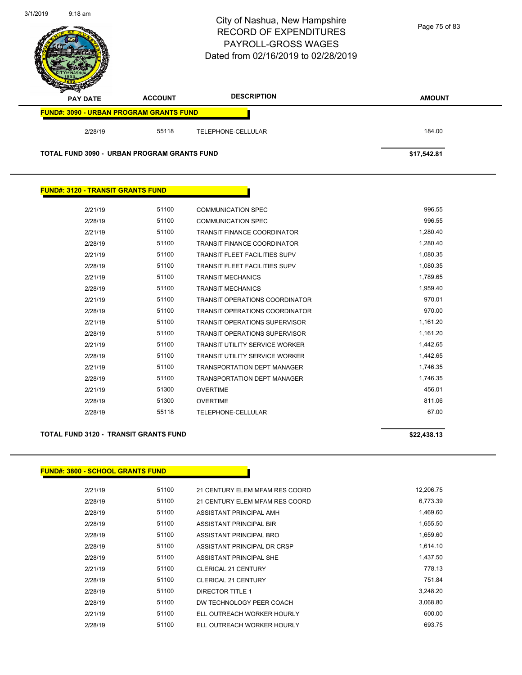

| <u>i vinyhi v isvo tin niveli vin nitiv i viny</u> |  |  |
|----------------------------------------------------|--|--|
|                                                    |  |  |
|                                                    |  |  |
|                                                    |  |  |
|                                                    |  |  |
|                                                    |  |  |

**FUND#: 3120 - TRANSIT GRANTS FUND**

| 51100 | <b>COMMUNICATION SPEC</b>             | 996.55   |
|-------|---------------------------------------|----------|
| 51100 | <b>COMMUNICATION SPEC</b>             | 996.55   |
| 51100 | <b>TRANSIT FINANCE COORDINATOR</b>    | 1.280.40 |
| 51100 | <b>TRANSIT FINANCE COORDINATOR</b>    | 1,280.40 |
| 51100 | <b>TRANSIT FLEET FACILITIES SUPV</b>  | 1,080.35 |
| 51100 | <b>TRANSIT FLEET FACILITIES SUPV</b>  | 1,080.35 |
| 51100 | <b>TRANSIT MECHANICS</b>              | 1,789.65 |
| 51100 | <b>TRANSIT MECHANICS</b>              | 1,959.40 |
| 51100 | <b>TRANSIT OPERATIONS COORDINATOR</b> | 970.01   |
| 51100 | <b>TRANSIT OPERATIONS COORDINATOR</b> | 970.00   |
| 51100 | <b>TRANSIT OPERATIONS SUPERVISOR</b>  | 1,161.20 |
| 51100 | <b>TRANSIT OPERATIONS SUPERVISOR</b>  | 1,161.20 |
| 51100 | <b>TRANSIT UTILITY SERVICE WORKER</b> | 1,442.65 |
| 51100 | <b>TRANSIT UTILITY SERVICE WORKER</b> | 1,442.65 |
| 51100 | <b>TRANSPORTATION DEPT MANAGER</b>    | 1,746.35 |
| 51100 | <b>TRANSPORTATION DEPT MANAGER</b>    | 1,746.35 |
| 51300 | <b>OVERTIME</b>                       | 456.01   |
| 51300 | <b>OVERTIME</b>                       | 811.06   |
| 55118 | TELEPHONE-CELLULAR                    | 67.00    |
|       |                                       |          |

#### **TOTAL FUND 3120 - TRANSIT GRANTS FUND \$22,438.13**

### **FUND#: 3800 - SCHOOL GRANTS FUND**

| 2/21/19 | 51100 | 21 CENTURY ELEM MFAM RES COORD | 12,206.75 |
|---------|-------|--------------------------------|-----------|
| 2/28/19 | 51100 | 21 CENTURY ELEM MFAM RES COORD | 6,773.39  |
| 2/28/19 | 51100 | ASSISTANT PRINCIPAL AMH        | 1,469.60  |
| 2/28/19 | 51100 | ASSISTANT PRINCIPAL BIR        | 1,655.50  |
| 2/28/19 | 51100 | ASSISTANT PRINCIPAL BRO        | 1,659.60  |
| 2/28/19 | 51100 | ASSISTANT PRINCIPAL DR CRSP    | 1,614.10  |
| 2/28/19 | 51100 | ASSISTANT PRINCIPAL SHE        | 1,437.50  |
| 2/21/19 | 51100 | <b>CLERICAL 21 CENTURY</b>     | 778.13    |
| 2/28/19 | 51100 | <b>CLERICAL 21 CENTURY</b>     | 751.84    |
| 2/28/19 | 51100 | <b>DIRECTOR TITLE 1</b>        | 3.248.20  |
| 2/28/19 | 51100 | DW TECHNOLOGY PEER COACH       | 3,068.80  |
| 2/21/19 | 51100 | ELL OUTREACH WORKER HOURLY     | 600.00    |
| 2/28/19 | 51100 | ELL OUTREACH WORKER HOURLY     | 693.75    |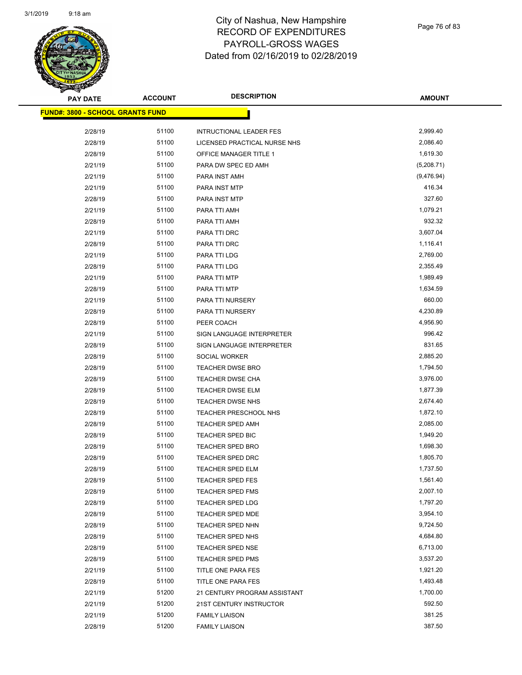

Page 76 of 83

| <b>PAY DATE</b>                         | <b>ACCOUNT</b> | <b>DESCRIPTION</b>                          | <b>AMOUNT</b>        |
|-----------------------------------------|----------------|---------------------------------------------|----------------------|
| <b>FUND#: 3800 - SCHOOL GRANTS FUND</b> |                |                                             |                      |
| 2/28/19                                 | 51100          | <b>INTRUCTIONAL LEADER FES</b>              | 2,999.40             |
| 2/28/19                                 | 51100          | LICENSED PRACTICAL NURSE NHS                | 2,086.40             |
| 2/28/19                                 | 51100          | OFFICE MANAGER TITLE 1                      | 1,619.30             |
| 2/21/19                                 | 51100          | PARA DW SPEC ED AMH                         | (5,208.71)           |
| 2/21/19                                 | 51100          | PARA INST AMH                               | (9,476.94)           |
| 2/21/19                                 | 51100          | PARA INST MTP                               | 416.34               |
| 2/28/19                                 | 51100          | PARA INST MTP                               | 327.60               |
| 2/21/19                                 | 51100          | PARA TTI AMH                                | 1,079.21             |
| 2/28/19                                 | 51100          | PARA TTI AMH                                | 932.32               |
| 2/21/19                                 | 51100          | PARA TTI DRC                                | 3,607.04             |
| 2/28/19                                 | 51100          | PARA TTI DRC                                | 1,116.41             |
| 2/21/19                                 | 51100          | PARA TTI LDG                                | 2,769.00             |
| 2/28/19                                 | 51100          | PARA TTI LDG                                | 2,355.49             |
| 2/21/19                                 | 51100          | PARA TTI MTP                                | 1,989.49             |
| 2/28/19                                 | 51100          | PARA TTI MTP                                | 1,634.59             |
| 2/21/19                                 | 51100          | PARA TTI NURSERY                            | 660.00               |
| 2/28/19                                 | 51100          | PARA TTI NURSERY                            | 4,230.89             |
| 2/28/19                                 | 51100          | PEER COACH                                  | 4,956.90             |
| 2/21/19                                 | 51100          | SIGN LANGUAGE INTERPRETER                   | 996.42               |
| 2/28/19                                 | 51100          | SIGN LANGUAGE INTERPRETER                   | 831.65               |
| 2/28/19                                 | 51100          | SOCIAL WORKER                               | 2,885.20             |
| 2/28/19                                 | 51100          | <b>TEACHER DWSE BRO</b>                     | 1,794.50             |
| 2/28/19                                 | 51100          | <b>TEACHER DWSE CHA</b>                     | 3,976.00             |
| 2/28/19                                 | 51100          | <b>TEACHER DWSE ELM</b>                     | 1,877.39             |
| 2/28/19                                 | 51100          | TEACHER DWSE NHS                            | 2,674.40             |
| 2/28/19                                 | 51100          | TEACHER PRESCHOOL NHS                       | 1,872.10             |
| 2/28/19                                 | 51100<br>51100 | <b>TEACHER SPED AMH</b>                     | 2,085.00<br>1,949.20 |
| 2/28/19                                 | 51100          | TEACHER SPED BIC<br><b>TEACHER SPED BRO</b> | 1,698.30             |
| 2/28/19<br>2/28/19                      | 51100          | <b>TEACHER SPED DRC</b>                     | 1,805.70             |
| 2/28/19                                 | 51100          | <b>TEACHER SPED ELM</b>                     | 1,737.50             |
| 2/28/19                                 | 51100          | <b>TEACHER SPED FES</b>                     | 1,561.40             |
| 2/28/19                                 | 51100          | <b>TEACHER SPED FMS</b>                     | 2,007.10             |
| 2/28/19                                 | 51100          | <b>TEACHER SPED LDG</b>                     | 1,797.20             |
| 2/28/19                                 | 51100          | TEACHER SPED MDE                            | 3,954.10             |
| 2/28/19                                 | 51100          | <b>TEACHER SPED NHN</b>                     | 9,724.50             |
| 2/28/19                                 | 51100          | TEACHER SPED NHS                            | 4,684.80             |
| 2/28/19                                 | 51100          | <b>TEACHER SPED NSE</b>                     | 6,713.00             |
| 2/28/19                                 | 51100          | <b>TEACHER SPED PMS</b>                     | 3,537.20             |
| 2/21/19                                 | 51100          | TITLE ONE PARA FES                          | 1,921.20             |
| 2/28/19                                 | 51100          | TITLE ONE PARA FES                          | 1,493.48             |
| 2/21/19                                 | 51200          | 21 CENTURY PROGRAM ASSISTANT                | 1,700.00             |
| 2/21/19                                 | 51200          | 21ST CENTURY INSTRUCTOR                     | 592.50               |
| 2/21/19                                 | 51200          | <b>FAMILY LIAISON</b>                       | 381.25               |
| 2/28/19                                 | 51200          | <b>FAMILY LIAISON</b>                       | 387.50               |
|                                         |                |                                             |                      |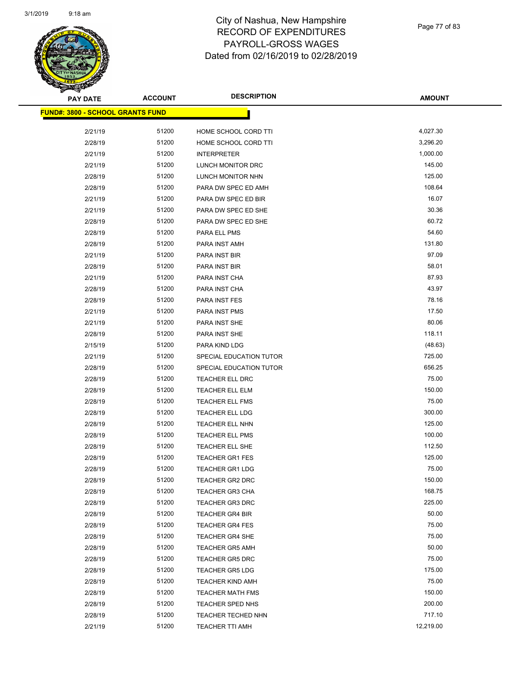

| <b>PAY DATE</b>                          | <b>ACCOUNT</b> | <b>DESCRIPTION</b>      | <b>AMOUNT</b> |
|------------------------------------------|----------------|-------------------------|---------------|
| <u> FUND#: 3800 - SCHOOL GRANTS FUND</u> |                |                         |               |
| 2/21/19                                  | 51200          | HOME SCHOOL CORD TTI    | 4,027.30      |
| 2/28/19                                  | 51200          | HOME SCHOOL CORD TTI    | 3,296.20      |
| 2/21/19                                  | 51200          | <b>INTERPRETER</b>      | 1,000.00      |
| 2/21/19                                  | 51200          | LUNCH MONITOR DRC       | 145.00        |
| 2/28/19                                  | 51200          | LUNCH MONITOR NHN       | 125.00        |
| 2/28/19                                  | 51200          | PARA DW SPEC ED AMH     | 108.64        |
| 2/21/19                                  | 51200          | PARA DW SPEC ED BIR     | 16.07         |
| 2/21/19                                  | 51200          | PARA DW SPEC ED SHE     | 30.36         |
| 2/28/19                                  | 51200          | PARA DW SPEC ED SHE     | 60.72         |
| 2/28/19                                  | 51200          | PARA ELL PMS            | 54.60         |
| 2/28/19                                  | 51200          | PARA INST AMH           | 131.80        |
| 2/21/19                                  | 51200          | PARA INST BIR           | 97.09         |
| 2/28/19                                  | 51200          | PARA INST BIR           | 58.01         |
| 2/21/19                                  | 51200          | PARA INST CHA           | 87.93         |
| 2/28/19                                  | 51200          | PARA INST CHA           | 43.97         |
| 2/28/19                                  | 51200          | PARA INST FES           | 78.16         |
| 2/21/19                                  | 51200          | PARA INST PMS           | 17.50         |
| 2/21/19                                  | 51200          | PARA INST SHE           | 80.06         |
| 2/28/19                                  | 51200          | PARA INST SHE           | 118.11        |
| 2/15/19                                  | 51200          | PARA KIND LDG           | (48.63)       |
| 2/21/19                                  | 51200          | SPECIAL EDUCATION TUTOR | 725.00        |
| 2/28/19                                  | 51200          | SPECIAL EDUCATION TUTOR | 656.25        |
| 2/28/19                                  | 51200          | TEACHER ELL DRC         | 75.00         |
| 2/28/19                                  | 51200          | <b>TEACHER ELL ELM</b>  | 150.00        |
| 2/28/19                                  | 51200          | <b>TEACHER ELL FMS</b>  | 75.00         |
| 2/28/19                                  | 51200          | TEACHER ELL LDG         | 300.00        |
| 2/28/19                                  | 51200          | TEACHER ELL NHN         | 125.00        |
| 2/28/19                                  | 51200          | <b>TEACHER ELL PMS</b>  | 100.00        |
| 2/28/19                                  | 51200          | TEACHER ELL SHE         | 112.50        |
| 2/28/19                                  | 51200          | <b>TEACHER GR1 FES</b>  | 125.00        |
| 2/28/19                                  | 51200          | <b>TEACHER GR1 LDG</b>  | 75.00         |
| 2/28/19                                  | 51200          | TEACHER GR2 DRC         | 150.00        |
| 2/28/19                                  | 51200          | <b>TEACHER GR3 CHA</b>  | 168.75        |
| 2/28/19                                  | 51200          | <b>TEACHER GR3 DRC</b>  | 225.00        |
| 2/28/19                                  | 51200          | <b>TEACHER GR4 BIR</b>  | 50.00         |
| 2/28/19                                  | 51200          | <b>TEACHER GR4 FES</b>  | 75.00         |
| 2/28/19                                  | 51200          | <b>TEACHER GR4 SHE</b>  | 75.00         |
| 2/28/19                                  | 51200          | <b>TEACHER GR5 AMH</b>  | 50.00         |
| 2/28/19                                  | 51200          | <b>TEACHER GR5 DRC</b>  | 75.00         |
| 2/28/19                                  | 51200          | <b>TEACHER GR5 LDG</b>  | 175.00        |
| 2/28/19                                  | 51200          | <b>TEACHER KIND AMH</b> | 75.00         |
| 2/28/19                                  | 51200          | <b>TEACHER MATH FMS</b> | 150.00        |
| 2/28/19                                  | 51200          | TEACHER SPED NHS        | 200.00        |
| 2/28/19                                  | 51200          | TEACHER TECHED NHN      | 717.10        |
| 2/21/19                                  | 51200          | TEACHER TTI AMH         | 12,219.00     |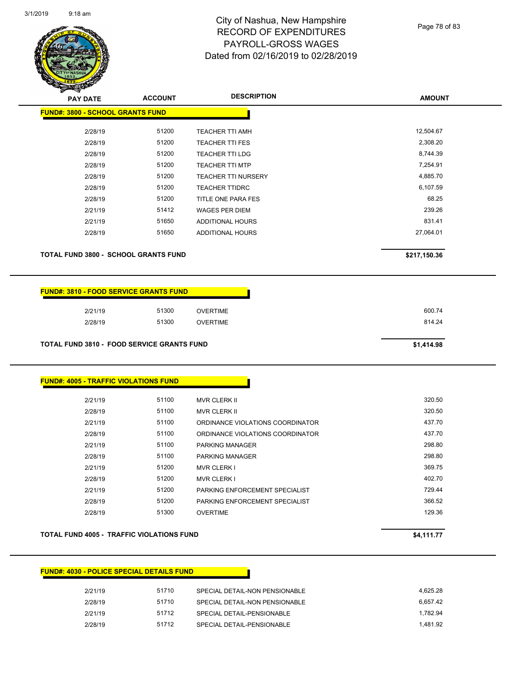

Page 78 of 83

| <b>PAY DATE</b>                             | <b>ACCOUNT</b> | <b>DESCRIPTION</b>         | <b>AMOUNT</b> |
|---------------------------------------------|----------------|----------------------------|---------------|
| <b>FUND#: 3800 - SCHOOL GRANTS FUND</b>     |                |                            |               |
| 2/28/19                                     | 51200          | <b>TEACHER TTI AMH</b>     | 12,504.67     |
| 2/28/19                                     | 51200          | <b>TEACHER TTI FES</b>     | 2,308.20      |
| 2/28/19                                     | 51200          | <b>TEACHER TTI LDG</b>     | 8,744.39      |
| 2/28/19                                     | 51200          | <b>TEACHER TTI MTP</b>     | 7,254.91      |
| 2/28/19                                     | 51200          | <b>TEACHER TTI NURSERY</b> | 4,885.70      |
| 2/28/19                                     | 51200          | <b>TEACHER TTIDRC</b>      | 6,107.59      |
| 2/28/19                                     | 51200          | TITLE ONE PARA FES         | 68.25         |
| 2/21/19                                     | 51412          | <b>WAGES PER DIEM</b>      | 239.26        |
| 2/21/19                                     | 51650          | ADDITIONAL HOURS           | 831.41        |
| 2/28/19                                     | 51650          | ADDITIONAL HOURS           | 27,064.01     |
| <b>TOTAL FUND 3800 - SCHOOL GRANTS FUND</b> |                |                            | \$217,150.36  |
|                                             |                |                            |               |

## **FUND#: 3810 - FOOD SERVICE GRANTS FUND**

| 2/21/19 | 51300 | <b>OVERTIME</b> | 600.74 |
|---------|-------|-----------------|--------|
| 2/28/19 | 51300 | <b>OVERTIME</b> | 814.24 |
|         |       |                 |        |

**TOTAL FUND 3810 - FOOD SERVICE GRANTS FUND \$1,414.98** 

### **FUND#: 4005 - TRAFFIC VIOLATIONS FUND**

| 2/21/19 | 51100 | <b>MVR CLERK II</b>              | 320.50 |
|---------|-------|----------------------------------|--------|
| 2/28/19 | 51100 | <b>MVR CLERK II</b>              | 320.50 |
| 2/21/19 | 51100 | ORDINANCE VIOLATIONS COORDINATOR | 437.70 |
| 2/28/19 | 51100 | ORDINANCE VIOLATIONS COORDINATOR | 437.70 |
| 2/21/19 | 51100 | <b>PARKING MANAGER</b>           | 298.80 |
| 2/28/19 | 51100 | <b>PARKING MANAGER</b>           | 298.80 |
| 2/21/19 | 51200 | <b>MVR CLERK I</b>               | 369.75 |
| 2/28/19 | 51200 | <b>MVR CLERK I</b>               | 402.70 |
| 2/21/19 | 51200 | PARKING ENFORCEMENT SPECIALIST   | 729.44 |
| 2/28/19 | 51200 | PARKING ENFORCEMENT SPECIALIST   | 366.52 |
| 2/28/19 | 51300 | <b>OVERTIME</b>                  | 129.36 |

### **TOTAL FUND 4005 - TRAFFIC VIOLATIONS FUND 54,111.77**

### **FUND#: 4030 - POLICE SPECIAL DETAILS FUND**

| 2/21/19 | 51710 | SPECIAL DETAIL-NON PENSIONABLE | 4.625.28 |
|---------|-------|--------------------------------|----------|
| 2/28/19 | 51710 | SPECIAL DETAIL-NON PENSIONABLE | 6.657.42 |
| 2/21/19 | 51712 | SPECIAL DETAIL-PENSIONABLE     | 1.782.94 |
| 2/28/19 | 51712 | SPECIAL DETAIL-PENSIONABLE     | 1.481.92 |
|         |       |                                |          |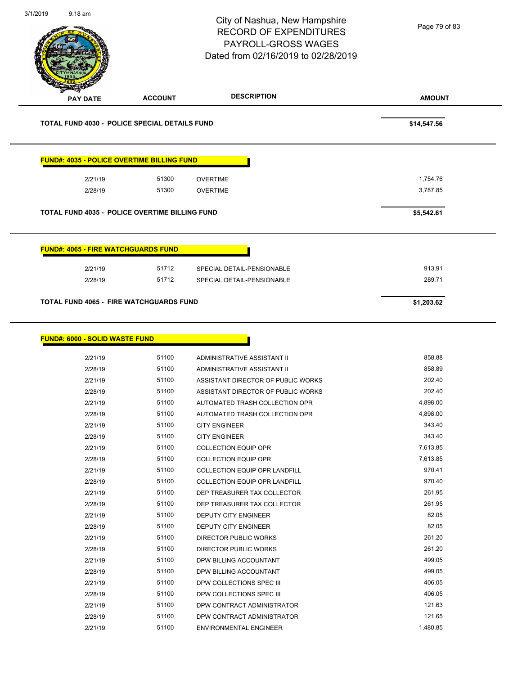|                                                  |                                                       | <b>RECORD OF EXPENDITURES</b><br>PAYROLL-GROSS WAGES<br>Dated from 02/16/2019 to 02/28/2019 | Page 79 of 83        |
|--------------------------------------------------|-------------------------------------------------------|---------------------------------------------------------------------------------------------|----------------------|
| <b>PAY DATE</b>                                  | <b>ACCOUNT</b>                                        | <b>DESCRIPTION</b>                                                                          | <b>AMOUNT</b>        |
|                                                  | <b>TOTAL FUND 4030 - POLICE SPECIAL DETAILS FUND</b>  |                                                                                             | \$14,547.56          |
|                                                  | <b>FUND#: 4035 - POLICE OVERTIME BILLING FUND</b>     |                                                                                             |                      |
| 2/21/19                                          | 51300                                                 | <b>OVERTIME</b>                                                                             | 1,754.76             |
| 2/28/19                                          | 51300                                                 | <b>OVERTIME</b>                                                                             | 3,787.85             |
|                                                  | <b>TOTAL FUND 4035 - POLICE OVERTIME BILLING FUND</b> |                                                                                             | \$5,542.61           |
|                                                  | <b>FUND#: 4065 - FIRE WATCHGUARDS FUND</b>            |                                                                                             |                      |
| 2/21/19                                          | 51712                                                 | SPECIAL DETAIL-PENSIONABLE                                                                  | 913.91               |
| 2/28/19                                          | 51712                                                 | SPECIAL DETAIL-PENSIONABLE                                                                  | 289.71               |
|                                                  |                                                       |                                                                                             |                      |
|                                                  |                                                       |                                                                                             |                      |
| 2/21/19                                          | 51100                                                 | ADMINISTRATIVE ASSISTANT II                                                                 | 858.88               |
| 2/28/19                                          | 51100                                                 | ADMINISTRATIVE ASSISTANT II                                                                 | 858.89               |
| 2/21/19                                          | 51100                                                 | ASSISTANT DIRECTOR OF PUBLIC WORKS                                                          | 202.40               |
| 2/28/19                                          | 51100                                                 | ASSISTANT DIRECTOR OF PUBLIC WORKS                                                          | 202.40               |
| 2/21/19                                          | 51100                                                 | AUTOMATED TRASH COLLECTION OPR                                                              | 4,898.00             |
| 2/28/19                                          | 51100                                                 | AUTOMATED TRASH COLLECTION OPR                                                              | 4,898.00             |
| 2/21/19                                          | 51100                                                 | <b>CITY ENGINEER</b>                                                                        | 343.40               |
| 2/28/19                                          | 51100                                                 | <b>CITY ENGINEER</b>                                                                        | 343.40               |
| 2/21/19                                          | 51100<br>51100                                        | <b>COLLECTION EQUIP OPR</b>                                                                 | 7,613.85<br>7,613.85 |
| 2/28/19<br>2/21/19                               | 51100                                                 | <b>COLLECTION EQUIP OPR</b>                                                                 | 970.41               |
| 2/28/19                                          | 51100                                                 | COLLECTION EQUIP OPR LANDFILL<br>COLLECTION EQUIP OPR LANDFILL                              | 970.40               |
| 2/21/19                                          | 51100                                                 | DEP TREASURER TAX COLLECTOR                                                                 | 261.95               |
| 2/28/19                                          | 51100                                                 | DEP TREASURER TAX COLLECTOR                                                                 | 261.95               |
| 2/21/19                                          | 51100                                                 | DEPUTY CITY ENGINEER                                                                        | 82.05                |
| 2/28/19                                          | 51100                                                 | DEPUTY CITY ENGINEER                                                                        | 82.05                |
| 2/21/19                                          | 51100                                                 | DIRECTOR PUBLIC WORKS                                                                       | 261.20               |
| 2/28/19                                          | 51100                                                 | DIRECTOR PUBLIC WORKS                                                                       | 261.20               |
| 2/21/19                                          | 51100                                                 | DPW BILLING ACCOUNTANT                                                                      | 499.05               |
| 2/28/19                                          | 51100                                                 | DPW BILLING ACCOUNTANT                                                                      | 499.05               |
| 2/21/19                                          | 51100                                                 | DPW COLLECTIONS SPEC III                                                                    | 406.05               |
| 2/28/19                                          | 51100                                                 | DPW COLLECTIONS SPEC III                                                                    | 406.05               |
| <b>FUND#: 6000 - SOLID WASTE FUND</b><br>2/21/19 | 51100                                                 | DPW CONTRACT ADMINISTRATOR                                                                  | 121.63               |
| 2/28/19<br>2/21/19                               | 51100<br>51100                                        | DPW CONTRACT ADMINISTRATOR<br>ENVIRONMENTAL ENGINEER                                        | 121.65<br>1,480.85   |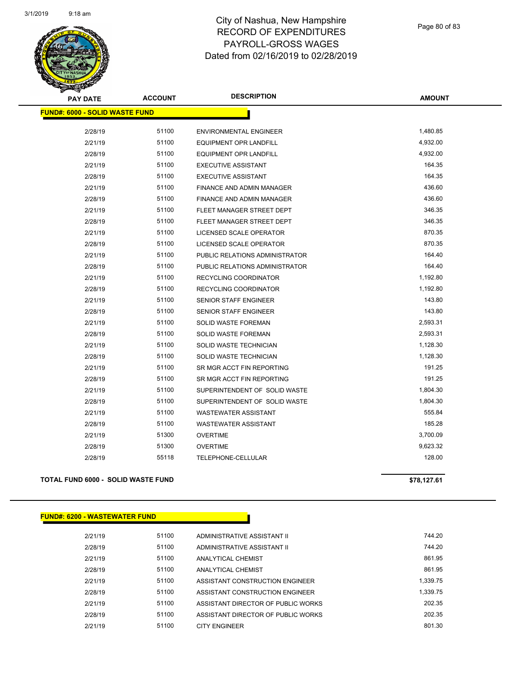

| <b>PAY DATE</b>                       | <b>ACCOUNT</b> | <b>DESCRIPTION</b>               | <b>AMOUNT</b> |  |  |
|---------------------------------------|----------------|----------------------------------|---------------|--|--|
| <b>FUND#: 6000 - SOLID WASTE FUND</b> |                |                                  |               |  |  |
| 2/28/19                               | 51100          | <b>ENVIRONMENTAL ENGINEER</b>    | 1,480.85      |  |  |
| 2/21/19                               | 51100          | <b>EQUIPMENT OPR LANDFILL</b>    | 4,932.00      |  |  |
| 2/28/19                               | 51100          | <b>EQUIPMENT OPR LANDFILL</b>    | 4,932.00      |  |  |
| 2/21/19                               | 51100          | <b>EXECUTIVE ASSISTANT</b>       | 164.35        |  |  |
| 2/28/19                               | 51100          | <b>EXECUTIVE ASSISTANT</b>       | 164.35        |  |  |
| 2/21/19                               | 51100          | <b>FINANCE AND ADMIN MANAGER</b> | 436.60        |  |  |
| 2/28/19                               | 51100          | FINANCE AND ADMIN MANAGER        | 436.60        |  |  |
| 2/21/19                               | 51100          | FLEET MANAGER STREET DEPT        | 346.35        |  |  |
| 2/28/19                               | 51100          | FLEET MANAGER STREET DEPT        | 346.35        |  |  |
| 2/21/19                               | 51100          | LICENSED SCALE OPERATOR          | 870.35        |  |  |
| 2/28/19                               | 51100          | LICENSED SCALE OPERATOR          | 870.35        |  |  |
| 2/21/19                               | 51100          | PUBLIC RELATIONS ADMINISTRATOR   | 164.40        |  |  |
| 2/28/19                               | 51100          | PUBLIC RELATIONS ADMINISTRATOR   | 164.40        |  |  |
| 2/21/19                               | 51100          | RECYCLING COORDINATOR            | 1,192.80      |  |  |
| 2/28/19                               | 51100          | RECYCLING COORDINATOR            | 1,192.80      |  |  |
| 2/21/19                               | 51100          | <b>SENIOR STAFF ENGINEER</b>     | 143.80        |  |  |
| 2/28/19                               | 51100          | SENIOR STAFF ENGINEER            | 143.80        |  |  |
| 2/21/19                               | 51100          | SOLID WASTE FOREMAN              | 2,593.31      |  |  |
| 2/28/19                               | 51100          | SOLID WASTE FOREMAN              | 2,593.31      |  |  |
| 2/21/19                               | 51100          | SOLID WASTE TECHNICIAN           | 1,128.30      |  |  |
| 2/28/19                               | 51100          | SOLID WASTE TECHNICIAN           | 1,128.30      |  |  |
| 2/21/19                               | 51100          | SR MGR ACCT FIN REPORTING        | 191.25        |  |  |
| 2/28/19                               | 51100          | SR MGR ACCT FIN REPORTING        | 191.25        |  |  |
| 2/21/19                               | 51100          | SUPERINTENDENT OF SOLID WASTE    | 1,804.30      |  |  |
| 2/28/19                               | 51100          | SUPERINTENDENT OF SOLID WASTE    | 1,804.30      |  |  |
| 2/21/19                               | 51100          | <b>WASTEWATER ASSISTANT</b>      | 555.84        |  |  |
| 2/28/19                               | 51100          | <b>WASTEWATER ASSISTANT</b>      | 185.28        |  |  |
| 2/21/19                               | 51300          | <b>OVERTIME</b>                  | 3,700.09      |  |  |
| 2/28/19                               | 51300          | <b>OVERTIME</b>                  | 9,623.32      |  |  |
| 2/28/19                               | 55118          | TELEPHONE-CELLULAR               | 128.00        |  |  |
|                                       |                |                                  |               |  |  |

## **TOTAL FUND 6000 - SOLID WASTE FUND \$78,127.61**

**FUND#: 6200 - WASTEWATER FUND**

| 2/21/19 | 51100 | ADMINISTRATIVE ASSISTANT II        | 744.20   |
|---------|-------|------------------------------------|----------|
| 2/28/19 | 51100 | ADMINISTRATIVE ASSISTANT II        | 744.20   |
| 2/21/19 | 51100 | ANALYTICAL CHEMIST                 | 861.95   |
| 2/28/19 | 51100 | ANALYTICAL CHEMIST                 | 861.95   |
| 2/21/19 | 51100 | ASSISTANT CONSTRUCTION ENGINEER    | 1.339.75 |
| 2/28/19 | 51100 | ASSISTANT CONSTRUCTION ENGINEER    | 1.339.75 |
| 2/21/19 | 51100 | ASSISTANT DIRECTOR OF PUBLIC WORKS | 202.35   |
| 2/28/19 | 51100 | ASSISTANT DIRECTOR OF PUBLIC WORKS | 202.35   |
| 2/21/19 | 51100 | <b>CITY ENGINEER</b>               | 801.30   |

Г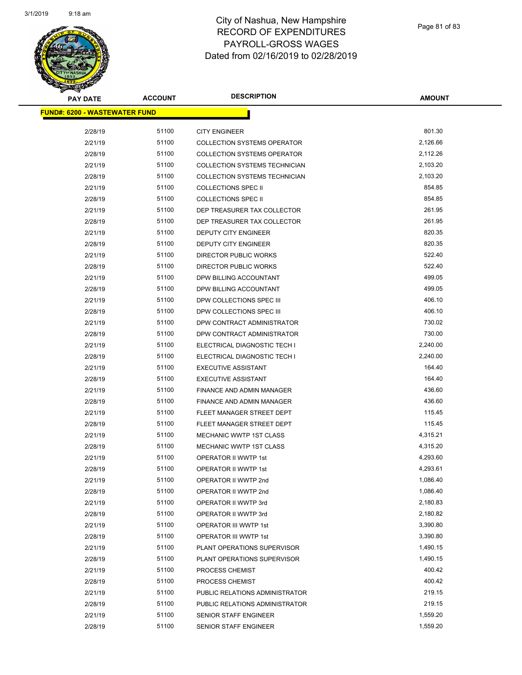| <b>PAY DATE</b>                      | <b>ACCOUNT</b> | <b>DESCRIPTION</b>                                                       | <b>AMOUNT</b>    |
|--------------------------------------|----------------|--------------------------------------------------------------------------|------------------|
| <b>FUND#: 6200 - WASTEWATER FUND</b> |                |                                                                          |                  |
|                                      |                |                                                                          | 801.30           |
| 2/28/19                              | 51100<br>51100 | <b>CITY ENGINEER</b>                                                     | 2,126.66         |
| 2/21/19                              | 51100          | <b>COLLECTION SYSTEMS OPERATOR</b><br><b>COLLECTION SYSTEMS OPERATOR</b> | 2,112.26         |
| 2/28/19                              | 51100          |                                                                          | 2,103.20         |
| 2/21/19                              |                | <b>COLLECTION SYSTEMS TECHNICIAN</b>                                     |                  |
| 2/28/19                              | 51100          | COLLECTION SYSTEMS TECHNICIAN                                            | 2,103.20         |
| 2/21/19                              | 51100          | <b>COLLECTIONS SPEC II</b>                                               | 854.85<br>854.85 |
| 2/28/19                              | 51100          | <b>COLLECTIONS SPEC II</b>                                               |                  |
| 2/21/19                              | 51100          | DEP TREASURER TAX COLLECTOR                                              | 261.95           |
| 2/28/19                              | 51100          | DEP TREASURER TAX COLLECTOR                                              | 261.95           |
| 2/21/19                              | 51100          | DEPUTY CITY ENGINEER                                                     | 820.35           |
| 2/28/19                              | 51100          | DEPUTY CITY ENGINEER                                                     | 820.35           |
| 2/21/19                              | 51100          | DIRECTOR PUBLIC WORKS                                                    | 522.40           |
| 2/28/19                              | 51100          | DIRECTOR PUBLIC WORKS                                                    | 522.40           |
| 2/21/19                              | 51100          | DPW BILLING ACCOUNTANT                                                   | 499.05           |
| 2/28/19                              | 51100          | DPW BILLING ACCOUNTANT                                                   | 499.05           |
| 2/21/19                              | 51100          | DPW COLLECTIONS SPEC III                                                 | 406.10           |
| 2/28/19                              | 51100          | DPW COLLECTIONS SPEC III                                                 | 406.10           |
| 2/21/19                              | 51100          | DPW CONTRACT ADMINISTRATOR                                               | 730.02           |
| 2/28/19                              | 51100          | DPW CONTRACT ADMINISTRATOR                                               | 730.00           |
| 2/21/19                              | 51100          | ELECTRICAL DIAGNOSTIC TECH I                                             | 2,240.00         |
| 2/28/19                              | 51100          | ELECTRICAL DIAGNOSTIC TECH I                                             | 2,240.00         |
| 2/21/19                              | 51100          | <b>EXECUTIVE ASSISTANT</b>                                               | 164.40           |
| 2/28/19                              | 51100          | <b>EXECUTIVE ASSISTANT</b>                                               | 164.40           |
| 2/21/19                              | 51100          | FINANCE AND ADMIN MANAGER                                                | 436.60           |
| 2/28/19                              | 51100          | FINANCE AND ADMIN MANAGER                                                | 436.60           |
| 2/21/19                              | 51100          | FLEET MANAGER STREET DEPT                                                | 115.45           |
| 2/28/19                              | 51100          | FLEET MANAGER STREET DEPT                                                | 115.45           |
| 2/21/19                              | 51100          | <b>MECHANIC WWTP 1ST CLASS</b>                                           | 4,315.21         |
| 2/28/19                              | 51100          | MECHANIC WWTP 1ST CLASS                                                  | 4,315.20         |
| 2/21/19                              | 51100          | OPERATOR II WWTP 1st                                                     | 4,293.60         |
| 2/28/19                              | 51100          | OPERATOR II WWTP 1st                                                     | 4,293.61         |
| 2/21/19                              | 51100          | OPERATOR II WWTP 2nd                                                     | 1,086.40         |
| 2/28/19                              | 51100          | OPERATOR II WWTP 2nd                                                     | 1,086.40         |
| 2/21/19                              | 51100          | OPERATOR II WWTP 3rd                                                     | 2,180.83         |
| 2/28/19                              | 51100          | OPERATOR II WWTP 3rd                                                     | 2,180.82         |
| 2/21/19                              | 51100          | OPERATOR III WWTP 1st                                                    | 3,390.80         |
| 2/28/19                              | 51100          | OPERATOR III WWTP 1st                                                    | 3,390.80         |
| 2/21/19                              | 51100          | PLANT OPERATIONS SUPERVISOR                                              | 1,490.15         |
| 2/28/19                              | 51100          | PLANT OPERATIONS SUPERVISOR                                              | 1,490.15         |
| 2/21/19                              | 51100          | PROCESS CHEMIST                                                          | 400.42           |
| 2/28/19                              | 51100          | PROCESS CHEMIST                                                          | 400.42           |
| 2/21/19                              | 51100          | PUBLIC RELATIONS ADMINISTRATOR                                           | 219.15           |
| 2/28/19                              | 51100          | PUBLIC RELATIONS ADMINISTRATOR                                           | 219.15           |
| 2/21/19                              | 51100          | <b>SENIOR STAFF ENGINEER</b>                                             | 1,559.20         |
| 2/28/19                              | 51100          | SENIOR STAFF ENGINEER                                                    | 1,559.20         |
|                                      |                |                                                                          |                  |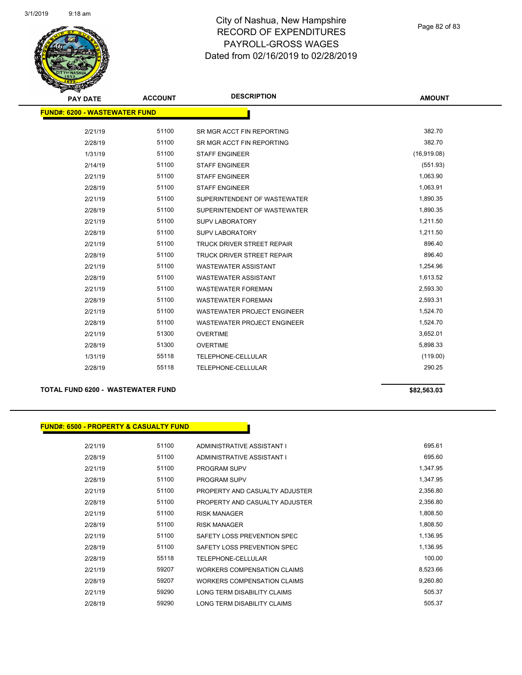

Page 82 of 83

| <b>PAY DATE</b>                      | <b>ACCOUNT</b> | <b>DESCRIPTION</b>                 | <b>AMOUNT</b> |  |  |
|--------------------------------------|----------------|------------------------------------|---------------|--|--|
| <b>FUND#: 6200 - WASTEWATER FUND</b> |                |                                    |               |  |  |
|                                      |                |                                    |               |  |  |
| 2/21/19                              | 51100          | SR MGR ACCT FIN REPORTING          | 382.70        |  |  |
| 2/28/19                              | 51100          | SR MGR ACCT FIN REPORTING          | 382.70        |  |  |
| 1/31/19                              | 51100          | <b>STAFF ENGINEER</b>              | (16,919.08)   |  |  |
| 2/14/19                              | 51100          | <b>STAFF ENGINEER</b>              | (551.93)      |  |  |
| 2/21/19                              | 51100          | <b>STAFF ENGINEER</b>              | 1,063.90      |  |  |
| 2/28/19                              | 51100          | <b>STAFF ENGINEER</b>              | 1,063.91      |  |  |
| 2/21/19                              | 51100          | SUPERINTENDENT OF WASTEWATER       | 1,890.35      |  |  |
| 2/28/19                              | 51100          | SUPERINTENDENT OF WASTEWATER       | 1,890.35      |  |  |
| 2/21/19                              | 51100          | <b>SUPV LABORATORY</b>             | 1,211.50      |  |  |
| 2/28/19                              | 51100          | <b>SUPV LABORATORY</b>             | 1,211.50      |  |  |
| 2/21/19                              | 51100          | <b>TRUCK DRIVER STREET REPAIR</b>  | 896.40        |  |  |
| 2/28/19                              | 51100          | <b>TRUCK DRIVER STREET REPAIR</b>  | 896.40        |  |  |
| 2/21/19                              | 51100          | <b>WASTEWATER ASSISTANT</b>        | 1,254.96      |  |  |
| 2/28/19                              | 51100          | <b>WASTEWATER ASSISTANT</b>        | 1,613.52      |  |  |
| 2/21/19                              | 51100          | <b>WASTEWATER FOREMAN</b>          | 2,593.30      |  |  |
| 2/28/19                              | 51100          | <b>WASTEWATER FOREMAN</b>          | 2,593.31      |  |  |
| 2/21/19                              | 51100          | <b>WASTEWATER PROJECT ENGINEER</b> | 1,524.70      |  |  |
| 2/28/19                              | 51100          | <b>WASTEWATER PROJECT ENGINEER</b> | 1,524.70      |  |  |
| 2/21/19                              | 51300          | <b>OVERTIME</b>                    | 3,652.01      |  |  |
| 2/28/19                              | 51300          | <b>OVERTIME</b>                    | 5,898.33      |  |  |
| 1/31/19                              | 55118          | TELEPHONE-CELLULAR                 | (119.00)      |  |  |
| 2/28/19                              | 55118          | TELEPHONE-CELLULAR                 | 290.25        |  |  |
|                                      |                |                                    |               |  |  |

#### **TOTAL FUND 6200 - WASTEWATER FUND \$82,563.03**

## **FUND#: 6500 - PROPERTY & CASUALTY FUND**

| 2/21/19 | 51100 | ADMINISTRATIVE ASSISTANT I         | 695.61   |
|---------|-------|------------------------------------|----------|
| 2/28/19 | 51100 | ADMINISTRATIVE ASSISTANT I         | 695.60   |
| 2/21/19 | 51100 | <b>PROGRAM SUPV</b>                | 1,347.95 |
| 2/28/19 | 51100 | PROGRAM SUPV                       | 1,347.95 |
| 2/21/19 | 51100 | PROPERTY AND CASUALTY ADJUSTER     | 2,356.80 |
| 2/28/19 | 51100 | PROPERTY AND CASUALTY ADJUSTER     | 2,356.80 |
| 2/21/19 | 51100 | <b>RISK MANAGER</b>                | 1.808.50 |
| 2/28/19 | 51100 | <b>RISK MANAGER</b>                | 1,808.50 |
| 2/21/19 | 51100 | SAFETY LOSS PREVENTION SPEC        | 1,136.95 |
| 2/28/19 | 51100 | SAFETY LOSS PREVENTION SPEC        | 1,136.95 |
| 2/28/19 | 55118 | <b>TELEPHONE-CELLULAR</b>          | 100.00   |
| 2/21/19 | 59207 | <b>WORKERS COMPENSATION CLAIMS</b> | 8,523.66 |
| 2/28/19 | 59207 | WORKERS COMPENSATION CLAIMS        | 9,260.80 |
| 2/21/19 | 59290 | LONG TERM DISABILITY CLAIMS        | 505.37   |
| 2/28/19 | 59290 | LONG TERM DISABILITY CLAIMS        | 505.37   |